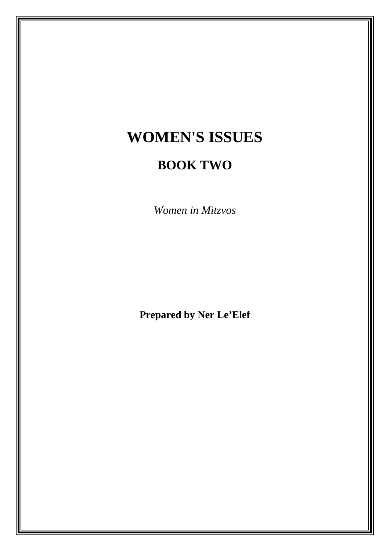# **WOMEN'S ISSUES**

## **BOOK TWO**

*Women in Mitzvos*

**Prepared by Ner Le'Elef**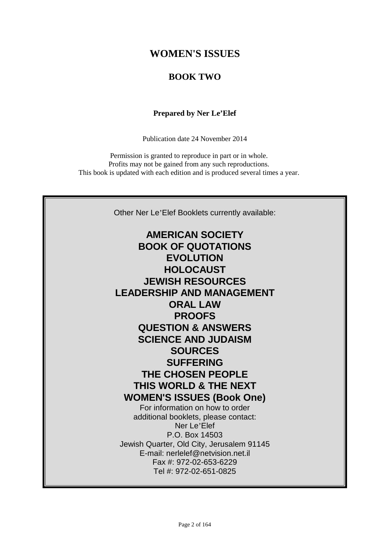## **WOMEN'S ISSUES**

### **BOOK TWO**

### **Prepared by Ner Le'Elef**

Publication date 24 November 2014

Permission is granted to reproduce in part or in whole. Profits may not be gained from any such reproductions. This book is updated with each edition and is produced several times a year.

Other Ner Le'Elef Booklets currently available:

**AMERICAN SOCIETY BOOK OF QUOTATIONS EVOLUTION HOLOCAUST JEWISH RESOURCES LEADERSHIP AND MANAGEMENT ORAL LAW PROOFS QUESTION & ANSWERS SCIENCE AND JUDAISM SOURCES SUFFERING THE CHOSEN PEOPLE THIS WORLD & THE NEXT WOMEN'S ISSUES (Book One)** For information on how to order additional booklets, please contact: Ner Le'Elef P.O. Box 14503 Jewish Quarter, Old City, Jerusalem 91145 E-mail: nerlelef@netvision.net.il Fax #: 972-02-653-6229 Tel #: 972-02-651-0825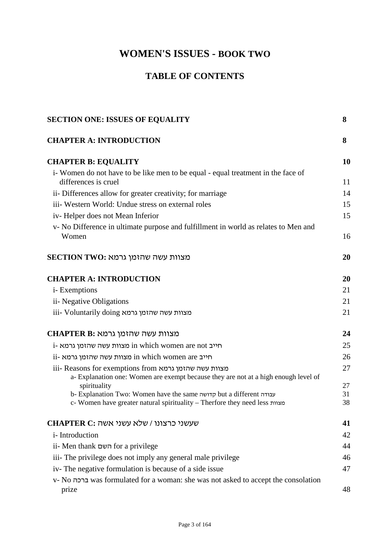## **WOMEN'S ISSUES - BOOK TWO**

## **TABLE OF CONTENTS**

| <b>SECTION ONE: ISSUES OF EQUALITY</b>                                                                                                            |          |
|---------------------------------------------------------------------------------------------------------------------------------------------------|----------|
| <b>CHAPTER A: INTRODUCTION</b>                                                                                                                    | 8        |
| <b>CHAPTER B: EQUALITY</b>                                                                                                                        | 10       |
| i-Women do not have to be like men to be equal - equal treatment in the face of<br>differences is cruel                                           | 11       |
| ii- Differences allow for greater creativity; for marriage                                                                                        | 14       |
| iii- Western World: Undue stress on external roles                                                                                                | 15       |
| iv-Helper does not Mean Inferior                                                                                                                  | 15       |
| v- No Difference in ultimate purpose and fulfillment in world as relates to Men and<br>Women                                                      | 16       |
| SECTION TWO: מצוות עשה שהזמן גרמא                                                                                                                 | 20       |
| <b>CHAPTER A: INTRODUCTION</b>                                                                                                                    | 20       |
| i- Exemptions                                                                                                                                     | 21       |
| ii- Negative Obligations                                                                                                                          | 21       |
| iii- Voluntarily doing מצוות עשה שהזמן גרמא                                                                                                       | 21       |
| CHAPTER B: מצוות עשה שהזמן גרמא                                                                                                                   | 24       |
| i- מצוות עשה שהזמן גרמא in which women are not                                                                                                    | 25       |
| ii- חייב in which women are מצוות עשה שהזמן גרמא                                                                                                  | 26       |
| iii- Reasons for exemptions from מצוות עשה שהזמן גרמא<br>a- Explanation one: Women are exempt because they are not at a high enough level of      | 27       |
| spirituality                                                                                                                                      | 27       |
| b- Explanation Two: Women have the same קדושה but a different עבודה<br>c- Women have greater natural spirituality - Therfore they need less מצוות | 31<br>38 |
| CHAPTER C: שעשני כרצונו / שלא עשני אשה                                                                                                            | 41       |
| <i>i</i> -Introduction                                                                                                                            | 42       |
| ii- Men thank השם for a privilege                                                                                                                 | 44       |
| iii- The privilege does not imply any general male privilege                                                                                      | 46       |
| iv-The negative formulation is because of a side issue                                                                                            | 47       |
| v- No ברכה was formulated for a woman: she was not asked to accept the consolation<br>prize                                                       | 48       |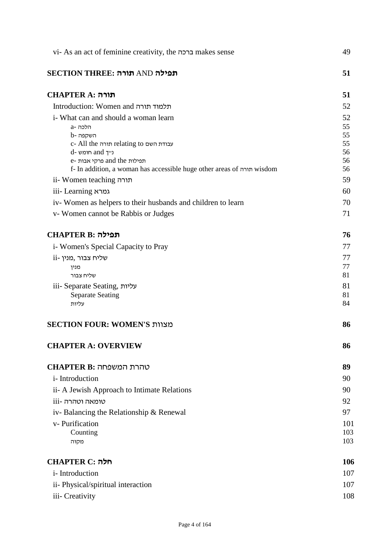| vi- As an act of feminine creativity, the ברכה makes sense             | 49       |
|------------------------------------------------------------------------|----------|
| תפילה AND תורה: SECTION THREE                                          | 51       |
| תורה :CHAPTER A                                                        | 51       |
| Introduction: Women and תלמוד תורה                                     | 52       |
| i- What can and should a woman learn                                   | 52       |
| a- הלכה                                                                | 55       |
| b- השקפה<br>c- All the תורה relating to                                | 55<br>55 |
| d- מומש -d                                                             | 56       |
| e- תפילות and the פרקי אבות                                            | 56       |
| f- In addition, a woman has accessible huge other areas of תורה wisdom | 56       |
| ii- Women teaching תורה                                                | 59       |
| iii- Learning גמרא                                                     | 60       |
| iv-Women as helpers to their husbands and children to learn            | 70       |
| v-Women cannot be Rabbis or Judges                                     | 71       |
| תפילה:CHAPTER B                                                        | 76       |
| i- Women's Special Capacity to Pray                                    | 77       |
| ii- שליח צבור, מנין                                                    | 77       |
| מנין                                                                   | 77       |
| שליח צבור                                                              | 81       |
| iii- Separate Seating, עליות<br><b>Separate Seating</b>                | 81<br>81 |
| עליות                                                                  | 84       |
| SECTION FOUR: WOMEN'S מצוות                                            | 86       |
| <b>CHAPTER A: OVERVIEW</b>                                             | 86       |
| טהרת המשפחה :CHAPTER B                                                 | 89       |
| <i>i</i> -Introduction                                                 | 90       |
| ii- A Jewish Approach to Intimate Relations                            | 90       |
| טומאה וטהרה -iii                                                       | 92       |
| iv-Balancing the Relationship & Renewal                                | 97       |
| v- Purification                                                        | 101      |
| Counting                                                               | 103      |
| מקוה                                                                   | 103      |
| <b>CHAPTER C: חלה</b>                                                  | 106      |
| <i>i</i> -Introduction                                                 | 107      |
| ii- Physical/spiritual interaction                                     | 107      |
| iii- Creativity                                                        | 108      |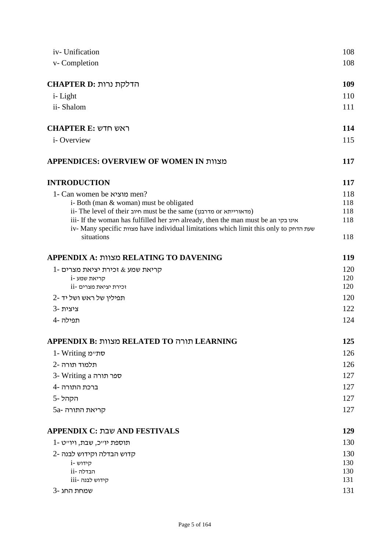| iv- Unification                                                                                     | 108 |
|-----------------------------------------------------------------------------------------------------|-----|
| v-Completion                                                                                        | 108 |
| הדלקת נרות :CHAPTER D                                                                               | 109 |
|                                                                                                     | 110 |
| <i>i</i> -Light                                                                                     |     |
| ii-Shalom                                                                                           | 111 |
| <b>CHAPTER E: ראש חדש</b>                                                                           | 114 |
| <i>i</i> -Overview                                                                                  | 115 |
| APPENDICES: OVERVIEW OF WOMEN IN מצוות                                                              | 117 |
| <b>INTRODUCTION</b>                                                                                 | 117 |
| 1- Can women be מוציא men?                                                                          | 118 |
| i-Both (man & woman) must be obligated                                                              | 118 |
| ii- The level of their חיוב must be the same (מדאורייתא or                                          | 118 |
| iii- If the woman has fulfilled her חיוב already, then the man must be an אינו בקי                  | 118 |
| iv- Many specific מצוות have individual limitations which limit this only to שעת הדחק<br>situations | 118 |
| APPENDIX A: מצוות RELATING TO DAVENING                                                              | 119 |
| $1$ - קריאת שמע $\&$ זכירת יציאת מצרים                                                              | 120 |
| i- קריאת שמע                                                                                        | 120 |
| וכירת יציאת מצרים -ii                                                                               | 120 |
| תפילין של ראש ושל יד -2                                                                             | 120 |
| 3- ציצית                                                                                            | 122 |
| תפילה -4                                                                                            | 124 |
| APPENDIX B: מצוות RELATED TO מצוות                                                                  | 125 |
| 1- Writing סתיימ                                                                                    | 126 |
|                                                                                                     |     |
| תלמוד תורה -2                                                                                       | 126 |
| 3- Writing a ספר תורה                                                                               | 127 |
| ברכת התורה -4                                                                                       | 127 |
| הקהל-5                                                                                              | 127 |
| קריאת התורה -5a                                                                                     | 127 |
| APPENDIX C: שבת AND FESTIVALS                                                                       | 129 |
| תוספת יו״כ, שבת, ויו״ט -1                                                                           | 130 |
| קדוש הבדלה וקידוש לבנה -2                                                                           | 130 |
| i- קידוש                                                                                            | 130 |
| ni- הבדלה                                                                                           | 130 |
| קידוש לבנה -iii                                                                                     | 131 |
| שמחת החג-3                                                                                          | 131 |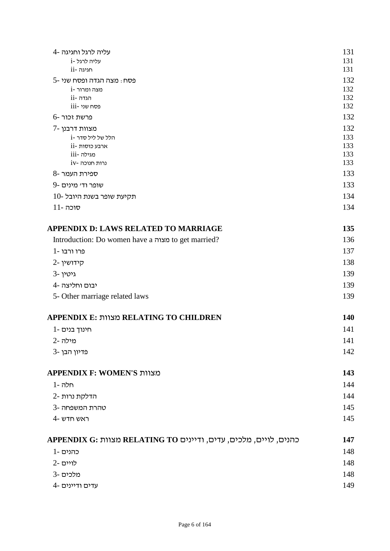| עליה לרגל וחגיגה -4                                | 131        |
|----------------------------------------------------|------------|
| עליה לרגל -i                                       | 131        |
| חגיגה-ii                                           | 131        |
| פסח : מצה הגדה ופסח שני -5                         | 132        |
| נוצה ומרור -i                                      | 132        |
| ii- הגדה<br>eסח שני -iii                           | 132<br>132 |
| $6$ - פרשת זכור                                    | 132        |
| מצוות דרבנן -7                                     | 132        |
| i- הלל של ליל סדר                                  | 133        |
| ארבע כוסות -ii                                     | 133        |
| מגילה -iii                                         | 133        |
| $iv$ - נרות חנוכה                                  | 133        |
| 8- ספירת העמר                                      | 133        |
| שופר ודי מינים -9                                  | 133        |
| תקיעת שופר בשנת היובל -10                          | 134        |
| $11$ - סוכה                                        | 134        |
| APPENDIX D: LAWS RELATED TO MARRIAGE               | 135        |
| Introduction: Do women have a מצוה to get married? | 136        |
| פרו ורבו -1                                        | 137        |
| 2- קידושין                                         | 138        |
| 3- גיטין                                           | 139        |
| יבום וחליצה -4                                     | 139        |
| 5- Other marriage related laws                     | 139        |
| APPENDIX E: מצוות RELATING TO CHILDREN             | <b>140</b> |
| חינוך בנים -1                                      | 141        |
| מילה -2                                            | 141        |
| פדיון הבן -3                                       | 142        |
| APPENDIX F: WOMEN'S מצוות                          | 143        |
| תלה -1                                             | 144        |
| הדלקת נרות -2                                      | 144        |
| טהרת המשפחה -3                                     | 145        |
| 4- ראש חדש                                         | 145        |
|                                                    |            |
| APPENDIX G: מצוות RELATING TO מעוות                | 147        |
| 1- כהנים                                           | 148        |
| לויים -2                                           | 148        |
| מלכים -3                                           | 148        |
| עדים ודיינים -4                                    | 149        |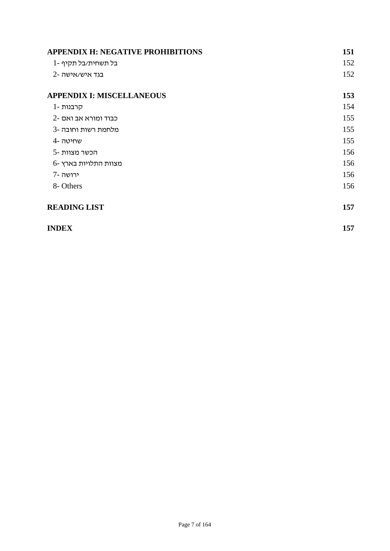| <b>APPENDIX H: NEGATIVE PROHIBITIONS</b> | 151 |
|------------------------------------------|-----|
| בל תשחית/בל תקיף -1                      | 152 |
| 2- בגד איש/אישה                          | 152 |
| <b>APPENDIX I: MISCELLANEOUS</b>         | 153 |
| קרבנות -1                                | 154 |
| 2- כבוד ומורא אב ואם                     | 155 |
| מלחמת רשות וחובה -3                      | 155 |
| שחיטה -4                                 | 155 |
| הכשר מצוות -5                            | 156 |
| מצוות התלויות בארץ -6                    | 156 |
| ירושה -7                                 | 156 |
| 8- Others                                | 156 |
| <b>READING LIST</b>                      | 157 |
| <b>INDEX</b>                             | 157 |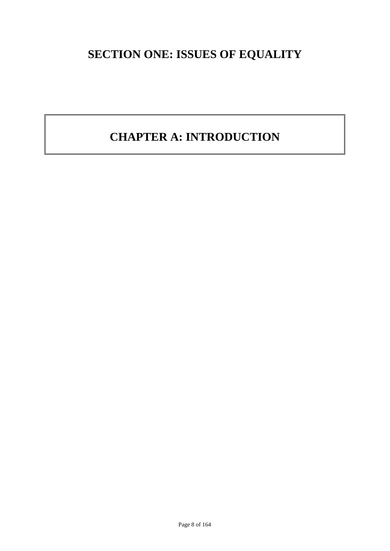## **SECTION ONE: ISSUES OF EQUALITY**

## **CHAPTER A: INTRODUCTION**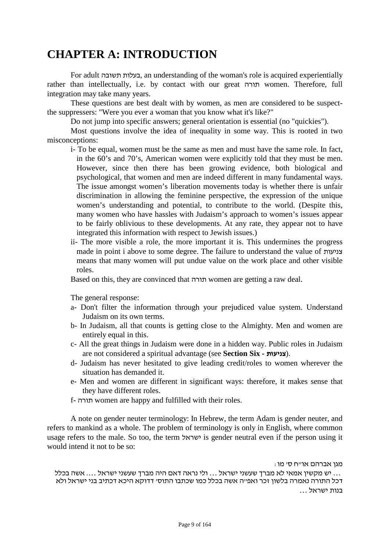## **CHAPTER A: INTRODUCTION**

For adult תשובה בעלות, an understanding of the woman's role is acquired experientially rather than intellectually, i.e. by contact with our great תורה women. Therefore, full integration may take many years.

These questions are best dealt with by women, as men are considered to be suspectthe suppressers: "Were you ever a woman that you know what it's like?"

Do not jump into specific answers; general orientation is essential (no "quickies").

Most questions involve the idea of inequality in some way. This is rooted in two misconceptions:

- i- To be equal, women must be the same as men and must have the same role. In fact, in the 60's and 70's, American women were explicitly told that they must be men. However, since then there has been growing evidence, both biological and psychological, that women and men are indeed different in many fundamental ways. The issue amongst women's liberation movements today is whether there is unfair discrimination in allowing the feminine perspective, the expression of the unique women's understanding and potential, to contribute to the world. (Despite this, many women who have hassles with Judaism's approach to women's issues appear to be fairly oblivious to these developments. At any rate, they appear not to have integrated this information with respect to Jewish issues.)
- ii- The more visible a role, the more important it is. This undermines the progress made in point i above to some degree. The failure to understand the value of צניעות means that many women will put undue value on the work place and other visible roles.

Based on this, they are convinced that תורה women are getting a raw deal.

The general response:

- a- Don't filter the information through your prejudiced value system. Understand Judaism on its own terms.
- b- In Judaism, all that counts is getting close to the Almighty. Men and women are entirely equal in this.
- c- All the great things in Judaism were done in a hidden way. Public roles in Judaism are not considered a spiritual advantage (see Section Six - צניעות).
- d- Judaism has never hesitated to give leading credit/roles to women wherever the situation has demanded it.
- e- Men and women are different in significant ways: therefore, it makes sense that they have different roles.
- f- תורה women are happy and fulfilled with their roles.

A note on gender neuter terminology: In Hebrew, the term Adam is gender neuter, and refers to mankind as a whole. The problem of terminology is only in English, where common usage refers to the male. So too, the term ישראל is gender neutral even if the person using it would intend it not to be so:

מגן אברהם או"ח ס' מו:

... יש מקשין אמאי לא מברך שעשני ישראל ... ולי נראה דאם היה מברך שעשני ישראל .... אשה בכלל<br>דכל התורה נאמרה בלשון זכר ואפ״ה אשה בכלל כמו שכתבו התוס׳ דדוקא היכא דכתיב בני ישראל ולא בנות ישראל ...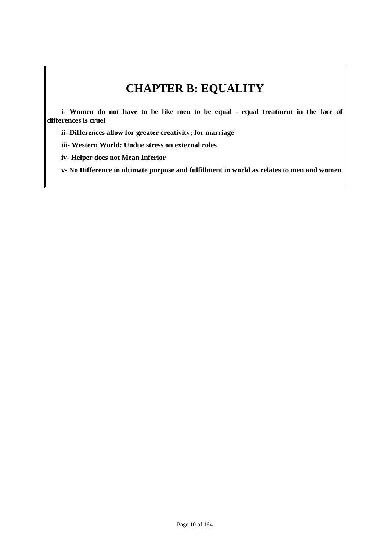## **CHAPTER B: EQUALITY**

**i- Women do not have to be like men to be equal - equal treatment in the face of differences is cruel**

**ii- Differences allow for greater creativity; for marriage**

**iii- Western World: Undue stress on external roles**

**iv- Helper does not Mean Inferior**

**v- No Difference in ultimate purpose and fulfillment in world as relates to men and women**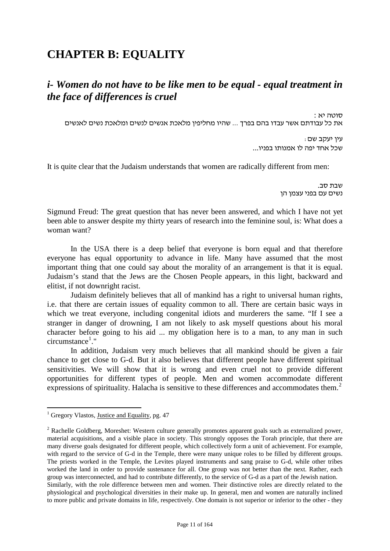## **CHAPTER B: EQUALITY**

## *i- Women do not have to be like men to be equal - equal treatment in the face of differences is cruel*

סוטה יא : את כל עבודתם אשר עבדו בהם בפרך ... שהיו מחליפין מלאכת אנשים לנשים ומלאכת נשים לאנשים

> עין יעקב שם: שכל אחד יפה לו אמנותו בפניו...

It is quite clear that the Judaism understands that women are radically different from men:

שבת סב. נשים עם בפני עצמן הן

Sigmund Freud: The great question that has never been answered, and which I have not yet been able to answer despite my thirty years of research into the feminine soul, is: What does a woman want?

In the USA there is a deep belief that everyone is born equal and that therefore everyone has equal opportunity to advance in life. Many have assumed that the most important thing that one could say about the morality of an arrangement is that it is equal. Judaism's stand that the Jews are the Chosen People appears, in this light, backward and elitist, if not downright racist.

Judaism definitely believes that all of mankind has a right to universal human rights, i.e. that there are certain issues of equality common to all. There are certain basic ways in which we treat everyone, including congenital idiots and murderers the same. "If I see a stranger in danger of drowning, I am not likely to ask myself questions about his moral character before going to his aid ... my obligation here is to a man, to any man in such circumstance<sup>1</sup>."

In addition, Judaism very much believes that all mankind should be given a fair chance to get close to G-d. But it also believes that different people have different spiritual sensitivities. We will show that it is wrong and even cruel not to provide different opportunities for different types of people. Men and women accommodate different expressions of spirituality. Halacha is sensitive to these differences and accommodates them.<sup>2</sup>

<span id="page-10-0"></span> $<sup>1</sup>$  Gregory Vlastos, Justice and Equality, pg. 47</sup>

<sup>&</sup>lt;sup>2</sup> Rachelle Goldberg, Moreshet: Western culture generally promotes apparent goals such as externalized power, material acquisitions, and a visible place in society. This strongly opposes the Torah principle, that there are many diverse goals designated for different people, which collectively form a unit of achievement. For example, with regard to the service of G-d in the Temple, there were many unique roles to be filled by different groups. The priests worked in the Temple, the Levites played instruments and sang praise to G-d, while other tribes worked the land in order to provide sustenance for all. One group was not better than the next. Rather, each group was interconnected, and had to contribute differently, to the service of G-d as a part of the Jewish nation. Similarly, with the role difference between men and women. Their distinctive roles are directly related to the physiological and psychological diversities in their make up. In general, men and women are naturally inclined to more public and private domains in life, respectively. One domain is not superior or inferior to the other - they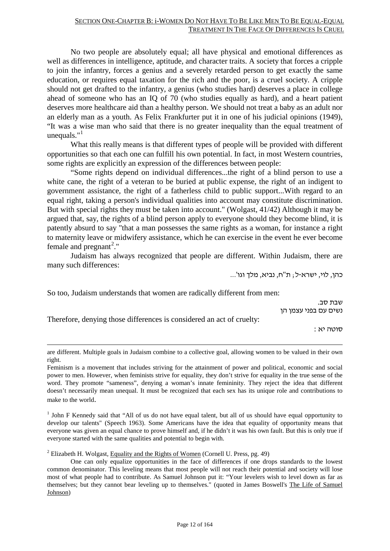No two people are absolutely equal; all have physical and emotional differences as well as differences in intelligence, aptitude, and character traits. A society that forces a cripple to join the infantry, forces a genius and a severely retarded person to get exactly the same education, or requires equal taxation for the rich and the poor, is a cruel society. A cripple should not get drafted to the infantry, a genius (who studies hard) deserves a place in college ahead of someone who has an IQ of 70 (who studies equally as hard), and a heart patient deserves more healthcare aid than a healthy person. We should not treat a baby as an adult nor an elderly man as a youth. As Felix Frankfurter put it in one of his judicial opinions (1949), "It was a wise man who said that there is no greater inequality than the equal treatment of unequals." $1$ 

What this really means is that different types of people will be provided with different opportunities so that each one can fulfill his own potential. In fact, in most Western countries, some rights are explicitly an expression of the differences between people:

"Some rights depend on individual differences...the right of a blind person to use a white cane, the right of a veteran to be buried at public expense, the right of an indigent to government assistance, the right of a fatherless child to public support...With regard to an equal right, taking a person's individual qualities into account may constitute discrimination. But with special rights they must be taken into account." (Wolgast, 41/42) Although it may be argued that, say, the rights of a blind person apply to everyone should they become blind, it is patently absurd to say "that a man possesses the same rights as a woman, for instance a right to maternity leave or midwifery assistance, which he can exercise in the event he ever become female and pregnant<sup>[2](#page-11-0)</sup>."

Judaism has always recognized that people are different. Within Judaism, there are many such differences:

כהן, לוי, ישרא-ל; ת"ח, נביא, מלך וגו'...

So too, Judaism understands that women are radically different from men:

שבת סב. נשים עם בפני עצמן הן

Therefore, denying those differences is considered an act of cruelty:

-

סוטה יא :

are different. Multiple goals in Judaism combine to a collective goal, allowing women to be valued in their own right.

<sup>1</sup> John F Kennedy said that "All of us do not have equal talent, but all of us should have equal opportunity to develop our talents" (Speech 1963). Some Americans have the idea that equality of opportunity means that everyone was given an equal chance to prove himself and, if he didn't it was his own fault. But this is only true if everyone started with the same qualities and potential to begin with.

<span id="page-11-0"></span><sup>2</sup> Elizabeth H. Wolgast, Equality and the Rights of Women (Cornell U. Press, pg. 49)

Feminism is a movement that includes striving for the attainment of power and political, economic and social power to men. However, when feminists strive for equality, they don't strive for equality in the true sense of the word. They promote "sameness", denying a woman's innate femininity. They reject the idea that different doesn't necessarily mean unequal. It must be recognized that each sex has its unique role and contributions to make to the world.

One can only equalize opportunities in the face of differences if one drops standards to the lowest common denominator. This leveling means that most people will not reach their potential and society will lose most of what people had to contribute. As Samuel Johnson put it: "Your levelers wish to level down as far as themselves; but they cannot bear leveling up to themselves." (quoted in James Boswell's The Life of Samuel Johnson)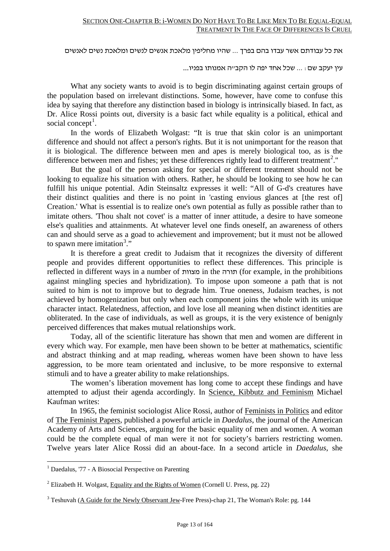את כל עבודתם אשר עבדו בהם בפרך ... שהיו מחליפין מלאכת אנשים לנשים ומלאכת נשים לאנשים

עין יעקב שם: ... שכל אחד יפה לו הקב"ה אמנותו בפניו...

What any society wants to avoid is to begin discriminating against certain groups of the population based on irrelevant distinctions. Some, however, have come to confuse this idea by saying that therefore any distinction based in biology is intrinsically biased. In fact, as Dr. Alice Rossi points out, diversity is a basic fact while equality is a political, ethical and social concept<sup>1</sup>.

In the words of Elizabeth Wolgast: "It is true that skin color is an unimportant difference and should not affect a person's rights. But it is not unimportant for the reason that it is biological. The difference between men and apes is merely biological too, as is the difference between men and fishes; yet these differences rightly lead to different treatment<sup>2</sup>."

But the goal of the person asking for special or different treatment should not be looking to equalize his situation with others. Rather, he should be looking to see how he can fulfill his unique potential. Adin Steinsaltz expresses it well: "All of G-d's creatures have their distinct qualities and there is no point in 'casting envious glances at [the rest of] Creation.' What is essential is to realize one's own potential as fully as possible rather than to imitate others. 'Thou shalt not covet' is a matter of inner attitude, a desire to have someone else's qualities and attainments. At whatever level one finds oneself, an awareness of others can and should serve as a goad to achievement and improvement; but it must not be allowed to spawn mere imitation<sup>3</sup>."

It is therefore a great credit to Judaism that it recognizes the diversity of different people and provides different opportunities to reflect these differences. This principle is reflected in different ways in a number of מצוות in the תורה) for example, in the prohibitions against mingling species and hybridization). To impose upon someone a path that is not suited to him is not to improve but to degrade him. True oneness, Judaism teaches, is not achieved by homogenization but only when each component joins the whole with its unique character intact. Relatedness, affection, and love lose all meaning when distinct identities are obliterated. In the case of individuals, as well as groups, it is the very existence of benignly perceived differences that makes mutual relationships work.

Today, all of the scientific literature has shown that men and women are different in every which way. For example, men have been shown to be better at mathematics, scientific and abstract thinking and at map reading, whereas women have been shown to have less aggression, to be more team orientated and inclusive, to be more responsive to external stimuli and to have a greater ability to make relationships.

The women's liberation movement has long come to accept these findings and have attempted to adjust their agenda accordingly. In Science, Kibbutz and Feminism Michael Kaufman writes:

<span id="page-12-0"></span>In 1965, the feminist sociologist Alice Rossi, author of Feminists in Politics and editor of The Feminist Papers*,* published a powerful article in *Daedalus*, the journal of the American Academy of Arts and Sciences, arguing for the basic equality of men and women. A woman could be the complete equal of man were it not for society's barriers restricting women. Twelve years later Alice Rossi did an about-face. In a second article in *Daedalus*, she

 <sup>1</sup> Daedalus, '77 - A Biosocial Perspective on Parenting

<sup>&</sup>lt;sup>2</sup> Elizabeth H. Wolgast, Equality and the Rights of Women (Cornell U. Press, pg. 22)

 $3$  Teshuvah ( $\underline{A}$  Guide for the Newly Observant Jew-Free Press)-chap 21, The Woman's Role: pg. 144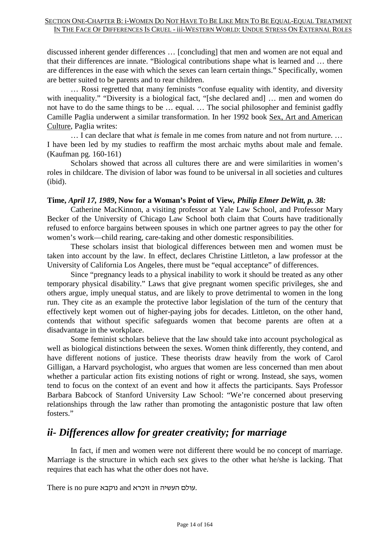discussed inherent gender differences … [concluding] that men and women are not equal and that their differences are innate. "Biological contributions shape what is learned and … there are differences in the ease with which the sexes can learn certain things." Specifically, women are better suited to be parents and to rear children.

… Rossi regretted that many feminists "confuse equality with identity, and diversity with inequality." "Diversity is a biological fact, "[she declared and] ... men and women do not have to do the same things to be … equal. … The social philosopher and feminist gadfly Camille Paglia underwent a similar transformation. In her 1992 book Sex, Art and American Culture, Paglia writes:

… I can declare that what *is* female in me comes from nature and not from nurture. … I have been led by my studies to reaffirm the most archaic myths about male and female. (Kaufman pg. 160-161)

Scholars showed that across all cultures there are and were similarities in women's roles in childcare. The division of labor was found to be universal in all societies and cultures (ibid).

### **Time,** *April 17, 1989***, Now for a Woman's Point of View***, Philip Elmer DeWitt, p. 38:*

Catherine MacKinnon, a visiting professor at Yale Law School, and Professor Mary Becker of the University of Chicago Law School both claim that Courts have traditionally refused to enforce bargains between spouses in which one partner agrees to pay the other for women's work—child rearing, care-taking and other domestic responsibilities.

These scholars insist that biological differences between men and women must be taken into account by the law. In effect, declares Christine Littleton, a law professor at the University of California Los Angeles, there must be "equal acceptance" of differences.

Since "pregnancy leads to a physical inability to work it should be treated as any other temporary physical disability." Laws that give pregnant women specific privileges, she and others argue, imply unequal status, and are likely to prove detrimental to women in the long run. They cite as an example the protective labor legislation of the turn of the century that effectively kept women out of higher-paying jobs for decades. Littleton, on the other hand, contends that without specific safeguards women that become parents are often at a disadvantage in the workplace.

Some feminist scholars believe that the law should take into account psychological as well as biological distinctions between the sexes. Women think differently, they contend, and have different notions of justice. These theorists draw heavily from the work of Carol Gilligan, a Harvard psychologist, who argues that women are less concerned than men about whether a particular action fits existing notions of right or wrong. Instead, she says, women tend to focus on the context of an event and how it affects the participants. Says Professor Barbara Babcock of Stanford University Law School: "We're concerned about preserving relationships through the law rather than promoting the antagonistic posture that law often fosters."

## *ii- Differences allow for greater creativity; for marriage*

In fact, if men and women were not different there would be no concept of marriage. Marriage is the structure in which each sex gives to the other what he/she is lacking. That requires that each has what the other does not have.

There is no pure נוקבא and זוכרא in העשיה עולם.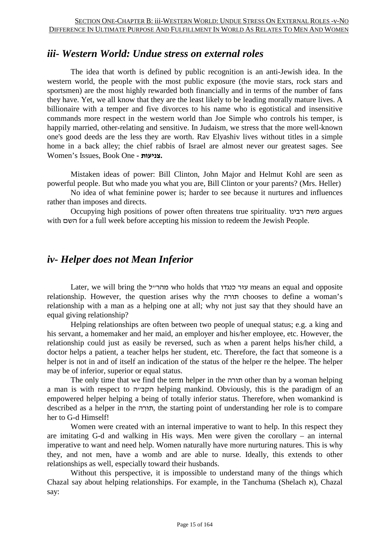## *iii- Western World: Undue stress on external roles*

The idea that worth is defined by public recognition is an anti-Jewish idea. In the western world, the people with the most public exposure (the movie stars, rock stars and sportsmen) are the most highly rewarded both financially and in terms of the number of fans they have. Yet, we all know that they are the least likely to be leading morally mature lives. A billionaire with a temper and five divorces to his name who is egotistical and insensitive commands more respect in the western world than Joe Simple who controls his temper, is happily married, other-relating and sensitive. In Judaism, we stress that the more well-known one's good deeds are the less they are worth. Rav Elyashiv lives without titles in a simple home in a back alley; the chief rabbis of Israel are almost never our greatest sages. See Women's Issues, Book One **- צניעות.**

Mistaken ideas of power: Bill Clinton, John Major and Helmut Kohl are seen as powerful people. But who made you what you are, Bill Clinton or your parents? (Mrs. Heller)

No idea of what feminine power is; harder to see because it nurtures and influences rather than imposes and directs.

Occupying high positions of power often threatens true spirituality. רבינו משה argues with השם for a full week before accepting his mission to redeem the Jewish People.

## *iv- Helper does not Mean Inferior*

Later, we will bring the ל"מהר who holds that כנגדו עזר means an equal and opposite relationship. However, the question arises why the תורה chooses to define a woman's relationship with a man as a helping one at all; why not just say that they should have an equal giving relationship?

Helping relationships are often between two people of unequal status; e.g. a king and his servant, a homemaker and her maid, an employer and his/her employee, etc. However, the relationship could just as easily be reversed, such as when a parent helps his/her child, a doctor helps a patient, a teacher helps her student, etc. Therefore, the fact that someone is a helper is not in and of itself an indication of the status of the helper re the helpee. The helper may be of inferior, superior or equal status.

The only time that we find the term helper in the תורה other than by a woman helping a man is with respect to הקבייה helping mankind. Obviously, this is the paradigm of an empowered helper helping a being of totally inferior status. Therefore, when womankind is described as a helper in the תורה, the starting point of understanding her role is to compare her to G-d Himself!

Women were created with an internal imperative to want to help. In this respect they are imitating G-d and walking in His ways. Men were given the corollary – an internal imperative to want and need help. Women naturally have more nurturing natures. This is why they, and not men, have a womb and are able to nurse. Ideally, this extends to other relationships as well, especially toward their husbands.

Without this perspective, it is impossible to understand many of the things which Chazal say about helping relationships. For example, in the Tanchuma (Shelach  $x$ ), Chazal say: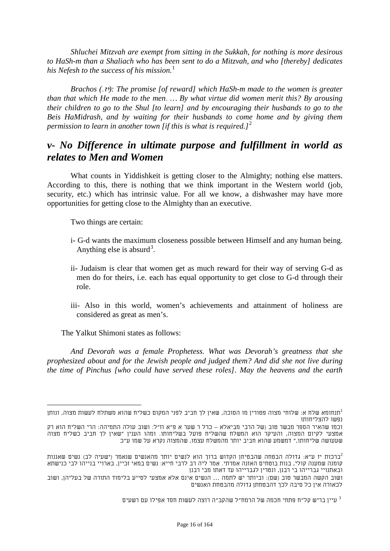*Shluchei Mitzvah are exempt from sitting in the Sukkah, for nothing is more desirous to HaSh-m than a Shaliach who has been sent to do a Mitzvah, and who [thereby] dedicates his Nefesh to the success of his mission.*<sup>[1](#page-12-0)</sup>

*Brachos (*.יז*(: The promise [of reward] which HaSh-m made to the women is greater than that which He made to the men*. *… By what virtue did women merit this? By arousing their children to go to the Shul [to learn] and by encouraging their husbands to go to the Beis HaMidrash, and by waiting for their husbands to come home and by giving them permission to learn in another town [if this is what is required.]8F* 2

## *v- No Difference in ultimate purpose and fulfillment in world as relates to Men and Women*

What counts in Yiddishkeit is getting closer to the Almighty; nothing else matters. According to this, there is nothing that we think important in the Western world (job, security, etc.) which has intrinsic value. For all we know, a dishwasher may have more opportunities for getting close to the Almighty than an executive.

Two things are certain:

- i- G-d wants the maximum closeness possible between Himself and any human being. Anything else is absurd<sup>3</sup>.
- <span id="page-15-0"></span>ii- Judaism is clear that women get as much reward for their way of serving G-d as men do for theirs, i.e. each has equal opportunity to get close to G-d through their role.
- iii- Also in this world, women's achievements and attainment of holiness are considered as great as men's.

The Yalkut Shimoni states as follows:

*And Devorah was a female Prophetess. What was Devorah's greatness that she prophesized about and for the Jewish people and judged them? And did she not live during the time of Pinchus [who could have served these roles]. May the heavens and the earth* 

תנחומא שלח א: שלוחי מצוה פטורין מו הסוכה, שאין לך חביב לפני המקום כשליח שהוא משתלח לעשות מצוה, ונותן $^1$ נפשו להצליחותו

וכמו שהאיר הספר מבשר טוב (של הרבי מביאלא – כרל ר שער א פ"א וז"ל: ושוב עולה התמיהה: הרי השליח הוא רק אמצעי לקיום המצוה, והעיקר הוא המשלח שהשליח פועל בשליחותו. ומהו הענין "שאין לך חביב כשליח מצוה שעעושה שליחותו," דמשמע שהוא חביב יותר מהמשלח עצמו, שהמצוה נקרא על שמו ע"כ

ברכות יז ע"א: גדולה הבטחה שהבטיחן הקדוש ברוך הוא לנשים יותר מהאנשים שנאמר (ישעיה לב) נשים שאננות $^2$ קומנה שמענה קולי, בנות בוטחים האזנה אמרתי. אמר ליה רב לרבי חייא: נשים במאי זכיין, בארויי בנייהו לבי כנישתא ובאתנויי גברייהו בי רבנן, ונטרין לגברייהו עד דאתו מבי רבנן

ושוב הקשה המבשר טוב (שם): וביותר יש לתמה ... הנשים אינם אלא אמצעי לסייע בלימוד התורה של בעליהן, ושוב לכאורה אין כל סיבה לכך דהבטחתן גדולה מהבטחת האנשים

עיין בריש קל"ח פתחי חכמה של הרמח"ל שהקב"ה רוצה לעשות חסד אפילו עם רשעים  $^3$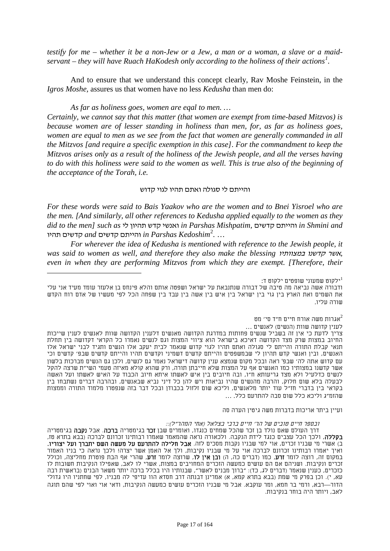*testify for me – whether it be a non-Jew or a Jew, a man or a woman, a slave or a maidservant – they will have Ruach HaKodesh only according to the holiness of their actions[1](#page-15-0) .*

And to ensure that we understand this concept clearly, Rav Moshe Feinstein, in the *Igros Moshe,* assures us that women have no less *Kedusha* than men do:

*As far as holiness goes, women are eqal to men. …* 

*Certainly, we cannot say that this matter (that women are exempt from time-based Mitzvos) is because women are of lesser standing in holiness than men, for, as far as holiness goes, women are equal to men as we see from the fact that women are generally commanded in all the Mitzvos [and require a specific exemption in this case]. For the commandment to keep the Mitzvos arises only as a result of the holiness of the Jewish people, and all the verses having to do with this holiness were said to the women as well. This is true also of the beginning of the acceptance of the Torah, i.e.*

#### והייתם לי סגולה ואתם תהיו לגוי קדוש

*For these words were said to Bais Yaakov who are the women and to Bnei Yisroel who are the men. [And similarly, all other references to Kedusha applied equally to the women as they did to the men] such as* לי תהיון קדש ואנשי *in Parshas Mishpatim,* קדשים והייתם *in Shmini and*   $\alpha$  in Parshas Kedoshim<sup>2</sup>. . . .

*For wherever the idea of Kedusha is mentioned with reference to the Jewish people, it was said to women as well, and therefore they also make the blessing* במצוותיו קדשנו אשר*, even in when they are performing Mitzvos from which they are exempt. [Therefore, their* 

ילקוט שמעוני שופטים ילקוט ד: $^{\rm 1}$ ודבורה אשה נביאה מה טיבה של דבורה שנתנבאת על ישראל ושפטה אותם והלא פינחס בן אלעזר עומד מעיד אני עלי את השמים ואת הארץ בין גוי בין ישראל בין איש בין אשה בין עבד בין שפחה הכל לפי מעשיו של אדם רוח הקדש שורה עליו.

> אגרות משה אורח חיים ח"ד סי' מט $^2$ לענין קדושה שוות (הנשים) לאנשים ...

צריך לדעת כי אין זה בשביל שנשים פחותות במדרגת הקדושה מאנשים דלענין הקדושה שוות לאנשים לענין שייכות החיוב במצות שרק מצד הקדושה דאיכא בישראל הוא ציווי המצות וגם לנשים נאמרו כל הקראי דקדושה בין תחלת תנאי קבלת התורה והייתם לי סגולה ואתם תהיו לגוי קדוש שנאמר לבית יעקב אלו הנשים ותגיד לבני ישראל אלו האנשים, ובין ואנשי קדש תהיון לי שבמשפטים והייתם קדשים דשמיני וקדשים תהיו והייתם קדשים שבפ' קדשים וכי עם קדוש אתה לה' שבפ' ראה ובכל מקום שנמצא ענין קדושה דישראל נאמר גם לנשים, ולכן גם הנשים מברכות בלשון אשר קדשנו במצותיו כמו האנשים אף על המצות שלא חייבתן תורה, ורק שהוא קולא מאיזה טעמי השי"ת שרצה להקל לנשים כדלעיל ולא מצד גריעותא ח"ו, ובה חיובים בין איש לאשתו איתא חיוב הכבוד על האיש לאשתו ועל האשה לבעלה בלא שום חלוק, והרבה מהנשים שהיו נביאות ויש להן כל דיני נביא שבאנשים, ובהרבה דברים נשתבחו בין בקראי בין בדברי חז"ל עוד יותר מלאנשים, וליכא שום זלזול בכבודן ובכל דבר בזה שנפטרו מלמוד התורה וממצות שהזמ"ג וליכא כלל שום סבה להתרעם כלל. ...

ועיין ביתר אריכות בדברות משה גיטין הערה סה

ובספר חיים טובים של הר' חיים ברבי בצלאל (אחי המהר"ל)::

דרך העולם שאם נולד בן זכר שהכל שמחים כנגדו, ואומרים שבן **זכר** בגימטריה **ברכה**. אבל **נקבה** בגימטריה **בקללה**, ולכך הכל עצבים כנגד לידת הנקבה. ולכאורה נראה שהמאמר שאמרו רבותינו זכרונם לברכה (בבא בתרא טז, ב) אשרי מי שבניו זכרים, אוי למי שבניו נקבות מסכים לזה. **אבל חלילה להתרעם על מעשה השם יתברך ועל יצוריו.** ואיך יאמרו רבותינו זכרונם לברכה אוי על מי שבניו נקיבות, ולך אל האמן אשר יצרה! ולכך נראה כי בניו האמור במקום זה, רוצה לומר **זרע**, כמו (דברים כה, ה) **ובן אין לו**, שרוצה לומר **זרע**, שהרי אף הבת פוטרת מחליצה, וכולל זכרים ונקיבות. ושניהם אם הם עושים כמעשה הזכרים המחויבים במצות, אשרי לו לאב, שאפילו הנקיבות חשובות לו כזכרים, כענין שנאמר (דברים לג, כד): "ברוך מבנים לאשר", שבנותיו היו בכלל ברכה יותר משאר הבנים (בראשית רבה עא, י). וכן בפרק מי שמת (בבא בתרא קמא, א) אמרינן דבנתה דרב חסדא הוו עדיפי לה מבניו, לפי שחתניו היו גדולי הדור—רבא, ורמי בר חמא, ומר עוקבא. אבל מי שבניו הזכרים עושים כמעשה הנקיבות, ודאי אוי ואוי לפי שהם תוגה לאב, ויותר היה בוחר בנקיבות.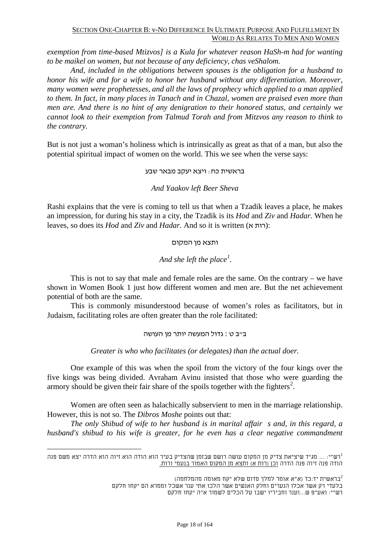#### SECTION ONE-CHAPTER B: v-NO DIFFERENCE IN ULTIMATE PURPOSE AND FULFILLMENT IN WORLD AS RELATES TO MEN AND WOMEN

*exemption from time-based Mtizvos] is a Kula for whatever reason HaSh-m had for wanting to be maikel on women, but not because of any deficiency, chas veShalom.*

*And, included in the obligations between spouses is the obligation for a husband to honor his wife and for a wife to honor her husband without any differentiation. Moreover, many women were prophetesses, and all the laws of prophecy which applied to a man applied to them. In fact, in many places in Tanach and in Chazal, women are praised even more than men are. And there is no hint of any denigration to their honored status, and certainly we cannot look to their exemption from Talmud Torah and from Mitzvos any reason to think to the contrary.*

But is not just a woman's holiness which is intrinsically as great as that of a man, but also the potential spiritual impact of women on the world. This we see when the verse says:

#### בראשית כח: ויצא יעקב מבאר שבע

#### *And Yaakov left Beer Sheva*

Rashi explains that the vere is coming to tell us that when a Tzadik leaves a place, he makes an impression, for during his stay in a city, the Tzadik is its *Hod* and *Ziv* and *Hadar.* When he leaves, so does its *Hod* and *Ziv* and *Hadar*. And so it is written (א רות):

#### ותצא מן המקום

### *And she left the place<sup>1</sup>.*

This is not to say that male and female roles are the same. On the contrary – we have shown in Women Book 1 just how different women and men are. But the net achievement potential of both are the same.

This is commonly misunderstood because of women's roles as facilitators, but in Judaism, facilitating roles are often greater than the role facilitated:

ב"ב ט : גדול המעשה יותר מן העושה

*Greater is who who facilitates (or delegates) than the actual doer.*

One example of this was when the spoil from the victory of the four kings over the five kings was being divided. Avraham Avinu insisted that those who were guarding the armory should be given their fair share of the spoils together with the fighters<sup>2</sup>.

Women are often seen as halachically subservient to men in the marriage relationship. However, this is not so. The *Dibros Moshe* points out that:

*The only Shibud of wife to her husband is in marital affair s and, in this regard, a husband's shibud to his wife is greater, for he even has a clear negative commandment* 

בראשית יד:כד (א"א אומר למלך סדום שלא יקח מאומה מהמלחמה)<sup>2</sup> בלעדי רק אשר אכלו הנערים וחלק האנשים אשר הלכו אתי ענר אשכל וממרא הם יקחו חלקם רש"י: ואע"פ ש...וענר וחביריו ישבו על הכלים לשמור א"ה יקחו חלקם

<span id="page-17-0"></span>רש"י: ... מגיד שיציאת צדיק מן המקום עושה רושם שבזמן שהצדיק בעיר הוא הודה הוא זיוה הוא הדרה יצא משם פנה 1 הודה פנה זיוה פנה הדרה וכן (רות א) ותצא מן המקום האמור בנעמי ורות.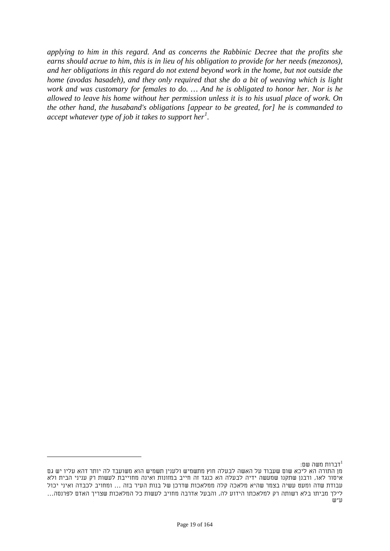*applying to him in this regard. And as concerns the Rabbinic Decree that the profits she earns should acrue to him, this is in lieu of his obligation to provide for her needs (mezonos), and her obligations in this regard do not extend beyond work in the home, but not outside the home (avodas hasadeh), and they only required that she do a bit of weaving which is light work and was customary for females to do. … And he is obligated to honor her. Nor is he allowed to leave his home without her permission unless it is to his usual place of work. On the other hand, the husaband's obligations [appear to be greated, for] he is commanded to accept whatever type of job it takes to support her[1](#page-17-0) .*

דברות משה שם: $^1$ מן התורה הא ליכא שום שעבוד על האשה לבעלה חוץ מתשמיש ולענין תשמיש הוא משועבד לה יותר דהא עליו יש גם איסור לאו, ורבנן שתקנו שמעשה ידיה לבעלה הא כנגד זה חייב במזונות ואינה מחוייבת לעשות רק עניני הבית ולא עבודת שדה ומעט עשיה בצמר שהיא מלאכה קלה ממלאכות שדרכן של בנות העיר בזה ... ומחויב לכבדה ואיני יכול לילך מביתו בלא רשותה רק למלאכתו הידוע לה, והבעל אדרבה מחויב לעשות כל המלאכות שצריך האדם לפרנסה... ע"ש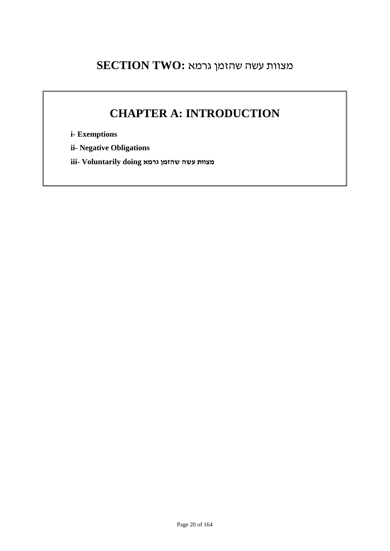## מצוות עשה שהזמן גרמא **:TWO SECTION**

## **CHAPTER A: INTRODUCTION**

**i- Exemptions**

**ii- Negative Obligations**

**מצוות עשה שהזמן גרמא doing Voluntarily -iii**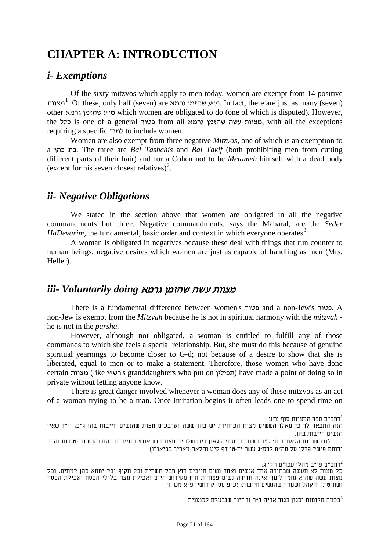## **CHAPTER A: INTRODUCTION**

### *i- Exemptions*

Of the sixty mitzvos which apply to men today, women are exempt from 14 positive מצוות. Of these, only half (seven) are מייע שהזמן גרמא. In fact, there are just as many (seven) other גרמא שהזמן ע"מ which women are obligated to do (one of which is disputed). However, the כלל is one of a general פטור from all גרמא שהזמן עשה מצוות, with all the exceptions requiring a specific למוד to include women.

Women are also exempt from three negative *Mitzvos,* one of which is an exemption to a כהן בת. The three are *Bal Tashchis* and *Bal Takif* (both prohibiting men from cutting different parts of their hair) and for a Cohen not to be *Metameh* himself with a dead body (except for his seven closest relatives)<sup>2</sup>.

## *ii- Negative Obligations*

We stated in the section above that women are obligated in all the negative commandments but three. Negative commandments, says the Maharal, are the *Seder HaDevarim*, the fundamental, basic order and context in which everyone operates<sup>3</sup>.

A woman is obligated in negatives because these deal with things that run counter to human beings, negative desires which women are just as capable of handling as men (Mrs. Heller).

## מצוות עשה שהזמן גרמא *doing Voluntarily -iii*

There is a fundamental difference between women's פטור and a non-Jew's פטור. A non-Jew is exempt from the *Mitzvah* because he is not in spiritual harmony with the *mitzvah* he is not in the *parsha.*

However, although not obligated, a woman is entitled to fulfill any of those commands to which she feels a special relationship. But, she must do this because of genuine spiritual yearnings to become closer to G-d; not because of a desire to show that she is liberated, equal to men or to make a statement. Therefore, those women who have done certain מצוות) like ירשייל granddaughters who put on תפילין) have made a point of doing so in private without letting anyone know.

There is great danger involved whenever a woman does any of these mitzvos as an act of a woman trying to be a man. Once imitation begins it often leads one to spend time on

רמב"ם ספר המצוות סוף מ"ע $^{\rm 1}$ 

רמב"ם פי"ב מהל' עכו"ם הל' ג: $^2$ 

בכמה מקומות וכגון בגור אריה ד"ה זו דינה שנבעלת לכנענית $^3$ 

הנה התבאר לך כי מאלו הששים מצות הכרחיות יש בהן ששה וארבעים מצות שהנשים חייבות בהן ג"כ, וי"ד שאין הנשים חייבות בהן.

<sup>(</sup>ובתשובות הגאונים ס' ק"כ בשם רב סעדיה גאון דיש שלשים מצוות שהאנשים חייבים בהם והנשים פטורות והרב ירוחם פישל פרלו על סה"מ לרס"ג עשה יד-טו דף קיט והלאה מאריך בביאורו)

כל מצות לא תעשה שבתורה אחד אנשים ואחד נשים חייבים חוץ מבל תשחית ובל תקיף ובל יטמא כהן למתים. וכל מצות עשה שהיא מזמן לזמן ואינה תדירה נשים פטורות חוץ מקידוש היום ואכילת מצה בלילי הפסח ואכילת הפסח ושחיטתו והקהל ושמחה שהנשים חייבות: (ע"פ מס' קידושין פ"א מש' ז)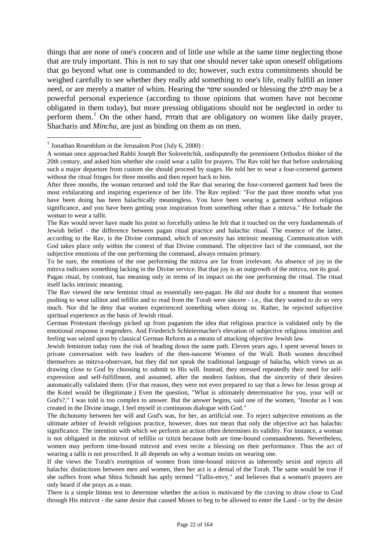things that are none of one's concern and of little use while at the same time neglecting those that are truly important. This is not to say that one should never take upon oneself obligations that go beyond what one is commanded to do; however, such extra commitments should be weighed carefully to see whether they really add something to one's life, really fulfill an inner need, or are merely a matter of whim. Hearing the שופר sounded or blessing the לולב may be a powerful personal experience (according to those opinions that women have not become obligated in them today), but more pressing obligations should not be neglected in order to perform them.*18F* <sup>1</sup> On the other hand, מצוות that are obligatory on women like daily prayer, Shacharis and *Mincha,* are just as binding on them as on men.

<sup>&</sup>lt;sup>1</sup> Jonathan Rosenblum in the Jerusalem Post (July 6, 2000) :

A woman once approached Rabbi Joseph Ber Soloveitchik, undisputedly the preeminent Orthodox thinker of the 20th century, and asked him whether she could wear a tallit for prayers. The Rav told her that before undertaking such a major departure from custom she should proceed by stages. He told her to wear a four-cornered garment without the ritual fringes for three months and then report back to him.

After three months, the woman returned and told the Rav that wearing the four-cornered garment had been the most exhilarating and inspiring experience of her life. The Rav replied: "For the past three months what you have been doing has been halachically meaningless. You have been wearing a garment without religious significance, and you have been getting your inspiration from something other than a mitzva." He forbade the woman to wear a tallit.

The Rav would never have made his point so forcefully unless he felt that it touched on the very fundamentals of Jewish belief - the difference between pagan ritual practice and halachic ritual. The essence of the latter, according to the Rav, is the Divine command, which of necessity has intrinsic meaning. Communication with God takes place only within the context of that Divine command. The objective fact of the command, not the subjective emotions of the one performing the command, always remains primary.

To be sure, the emotions of the one performing the mitzva are far from irrelevant. An absence of joy in the mitzva indicates something lacking in the Divine service. But that joy is an outgrowth of the mitzva, not its goal.

Pagan ritual, by contrast, has meaning only in terms of its impact on the one performing the ritual. The ritual itself lacks intrinsic meaning.

The Rav viewed the new feminist ritual as essentially neo-pagan. He did not doubt for a moment that women pushing to wear tallitot and tefillin and to read from the Torah were sincere - i.e., that they wanted to do so very much. Nor did he deny that women experienced something when doing so. Rather, he rejected subjective spiritual experience as the basis of Jewish ritual.

German Protestant theology picked up from paganism the idea that religious practice is validated only by the emotional response it engenders. And Friederich Schleiermacher's elevation of subjective religious intuition and feeling was seized upon by classical German Reform as a means of attacking objective Jewish law.

Jewish feminism today runs the risk of heading down the same path. Eleven years ago, I spent several hours in private conversation with two leaders of the then-nascent Women of the Wall. Both women described themselves as mitzva-observant, but they did not speak the traditional language of halacha, which views us as drawing close to God by choosing to submit to His will. Instead, they stressed repeatedly their need for selfexpression and self-fulfillment, and assumed, after the modern fashion, that the sincerity of their desires automatically validated them. (For that reason, they were not even prepared to say that a Jews for Jesus group at the Kotel would be illegitimate.) Even the question, "What is ultimately determinative for you, your will or God's?," I was told is too complex to answer. But the answer begins, said one of the women, "Insofar as I was created in the Divine image, I feel myself in continuous dialogue with God."

The dichotomy between her will and God's was, for her, an artificial one. To reject subjective emotions as the ultimate arbiter of Jewish religious practice, however, does not mean that only the objective act has halachic significance. The intention with which we perform an action often determines its validity. For instance, a woman is not obligated in the mitzvot of tefillin or tzitzit because both are time-bound commandments. Nevertheless, women may perform time-bound mitzvot and even recite a blessing on their performance. Thus the act of wearing a tallit is not proscribed. It all depends on why a woman insists on wearing one.

If she views the Torah's exemption of women from time-bound mitzvot as inherently sexist and rejects all halachic distinctions between men and women, then her act is a denial of the Torah. The same would be true if she suffers from what Shira Schmidt has aptly termed "Tallis-envy," and believes that a woman's prayers are only heard if she prays as a man.

There is a simple litmus test to determine whether the action is motivated by the craving to draw close to God through His mitzvot - the same desire that caused Moses to beg to be allowed to enter the Land - or by the desire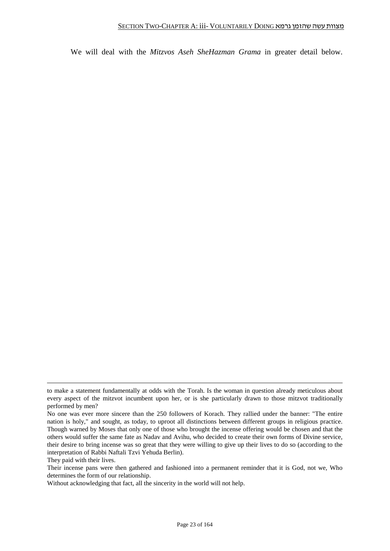We will deal with the *Mitzvos Aseh SheHazman Grama* in greater detail below.

-

to make a statement fundamentally at odds with the Torah. Is the woman in question already meticulous about every aspect of the mitzvot incumbent upon her, or is she particularly drawn to those mitzvot traditionally performed by men?

No one was ever more sincere than the 250 followers of Korach. They rallied under the banner: "The entire nation is holy," and sought, as today, to uproot all distinctions between different groups in religious practice. Though warned by Moses that only one of those who brought the incense offering would be chosen and that the others would suffer the same fate as Nadav and Avihu, who decided to create their own forms of Divine service, their desire to bring incense was so great that they were willing to give up their lives to do so (according to the interpretation of Rabbi Naftali Tzvi Yehuda Berlin).

They paid with their lives.

Their incense pans were then gathered and fashioned into a permanent reminder that it is God, not we, Who determines the form of our relationship.

Without acknowledging that fact, all the sincerity in the world will not help.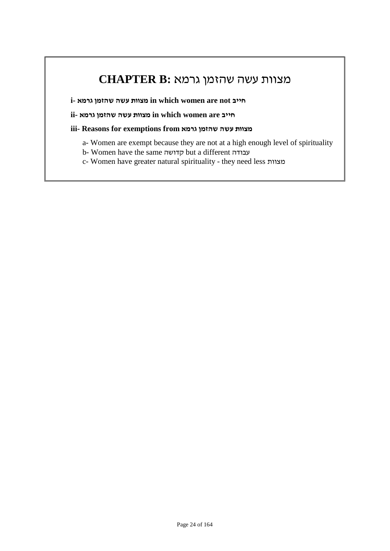## מצוות עשה שהזמן גרמא **:B CHAPTER**

**i- גרמא שהזמן עשה מצוות in which women are not חייב**

**חייב are women which in מצוות עשה שהזמן גרמא -ii**

**iii- Reasons for exemptions from גרמא שהזמן עשה מצוות**

- a- Women are exempt because they are not at a high enough level of spirituality
- b- Women have the same קדושה but a different עבודה

c- Women have greater natural spirituality - they need less מצוות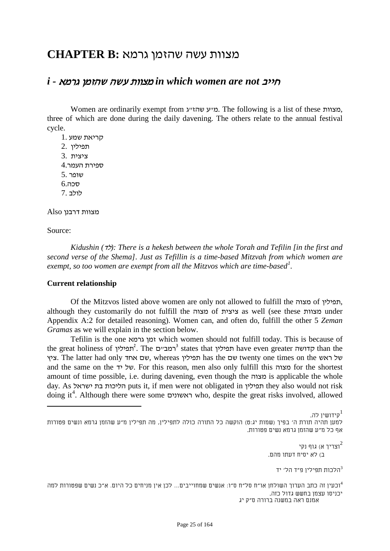## מצוות עשה שהזמן גרמא **:B CHAPTER**

### *i -* גרמא שהזמן עשה מצוות *in which women are not* חייב

Women are ordinarily exempt from ג"שהז ע"מ. The following is a list of these מצוות, three of which are done during the daily davening. The others relate to the annual festival cycle.

- קריאת שמע 1. תפילין 2.
- ציצית 3.
- ספירת העמר4.
- שופר 5.
- סכה6.
- לולב 7.

מצוות דרבנן Also

Source:

*Kidushin (*לד*(: There is a hekesh between the whole Torah and Tefilin [in the first and second verse of the Shema]. Just as Tefillin is a time-based Mitzvah from which women are exempt, so too women are exempt from all the Mitzvos which are time-based*<sup>1</sup>.

#### **Current relationship**

Of the Mitzvos listed above women are only not allowed to fulfill the מצוה of תפילין, although they customarily do not fulfill the מצוה of ציצית as well (see these מצוות under Appendix A:2 for detailed reasoning). Women can, and often do, fulfill the other 5 *Zeman Gramas* as we will explain in the section below.

Tefilin is the one גרמא זמן which women should not fulfill today. This is because of the great holiness of *20F* <sup>2</sup> תפילין . The *21F* <sup>3</sup> ם"רמב states that תפילין have even greater קדושה than the ציץ. The latter had only אחד שם, whereas תפילין has the שם twenty one times on the ראש של and the same on the יד של יד. For this reason, men also only fulfill this מצוה for the shortest amount of time possible, i.e. during davening, even though the מצוה is applicable the whole day. As ישראל בת הליכות puts it, if men were not obligated in תפילין they also would not risk doing it*2F* 4 . Although there were some ראשונים who, despite the great risks involved, allowed

וצריך א) גוף נקי $^2$ ב) לא יסיח דעתו מהם.

הלכות תפילין פ״ד הל׳ יד $^3$ 

וכעין זה כתב הערוך השולחן או"ח סל"ח ס"ו: אנשים שמחוייבים... לכן אין מניחים כל היום. א"כ נשים שפטורות למה <sup>4</sup> יכניסו עצמן בחשש גדול כזה. אמנם ראה במשנה ברורה ס"ק יג

Page 25 of 164

ה המשפט הערבייש להתוכניון לה. משפט הייתה של המשפט הייתה של המשפט הייתה של המשפט הייתה של המשפט הייתה של המשפט ה<br>מודע המשפט הייתה של המשפט הייתה של המשפט הייתה של המשפט הייתה של המשפט הייתה של המשפט הייתה של המשפט הייתה ש למען תהיה תורת ה' בפיך (שמות יג:ט) הוקשה כל התורה כולה לתפילין, מה תפילין מ"ע שהזמן גרמא ונשים פטורות אף כל מ"ע שהזמן גרמא נשים פטורות.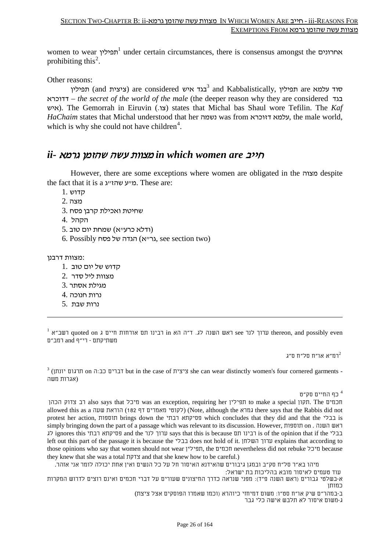women to wear *23F* <sup>1</sup> תפילין under certain circumstances, there is consensus amongst the אחרונים prohibiting this<sup>2</sup>.

Other reasons:

תפילין) are considered בגד איש <sup>3</sup> and Kabbalistically, הפילין are עלמא דדוכרא – *the secret of the world of the male* (the deeper reason why they are considered בגד איש(. The Gemorrah in Eiruvin (.צו (states that Michal bas Shaul wore Tefilin. The *Kaf HaChaim* states that Michal understood that her נשמה was from דזוכרא עלמא, the male world, which is why she could not have children<sup>4</sup>.

## חייב *are women which in* מצוות עשה שהזמן גרמא *-ii*

However, there are some exceptions where women are obligated in the מצוה despite the fact that it is a מייע שהזייג. These are:

- קדוש 1.
- מצה 2.
- שחיטת ואכילת קרבן פסח 3.
- הקהל 4.
- (ודלא כרע"א) שמחת יום טוב 5.
- (two section see ,גר"א) הגדה של פסח Possibly 6.

:מצוות דרבנן

-

- קדוש של יום טוב 1.
- מצוות ליל סדר 2.
- מגילת אסתר 3.
- נרות חנוכה 4.
- נרות שבת 5.

 $^1$  ערוך לנר see ראש השנה לג. ד"ה הא in רבינו תם אורחות חיים ג quoted on רשב"א in רבינו תם אורחות חיים ג quoted on רשב"א  $\,$ משתיקתם - רי"ף and רמב"ם

רמ"א או"ח סל"ח ס"ג $^2$ 

 $3$  (ציצית in the case of ציצית she can wear distinctly women's four cornered garments -(אגרות משה

כף החיים סק"ט  $^{\,4}$ 

הכהן צדוק רב also says that מיכל was an exception, requiring her תפילין to make a special תקון. The חכמים allowed this as a שעה הוראת) 182 דף מאמרים לקוטי) (Note, although the גמרא there says that the Rabbis did not protest her action, תוספות brings down the רבתי פסיקתא which concludes that they did and that the בבלי is simply bringing down the part of a passage which was relevant to its discussion. However, תוספות on . השנה ראש לג ignores this רבתי פסיקתא and the לנר ערוך says that this is because תם רבינו is of the opinion that if the בבלי left out this part of the passage it is because the בבלי does not hold of it. השלחן ערוך explains that according to those opinions who say that women should not wear תפילין, the חכמים nevertheless did not rebuke מיכל because they knew that she was a total צדקת and that she knew how to be careful.)

מיהו בא"ר סל"ח סק"ב ובמגן גיבורים שהאידנא האיסור חל על כל הנשים ואין אחת יכולה לומר אני אזהר.

עוד טעמים לאיסור מובא בהליכות בת ישראל:

א-בשלטי גבורים (ראש השנה פ"ד): מפני שנראה כדרך החיצונים שעורים על דברי חכמים ואינם רוצים לדרוש המקרות כמותן

ב-במהר"ם שיק או"ח סט"ו: משום דמיחזי כיוהרא (וכמו שאמרו הפוסקים אצל ציצת) ג-משום איסור לא תלבש אישה כלי גבר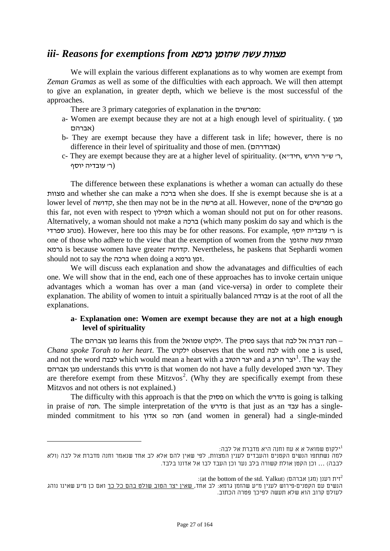### *iii- Reasons for exemptions from* גרמא שהזמן עשה מצוות

We will explain the various different explanations as to why women are exempt from *Zeman Gramas* as well as some of the difficulties with each approach. We will then attempt to give an explanation, in greater depth, which we believe is the most successful of the approaches.

There are 3 primary categories of explanation in the מפרשים:

- a- Women are exempt because they are not at a high enough level of spirituality. ( מגן (אברהם
- b- They are exempt because they have a different task in life; however, there is no difference in their level of spirituality and those of men. (אבודרהם(
- c- They are exempt because they are at a higher level of spirituality. (ר׳ ש״ר הירש, (ר' עובדיה יוסף

The difference between these explanations is whether a woman can actually do these מצוות and whether she can make a ברכה when she does. If she is exempt because she is at a lower level of קדושה, she then may not be in the פרשה at all. However, none of the מפרשים go this far, not even with respect to תפילין which a woman should not put on for other reasons. Alternatively, a woman should not make a ברכה) which many poskim do say and which is the ספרדי מנהג(. However, here too this may be for other reasons. For example, יוסף עובדיה' ר is one of those who adhere to the view that the exemption of women from the שהזמן עשה מצוות גרמא is because women have greater קדושה. Nevertheless, he paskens that Sephardi women should not to say the ברכה when doing a גרמא זמן.

We will discuss each explanation and show the advanatages and difficulties of each one. We will show that in the end, each one of these approaches has to invoke certain unique advantages which a woman has over a man (and vice-versa) in order to complete their explanation. The ability of women to intuit a spiritually balanced עבודה is at the root of all the explanations.

#### **a- Explanation one: Women are exempt because they are not at a high enough level of spirituality**

The חנה דברה אל לבה says that פסוק The .ילקוט שמואל learns this from the מגן אברהם *Chana spoke Torah to her heart*. The ילקוט observes that the word לבה with one ב is used, and not the word לבבה which would mean a heart with a הטוב יצר and a *27*הרע יצר*<sup>F</sup>* 1 . The way the אברהם מגן understands this מדרש is that women do not have a fully developed הטוב יצר. They are therefore exempt from these Mitzvos<sup>2</sup>. (Why they are specifically exempt from these Mitzvos and not others is not explained.)

The difficulty with this approach is that the פסוק on which the מדרש is going is talking in praise of חנה. The simple interpretation of the מדרש is that just as an עבד has a singleminded commitment to his אדון so חנה) and women in general) had a single-minded

ילקוט שמואל א א עח וחנה היא מדברת אל לבה: 1

למה נשתתפו הנשים הקטנים והעבדים לענין המצוות, לפי שאין להם אלא לב אחד שנאמר וחנה מדברת אל לבה (ולא לבבה) ... וכן הקטן אולת קשורה בלב נער וכן העבד לבו אל אדונו בלבד.

<sup>:(</sup>at the bottom of the std. Yalkut) (דית רענן  $^2$ 

הנשים עם הקטנים-פירוש לענין מ"ע שהזמן גרמא: לב אחד, שאין יצר הטוב שולט בהם כל כך ואם כן מ"ע שאינו נוהג לעולם קרוב הוא שלא תעשה לפיכך פטרה הכתוב.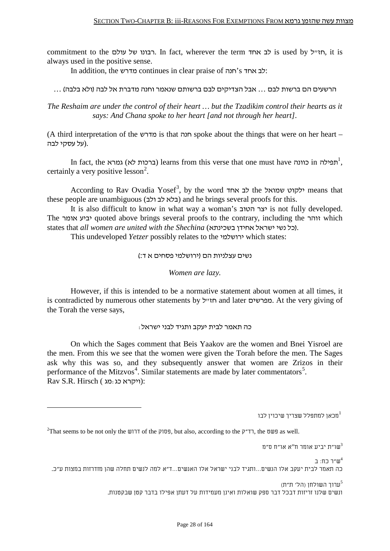commitment to the רבונו של עולם. In fact, wherever the term האייל, it is always used in the positive sense.

In addition, the מדרש continues in clear praise of חנה's אחד לב:

הרשעים הם ברשות לבם ... אבל הצדיקים לבם ברשותם שנאמר וחנה מדברת אל לבה (ולא בלבה) ...

*The Reshaim are under the control of their heart … but the Tzadikim control their hearts as it says: And Chana spoke to her heart [and not through her heart].*

(A third interpretation of the מדרש is that חנה spoke about the things that were on her heart – .(על עסקי לבה

In fact, the ברכות לא) גמרא) learns from this verse that one must have הפילה in  $\tau^1$ , certainly a very positive lesson<sup>2</sup>.

According to Rav Ovadia Yosef<sup>3</sup>, by the word לב אחד the ילקוט שמואל means that these people are unambiguous (בלא לב ולב) and he brings several proofs for this.

It is also difficult to know in what way a woman's הטוב יצר is not fully developed. The אומר יביע quoted above brings several proofs to the contrary, including the זוהר which states that *all women are united with the Shechina* (בל נשי ישראל אחידן בשכינתא).

This undeveloped *Yetzer* possibly relates to the ירושלמי which states:

נשים עצלניות הם (ירושלמי פסחים א ד:)

*Women are lazy.*

However, if this is intended to be a normative statement about women at all times, it is contradicted by numerous other statements by חזייל. At the very giving of the Torah the verse says,

כה תאמר לבית יעקב ותגיד לבני ישראל:

On which the Sages comment that Beis Yaakov are the women and Bnei Yisroel are the men. From this we see that the women were given the Torah before the men. The Sages ask why this was so, and they subsequently answer that women are Zrizos in their performance of the Mitzvos<sup>4</sup>. Similar statements are made by later commentators<sup>5</sup>. Rav S.R. Hirsch ( ויקרא כג):

מכאן למתפלל שצריך שיכוין לבו $1^1$ 

 $^2$ That seems to be not only the שדוש of the פּשט, but also, according to the פּשט as well.

שו״ת יביע אומר ח"א או״ח ס״מ $^3$ 

ש"ר כח: ב <sup>4</sup> כה תאמר לבית יעקב אלו הנשים...ותגיד לבני ישראל אלו האנשים...ד"א למה לנשים תחלה שהן מזדרזות במצות ע"כ.

> ערור השולחו (הל' ת"ת) $^5$ ונשים שלנו זריזות דבכל דבר ספק שואלות ואינן מעמידות על דעתן אפילו בדבר קטן שבקטנות.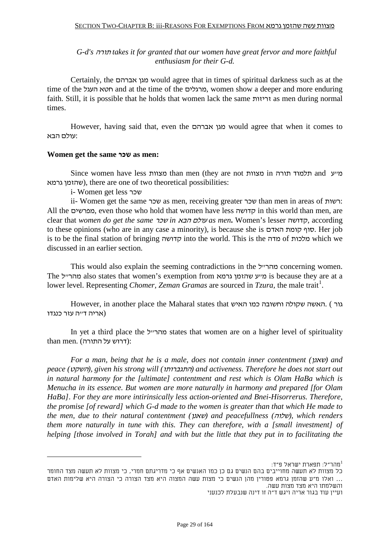*G-d's* תורה *takes it for granted that our women have great fervor and more faithful enthusiasm for their G-d.*

Certainly, the אברהם מגן would agree that in times of spiritual darkness such as at the time of the העגל חטא and at the time of the מרגלים, women show a deeper and more enduring faith. Still, it is possible that he holds that women lack the same זריזות as men during normal times.

However, having said that, even the אברהם מגן would agree that when it comes to :עולם הבא

#### **Women get the same שכר as men:**

Since women have less מצוות than men (they are not מצוות in תורה תלמוד and ע"מ שהזמן גרמא), there are one of two theoretical possibilities:

i- Women get less שכר

ii- Women get the same שכר as men, receiving greater שכר than men in areas of רשות: All the מפרשים, even those who hold that women have less קדושה in this world than men, are clear that *women do get the same* שכר *in* הבא עולם *as men***.** Women's lesser קדושה, according to these opinions (who are in any case a minority), is because she is האדם קומת סוף. Her job is to be the final station of bringing קדושה into the world. This is the מדה of מלכות which we discussed in an earlier section.

This would also explain the seeming contradictions in the להר $\alpha$ ל concerning women. The מהרייל also states that women's exemption from מייע שהזמן is because they are at a lower level. Representing *Chomer, Zeman Gramas* are sourced in *Tzura*, the male trait<sup>1</sup>.

However, in another place the Maharal states that האיש כמו וחשובה שקולה האשה. ) גור (אריה ד״ה עזר כנגדו

In yet a third place the מהרייל states that women are on a higher level of spirituality than men. (דרוש על התורה):

*For a man, being that he is a male, does not contain inner contentment (*שאנן *(and peace (*השקט*(, given his strong will (*התגברותו *(and activeness. Therefore he does not start out in natural harmony for the [ultimate] contentment and rest which is Olam HaBa which is Menucha in its essence. But women are more naturally in harmony and prepared [for Olam HaBa]. For they are more intirinsically less action-oriented and Bnei-Hisorrerus. Therefore, the promise [of reward] which G-d made to the women is greater than that which He made to the men, due to their natural contentment (*שאנן *(and peacefullness (*שלוה*(, which renders them more naturally in tune with this. They can therefore, with a [small investment] of helping [those involved in Torah] and with but the little that they put in to facilitating the* 

<span id="page-28-0"></span>מהר"ל: תפארת ישראל פ"ד: 1

כל מצוות לא תעשה מחוייבים בהם הנשים גם כן כמו האנשים אף כי מדריגתם חמרי, כי מצוות לא תעשה מצד החומר ... ואלו מ"ע שהזמן גרמא פטורין מהן הנשים כי מצות עשה המצוה היא מצד הצורה כי הצורה היא שלימות האדם והשלמתו היא מצד מצות עשה.

ועיין עוד בגור אריה ויגש ד"ה זו דינה שנבעלת לכנעני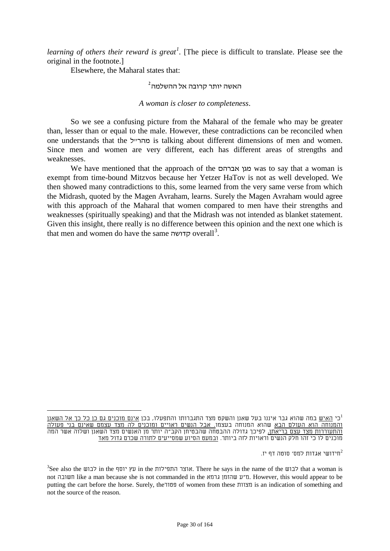*learning of others their reward is great[1](#page-28-0) .* [The piece is difficult to translate. Please see the original in the footnote.]

Elsewhere, the Maharal states that:

### *<sup>36</sup>* האשה יותר קרובה אל ההשלמה*<sup>F</sup>* 2

#### *A woman is closer to completeness*.

So we see a confusing picture from the Maharal of the female who may be greater than, lesser than or equal to the male. However, these contradictions can be reconciled when one understands that the מהר ייל is talking about different dimensions of men and women. Since men and women are very different, each has different areas of strengths and weaknesses.

We have mentioned that the approach of the אברהם מגן was to say that a woman is exempt from time-bound Mitzvos because her Yetzer HaTov is not as well developed. We then showed many contradictions to this, some learned from the very same verse from which the Midrash, quoted by the Magen Avraham, learns. Surely the Magen Avraham would agree with this approach of the Maharal that women compared to men have their strengths and weaknesses (spiritually speaking) and that the Midrash was not intended as blanket statement. Given this insight, there really is no difference between this opinion and the next one which is that men and women do have the same קדושה overall<sup>3</sup>.

חידושי אגדות למס׳ סוטה דף יז. $^2$ 

כי <u>האיש</u> במה שהוא גבר איננו בעל שאנן והשקט מצד התגברותו והתפעלו, בכן <u>אינם מוכנים גם כן כל כך אל השאנן</u> 1 והמנוחה הוא העולם הבא שהוא המנוחה בעצמו. אבל הנשים ראויים ומוכנים לה מצד עצמם שאינם בני פעולה <u>והתעוררות מצד עצם בריאתן,</u> לפיכך גדולה ההבטחה שהבטיחן הקב"ה יותר מן האנשים מצד השאנן ושלוה אשר המה מוכנים לו כי זהו חלק הנשים וראויות לזה ביותר. ובמעט הסיוע שמסייעים לתורה שכרם גדול מאד

 ${}^{3}$ See also the לבוש in the אוצר התפילות אוצר התפילות. There he says in the name of the ש not חשובה like a man because she is not commanded in the גרמא שהזמן ע"מ. However, this would appear to be putting the cart before the horse. Surely, the פטור of women from these מצוות is an indication of something and not the source of the reason.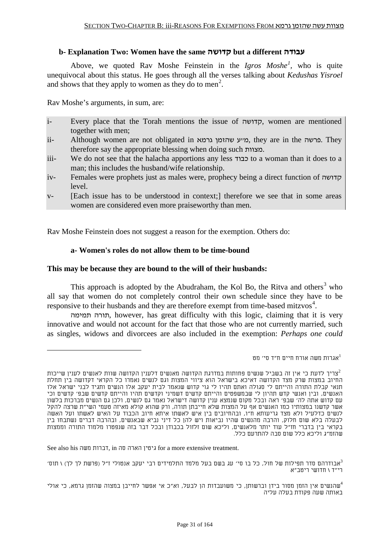#### **b- Explanation Two: Women have the same קדושה but a different עבודה**

Above, we quoted Rav Moshe Feinstein in the *Igros Moshe<sup>1</sup>*, who is quite unequivocal about this status. He goes through all the verses talking about *Kedushas Yisroel* and shows that they apply to women as they do to men<sup>2</sup>.

Rav Moshe's arguments, in sum, are:

- i- Every place that the Torah mentions the issue of קדושה, women are mentioned together with men;
- ii- Although women are not obligated in גרמא שהזמן ע"מ, they are in the פרשה. They therefore say the appropriate blessing when doing such מצוות.
- iii- We do not see that the halacha apportions any less כבוד to a woman than it does to a man; this includes the husband/wife relationship.
- iv- Females were prophets just as males were, prophecy being a direct function of קדושה level.
- v- [Each issue has to be understood in context;] therefore we see that in some areas women are considered even more praiseworthy than men.

Rav Moshe Feinstein does not suggest a reason for the exemption. Others do:

#### **a- Women's roles do not allow them to be time-bound**

#### **This may be because they are bound to the will of their husbands:**

<span id="page-30-0"></span>This approach is adopted by the Abudraham, the Kol Bo, the Ritva and others<sup>3</sup> who all say that women do not completely control their own schedule since they have to be responsive to their husbands and they are therefore exempt from time-based mitzvos<sup>4</sup>.

תורה תמימה, however, has great difficulty with this logic, claiming that it is very innovative and would not account for the fact that those who are not currently married, such as singles, widows and divorcees are also included in the exemption: *Perhaps one could* 

אגרות משה אורח חיים ח"ד סי' מט $^{\rm l}$ 

See also his משה דברות, in סה הארה גיטין for a more extensive treatment.

 $\,$ אבודרהם סדר תפילות של חול, כל בו סי' עג בשם בעל מלמד התלמידים רבי יעקב אנטולי ז"ל (פרשת לך לך) \ תוס' 3 $\,$ רי"ד \ חדושי ריטב"א

צריך לדעת כי אין זה בשביל שנשים פחותות במדרגת הקדושה מאנשים דלענין הקדושה שוות לאנשים לענין שייכות $^2$ החיוב במצות שרק מצד הקדושה דאיכא בישראל הוא ציווי המצות וגם לנשים נאמרו כל הקראי דקדושה בין תחלת תנאי קבלת התורה והייתם לי סגולה ואתם תהיו לי גוי קדוש שנאמר לבית יעקב אלו הנשים ותגיד לבני ישראל אלו האנשים, ובין ואנשי קדש תהיון לי שבמשפטים והייתם קדשים דשמיני וקדשים תהיו והייתם קדשים שבפ' קדשים וכי עם קדוש אתה לה' שבפ' ראה ובכל מקום שנמצא ענין קדושה דישראל נאמר גם לנשים, ולכן גם הנשים מברכות בלשון אשר קדשנו במצותיו כמו האנשים אף על המצות שלא חייבתן תורה, ורק שהוא קולא מאיזה טעמי השי"ת שרצה להקל לנשים כדלעיל ולא מצד גריעותא ח"ו, ובהחיובים בין איש לאשתו איתא חיוב הכבוד על האיש לאשתו ועל האשה לבעלה בלא שום חלוק, והרבה מהנשים שהיו נביאות ויש להן כל דיני נביא שבאנשים, ובהרבה דברים נשתבחו בין בקראי בין בדברי חז"ל עוד יותר מלאנשים, וליכא שום זלזול בכבודן ובכל דבר בזה שנפטרו מלמוד התורה וממצות שהזמ"ג וליכא כלל שום סבה להתרעם כלל.

שהנשים אין הזמן מסור בידן וברשותן, כי משועבדות הן לבעל, וא"כ אי אפשר לחייבן במצוה שהזמן גרמא, כי אולי $^4$ באותה שעה פקודת בעלה עליה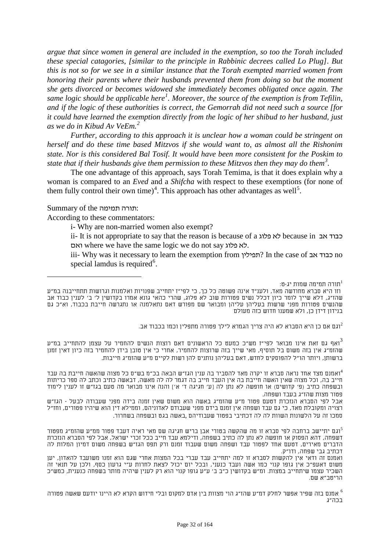*argue that since women in general are included in the exemption, so too the Torah included these special catagories, [similar to the principle in Rabbinic decrees called Lo Plug]. But this is not so for we see in a similar instance that the Torah exempted married women from honoring their parents where their husbands prevented them from doing so but the moment she gets divorced or becomes widowed she immediately becomes obligated once again. The same logic should be applicable here[1](#page-30-0) . Moreover, the source of the exemption is from Tefilin, and if the logic of these authorities is correct, the Gemorrah did not need such a source [for it could have learned the exemption directly from the logic of her shibud to her husband, just as we do in Kibud Av VeEm.[2](#page-31-0)*

*Further, according to this approach it is unclear how a woman could be stringent on herself and do these time based Mitzvos if she would want to, as almost all the Rishonim state. Nor is this considered Bal Tosif. It would have been more consistent for the Poskim to state that if their husbands give them permission to these Mitzvos then they may do them[3](#page-31-1) .*

The one advantage of this approach, says Torah Temima, is that it does explain why a woman is compared to an *Eved* and a *Shifcha* with respect to these exemptions (for none of them fully control their own time)<sup>[4](#page-31-2)</sup>. This approach has other advantages as well<sup>[5](#page-31-3)</sup>.

Summary of the תמימה תורה:

According to these commentators:

i- Why are non-married women also exempt?

ii- It is not appropriate to say that the reason is because of a פלוג לא because in אב כבוד ואם where we have the same logic we do not say פלוג לא.

iii- Why was it necessary to learn the exemption from תכנד אב ?In the case of תכנד אב special lamdus is required<sup>6</sup>.

תורה תמימה שמות יג-ט: 1

וגם אם כן היא הסברא לא היה צריך הגמרא לילך פטורה מתפלין וכמו בכבוד אב.

<span id="page-31-1"></span><span id="page-31-0"></span>ואף גם זאת אינו מבואר לפי"ז מש"כ כמעט כל הראשונים דאם רוצות הנשים להחמיר על עצמן להתחייב במ"ע" שהזמ"ג אין בזה משום בל תוסיף, מאי שייך בזה שרוצות להחמיר, אחרי כי אין טובן בידן להחמיר בזה כיון דאין זמנן ברשותן, ויותר הו"ל להפוסקים לחדש, דאם בעליהן נותנים להן רשות לקיים מ"ע שהזמ"ג חייבות.

<span id="page-31-2"></span>ואמנם מצד אחד נראה סברא זו יקרה מאד להסביר בה ענין הגז"ש הבאה בכ"מ בש"ס כל מצוה שהאשה חייבת בה עבד $^4$ חייב בה, וכל מצוה שאין האשה חייבת בה אין העבד חייב בה דגמר לה לה מאשה, דבאשה כתיב וכתב לה ספר כריתות ובשפחה כתיב (פ' קדושים) או חופשה לא נתן לה [ע' חגיגה ד' א'] והנה אינו מבואר מה טעם בגז"ש זו לענין לימוד פטור מצות שהז"ג בעבד ושפחה.

אבל לפי הסברא הנזכרת דטעם פטור מ"ע שהזמ"ג באשה הוא משום שאין זמנה בידה מפני שעבודה לבעל - הגז"ש רצויה ומקובלת מאד, כי גם עבד ושפחה אין זמנם בידם מפני שעבודם לאדוניהם, וממילא דין הוא שיהיו פטורים, וחז"ל סמכו זה על הלשונות השוות לה לה דכתיבי בפטור שעבודיהם ,באשה בגט ובשפחה בשחרור.

<span id="page-31-3"></span>וגם יתיישב ברחבה לפי סברא זו מה שהקשה בטורי אבן בריש חגיגה שם מאי ראיה דעבד פטור ממ"ע שהזמ"ג מפטור $^{\circ}$ דשפחה, דהא הפסוק או חופשה לא נתן לה כתיב בשפחה, ודילמא עבד חייב ככל זכרי ישראל, אבל לפי הסברא הנזכרת הדברים מאירים, דטעם אחד לפטור עבד ושפחה משום שעבוד זמנם ורק תפס הגז"ש בשפחה משום דמיון המלות לה דכתיב גבי שפחה, ודו"ק.

ואמנם זה ודאי אין להקשות לסברא זו למה יתחייב עבד עברי בכל המצות אחרי שגם הוא זמנו משועבד להאדון, יען משום דאעפ"כ אין גופו קנוי כמו אשה ועבד כנעני, ובכל יום יכול לצאת לחרות ע"י גרעון כסף, ולכן על תנאי זה השכיר עצמו שיתחייב במצות. ומ"ש בקדושין כ"ב ב' ע"ע גופו קנוי הוא רק לענין שיהיה מותר בשפחה כנענית, כמש"כ הריטב"א שם.

אמנם בזה שפיר אפשר לחלק דמ"ע שהז"ג הוי מצוות בין אדם למקום ובלי חידוש הקרא לא היינו יודעם שאשה פטורה 6 $^6$ בכה"ג

וזו היא סברא מחודשה מאד, ולענ"ד אינה פשוטה כל כך, כי לפי"ז יתחייב שפנויות ואלמנות וגרושות תתחייבנה במ"ע שהז"ג, דלא שייך לומר כיון דכלל נשים פטורות שוב לא פלוג, שהרי כהאי גונא אמרו בקדושין ל' ב' לענין כבוד אב שהנשים פטורות מפני שרשות בעליהן עליהן ומבואר שם מפורש דאם נתאלמנה או נתגרשה חייבת בכבוד, וא"כ גם בנידון דידן כן, ולא שמענו חדוש כזה מעולם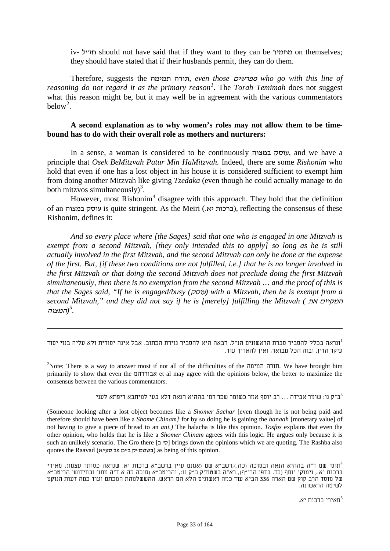iv- ל"חז should not have said that if they want to they can be מחמיר on themselves; they should have stated that if their husbands permit, they can do them.

Therefore, suggests the תמימה תורה, *even those* מפרשים *who go with this line of reasoning do not regard it as the primary reason<sup>1</sup>. The <i>Torah Temimah* does not suggest what this reason might be, but it may well be in agreement with the various commentators below<sup>2</sup>.

#### **A second explanation as to why women's roles may not allow them to be timebound has to do with their overall role as mothers and nurturers:**

In a sense, a woman is considered to be continuously במצוה עוסק, and we have a principle that *Osek BeMitzvah Patur Min HaMitzvah.* Indeed, there are some *Rishonim* who hold that even if one has a lost object in his house it is considered sufficient to exempt him from doing another Mitzvah like giving *Tzedaka* (even though he could actually manage to do both mitzvos simultaneously)<sup>3</sup>.

However, most Rishonim<sup>4</sup> disagree with this approach. They hold that the definition of an במצוה עוסק is quite stringent. As the Meiri (.יא ברכות(, reflecting the consensus of these Rishonim, defines it:

*And so every place where [the Sages] said that one who is engaged in one Mitzvah is exempt from a second Mitzvah, [they only intended this to apply] so long as he is still actually involved in the first Mitzvah, and the second Mitzvah can only be done at the expense of the first. But, [if these two conditions are not fulfilled, i.e.] that he is no longer involved in the first Mitzvah or that doing the second Mitzvah does not preclude doing the first Mitzvah simultaneously, then there is no exemption from the second Mitzvah … and the proof of this is that the Sages said, "If he is engaged/busy (*עוסק *(with a Mitzvah, then he is exempt from a second Mitzvah," and they did not say if he is [merely] fulfilling the Mitzvah (* את המקיים *F52)*המצוה *5 .*

-

<sup>2</sup>Note: There is a way to answer most if not all of the difficulties of the תורה תמימה. We have brought him primarily to show that even the אבודרהם et al may agree with the opinions below, the better to maximize the consensus between the various commentators.

ב"ק נו: שומר אבידה ... רב יוסף אמר כשומר שכר דמי בההיא הנאה דלא בעי למיתבא ריפתא לעני $^3$ 

(Someone looking after a lost object becomes like a *Shomer Sachar* [even though he is not being paid and therefore should have been like a *Shome Chinam]* for by so doing he is gaining the *hanaah* [monetary value] of not having to give a piece of bread to an *ani.)* The halacha is like this opinion. *Tosfos* explains that even the other opinion, who holds that he is like a *Shomer Chinam* agrees with this logic. He argues only because it is such an unlikely scenario. The Gro there [סיב] brings down the opinions which we are quoting. The Rashba also quotes the Raavad (בשטמייק ביימ פב סעייא) as being of this opinion.

תוס׳ שם ד״ה בההיא הנאה ובסוכה (כה.),רשב"א שם (אמנם עיין ברשב"א ברכות יא. שנראה כסותר עצמו), מאירי $^4$ ברכות יא,. נימוקי יוסף (כד. בדפי הרי"ף), רא"ה בשטמ"ק ב"ק נו,: והריטב"א (סוכה כה א ד"ה מתנ' ובחידושי הריטב"א של מוסד הרב קוק שם הארה 336 הביא עוד כמה ראשונים הלא הם הראש, ההששלמהת המכתם ועוד כמה דעות הנוקט לשיטה הראשונה.

מאירי ברכות יא. <sup>5</sup>

ונראה בכלל להסביר סברת הראשונים הנ"ל, דבאה היא להסביר גזירת הכתוב, אבל אינה יסודית ולא עליה בנוי יסוד<sup>1</sup> עיקר הדין, ובזה הכל מבואר, ואין להאריך עוד.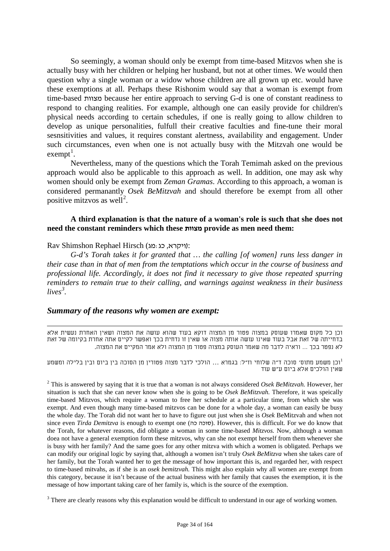So seemingly, a woman should only be exempt from time-based Mitzvos when she is actually busy with her children or helping her husband, but not at other times. We would then question why a single woman or a widow whose children are all grown up etc. would have these exemptions at all. Perhaps these Rishonim would say that a woman is exempt from time-based מצוות because her entire approach to serving G-d is one of constant readiness to respond to changing realities. For example, although one can easily provide for children's physical needs according to certain schedules, if one is really going to allow children to develop as unique personalities, fulfull their creative faculties and fine-tune their moral sesnsitivities and values, it requires constant alertness, availability and engagement. Under such circumstances, even when one is not actually busy with the Mitzvah one would be exempt<sup>1</sup>.

Nevertheless, many of the questions which the Torah Temimah asked on the previous approach would also be applicable to this approach as well. In addition, one may ask why women should only be exempt from *Zeman Gramas*. According to this approach, a woman is considered permanantly *Osek BeMitzvah* and should therefore be exempt from all other positive mitzvos as well<sup>2</sup>.

#### **A third explanation is that the nature of a woman's role is such that she does not need the constant reminders which these מצוות provide as men need them:**

#### Rav Shimshon Rephael Hirsch (ויקרא, כג:מג):

*G-d's Torah takes it for granted that … the calling [of women] runs less danger in their case than in that of men from the temptations which occur in the course of business and professional life. Accordingly, it does not find it necessary to give those repeated spurring reminders to remain true to their calling, and warnings against weakness in their business*   $lives^3$ .

#### *Summary of the reasons why women are exempt:*

וכן כל מקום שאמרו שעוסק במצוה פטור מן המצוה דוקא בעוד שהוא עושה את המצוה ושאין האחרת נעשית אלא בדחייתה של זאת אבל בעוד שאינו עושה אותה מצוה או שאין זו נדחית בכך ואפשר לקיים אתה אחרת בקיומה של זאת לא נפטר בכך ... וראיה לדבר מה שאמר העוסק במצוה פטור מן המצוה ולא אמר המקיים את המצוה.

וכן משמע מתוס' סוכה ד"ה שלוחי וז"ל: בגמרא ... הולכי לדבר מצוה פטורין מן הסוכה בין ביום ובין בלילה ומשמע שאין הולכים אלא ביום ע"ש עוד

<sup>2</sup> This is answered by saying that it is true that a woman is not always considered *Osek BeMitzvah.* However, her situation is such that she can never know when she is going to be *Osek BeMitzvah.* Therefore, it was speically time-based Mitzvos, which require a woman to free her schedule at a particular time, from which she was exempt. And even though many time-based mitzvos can be done for a whole day, a woman can easily be busy the whole day. The Torah did not want her to have to figure out just when she is *Osek* BeMitzvah and when not since even *Tirda Demitzva* is enough to exempt one (סוכה כה). However, this is difficult. For we do know that the Torah, for whatever reasons, did obligate a woman in some time-based *Mitzvos.* Now, although a woman doea not have a general exemption form these mitzvos, why can she not exempt herself from them whenever she is busy with her family? And the same goes for any other mitzva with which a women is obligated. Perhaps we can modify our original logic by saying that, although a women isn't truly *Osek BeMitzva* when she takes care of her family, but the Torah wanted her to get the message of how important this is, and regarded her, with respect to time-based mitvahs, as if she is an *osek bemitzvah.* This might also explain why all women are exempt from this category, because it isn't because of the actual business with her family that causes the exemption, it is the message of how important taking care of her family is, which is the source of the exemption.

<sup>3</sup> There are clearly reasons why this explanation would be difficult to understand in our age of working women.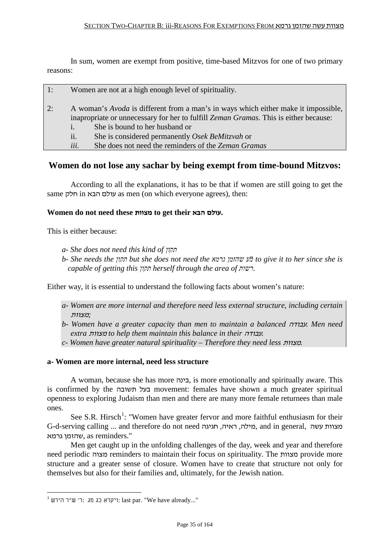In sum, women are exempt from positive, time-based Mitzvos for one of two primary reasons:

| 1: | Women are not at a high enough level of spirituality.                                                                                                                                                                                                                                                                                                          |
|----|----------------------------------------------------------------------------------------------------------------------------------------------------------------------------------------------------------------------------------------------------------------------------------------------------------------------------------------------------------------|
| 2: | A woman's <i>Avoda</i> is different from a man's in ways which either make it impossible,<br>inapropriate or unnecessary for her to fulfill Zeman Gramas. This is either because:<br>She is bound to her husband or<br>$\mathbf{1}$ .<br>ii.<br>She is considered permanently Osek BeMitzvah or<br>She does not need the reminders of the Zeman Gramas<br>iii. |
|    | Women do not lose any sachar by being exempt from time-bound Mitzyos:                                                                                                                                                                                                                                                                                          |

### **Women do not lose any sachar by being exempt from time-bound Mitzvos:**

According to all the explanations, it has to be that if women are still going to get the same חלק in הבא עולם as men (on which everyone agrees), then:

### **Women do not need these מצוות to get their הבא עולם.**

This is either because:

- *a- She does not need this kind of תקון*
- *b- She needs the תקון but she does not need the גרמא שהזמן מע "to give it to her since she is capable of getting this תקון herself through the area of רשות.*

Either way, it is essential to understand the following facts about women's nature:

- *a- Women are more internal and therefore need less external structure, including certain ;*מצוות
- *b- Women have a greater capacity than men to maintain a balanced* עבודה*. Men need extra* מצוות *to help them maintain this balance in their* עבודה*.*
- *c- Women have greater natural spirituality – Therefore they need less* מצוות*.*

#### **a- Women are more internal, need less structure**

A woman, because she has more בינה, is more emotionally and spiritually aware. This is confirmed by the תשובה בעל movement: females have shown a much greater spiritual openness to exploring Judaism than men and there are many more female returnees than male ones.

See S.R. Hirsch<sup>1</sup>: "Women have greater fervor and more faithful enthusiasm for their G-d-serving calling ... and therefore do not need חגיגה ,ראיה ,מילה, and in general, עשה מצוות שהזמן גרמא. as reminders."

Men get caught up in the unfolding challenges of the day, week and year and therefore need periodic מצוה reminders to maintain their focus on spirituality. The מצוות provide more structure and a greater sense of closure. Women have to create that structure not only for themselves but also for their families and, ultimately, for the Jewish nation.

 $^1$  ויקרא כג מג :ר׳ ש״ר הירש: last par. "We have already..."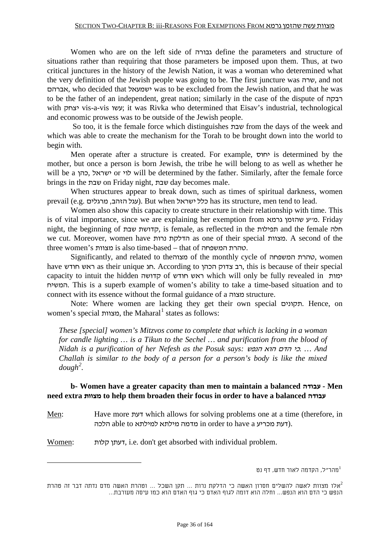Women who are on the left side of גבורה define the parameters and structure of situations rather than requiring that those parameters be imposed upon them. Thus, at two critical junctures in the history of the Jewish Nation, it was a woman who deteremined what the very definition of the Jewish people was going to be. The first juncture was שרה, and not אברהם, who decided that ישמעאל was to be excluded from the Jewish nation, and that he was to be the father of an independent, great nation; similarly in the case of the dispute of רבקה with יצחק vis-a-vis עשו ;it was Rivka who determined that Eisav's industrial, technological and economic prowess was to be outside of the Jewish people.

So too, it is the female force which distinguishes שבת from the days of the week and which was able to create the mechanism for the Torah to be brought down into the world to begin with.

Men operate after a structure is created. For example, יחוס is determined by the mother, but once a person is born Jewish, the tribe he will belong to as well as whether he will be a כון or לוי or לוי will be determined by the father. Similarly, after the female force brings in the שבת on Friday night, שבת day becomes male.

When structures appear to break down, such as times of spiritual darkness, women prevail (e.g. עגל הזהב, מרגלים). But when יכלל ישראל). But when עלל האהב, מרגלים.

Women also show this capacity to create structure in their relationship with time. This is of vital importance, since we are explaining her exemption from גרמא שהזמן ע"מ. Friday night, the beginning of שבת קדושת, is female, as reflected in the תפילות and the female חלה we cut. Moreover, women have נרות הדלקת as one of their special מצוות. A second of the three women's מצוות is also time-based – that of המשפחה טהרת.

Significantly, and related to theמצוה of the monthly cycle of המשפחה טהרת, women have חודש ראש as their unique חג. According to הכהן צדוק רב, this is because of their special capacity to intuit the hidden קדושה of חודש ראש which will only be fully revealed in ימות המשיח. This is a superb example of women's ability to take a time-based situation and to connect with its essence without the formal guidance of a מצוה structure.

Note: Where women are lacking they get their own special תקונים. Hence, on women's special מצוות, the Maharal*57F* <sup>1</sup> states as follows:

*These [special] women's Mitzvos come to complete that which is lacking in a woman for candle lighting … is a Tikun to the Sechel … and purification from the blood of Nidah is a purification of her Nefesh as the Posuk says:* הנפש הוא הדם כי*. ... And Challah is similar to the body of a person for a person's body is like the mixed*   $d$ *ough*<sup>2</sup>.

### **b- Women have a greater capacity than men to maintain a balanced עבודה - Men need extra מצוות to help them broaden their focus in order to have a balanced עבודה**

Men: Have more דעת which allows for solving problems one at a time (therefore, in הלכה able to למילתא מילתא in order to have a הלכה.

Women: קלות דעתן, i.e. don't get absorbed with individual problem.

מהר"ל, הקדמה לאור חדש, דף נט $1$ 

אלו מצוות לאשה להשלים חסרון האשה כי הדלקת נרות ... תקן השכל ... וטהרת האשה מדם נדתה דבר זה טהרת $^2$ הנפש כי הדם הוא הנפש... וחלה הוא דומה לגוף האדם כי גוף האדם הוא כמו עיסה מעורבת...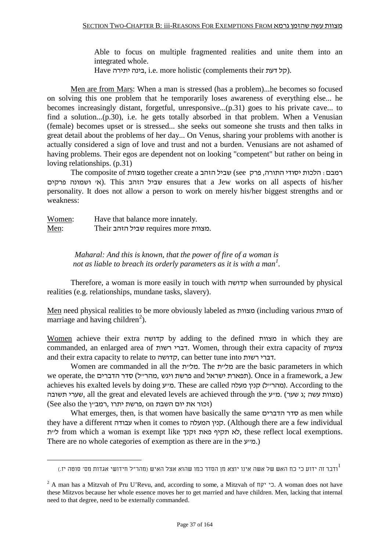Able to focus on multiple fragmented realities and unite them into an integrated whole.

Have בינה יתירה, i.e. more holistic (complements their הל

Men are from Mars: When a man is stressed (has a problem)...he becomes so focused on solving this one problem that he temporarily loses awareness of everything else... he becomes increasingly distant, forgetful, unresponsive...(p.31) goes to his private cave... to find a solution...(p.30), i.e. he gets totally absorbed in that problem. When a Venusian (female) becomes upset or is stressed... she seeks out someone she trusts and then talks in great detail about the problems of her day... On Venus, sharing your problems with another is actually considered a sign of love and trust and not a burden. Venusians are not ashamed of having problems. Their egos are dependent not on looking "competent" but rather on being in loving relationships. (p.31)

רמבם: הלכות יסודי התורה, פרק see) שביל הזהב together create a מצוות The composite of פרקים ושמונה' א(. This הזהב שביל ensures that a Jew works on all aspects of his/her personality. It does not allow a person to work on merely his/her biggest strengths and or weakness:

Women: Have that balance more innately. Men: Their הזהב שביל requires more מצוות.

> *Maharal: And this is known, that the power of fire of a woman is*  not as liable to breach its orderly parameters as it is with a man<sup>1</sup>.

Therefore, a woman is more easily in touch with קדושה when surrounded by physical realities (e.g. relationships, mundane tasks, slavery).

Men need physical realities to be more obviously labeled as מצוות) including various מצוות of marriage and having children<sup>2</sup>).

Women achieve their extra קדושה by adding to the defined מצוות in which they are commanded, an enlarged area of רשות דברי. Women, through their extra capacity of צניעות and their extra capacity to relate to קדושה, can better tune into רשות דברי.

Women are commanded in all the מליית. The תליית are the basic parameters in which we operate, the הדברים) מהרייל) סדר הדברים). Once in a framework, a Jew achieves his exalted levels by doing ע"מ. These are called מעלה קנין) ל"מהר(. According to the תשובה) משובה, all the great and elevated levels are achieved through the עשרי תשובה). (זכור את יום השבת on ,פרשת יתרו ,רמב"ן (זכור את יום השבת)

What emerges, then, is that women have basically the same הדברים סדר as men while they have a different עבודה when it comes to המעלה קנין.) Although there are a few individual לא תקיף פאת זקנך from which a woman is exempt like לא תקיף פאת תקיף לא, these reflect local exemptions. There are no whole categories of exemption as there are in the ע"מ.(

ודבר זה ידוע כי כח האש של אשה אינו יוצא מן הסדר כמו שהוא אצל האיש (מהר"ל חידושי אגדות מס' סוטה יז.) 1

<sup>&</sup>lt;sup>2</sup> A man has a Mitzvah of Pru U'Revu, and, according to some, a Mitzvah of  $\pi$ כי יקח. A woman does not have these Mitzvos because her whole essence moves her to get married and have children. Men, lacking that internal need to that degree, need to be externally commanded.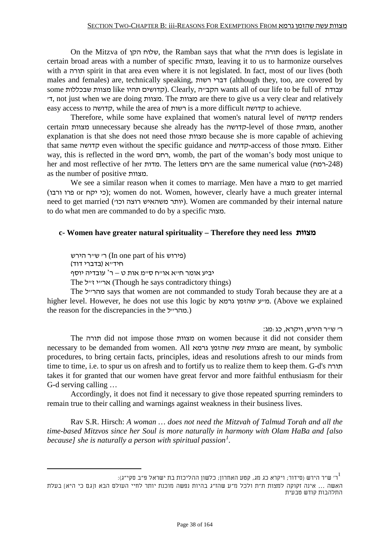On the Mitzva of הקן שלוח, the Ramban says that what the תורה does is legislate in certain broad areas with a number of specific מצוות, leaving it to us to harmonize ourselves with a תורה spirit in that area even where it is not legislated. In fact, most of our lives (both males and females) are, technically speaking, דברי רשות (although they, too, are covered by some עבודת like נצוות שבכללות wants all of our life to be full of קדושים תהיו 'ד, not just when we are doing מצוות. The מצוות are there to give us a very clear and relatively easy access to קדושה, while the area of רשות is a more difficult קדושה to achieve.

Therefore, while some have explained that women's natural level of קדושה renders certain מצוות unnecessary because she already has the קדושה-level of those מצוות, another explanation is that she does not need those מצוות because she is more capable of achieving that same קדושה even without the specific guidance and קדושה-access of those מצוות. Either way, this is reflected in the word רחם, womb, the part of the woman's body most unique to her and most reflective of her מדות. The letters רחם are the same numerical value (רמח-248 ( as the number of positive מצוות.

We see a similar reason when it comes to marriage. Men have a מצוה to get married (ורבו פרו or יקח כי ;(women do not. Women, however, clearly have a much greater internal need to get married (יותר משהאיש רוצה וכו). Women are commanded by their internal nature to do what men are commanded to do by a specific מצוה.

## **c- Women have greater natural spirituality – Therefore they need less מצוות**

(פירוש his of part one In (ר' ש"ר הירש חיד"א (בדברי דוד) יביע אומר ח"א או"ח ס"מ אות ט – ר' עובדיה יוסף The ארייי זייל (Though he says contradictory things)

The לחרייל says that women are not commanded to study Torah because they are at a higher level. However, he does not use this logic by גרמא שהזמן ע"מ.) Above we explained the reason for the discrepancies in the (.מהר״ל.)

: ר' ש"ר הירש, ויקרא, כג:

The תורה did not impose those מצוות on women because it did not consider them necessary to be demanded from women. All גרמא שהזמן עשה מצוות are meant, by symbolic procedures, to bring certain facts, principles, ideas and resolutions afresh to our minds from time to time, i.e. to spur us on afresh and to fortify us to realize them to keep them. G-d's תורה takes it for granted that our women have great fervor and more faithful enthusiasm for their G-d serving calling …

Accordingly, it does not find it necessary to give those repeated spurring reminders to remain true to their calling and warnings against weakness in their business lives.

Rav S.R. Hirsch: *A woman … does not need the Mitzvah of Talmud Torah and all the time-based Mitzvos since her Soul is more naturally in harmony with Olam HaBa and [also because] she is naturally a person with spiritual passion<sup>1</sup>.* 

<sup>:</sup> ר' ש"ר הירש (סידור; ויקרא כג מג, קטע האחרון; כלשון ההליכות בת ישראל פ"ב סקי"ג) $^{-1}$ 

האשה ... אינה זקוקה למצות ת"ת ולכל מ"ע שהז"ג בהיות נפשה מוכנת יותר לחיי העולם הבא ו[גם כי היא] בעלת התלהבות קודש טבעית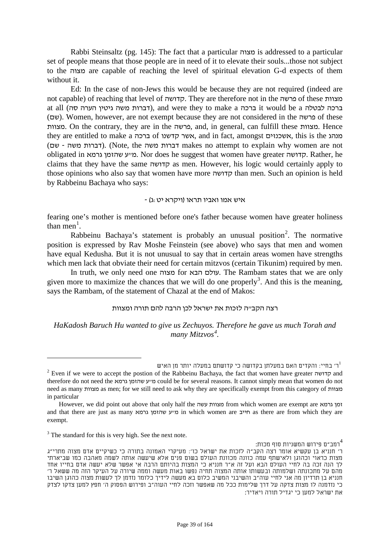Rabbi Steinsaltz (pg. 145): The fact that a particular מצוה is addressed to a particular set of people means that those people are in need of it to elevate their souls...those not subject to the מצוה are capable of reaching the level of spiritual elevation G-d expects of them without it.

Ed: In the case of non-Jews this would be because they are not required (indeed are not capable) of reaching that level of קדושה. They are therefore not in the פרשה of these מצוות at all (דברות משה גיטין הערה סה), and were they to make a ברכה לבטלה it would be a ברכה (שם). Women, however, are not exempt because they are not considered in the פרשה of these מצוות. On the contrary, they are in the פרשה, and, in general, can fulfill these מצוות. Hence they are entitled to make a הער קדשנו of האשר קדשנו, and in fact, amongst אשכנזים, this is the מנהג (דברות משה). (Note, the דברות משה). (Note, the דברות משה). (Tברות משה obligated in גרמא שהזמן ע"מ. Nor does he suggest that women have greater קדושה. Rather, he claims that they have the same קדושה as men. However, his logic would certainly apply to those opinions who also say that women have more קדושה than men. Such an opinion is held by Rabbeinu Bachaya who says:

#### איש אמו ואביו תראו (ויקרא יט:ג) -

fearing one's mother is mentioned before one's father because women have greater holiness than men<sup>1</sup>.

Rabbeinu Bachaya's statement is probably an unusual position<sup>2</sup>. The normative position is expressed by Rav Moshe Feinstein (see above) who says that men and women have equal Kedusha. But it is not unusual to say that in certain areas women have strengths which men lack that obviate their need for certain mitzvos (certain Tikunim) required by men.

In truth, we only need one מצוה for הבא עולם. The Rambam states that we are only given more to maximize the chances that we will do one properly<sup>3</sup>. And this is the meaning, says the Rambam, of the statement of Chazal at the end of Makos:

#### רצה הקב"ה לזכות את ישראל לכן הרבה להם תורה ומצוות

*HaKadosh Baruch Hu wanted to give us Zechuyos. Therefore he gave us much Torah and many Mitzvos*<sup>4</sup>.

.<br>רמב"ם פירוש המשניות סוף מכות:

ר' בחיי: והקדים האם במעלתן בקדושה כי קדושתם במעלה יותר מן האיש "Even if we were to accept the postion of the Rabbeinu Bachaya, the fact that women have greater קדושה and therefore do not need the גרמא שהזמן ע"מ could be for several reasons. It cannot simply mean that women do not need as many מצוות as men; for we still need to ask why they are specifically exempt from this category of מצוות in particular

However, we did point out above that only half the עשה מצוות from which women are exempt are גרמא זמן and that there are just as many מייב שהזמן עשהזמן ע"מ in which women are חייב as there are from which they are exempt.

 $3$  The standard for this is very high. See the next note.

ר' חנניא בן עקשיא אומר רצה הקב"ה לזכות את ישראל כו': מעיקרי האמונה בתורה כי כשיקיים אדם מצוה מתרי"ג מצות כראוי וכהוגן ולאישתף עמה כוונה מכוונת העולם בשום פנים אלא שיעשה אותה לשמה מאהבה כמו שביארתי לך הנה זכה בה לחיי העולם הבא ועל זה א"ר חנניא כי המצות בהיותם הרבה אי אפשר שלא יעשה אדם בחייו אחד מהם על מתכונתה ושלמותה ובעשותו אותה המצוה תחיה נפשו באות מעשה וממה שיורה על העיקר הזה מה ששאל ר' חנניא בן תרדיון מה אני לחיי עוה"ב והשיבני המשיב כלום בא מעשה לידיך כלומר נזדמן לך לעשות מצוה כהוגן השיבו כי נזדמנה לו מצות צדקה על דרך שלימות ככל מה שאפשר וזכה לחיי העוה"ב ופירוש הפסוק ה' חפץ למען צדקו לצדק את ישראל למען כי יגדיל תורה ויאדיר: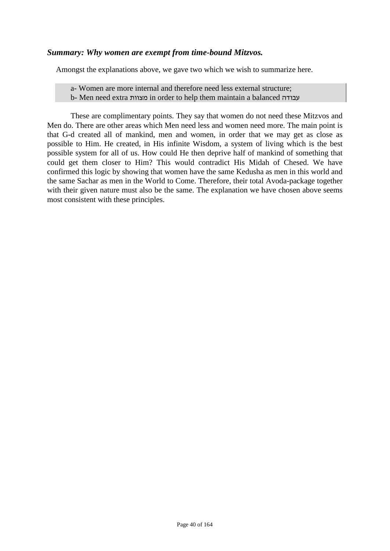# *Summary: Why women are exempt from time-bound Mitzvos.*

Amongst the explanations above, we gave two which we wish to summarize here.

a- Women are more internal and therefore need less external structure;

b- Men need extra מצוות in order to help them maintain a balanced עבודה

These are complimentary points. They say that women do not need these Mitzvos and Men do. There are other areas which Men need less and women need more. The main point is that G-d created all of mankind, men and women, in order that we may get as close as possible to Him. He created, in His infinite Wisdom, a system of living which is the best possible system for all of us. How could He then deprive half of mankind of something that could get them closer to Him? This would contradict His Midah of Chesed. We have confirmed this logic by showing that women have the same Kedusha as men in this world and the same Sachar as men in the World to Come. Therefore, their total Avoda-package together with their given nature must also be the same. The explanation we have chosen above seems most consistent with these principles.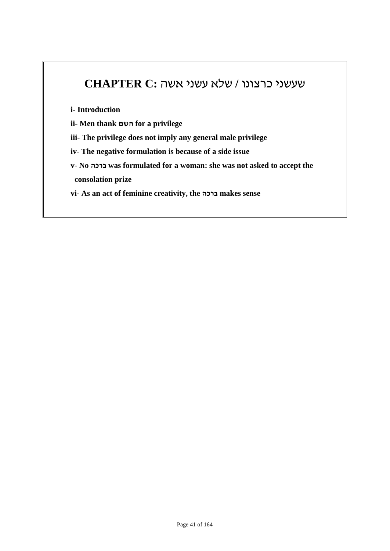# שעשני כרצונו **/** שלא עשני אשה **:C CHAPTER**

**i- Introduction**

- **ii- Men thank השם for a privilege**
- **iii- The privilege does not imply any general male privilege**
- **iv- The negative formulation is because of a side issue**
- **v- No ברכה was formulated for a woman: she was not asked to accept the consolation prize**

**vi- As an act of feminine creativity, the ברכה makes sense**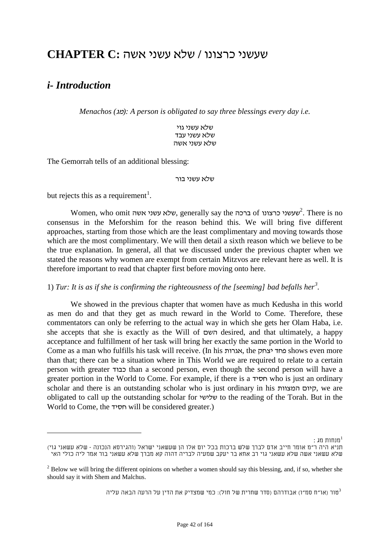# שעשני כרצונו **/** שלא עשני אשה **:C CHAPTER**

# *i- Introduction*

*Menachos (*מג*(: A person is obligated to say three blessings every day i.e.*

שלא עשני גוי שלא עשני עבד שלא עשני אשה

The Gemorrah tells of an additional blessing:

#### שלא עשני בור

but rejects this as a requirement<sup>1</sup>.

Women, who omit אשה עשני שלא, generally say the ברכה of *67F* <sup>2</sup> כרצונו שעשני . There is no consensus in the Meforshim for the reason behind this. We will bring five different approaches, starting from those which are the least complimentary and moving towards those which are the most complimentary. We will then detail a sixth reason which we believe to be the true explanation. In general, all that we discussed under the previous chapter when we stated the reasons why women are exempt from certain Mitzvos are relevant here as well. It is therefore important to read that chapter first before moving onto here.

# 1) Tur: It is as if she is confirming the righteousness of the [seeming] bad befalls her<sup>3</sup>.

We showed in the previous chapter that women have as much Kedusha in this world as men do and that they get as much reward in the World to Come. Therefore, these commentators can only be referring to the actual way in which she gets her Olam Haba, i.e. she accepts that she is exactly as the Will of השם desired, and that ultimately, a happy acceptance and fulfillment of her task will bring her exactly the same portion in the World to Come as a man who fulfills his task will receive. (In his אגרות, the יצחק פחד shows even more than that; there can be a situation where in This World we are required to relate to a certain person with greater כבוד than a second person, even though the second person will have a greater portion in the World to Come. For example, if there is a חסיד who is just an ordinary scholar and there is an outstanding scholar who is just ordinary in his המצוות קיום, we are obligated to call up the outstanding scholar for שלישי to the reading of the Torah. But in the World to Come, the חסיד will be considered greater.)

מנחות מג $\colon$  :

טור (או"ח סמ"ו) אבודרהם (סדר שחרית של חול): כמי שמצדיק את הדין על הרעה הבאה עליה $^3$ 

תניא היה ר"מ אומר חייב אדם לברך שלש ברכות בכל יום אלו הן שעשאני ישראל (והגירסא הנכונה - שלא עשאני גוי) שלא עשאני אשה שלא עשאני גוי רב אחא בר יעקב שמעיה לבריה דהוה קא מברך שלא עשאני בור אמר ליה כולי האי

 $2$  Below we will bring the different opinions on whether a women should say this blessing, and, if so, whether she should say it with Shem and Malchus.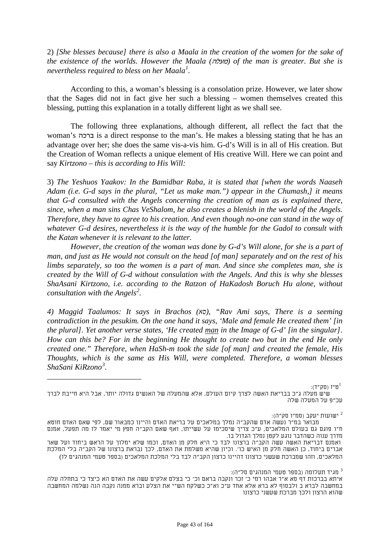2) *[She blesses because] there is also a Maala in the creation of the women for the sake of the existence of the worlds. However the Maala (*מעלה *(of the man is greater. But she is nevertheless required to bless on her Maala* $^l$ *.* 

According to this, a woman's blessing is a consolation prize. However, we later show that the Sages did not in fact give her such a blessing – women themselves created this blessing, putting this explanation in a totally different light as we shall see.

The following three explanations, although different, all reflect the fact that the woman's ברכה is a direct response to the man's. He makes a blessing stating that he has an advantage over her; she does the same vis-a-vis him. G-d's Will is in all of His creation. But the Creation of Woman reflects a unique element of His creative Will. Here we can point and say *Kirtzono – this is according to His Will:*

3) *The Yeshuos Yaakov: In the Bamidbar Raba, it is stated that [when the words Naaseh Adam (i.e. G-d says in the plural, "Let us make man.") appear in the Chumash,] it means that G-d consulted with the Angels concerning the creation of man as is explained there, since, when a man sins Chas VeShalom, he also creates a blenish in the world of the Angels. Therefore, they have to agree to his creation. And even though no-one can stand in the way of whatever G-d desires, nevertheless it is the way of the humble for the Gadol to consult with the Katan whenever it is relevant to the latter.*

*However, the creation of the woman was done by G-d's Will alone, for she is a part of man, and just as He would not consult on the head [of man] separately and on the rest of his limbs separately, so too the women is a part of man. And since she completes man, she is created by the Will of G-d without consulation with the Angels. And this is why she blesses ShaAsani Kirtzono, i.e. according to the Ratzon of HaKadosh Boruch Hu alone, without consultation with the Angels*<sup>2</sup>.

*4) Maggid Taalumos: It says in Brachos (xo), "Rav Ami says, There is a seeming contradiction in the pesukim. On the one hand it says, 'Male and female He created them' [in the plural]. Yet another verse states, 'He created man in the Image of G-d' [in the singular]. How can this be? For in the beginning He thought to create two but in the end He only created one." Therefore, when HaSh-m took the side [of man] and created the female, His Thoughts, which is the same as His Will, were completed. Therefore, a woman blesses ShaSani KiRzono<sup>3</sup>.* 

ש"ז (סק"ד): $^1$ ט"ז (סק"ד):  $^1$ 

#### ישועות יעקב (סמ"ו סק"ה): <sup>2</sup>

: מגיד תעלומה (בספר טעמי המנהגים סל"ה) $^3$ 

שיש מעלה ג"כ בבריאת האשה לצרך קיום העולם, אלא שהמעלה של האנשים גדולה יותר, אבל היא חייבת לברך עכ"פ על המעלה שלה

מבואר במ"ר נעשה אדם שהקב"ה נמלך במלאכים על בריאת האדם והיינו כמבאור שם, לפי שאם האדם חוטא ח"ו פוגם גם בעולם המלאכים, ע"כ צריך שיסכימו על עשייתו, ואף שאם הקב"ה חפץ מי יאמר לו מה תפעל, אמנם מדרך ענוה כשהדבר נוגע לקטן נמלך הגדול בו.

ואמנם דבריאת האשה עשה הקב"ה ברצונו לבד כי היא חלק מן האדם, וכמו שלא ימלוך על הראש ביחוד ועל שאר אברים ביחוד, כן האשה חלק מן האיש כו'. וכיון שהיא משלמת את האדם, לכך נבראת ברצונו של הקב"ה בלי המלכת המלאכים, וזהו שמברכת שעשני כרצונו דהיינו כרצון הקב"ה לבד בלי המלכת המלאכים (בספר טעמי המנהגים לו)

איתא בברכות דף סא א"ר אבהו רמי כ' זכר ונקבה בראם וכ' כי בצלם אלקים עשה את האדם הא כיצד כי בתחלה עלה במחשבה לברא ב ולבסוף לא ברא אלא אחד ע"כ וא"כ כשלקח הש"י את הצלע וברא ממנה נקבה הנה נשלמה המחשבה שהוא הרצון ולכך מברכת שעשני כרצונו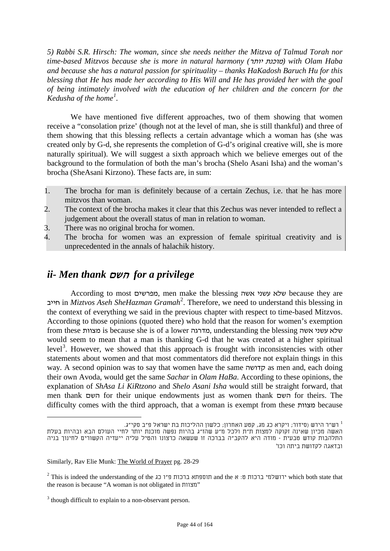*5) Rabbi S.R. Hirsch: The woman, since she needs neither the Mitzva of Talmud Torah nor time-based Mitzvos because she is more in natural harmony (*יותר מוכנת *(with Olam Haba and because she has a natural passion for spirituality – thanks HaKadosh Baruch Hu for this blessing that He has made her according to His Will and He has provided her with the goal of being intimately involved with the education of her children and the concern for the Kedusha of the home<sup>1</sup>.* 

We have mentioned five different approaches, two of them showing that women receive a "consolation prize' (though not at the level of man, she is still thankful) and three of them showing that this blessing reflects a certain advantage which a woman has (she was created only by G-d, she represents the completion of G-d's original creative will, she is more naturally spiritual). We will suggest a sixth approach which we believe emerges out of the background to the formulation of both the man's brocha (Shelo Asani Isha) and the woman's brocha (SheAsani Kirzono). These facts are, in sum:

- 1. The brocha for man is definitely because of a certain Zechus, i.e. that he has more mitzvos than woman.
- 2. The context of the brocha makes it clear that this Zechus was never intended to reflect a judgement about the overall status of man in relation to woman.
- 3. There was no original brocha for women.
- 4. The brocha for women was an expression of female spiritual creativity and is unprecedented in the annals of halachik history.

# *ii- Men thank* השם *for a privilege*

According to most מפרשים, men make the blessing אשה עשני שלא because they are חייב in *Miztvos Aseh SheHazman Gramah73F* 2 . Therefore, we need to understand this blessing in the context of everything we said in the previous chapter with respect to time-based Mitzvos. According to those opinions (quoted there) who hold that the reason for women's exemption from these מצוות is because she is of a lower מדרגה, understanding the blessing אשה עשני שלא would seem to mean that a man is thanking G-d that he was created at a higher spiritual level<sup>3</sup>. However, we showed that this approach is frought with inconsistencies with other statements about women and that most commentators did therefore not explain things in this way. A second opinion was to say that women have the same קדושה as men and, each doing their own Avoda, would get the same *Sachar* in *Olam HaBa*. According to these opinions, the explanation of *ShAsa Li KiRtzono* and *Shelo Asani Isha* would still be straight forward, that men thank השם for their unique endowments just as women thank השם for theirs. The difficulty comes with the third approach, that a woman is exempt from these מצוות because

<sup>.</sup> רש"ר הירש (סידור; ויקרא כג מג, קטע האחרון; כלשון ההליכות בת ישראל פ"ב סקי"ג. 1 האשה מכיון שאינה זקוקה למצות ת"ת ולכל מ"ע שהז"ג בהיות נפשה מוכנת יותר לחיי העולם הבא ובהיות בעלת התלהבות קודש טבעית - מודה היא להקב"ה בברכה זו שעשאה כרצונו והטיל עליה ייעדיה הקשורים לחינוך בניה ובדאגה לקדושת ביתה וכו'

Similarly, Rav Elie Munk: The World of Prayer pg. 28-29

 $2$  This is indeed the understanding of the כגו ברכות תוספתא ברכות ה and the א ירושלמי ברכות יה sindeed the ש the reason is because "A woman is not obligated in מצוות"

<sup>&</sup>lt;sup>3</sup> though difficult to explain to a non-observant person.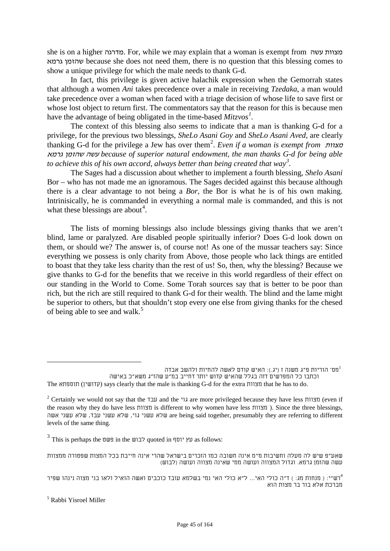she is on a higher מדרגה. For, while we may explain that a woman is exempt from עשה מצוות גרמא שהזמן because she does not need them, there is no question that this blessing comes to show a unique privilege for which the male needs to thank G-d.

In fact, this privilege is given active halachik expression when the Gemorrah states that although a women *Ani* takes precedence over a male in receiving *Tzedaka*, a man would take precedence over a woman when faced with a triage decision of whose life to save first or whose lost object to return first. The commentators say that the reason for this is because men have the advantage of being obligated in the time-based  $Mitzvos<sup>1</sup>$ .

The context of this blessing also seems to indicate that a man is thanking G-d for a privilege, for the previous two blessings, *SheLo Asani Goy* and *SheLo Asani Aved*, are clearly thanking G-d for the privilege a Jew has over them*76F* 2 . *Even if a woman is exempt from* מצוות גרמא שהזמן עשה *because of superior natural endowment, the man thanks G-d for being able to achieve this of his own accord, always better than being created that way*<sup>3</sup>.

The Sages had a discussion about whether to implement a fourth blessing, *Shelo Asani*  Bor – who has not made me an ignoramous. The Sages decided against this because although there is a clear advantage to not being a *Bor,* the Bor is what he is of his own making. Intrinisically, he is commanded in everything a normal male is commanded, and this is not what these blessings are about<sup>4</sup>.

The lists of morning blessings also include blessings giving thanks that we aren't blind, lame or paralyzed. Are disabled people spiritually inferior? Does G-d look down on them, or should we? The answer is, of course not! As one of the mussar teachers say: Since everything we possess is only charity from Above, those people who lack things are entitled to boast that they take less charity than the rest of us! So, then, why the blessing? Because we give thanks to G-d for the benefits that we receive in this world regardless of their effect on our standing in the World to Come. Some Torah sources say that is better to be poor than rich, but the rich are still required to thank G-d for their wealth. The blind and the lame might be superior to others, but that shouldn't stop every one else from giving thanks for the chesed of being able to see and walk.<sup>5</sup>

מס' הוריות פ"ג משנה ז (יג.): האיש קודם לאשה להחיות ולהשב אבדה $^1$ 

 $3$  This is perhaps the עץ יוסף quoted in עץ יוסף  $\alpha$ s follows:

שאע"פ שיש לה מעלה וחשיבות מ"מ אינה חשובה כמו הזכרים בישראל שהרי אינה חייבת בכל המצות שפטורה ממצוות עשה שהזמן גרמא. וגדול המצווה ועושה ממי שאינה מצווה ועושה (לבוש)

וכתבו כל המפרשים דזה בגלל שהאיש קדוש יותר דחייב במ"ע שהז"ג משא"כ באישה The תוספתא) קדושין (says clearly that the male is thanking G-d for the extra מצוות that he has to do.

<sup>&</sup>lt;sup>2</sup> Certainly we would not say that the עבד and the גוי are more privileged because they have less מצוות) (even if the reason why they do have less מצוות is different to why women have less מצוות( . Since the three blessings, שה עשני גוי, שלא עשני עבד, שלא עשני שה are being said together, presumably they are referring to different levels of the same thing.

רש"י: ( מנחות מג: ) ד"ה כולי האי... ל"א כולי האי נמי בשלמא עובד כוכבים ואשה הואיל ולאו בני מצוה נינהו שפיר <sup>4</sup> מברכת אלא בור בר מצות הוא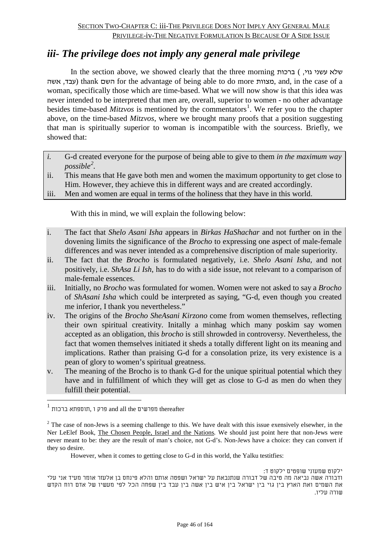# *iii- The privilege does not imply any general male privilege*

In the section above, we showed clearly that the three morning ברכות ) , ברכות אשה ,עבד (thank השם for the advantage of being able to do more מצוות, and, in the case of a woman, specifically those which are time-based. What we will now show is that this idea was never intended to be interpreted that men are, overall, superior to women - no other advantage besides time-based *Mitzvos* is mentioned by the commentators<sup>1</sup>. We refer you to the chapter above, on the time-based *Mitzvos*, where we brought many proofs that a position suggesting that man is spiritually superior to woman is incompatible with the sourcess. Briefly, we showed that:

- *i.* G-d created everyone for the purpose of being able to give to them *in the maximum way*   $_{possible}^2$ .
- ii. This means that He gave both men and women the maximum opportunity to get close to Him. However, they achieve this in different ways and are created accordingly.
- iii. Men and women are equal in terms of the holiness that they have in this world.

With this in mind, we will explain the following below:

- i. The fact that *Shelo Asani Isha* appears in *Birkas HaShachar* and not further on in the dovening limits the significance of the *Brocho* to expressing one aspect of male-female differences and was never intended as a comprehensive discription of male superiority.
- ii. The fact that the *Brocho* is formulated negatively, i.e. *Shelo Asani Isha,* and not positively, i.e. *ShAsa Li Ish*, has to do with a side issue, not relevant to a comparison of male-female essences.
- iii. Initially, no *Brocho* was formulated for women. Women were not asked to say a *Brocho* of *ShAsani Isha* which could be interpreted as saying, "G-d, even though you created me inferior, I thank you nevertheless."
- iv. The origins of the *Brocho SheAsani Kirzono* come from women themselves, reflecting their own spiritual creativity. Initally a minhag which many poskim say women accepted as an obligation, this *brocho* is still shrowded in controversy. Nevertheless, the fact that women themselves initiated it sheds a totally different light on its meaning and implications. Rather than praising G-d for a consolation prize, its very existence is a pean of glory to women's spiritual greatness.
- v. The meaning of the Brocho is to thank G-d for the unique spiritual potential which they have and in fulfillment of which they will get as close to G-d as men do when they fulfill their potential.

However, when it comes to getting close to G-d in this world, the Yalku testitfies:

ילקוט שמעוני שופטים ילקוט ד: ודבורה אשה נביאה מה טיבה של דבורה שנתנבאת על ישראל ושפטה אותם והלא פינחס בן אלעזר אומר מעיד אני עלי את השמים ואת הארץ בין גוי בין ישראל בין איש בין אשה בין עבד בין שפחה הכל לפי מעשיו של אדם רוח הקדש שורה עליו.

 $^{\rm l}$  מפרשים thereafter מפרשים thereafter

<sup>&</sup>lt;sup>2</sup> The case of non-Jews is a seeming challenge to this. We have dealt with this issue exensively elsewher, in the Ner LeElef Book, The Chosen People, Israel and the Nations*.* We should just point here that non-Jews were never meant to be: they are the result of man's choice, not G-d's. Non-Jews have a choice: they can convert if they so desire.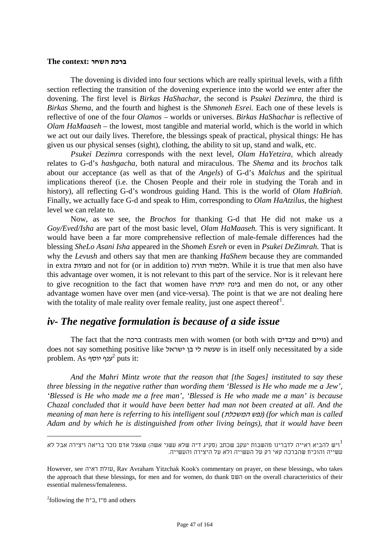## **ברכת השחר :context The**

The dovening is divided into four sections which are really spiritual levels, with a fifth section reflecting the transition of the dovening experience into the world we enter after the dovening. The first level is *Birkas HaShachar,* the second is *Psukei Dezimra*, the third is *Birkas Shema*, and the fourth and highest is the *Shmoneh Esrei.* Each one of these levels is reflective of one of the four *Olamos –* worlds or universes. *Birkas HaShachar* is reflective of *Olam HaMaaseh –* the lowest, most tangible and material world, which is the world in which we act out our daily lives. Therefore, the blessings speak of practical, physical things: He has given us our physical senses (sight), clothing, the ability to sit up, stand and walk, etc.

*Psukei Dezimra* corresponds with the next level, *Olam HaYetzira,* which already relates to G-d's *hashgacha*, both natural and miraculous. The *Shema* and its *brochos* talk about our acceptance (as well as that of the *Angels*) of G-d's *Malchus* and the spiritual implications thereof (i.e. the Chosen People and their role in studying the Torah and in history), all reflecting G-d's wondrous guiding Hand. This is the world of *Olam HaBriah.*  Finally, we actually face G-d and speak to Him, corresponding to *Olam HaAtzilus*, the highest level we can relate to.

Now, as we see, the *Brochos* for thanking G-d that He did not make us a *Goy/Eved/Isha* are part of the most basic level, *Olam HaMaaseh.* This is very significant. It would have been a far more comprehensive reflection of male-female differences had the blessing *SheLo Asani Isha* appeared in the *Shomeh Esreh* or even in *Psukei DeZimrah.* That is why the *Levush* and others say that men are thanking *HaShem* because they are commanded in extra מצוות and not for (or in addition to) תורה תלמוד. While it is true that men also have this advantage over women, it is not relevant to this part of the service. Nor is it relevant here to give recognition to the fact that women have יתרה בינה and men do not, or any other advantage women have over men (and vice-versa). The point is that we are not dealing here with the totality of male reality over female reality, just one aspect thereof<sup>1</sup>.

# *iv- The negative formulation is because of a side issue*

The fact that the ברכה contrasts men with women (or both with עבדים and גויים (and does not say something positive like ישראל בן לי שעשה is in itself only necessitated by a side problem. As  $^2$ ענף יוסף $^2$  puts it:

<span id="page-46-0"></span>*And the Mahri Mintz wrote that the reason that [the Sages] instituted to say these three blessing in the negative rather than wording them 'Blessed is He who made me a Jew', 'Blessed is He who made me a free man', 'Blessed is He who made me a man' is because Chazal concluded that it would have been better had man not been created at all. And the meaning of man here is referring to his intelligent soul (*המשכלת נפש*) (for which man is called Adam and by which he is distinguished from other living beings), that it would have been* 

ויש להביא ראייה לדברינו מהשבות יעקב שכתב (סק"ג ד"ה שלא עשני אשה) שאצל אדם נזכר בריאה ויצירה אבל לא $^1$ עשייה והוכיח שהברכה קאי רק על העשייה ולא על היצירה והעשייה.

However, see ראיה עולת, Rav Avraham Yitzchak Kook's commentary on prayer, on these blessings, who takes the approach that these blessings, for men and for women, do thank השם on the overall characteristics of their essential maleness/femaleness.

<sup>&</sup>lt;sup>2</sup>following the  $\Pi$ "ת,  $\Pi$ " and others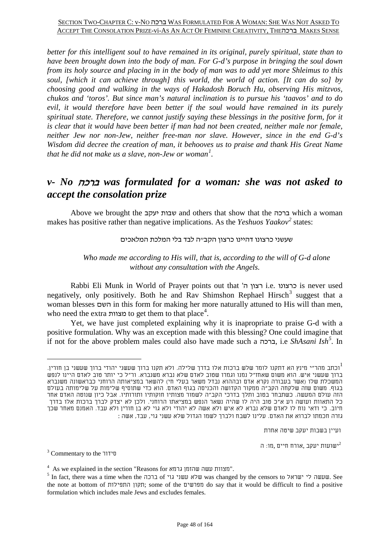*better for this intelligent soul to have remained in its original, purely spiritual, state than to have been brought down into the body of man. For G-d's purpose in bringing the soul down from its holy source and placing in in the body of man was to add yet more Shleimus to this soul, [which it can achieve through] this world, the world of action. [It can do so] by choosing good and walking in the ways of Hakadosh Boruch Hu, observing His mitzvos, chukos and 'toros'. But since man's natural inclination is to pursue his 'taavos' and to do evil, it would therefore have been better if the soul would have remained in its purely spiritual state. Therefore, we cannot justify saying these blessings in the positive form, for it is clear that it would have been better if man had not been created, neither male nor female, neither Jew nor non-Jew, neither free-man nor slave. However, since in the end G-d's Wisdom did decree the creation of man, it behooves us to praise and thank His Great Name that he did not make us a slave, non-Jew or woman[1](#page-46-0) .*

# *v- No* ברכה *was formulated for a woman: she was not asked to accept the consolation prize*

Above we brought the יעקב שבות and others that show that the ברכה which a woman makes has positive rather than negative implications. As the *Yeshuos Yaakov*<sup>2</sup> states:

## שעשני כרצונו דהיינו כרצון הקב"ה לבד בלי המלכת המלאכים

# *Who made me according to His will, that is, according to the will of G-d alone without any consultation with the Angels.*

Rabbi Eli Munk in World of Prayer points out that 'ה רצון i.e. כרצונו is never used negatively, only positively. Both he and Rav Shimshon Rephael Hirsch<sup>3</sup> suggest that a woman blesses השם in this form for making her more naturally attuned to His will than men, who need the extra מצוות to get them to that place<sup>4</sup>.

Yet, we have just completed explaining why it is inapropriate to praise G-d with a positive formulation. Why was an exception made with this blessing? One could imagine that if not for the above problem males could also have made such a ברכה, i.e *ShAsani Ish8F 5 .* In

ועיין בשבות יעקב שיטה אחרת

 $^3$  Commentary to the ישועות יעקב ,אורח חיים ,מו: ה $^3$  Commentary to the  $^2$ 

וכתב מהר"י מינץ הא דתקנו לומר שלש ברכות אלו בדרך שלילה. ולא תקנו ברוך שעשני יהודי ברוך שעשני בן חורין.  $^1$ ברוך שעשני איש. הוא משום שאחז"ל נמנו וגמרו שטוב לאדם שלא נברא משנברא. ור"ל כי יותר טוב לאדם היינו לנפש המשכלת שלו (אשר בעבורה נקרא אדם ובההוא נבדל משאר בעלי חי) להשאר במציאותה הרוחני כבראשונה משנברא בגוף. משום שזה שלקחה הקב"ה ממקור הקדושה והכניסה בגוף האדם. הוא כדי שתוסיף שלימות על שלימותה בעולם הזה עולם המעשה. כשתבחר בטוב ותלך בדרכי הקב"ה לשמור מצותיו חוקותיו ותורותיו. אבל כיון שנוטה האדם אחר כל התאוות ועושה רע א"כ טוב היה לו שהיה נשאר הנפש במציאתו הרוחני. ולכן לא יצדק לברך ברכות אלו בדרך חיוב. כי ודאי נוח לו לאדם שלא נברא לא איש ולא אשה לא יהודי ולא גוי לא בן חורין ולא עבד. האמנם מאחר שכך גזרה חכמתו לברוא את האדם. עלינו לשבח ולברך לשמו הגדול שלא עשני גוי, עבד, אשה :

 $^4\,$  As we explained in the section "Reasons for "תצוות עשה שהזמן גרמא".

 $^5$  In fact, there was a time when the ברכה of שהאל שעשני גוי עשני שלא שלא שלא שהאזמן . See the note at bottom of התפילות תקון ;some of the מפרשים do say that it would be difficult to find a positive formulation which includes male Jews and excludes females.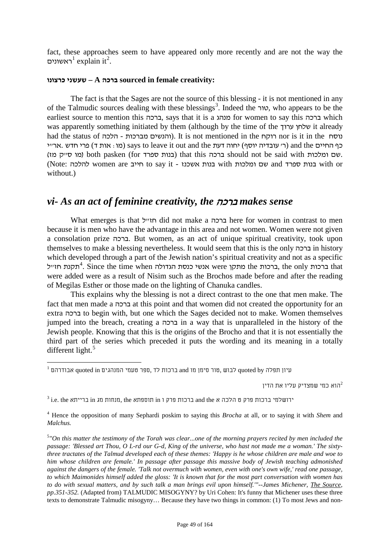fact, these approaches seem to have appeared only more recently and are not the way the *<sup>F</sup> <sup>89</sup>* ראשונים <sup>1</sup> explain it*90F* 2 .

### **כרצונו שעשני – A ברכה sourced in female creativity:**

The fact is that the Sages are not the source of this blessing - it is not mentioned in any of the Talmudic sources dealing with these blessings<sup>3</sup>. Indeed the טור, who appears to be the earliest source to mention this ברכה, says that it is a מנהג for women to say this ברכה which was apparently something initiated by them (although by the time of the ערוך שלחן it already had the status of הלכה - הלכה It is not mentioned in the ווהנשים מברכות והלכה כף החיים and the (ר' עובדיה יוסף) יחוה דעת to leave it out and the (ר' עובדיה יוסף) מו: אות ד (מו קייק מו both pasken (for כנות ספרד) that this כרכה should not be said with ומלכות. (Note: הייב women are no say it - גוות בנות אשכנז with no say it - אשם ומלכות with or without.)

# *vi- As an act of feminine creativity, the* ברכה *makes sense*

What emerges is that ברכה did not make a ברכה here for women in contrast to men because it is men who have the advantage in this area and not women. Women were not given a consolation prize ברכה. But women, as an act of unique spiritual creativity, took upon themselves to make a blessing nevertheless. It would seem that this is the only ברכה in history which developed through a part of the Jewish nation's spiritual creativity and not as a specific ברכות the ברכות the ברכות the מתקן were אנשי כנסת הגדולה <sup>4</sup>. Since the time when ברכות that were added were as a result of Nisim such as the Brochos made before and after the reading of Megilas Esther or those made on the lighting of Chanuka candles.

This explains why the blessing is not a direct contrast to the one that men make. The fact that men made a ברכה at this point and that women did not created the opportunity for an extra ברכה to begin with, but one which the Sages decided not to make. Women themselves jumped into the breach, creating a ברכה in a way that is unparalleled in the history of the Jewish people. Knowing that this is the origins of the Brocho and that it is not essentially the third part of the series which preceded it puts the wording and its meaning in a totally different light.<sup>5</sup>

הוא כמי שמצדיק עליו את הדיו $^2$ 

 $^3$  i.e. the כוכות פרק ט הלכה א and the ברכות פרק ו in תוספתא the ,מנחות מג in ברייתא the  $\,$ i.e.  $^3$ 

 $^{\rm I}$  עיון תפלה quoted by לבוש ,טור סימן מו and ברכות לד ,ספר טעמי המנהגים auoted in אבודרהם  $^{\rm I}$ 

<sup>4</sup> Hence the opposition of many Sephardi poskim to saying this *Brocha* at all, or to saying it with *Shem* and *Malchus.*

<sup>5</sup> *"On this matter the testimony of the Torah was clear...one of the morning prayers recited by men included the passage: 'Blessed art Thou, O L-rd our G-d, King of the universe, who hast not made me a woman.' The sixtythree tractates of the Talmud developed each of these themes: 'Happy is he whose children are male and woe to him whose children are female.' In passage after passage this massive body of Jewish teaching admonished against the dangers of the female. 'Talk not overmuch with women, even with one's own wife,' read one passage, to which Maimonides himself added the gloss: 'It is known that for the most part conversation with women has to do with sexual matters, and by such talk a man brings evil upon himself.'"--James Michener, The Source, pp.351-352.* (Adapted from) TALMUDIC MISOGYNY? by Uri Cohen: It's funny that Michener uses these three texts to demonstrate Talmudic misogyny… Because they have two things in common: (1) To most Jews and non-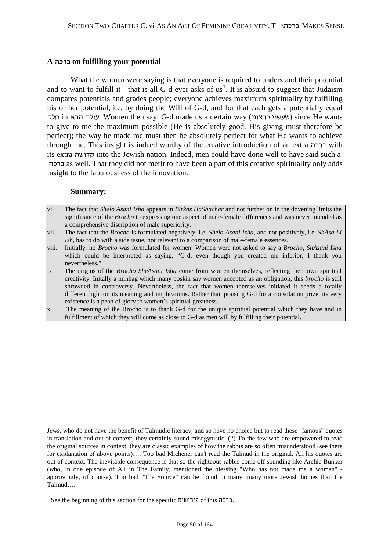#### **A ברכה on fulfilling your potential**

What the women were saying is that everyone is required to understand their potential and to want to fulfill it - that is all G-d ever asks of us<sup>1</sup>. It is absurd to suggest that Judaism compares potentials and grades people; everyone achieves maximum spirituality by fulfilling his or her potential, i.e. by doing the Will of G-d, and for that each gets a potentially equal חלק in הבא עולם. Women then say: G-d made us a certain way (כרצונו שעשני (since He wants to give to me the maximum possible (He is absolutely good, His giving must therefore be perfect); the way he made me must then be absolutely perfect for what He wants to achieve through me. This insight is indeed worthy of the creative introduction of an extra ברכה with its extra קדושה into the Jewish nation. Indeed, men could have done well to have said such a ברכה as well. That they did not merit to have been a part of this creative spirituality only adds insight to the fabulousness of the innovation.

#### **Summary:**

<u>.</u>

- vi. The fact that *Shelo Asani Isha* appears in *Birkas HaShachar* and not further on in the dovening limits the significance of the *Brocho* to expressing one aspect of male-female differences and was never intended as a comprehensive discription of male superiority.
- vii. The fact that the *Brocho* is formulated negatively, i.e. *Shelo Asani Isha,* and not positively, i.e. *ShAsa Li Ish*, has to do with a side issue, not relevant to a comparison of male-female essences.
- viii. Initially, no *Brocho* was formulated for women. Women were not asked to say a *Brocho, ShAsani Isha*  which could be interpreted as saying, "G-d, even though you created me inferior, I thank you nevertheless."
- ix. The origins of the *Brocho SheAsani Isha* come from women themselves, reflecting their own spiritual creativity. Initally a minhag which many poskin say women accepted as an obligation, this *brocho* is still shrowded in controversy. Nevertheless, the fact that women themselves initiated it sheds a totally different light on its meaning and implications. Rather than praising G-d for a consolation prize, its very existence is a pean of glory to women's spiritual greatness.
- x. The meaning of the Brocho is to thank G-d for the unique spiritual potential which they have and in fulfillment of which they will come as close to G-d as men will by fulfilling their potential**.**

Jews, who do not have the benefit of Talmudic literacy, and so have no choice but to read these "famous" quotes in translation and out of context, they certainly sound misogynistic. (2) To the few who are empowered to read the original sources in context, they are classic examples of how the rabbis are so often misunderstood (see there for explanation of above points)…. Too bad Michener can't read the Talmud in the original. All his quotes are out of context. The inevitable consequence is that so the righteous rabbis come off sounding like Archie Bunker (who, in one episode of All in The Family, mentioned the blessing "Who has not made me a woman" approvingly, of course). Too bad "The Source" can be found in many, many more Jewish homes than the Talmud….

 $^{\rm 1}$  See the beginning of this section for the specific ברכה.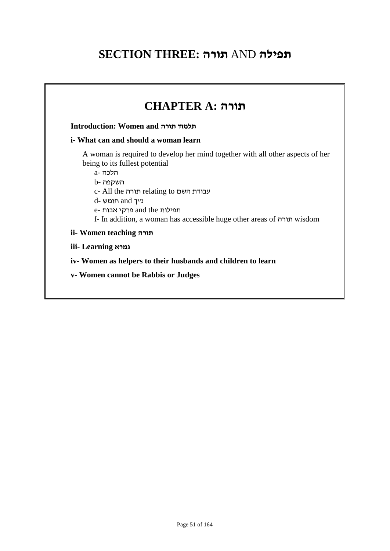# **SECTION THREE: תורה** AND **תפילה**

| <i>i</i> - What can and should a woman learn<br>A woman is required to develop her mind together with all other aspects of her                 |
|------------------------------------------------------------------------------------------------------------------------------------------------|
|                                                                                                                                                |
| c- All the תורה relating to עבודת השם<br>e- תפילות and the פרקי אבות<br>f- In addition, a woman has accessible huge other areas of חורה wisdom |
|                                                                                                                                                |
|                                                                                                                                                |
| iv-Women as helpers to their husbands and children to learn                                                                                    |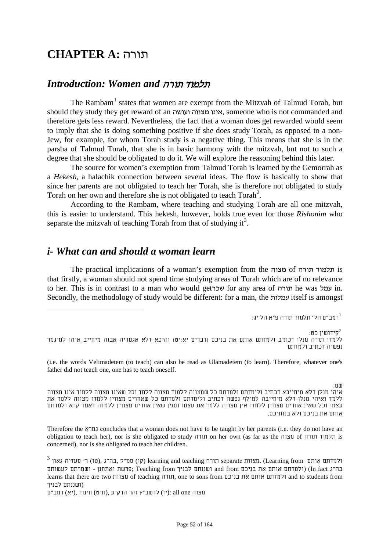# **CHAPTER A:** תורה

# *Introduction: Women and* תורה תלמוד

The Rambam<sup>1</sup> states that women are exempt from the Mitzvah of Talmud Torah, but should they study they get reward of an ועושה מצווה אינו, someone who is not commanded and therefore gets less reward. Nevertheless, the fact that a woman does get rewarded would seem to imply that she is doing something positive if she does study Torah, as opposed to a non-Jew, for example, for whom Torah study is a negative thing. This means that she is in the parsha of Talmud Torah, that she is in basic harmony with the mitzvah, but not to such a degree that she should be obligated to do it. We will explore the reasoning behind this later.

The source for women's exemption from Talmud Torah is learned by the Gemorrah as a *Hekesh,* a halachik connection between several ideas. The flow is basically to show that since her parents are not obligated to teach her Torah, she is therefore not obligated to study Torah on her own and therefore she is not obligated to teach Torah<sup>2</sup>.

According to the Rambam, where teaching and studying Torah are all one mitzvah, this is easier to understand. This hekesh, however, holds true even for those *Rishonim* who separate the mitzvah of teaching Torah from that of studying it<sup>3</sup>.

# *i- What can and should a woman learn*

The practical implications of a woman's exemption from the מצוה of תורה תלמוד is that firstly, a woman should not spend time studying areas of Torah which are of no relevance to her. This is in contrast to a man who would get עמל for any area of תורה he was עמל in. Secondly, the methodology of study would be different: for a man, the עמלות itself is amongst

 $\cdot$ רמב״ם הל׳ תלמוד תורה פ״א הל יג $^{-1}$ 

: קידושיו כט $^2$ ללמדו תורה מנלן דכתיב ולמדתם אותם את בניכם (דברים יא:יט) והיכא דלא אגמריה אבוה מיחייב איהו למיגמר נפשיה דכתיב ולמדתם

(i.e. the words Velimadetem (to teach) can also be read as Ulamadetem (to learn). Therefore, whatever one's father did not teach one, one has to teach oneself.

שם:

איהי מנלן דלא מיחייבא דכתיב ולימדתם ולמדתם כל שמצווה ללמוד מצווה ללמד וכל שאינו מצווה ללמוד אינו מצווה ללמד ואיהי מנלן דלא מיחייבה למילף נפשה דכתיב ולימדתם ולמדתם כל שאחרים מצווין ללמדו מצווה ללמד את עצמו וכל שאין אחרים מצווין ללמדו אין מצווה ללמד את עצמו ומנין שאין אחרים מצווין ללמדה דאמר קרא ולמדתם אותם את בניכם ולא בנותיכם.

Therefore the גמרא concludes that a woman does not have to be taught by her parents (i.e. they do not have an obligation to teach her), nor is she obligated to study תורה on her own (as far as the מצוה of תורה תלמוד is concerned), nor is she obligated to teach her children.

 $^3$  ולמדתם אותם (01) (דורה learning and teaching תורה separate תורה) ולמדתם אותם (Uearning from) ולמדתם אותם בה"ג fact In) (ולמדתם אותם את בניכם from and ושננתם לבניך from Teaching; פרשת ואתחנן - ושמרתם לעשותם learns that there are two מצוות of teaching תורה, one to sons from בניכם את אותם ולמדתם and to students from (ושננתם לבניך

מצוה one all :)יז) לרשב"ץ זהר הרקיע ,(תיט) חינוך ,(יא) רמב"ם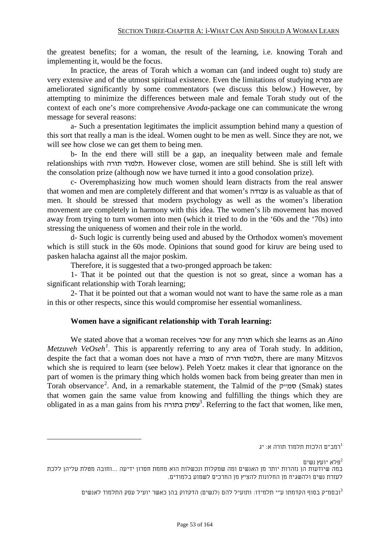the greatest benefits; for a woman, the result of the learning, i.e. knowing Torah and implementing it, would be the focus.

In practice, the areas of Torah which a woman can (and indeed ought to) study are very extensive and of the utmost spiritual existence. Even the limitations of studying גמרא are ameliorated significantly by some commentators (we discuss this below.) However, by attempting to minimize the differences between male and female Torah study out of the context of each one's more comprehensive *Avoda-*package one can communicate the wrong message for several reasons:

a- Such a presentation legitimates the implicit assumption behind many a question of this sort that really a man is the ideal. Women ought to be men as well. Since they are not, we will see how close we can get them to being men.

b- In the end there will still be a gap, an inequality between male and female relationships with תורה תלמוד. However close, women are still behind. She is still left with the consolation prize (although now we have turned it into a good consolation prize).

c- Overemphasizing how much women should learn distracts from the real answer that women and men are completely different and that women's עבודה is as valuable as that of men. It should be stressed that modern psychology as well as the women's liberation movement are completely in harmony with this idea. The women's lib movement has moved away from trying to turn women into men (which it tried to do in the '60s and the '70s) into stressing the uniqueness of women and their role in the world.

d- Such logic is currently being used and abused by the Orthodox women's movement which is still stuck in the 60s mode. Opinions that sound good for kiruv are being used to pasken halacha against all the major poskim.

Therefore, it is suggested that a two-pronged approach be taken:

1- That it be pointed out that the question is not so great, since a woman has a significant relationship with Torah learning;

2- That it be pointed out that a woman would not want to have the same role as a man in this or other respects, since this would compromise her essential womanliness.

# **Women have a significant relationship with Torah learning:**

<span id="page-52-0"></span>We stated above that a woman receives שכר for any תורה which she learns as an *Aino Metzuveh VeOseh*<sup>1</sup>. This is apparently referring to any area of Torah study. In addition, despite the fact that a woman does not have a מצוה of תורה תלמוד, there are many Mitzvos which she is required to learn (see below). Peleh Yoetz makes it clear that ignorance on the part of women is the primary thing which holds women back from being greater than men in Torah observance<sup>2</sup>. And, in a remarkable statement, the Talmid of the סמייק (Smak) states that women gain the same value from knowing and fulfilling the things which they are obligated in as a man gains from his *10F* <sup>3</sup> בתורה עסוק . Referring to the fact that women, like men,

רמב"ם הלכות תלמוד תורה א: יג $^{-1}$ 

פלא יועץ נשים $^2$ 

במה שיודעות הן נזהרות יותר מן האנשים ומה שמקלות ונכשלות הוא מחמת חסרון ידיעה ...וחובה מטלת עליהן ללכת לעזרת נשים ולהשגיח מן החלונות להציץ מן החרכים לשמוע בלמודים.

ובסמ"ק בסוף הקדמתו ע"י תלמידו: ותועיל להם (לנשים) הדקדוק בהן כאשר יועיל עסק התלמוד לאנשים $^3$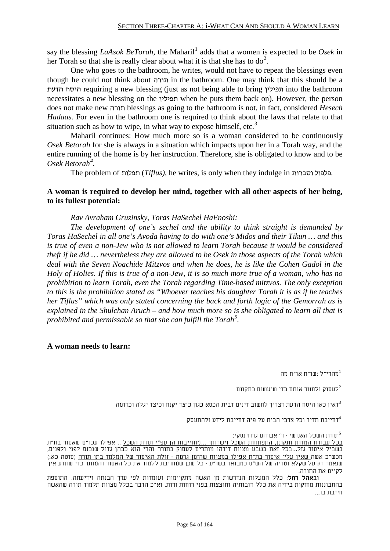say the blessing *LaAsok BeTorah*, the Maharil<sup>[1](#page-52-0)</sup> adds that a women is expected to be *Osek* in her Torah so that she is really clear about what it is that she has to  $do^2$  $do^2$ .

One who goes to the bathroom, he writes, would not have to repeat the blessings even though he could not think about תורה in the bathroom. One may think that this should be a הדעת היסח requiring a new blessing (just as not being able to bring תפילין into the bathroom necessitates a new blessing on the תפילין when he puts them back on). However, the person does not make new תורה blessings as going to the bathroom is not, in fact, considered *Hesech Hadaas.* For even in the bathroom one is required to think about the laws that relate to that situation such as how to wipe, in what way to expose himself, etc.<sup>3</sup>

Maharil continues: How much more so is a woman considered to be continuously *Osek Betorah* for she is always in a situation which impacts upon her in a Torah way, and the entire running of the home is by her instruction. Therefore, she is obligated to know and to be *Osek Betorah<sup>4</sup>*.

The problem of תפלות) *Tiflus)*, he writes, is only when they indulge in וסברות פלפול.

# **A woman is required to develop her mind, together with all other aspects of her being, to its fullest potential:**

## *Rav Avraham Gruzinsky, Toras HaSechel HaEnoshi:*

*The development of one's sechel and the ability to think straight is demanded by Toras HaSechel in all one's Avoda having to do with one's Midos and their Tikun … and this is true of even a non-Jew who is not allowed to learn Torah because it would be considered theft if he did … nevertheless they are allowed to be Osek in those aspects of the Torah which deal with the Seven Noachide Mitzvos and when he does, he is like the Cohen Gadol in the Holy of Holies. If this is true of a non-Jew, it is so much more true of a woman, who has no prohibition to learn Torah, even the Torah regarding Time-based mitzvos. The only exception to this is the prohibition stated as "Whoever teaches his daughter Torah it is as if he teaches her Tiflus" which was only stated concerning the back and forth logic of the Gemorrah as is explained in the Shulchan Aruch – and how much more so is she obligated to learn all that is*  prohibited and permissable so that she can fulfill the Torah<sup>5</sup>.

## **A woman needs to learn:**

<span id="page-53-0"></span>מהרי"ל :שו"ת או"ח מה 1

לעסוק ולחזור אותם כדי שיעשום כתקונם  $^2$ 

דאיו כאו היסח הדעת דצריך לחשוב דינים דבית הכסא כגון כיצד יקנח וכיצד יגלה וכדומה $^3$ 

דחייבת תדיר וכל צרכי הבית על פיה דחייבת לידע ולהתעסק $^4$ 

תורת השכל האנושי - ר' אברהם גרוזינסקי: $^5$ 

בכל עבודת המדות ותקונן, התפתחות השכל וישרותו ...מחוייבות הן עפ"י תורת השכל... אפילו עכו"ם שאסור בת"ת בשביל איסור גזל...בכל זאת בשבע מצוות דידהו מותרים לעסוק בתורה והרי הוא ככהן גדול שנכנס לפני ולפנים, מכש"כ אשה שאין עלי' איסור בת"ת אפילו במצוות שהזמן גרמה - זולת האיסור של המלמד בתו תורה (סוטה כא:) שנאמר רק על שקלא וטריה של הש"ס כמבואר בשו"ע - כל שכן שמחויבת ללמוד את כל האסור והמותר כדי שתדע איך לקיים את התורה.

ובאהל רחל: כלל המעלות הנדרשות מן האשה מתקיימות ועומדות לפי ערך הבנתה וידיעתה. התוספת בהתבוננות מחזקות בידיה את כלל חובותיה וחוצצות בפני רוחות זרות. וא"כ הדבר בכלל מצוות תלמוד תורה שהאשה חייבת בו...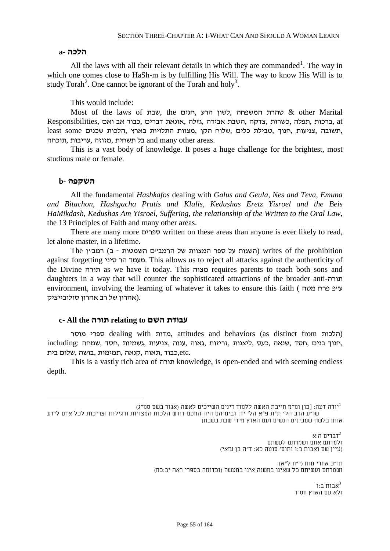#### **הלכה -a**

All the laws with all their relevant details in which they are commanded<sup>1</sup>. The way in which one comes close to HaSh-m is by fulfilling His Will. The way to know His Will is to study Torah<sup>2</sup>. One cannot be ignorant of the Torah and holy<sup>3</sup>.

This would include:

Most of the laws of שבת, the שבת, המשפחה לשון הרע, הגים at ,ברכות ,תפלה ,כשרות ,צדקה ,השבת אבידה ,גזלה ,אונאת דברים ,כבוד אב ואם ,Responsibilities ,תשובה ,צניעות ,חנוך ,טבילת כלים ,שלוח הקן ,מצוות התלויות בארץ ,הלכות שכנים some least .and many other areas. בל תשחית ,מזוזה ,עריבות ,תוכחה

This is a vast body of knowledge. It poses a huge challenge for the brightest, most studious male or female.

#### **השקפה -b**

All the fundamental *Hashkafos* dealing with *Galus and Geula, Nes and Teva, Emuna and Bitachon, Hashgacha Pratis and Klalis, Kedushas Eretz Yisroel and the Beis HaMikdash, Kedushas Am Yisroel, Suffering, the relationship of the Written to the Oral Law*, the 13 Principles of Faith and many other areas.

There are many more ספרים written on these areas than anyone is ever likely to read, let alone master, in a lifetime.

The השגות על ספר המצוות של הרמב"ם השמטות - ב) רמב"ן השגות על האגות על הרמב"ם השמטות against forgetting סיני הר מעמד. This allows us to reject all attacks against the authenticity of the Divine תורה as we have it today. This מצוה requires parents to teach both sons and daughters in a way that will counter the sophisticated attractions of the broader anti-תורה environment, involving the learning of whatever it takes to ensure this faith ( עייפ פרח פטה .(אהרון של רב אהרון סולובייציק

#### **c- All the תורה relating to השם עבודת**

מוסר ספרי dealing with מדות, attitudes and behaviors (as distinct from הלכות ( ,חנוך בנים ,חסד ,שנאה ,כעס ,ליצנות ,זריזות ,גאוה ,ענוה ,צניעות ,גשמיות ,חסד ,שמחה :including .etc,כבוד ,תאוה ,קנאה ,תמימות ,בושה ,שלום בית

This is a vastly rich area of תורה knowledge, is open-ended and with seeming endless depth.

יורה דעה: [כו] ומ"מ חייבת האשה ללמוד דינים השייכים לאשה (אגור בשם סמ"ג) 1 שו"ע הרב הל' ת"ת פ"א הל' יד: ובימיהם היה החכם דורש הלכות המצויות ורגילות וצריכות לכל אדם לידע

אותן בלשון שמבינים הנשים ועם הארץ מידי שבת בשבתן

דברים ה:א $^2$ ולמדתם אתם ושמרתם לעשתם (עיין שם ואבות ב:ו ותוס' סוטה כא: ד"ה בן עזאי)

תו"כ אחרי מות (י"ח ל"א): ושמרתם ועשיתם כל שאינו במשנה אינו במעשה (וכדומה בספרי ראה יב:כח)

> ארוח ר $\cdot$ ו ולא עם הארץ חסיד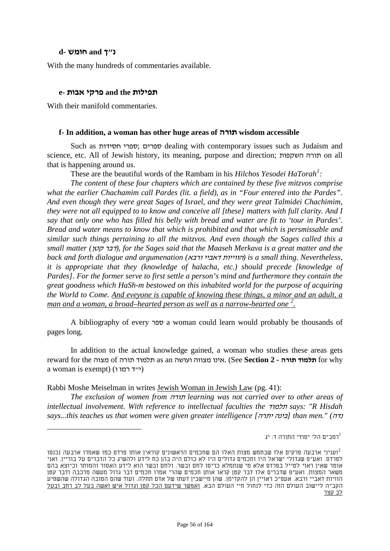## **נ"ך and חומש -d**

With the many hundreds of commentaries available.

#### **תפילות the and פרקי אבות -e**

With their manifold commentaries.

#### **f- In addition, a woman has other huge areas of תורה wisdom accessible**

Such as ספרים; הספרי dealing with contemporary issues such as Judaism and science, etc. All of Jewish history, its meaning, purpose and direction; השקפות תורה on all that is happening around us.

These are the beautiful words of the Rambam in his *Hilchos Yesodei HaTorah<sup>1</sup>*:

*The content of these four chapters which are contained by these five mitzvos comprise what the earlier Chachamim call Pardes (lit. a field), as in "Four entered into the Pardes". And even though they were great Sages of Israel, and they were great Talmidei Chachimim, they were not all equipped to to know and conceive all [these] matters with full clarity. And I say that only one who has filled his belly with bread and water are fit to 'tour in Pardes'. Bread and water means to know that which is prohibited and that which is persmissable and similar such things pertaining to all the mitzvos. And even though the Sages called this a small matter (*קטן דבר*(, for the Sages said that the Maaseh Merkava is a great matter and the back and forth dialogue and argumenation (*ורבא דאביי הווייות *(is a small thing. Nevertheless, it is appropriate that they (knowledge of halacha, etc.) should precede [knowledge of Pardes]. For the former serve to first settle a person's mind and furthermore they contain the great goodness which HaSh-m bestowed on this inhabited world for the purpose of acquiring the World to Come. And eveyone is capable of knowing these things, a minor and an adult, a man and a woman, a broad–hearted person as well as a narrow-hearted one*<sup>2</sup>.

A bibliography of every ספר a woman could learn would probably be thousands of pages long.

In addition to the actual knowledge gained, a woman who studies these areas gets reward for the מצוה of תורה תלמוד as an ועושה מצווה אינו.) See **Section 2 - תורה תלמוד** for why a woman is exempt) (ייד רמו ו)

Rabbi Moshe Meiselman in writes Jewish Woman in Jewish Law (pg. 41):

*The exclusion of women from* תורה *learning was not carried over to other areas of intellectual involvement. With reference to intellectual faculties the* תלמוד *says: "R Hisdah says...this teaches us that women were given greater intelligence [*יתרה בינה *[than men." (*נדה

רמב"ם הל' יסודי התורה ד: יג $^{-1}$ 

ועניני ארבעה פרקים אלו שבחמש מצות האלו הם שחכמים הראשונים קוראין אותו פרדס כמו שאמרו ארבעה נכנסו $^2$ לפרדס. ואע"פ שגדולי ישראל היו וחכמים גדולים היו לא כולם היה בהן כח לידע ולהשיג כל הדברים על בוריין. ואני אומר שאין ראוי לטייל בפרדס אלא מי שנתמלא כריסו לחם ובשר. ולחם ובשר הוא לידע האסור והמותר וכיוצא בהם משאר המצות. ואע"פ שדברים אלו דבר קטן קראו אותן חכמים שהרי אמרו חכמים דבר גדול מעשה מרכבה ודבר קטן הוויות דאביי ורבא. אעפ"כ ראויין הן להקדימן. שהן מיישבין דעתו של אדם תחלה. ועוד שהם הטובה הגדולה שהשפיע הקב"ה ליישוב העולם הזה כדי לנחול חיי העולם הבא. ואפשר שידעם הכל קטן וגדול איש ואשה בעל לב רחב ובעל לב קצר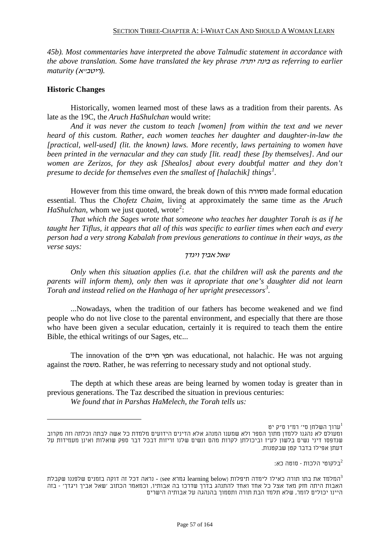*45b). Most commentaries have interpreted the above Talmudic statement in accordance with the above translation. Some have translated the key phrase* יתרה בינה *as referring to earlier .(*ריטב"א*) maturity*

## **Historic Changes**

Historically, women learned most of these laws as a tradition from their parents. As late as the 19C, the *Aruch HaShulchan* would write:

*And it was never the custom to teach [women] from within the text and we never heard of this custom. Rather, each women teaches her daughter and daughter-in-law the [practical, well-used] (lit. the known) laws. More recently, laws pertaining to women have been printed in the vernacular and they can study [lit. read] these [by themselves]. And our women are Zerizos, for they ask [Shealos] about every doubtful matter and they don't*  presume to decide for themselves even the smallest of [halachik] things<sup>1</sup>.

However from this time onward, the break down of this מסורה made formal education essential. Thus the *Chofetz Chaim,* living at approximately the same time as the *Aruch HaShulchan*, whom we just quoted, wrote<sup>2</sup>:

*That which the Sages wrote that someone who teaches her daughter Torah is as if he taught her Tiflus, it appears that all of this was specific to earlier times when each and every person had a very strong Kabalah from previous generations to continue in their ways, as the verse says:*

#### שאל אביך ויגדך

*Only when this situation applies (i.e. that the children will ask the parents and the parents will inform them), only then was it apropriate that one's daughter did not learn Torah and instead relied on the Hanhaga of her upright presecessors<sup>3</sup>.* 

...Nowadays, when the tradition of our fathers has become weakened and we find people who do not live close to the parental environment, and especially that there are those who have been given a secular education, certainly it is required to teach them the entire Bible, the ethical writings of our Sages, etc...

The innovation of the חיים חפץ was educational, not halachic. He was not arguing against the משנה. Rather, he was referring to necessary study and not optional study.

The depth at which these areas are being learned by women today is greater than in previous generations. The Taz described the situation in previous centuries:

*We found that in Parshas HaMelech, the Torah tells us:*

בלקוטי הלכות - סוטה כא:  $^2$ 

ערוך השלחן סי' רמ"ו ס"ק יט 1 ומעולם לא נהגנו ללמדן מתוך הספר ולא שמענו המנהג אלא הדינים הידועים מלמדת כל אשה לבתה וכלתה וזה מקרוב שנדפסו דיני נשים בלשון לע"ז וביכולתן לקרות מהם ונשים שלנו זריזות דבכל דבר ספק שואלות ואינן מעמידות על דעתן אפילו בדבר קטן שבקטנות.

המלמד את בתו תורה כאילו לימדה תיפלות (below learning below גמרא see) - נראה דכל זה דוקה בזמנים שלפננו שקבלת 3-האבות היתה חזק מאד אצל כל אחד ואחד להתנהג בדרך שדרכו בה אבותיו, וכמאמר הכתוב 'שאל אביך ויגדך' - בזה היינו יכולים לומר, שלא תלמד הבת תורה ותסמוך בהנהגה על אבותיה הישרים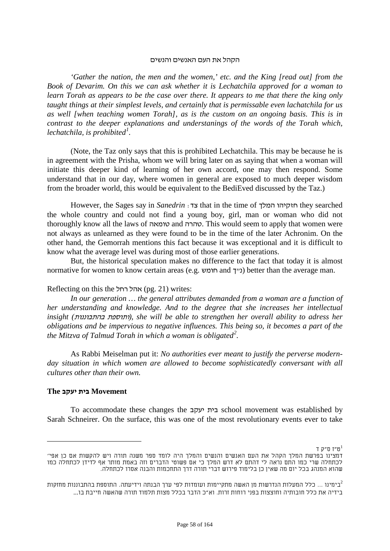#### הקהל את העם האנשים והנשים

*'Gather the nation, the men and the women,' etc. and the King [read out] from the Book of Devarim. On this we can ask whether it is Lechatchila approved for a woman to learn Torah as appears to be the case over there. It appears to me that there the king only taught things at their simplest levels, and certainly that is permissable even lachatchila for us as well [when teaching women Torah], as is the custom on an ongoing basis. This is in contrast to the deeper explanations and understanings of the words of the Torah which, lechatchila, is prohibited*<sup>1</sup>.

(Note, the Taz only says that this is prohibited Lechatchila. This may be because he is in agreement with the Prisha, whom we will bring later on as saying that when a woman will initiate this deeper kind of learning of her own accord, one may then respond. Some understand that in our day, where women in general are exposed to much deeper wisdom from the broader world, this would be equivalent to the BediEved discussed by the Taz.)

However, the Sages say in *Sanedrin* :צד that in the time of המלך חזקיהו they searched the whole country and could not find a young boy, girl, man or woman who did not thoroughly know all the laws of טומאה and טהרה. This would seem to apply that women were not always as unlearned as they were found to be in the time of the later Achronim. On the other hand, the Gemorrah mentions this fact because it was exceptional and it is difficult to know what the average level was during most of those earlier generations.

But, the historical speculation makes no difference to the fact that today it is almost normative for women to know certain areas (e.g. חומש) better than the average man.

#### Reflecting on this the אהל רחל) writes:

*In our generation … the general attributes demanded from a woman are a function of her understanding and knowledge. And to the degree that she increases her intellectual insight (*בהתבוננות ותוספת*(, she will be able to strengthen her overall ability to adress her obligations and be impervious to negative influences. This being so, it becomes a part of the the Mitzva of Talmud Torah in which a woman is obligated<sup>2</sup>.* 

As Rabbi Meiselman put it: *No authorities ever meant to justify the perverse modernday situation in which women are allowed to become sophisticatedly conversant with all cultures other than their own.*

#### **Movement בית יעקב The**

To accommodate these changes the יעקב בית school movement was established by Sarah Schneirer. On the surface, this was one of the most revolutionary events ever to take

ט"ז ס"ק ד 1 דמצינו בפרשת המלך הקהל את העם האנשים והנשים והמלך היה לומד ספר משנה תורה ויש להקשות אם כן אפי' לכתחלה שרי כמו התם נראה לי דהתם לא דרש המלך כי אם פשוטי הדברים וזה באמת מותר אף לדידן לכתחלה כמו שהוא המנהג בכל יום מה שאין כן בלימוד פירוש דברי תורה דרך התחכמות והבנה אסרו לכתחלה.

כימינו ... כלל המעלות הנדרשות מן האשה מתקיימות ועומדות לפי ערך הבנתה וידיעתה. התוספת בהתבוננות מחזקות $^2$ בידיה את כלל חובותיה וחוצצות בפני רוחות זרות. וא"כ הדבר בכלל מצות תלמוד תורה שהאשה חייבת בו...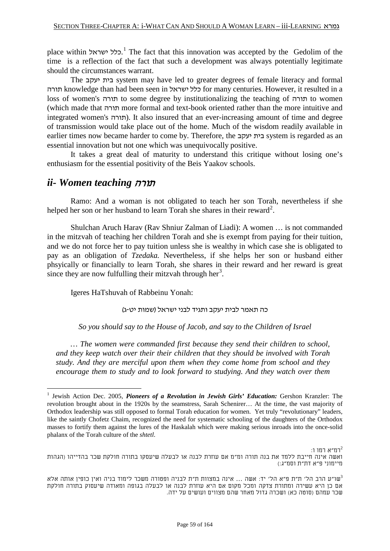place within יכלל ישראל.<sup>1</sup> The fact that this innovation was accepted by the Gedolim of the time is a reflection of the fact that such a development was always potentially legitimate should the circumstances warrant.

The יעקב בית system may have led to greater degrees of female literacy and formal תורה knowledge than had been seen in כלל ישראל for many centuries. However, it resulted in a loss of women's תורה to some degree by institutionalizing the teaching of תורה to women (which made that תורה more formal and text-book oriented rather than the more intuitive and integrated women's תורה). It also insured that an ever-increasing amount of time and degree of transmission would take place out of the home. Much of the wisdom readily available in earlier times now became harder to come by. Therefore, the יעקב בית system is regarded as an essential innovation but not one which was unequivocally positive.

It takes a great deal of maturity to understand this critique without losing one's enthusiasm for the essential positivity of the Beis Yaakov schools.

# *ii- Women teaching* תורה

Ramo: And a woman is not obligated to teach her son Torah, nevertheless if she helped her son or her husband to learn Torah she shares in their reward<sup>2</sup>.

Shulchan Aruch Harav (Rav Shniur Zalman of Liadi): A women … is not commanded in the mitzvah of teaching her children Torah and she is exempt from paying for their tuition, and we do not force her to pay tuition unless she is wealthy in which case she is obligated to pay as an obligation of *Tzedaka.* Nevertheless, if she helps her son or husband either phsyically or financially to learn Torah, she shares in their reward and her reward is great since they are now fulfulling their mitzvah through her<sup>3</sup>.

Igeres HaTshuvah of Rabbeinu Yonah:

כה תאמר לבית יעקב ותגיד לבני ישראל (שמות יט-ג)

*So you should say to the House of Jacob, and say to the Children of Israel*

*… The women were commanded first because they send their children to school, and they keep watch over their their children that they should be involved with Torah study. And they are merciful upon them when they come home from school and they encourage them to study and to look forward to studying. And they watch over them* 

 $:$ רמ"א רמו ו $^2$ ואשה אינה חייבת ללמד את בנה תורה ומ"מ אם עוזרת לבנה או לבעלה שיעסקו בתורה חולקת שכר בהדייהו (הגהות מיימוני פ"א דת"ת וסמ"ג:)

שו"ע הרב הל' ת"ת פ"א הל' יד: אשה ... אינה במצוות ת"ת לבניה ופטורה משכר לימוד בניה ואין כופין אותה אלא  $^{3}$ אם כן היא עשירה ומתורת צדקה ומכל מקום אם היא עוזרת לבנה או לבעלה בגופה ומאודה שיעסוק בתורה חולקת שכר עמהם (סוטה כא) ושכרה גדול מאחר שהם מצווים ועושים על ידה.

 <sup>1</sup> Jewish Action Dec. 2005, *Pioneers of a Revolution in Jewish Girls' Education:* Gershon Kranzler: The revolution brought about in the 1920s by the seamstress, Sarah Schenirer… At the time, the vast majority of Orthodox leadership was still opposed to formal Torah education for women. Yet truly "revolutionary" leaders, like the saintly Chofetz Chaim, recognized the need for systematic schooling of the daughters of the Orthodox masses to fortify them against the lures of the Haskalah which were making serious inroads into the once-solid phalanx of the Torah culture of the *shtetl*.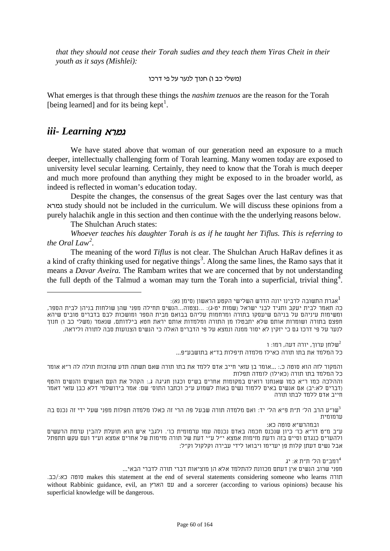*that they should not cease their Torah sudies and they teach them Yiras Cheit in their youth as it says (Mishlei):* 

#### (משלי כב ו) חנוך לנער על פי דרכו

What emerges is that through these things the *nashim tzenuos* are the reason for the Torah [being learned] and for its being kept<sup>1</sup>.

# *iii- Learning* גמרא

We have stated above that woman of our generation need an exposure to a much deeper, intellectually challenging form of Torah learning. Many women today are exposed to university level secular learning. Certainly, they need to know that the Torah is much deeper and much more profound than anything they might be exposed to in the broader world, as indeed is reflected in woman's education today.

Despite the changes, the consensus of the great Sages over the last century was that גמרא study should not be included in the curriculum. We will discuss these opinions from a purely halachik angle in this section and then continue with the the underlying reasons below.

The Shulchan Aruch states:

*Whoever teaches his daughter Torah is as if he taught her Tiflus. This is referring to the Oral Law*<sup>2</sup>.

The meaning of the word *Tiflus* is not clear. The Shulchan Aruch HaRav defines it as a kind of crafty thinking used for negative things<sup>3</sup>. Along the same lines, the Ramo says that it means a *Davar Aveira.* The Rambam writes that we are concerned that by not understanding the full depth of the Talmud a woman may turn the Torah into a superficial, trivial thing<sup>4</sup>.

שלחן ערוך, יורה דעה, רמו: ו $\mathfrak{u}^2$ כל המלמד את בתו תורה כאילו מלמדה תיפלות בד"א בתושבע"פ...

והמקור לזה הוא סוטה כ:. ...אומר בן עזאי חייב אדם ללמד את בתו תורה שאם תשתה תדע שהזכות תולה לה ר"א אומר כל המלמד בתו תורה (כאילו) לומדה תפלות

וההלכה כמו ר"א כמו שאנחנו רואים במקומות אחרים בש"ס וכגון חגיגה ג:. הקהל את העם האנשים והנשים והטף (דברים לא:יב) אם אנשים באים ללמוד נשים באות לשמוע ע"כ וכתבו התוס' שם: אמר בירושלמי דלא כבן עזאי דאמר חייב אדם ללמד לבתו תורה

שו"ע הרב הל' ת"ת פ"א הל' יד: ואם מלמדה תורה שבעל פה הרי זה כאלו מלמדה תפלות מפני שעל ידי זה נכנס בה" ערמומית

ובמהרש"א סוטה כא:

רמב"ם הל' ת"ת א: יג $^4$ 

מפני שרוב הנשים אין דעתם מכוונת להתלמד אלא הן מוציאות דברי תורה לדברי הבאי...

אגרת התשובה לרבינו יונה הדרש השלישי הקטע הראשון (סימן נא): 1

כה תאמר לבית יעקב ותגיד לבני ישראל (שמות יט-ג): ...נצטוה...הנשים תחילה מפני שהן שולחות בניהן לבית הספר, ומשימות עיניהם על בניהם שיעסקו בתורה ומרחמות עליהם בבואם מבית הספר ומושכות לבם בדברים טובים שיהא חפצם בתורה ושומרות אותם שלא יתבטלו מן התורה ומלמדות אותם יראת חטא בילדותם, שנאמר (משלי כב ו) חנוך לנער על פי דרכו גם כי יזקין לא יסור ממנה ונמצא על פי הדברים האלה כי הנשים הצנועות סבה לתורה וליראה.

ע"ב מ"ט דר"א כו' כיון שנכנס חכמה באדם נכנסה עמו ערמומית כו'. ולגבי איש הוא תועלת להבין ערמת הרעשים ולהערים כנגדם וסיים בזה ודעת מזימות אמצא י"ל ע"י דעת של תורה מזימות של אחרים אמצא וע"ד ועם עקש תתפתל אבל נשים דעתן קלות פן יערימו ויבואו לידי עבירה וקלקול וק"ל:

תורה makes this statement at the end of several statements considering someone who learns חורה without Rabbinic guidance, evil, an הארץ עם and a sorcerer (according to various opinions) because his superficial knowledge will be dangerous.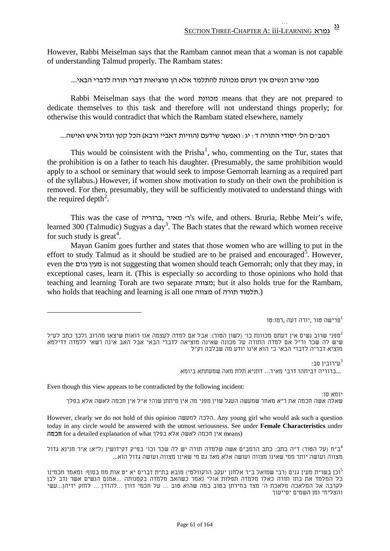However, Rabbi Meiselman says that the Rambam cannot mean that a woman is not capable of understanding Talmud properly. The Rambam states:

מפני שרוב הנשים אין דעתם מכוונת להתלמד אלא הן מוציאות דברי תורה לדברי הבאי...

Rabbi Meiselman says that the word מכוונת means that they are not prepared to dedicate themselves to this task and therefore will not understand things properly; for otherwise this would contradict that which the Rambam stated elsewhere, namely

רמב"ם הל' יסודי התורה ד: יג: ואפשר שידעם (הוויות דאביי ורבא) הכל קטן וגדול איש ואישה...

This would be coinsistent with the Prisha<sup>1</sup>, who, commenting on the Tur, states that the prohibition is on a father to teach his daughter. (Presumably, the same prohibition would apply to a school or seminary that would seek to impose Gemorrah learning as a required part of the syllabus.) However, if women show motivation to study on their own the prohibition is removed. For then, presumably, they will be sufficiently motivated to understand things with the required depth<sup>2</sup>.

This was the case of ברוריה, מאיר' ר's wife, and others. Bruria, Rebbe Meir's wife, learned 300 (Talmudic) Sugyas a day<sup>3</sup>. The Bach states that the reward which women receive for such study is great<sup>4</sup>.

Mayan Ganim goes further and states that those women who are willing to put in the effort to study Talmud as it should be studied are to be praised and encouraged<sup>5</sup>. However, even the גנים מעין is not suggesting that women should teach Gemorrah; only that they may, in exceptional cases, learn it. (This is especially so according to those opinions who hold that teaching and learning Torah are two separate מצוות; but it also holds true for the Rambam, who holds that teaching and learning is all one מצווה of תורה תלמוד.(

פרישה טור ,יורה דעה ,רמו:טו $^1$ 

:עירובין סב $^3$ 

...ברוריה דביתהו דרבי מאיר... דתניא תלת מאה שמעתתא ביומא

Even though this view appears to be contradicted by the following incident:

יומא סו:

שאלה אשה חכמה את ר"א מאחר שמעשה העגל שוין מפני מה אין מיתתן שוה? א"ל אין חכמה לאשה אלא בפלך

However, clearly we do not hold of this opinion למעשה הלכה. Any young girl who would ask such a question today in any circle would be answered with the utmost seriousness. See under **Female Characteristics** under nca detailed explanation of what אין חכמה לאשה אלא בפלך for a detailed explanation of what

ב"ח (על הטור) ד"ה כתב: כתב הרמב"ם אשה שלמדה תורה יש לה שכר וכו' בפ"ק דקידושין (ל"א) א"ר חנינא גדול 4 מצווה ועושה יותר ממי שאינו מצווה ועושה אלא מאד גם מי שאינו מצווה ועושה גדול הוא...

וכן בשו"ת מעין גנים (רבי שמואל ב"ר אלחנן יעקב הרקוולטי) מובא בת"ת דברים יא יט אות מח בסוף: ומאמר חכמינו <sup>5</sup> כל המלמד את בתו תורה כאלו מלמדה תפלות אולי נאמר כשהאב מלמדה בקטנותה ...אמנם הנשים אשר נדב לבן לקרבה אל המלאכה מלאכת ה' מצד בחירתן בטוב במה שהוא טוב ... על חכמי דורן ...להדרן ... לחזק ידיהן...עשי והצליחי ומן השמים יסייעוך

<span id="page-60-0"></span>מפני שרוב נשים אין דעתם מכוונת כו' (לשון הטור): אבל אם למדה לעצמה אנו רואות שיצאו מהרוב ולכך כתב לעיל $^2$ שיש לה שכר ור"ל אם למדה התורה על מכונה שאינה מוציאה לדברי הבאי אבל האב אינה רשאי ללמדה דדילמא מוציא דבריה לדברי הבאי כי הוא אינו יודע מה שבלבה וק"ל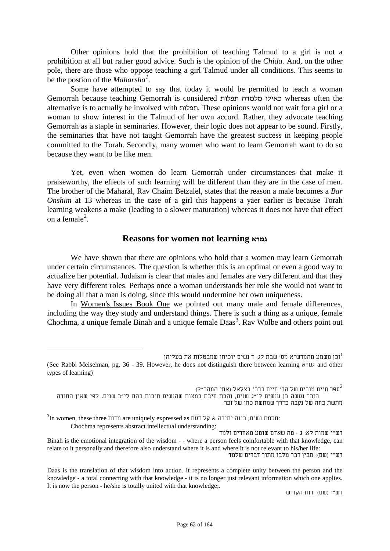Other opinions hold that the prohibition of teaching Talmud to a girl is not a prohibition at all but rather good advice. Such is the opinion of the *Chida.* And, on the other pole, there are those who oppose teaching a girl Talmud under all conditions. This seems to be the postion of the *Maharsha[1](#page-60-0) .*

Some have attempted to say that today it would be permitted to teach a woman Gemorrah because teaching Gemorrah is considered תפלות מלמדה כאילו whereas often the alternative is to actually be involved with תפלות. These opinions would not wait for a girl or a woman to show interest in the Talmud of her own accord. Rather, they advocate teaching Gemorrah as a staple in seminaries. However, their logic does not appear to be sound. Firstly, the seminaries that have not taught Gemorrah have the greatest success in keeping people committed to the Torah. Secondly, many women who want to learn Gemorrah want to do so because they want to be like men.

Yet, even when women do learn Gemorrah under circumstances that make it praiseworthy, the effects of such learning will be different than they are in the case of men. The brother of the Maharal, Rav Chaim Betzalel, states that the reason a male becomes a *Bar Onshim* at 13 whereas in the case of a girl this happens a yaer earlier is because Torah learning weakens a make (leading to a slower maturation) whereas it does not have that effect on a female<sup>2</sup>.

## **Reasons for women not learning גמרא**

We have shown that there are opinions who hold that a women may learn Gemorrah under certain circumstances. The question is whether this is an optimal or even a good way to actualize her potential. Judaism is clear that males and females are very different and that they have very different roles. Perhaps once a woman understands her role she would not want to be doing all that a man is doing, since this would undermine her own uniqueness.

In Women's Issues Book One we pointed out many male and female differences, including the way they study and understand things. There is such a thing as a unique, female Chochma, a unique female Binah and a unique female Daas<sup>3</sup>. Rav Wolbe and others point out

ספר חיים טובים של הר' חיים ברבי בצלאל (אחי המהר"ל) $^2$ 

 $^3$ In women, these three תדות are uniquely expressed as קל דעת:

Chochma represents abstract intellectual understanding:

רש"י (שם): מבין דבר מלבו מתוך דברים שלמד

רש"י (שם): רוח הקודש

וכן משמע מהמרש"א מס' שבת לג: ד נשים יוכיחו שמבטלות את בעליהן (See Rabbi Meiselman, pg. 36 - 39. However, he does not distinguish there between learning גמרא and other types of learning)

הזכר נעשה בן ענשים לי"ג שנים, והבת חיבת במצות שהנשים חיבות בהם לי"ב שנים, לפי שאין התורה מתשת כחה של נקבה כדרך שמתשת כחו של זכר.

רש"י שמות לא: ג - מה שאדם שומע מאחרים ולמד Binah is the emotional integration of the wisdom - - where a person feels comfortable with that knowledge, can relate to it personally and therefore also understand where it is and where it is not relevant to his/her life:

Daas is the translation of that wisdom into action. It represents a complete unity between the person and the knowledge - a total connecting with that knowledge - it is no longer just relevant information which one applies. It is now the person - he/she is totally united with that knowledge;.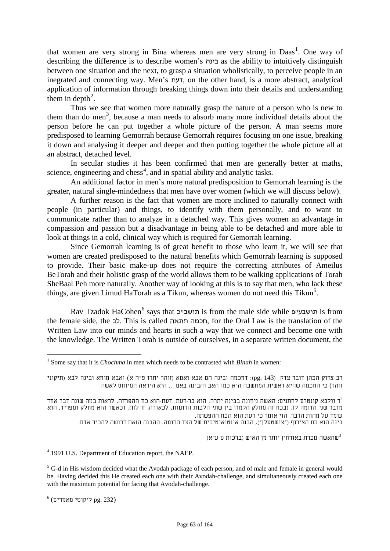that women are very strong in Bina whereas men are very strong in Daas<sup>1</sup>. One way of describing the difference is to describe women's בינה as the ability to intuitively distinguish between one situation and the next, to grasp a situation wholistically, to perceive people in an inegrated and connecting way. Men's דעת, on the other hand, is a more abstract, analytical application of information through breaking things down into their details and understanding them in depth<sup>2</sup>.

Thus we see that women more naturally grasp the nature of a person who is new to them than do men<sup>3</sup>, because a man needs to absorb many more individual details about the person before he can put together a whole picture of the person. A man seems more predisposed to learning Gemorrah because Gemorrah requires focusing on one issue, breaking it down and analysing it deeper and deeper and then putting together the whole picture all at an abstract, detached level.

In secular studies it has been confirmed that men are generally better at maths, science, engineering and chess<sup>4</sup>, and in spatial ability and analytic tasks.

An additional factor in men's more natural predisposition to Gemorrah learning is the greater, natural single-mindedness that men have over women (which we will discuss below).

A further reason is the fact that women are more inclined to naturally connect with people (in particular) and things, to identify with them personally, and to want to communicate rather than to analyze in a detached way. This gives women an advantage in compassion and passion but a disadvantage in being able to be detached and more able to look at things in a cold, clinical way which is required for Gemorrah learning.

Since Gemorrah learning is of great benefit to those who learn it, we will see that women are created predisposed to the natural benefits which Gemorrah learning is supposed to provide. Their basic make-up does not require the correcting attributes of Ameilus BeTorah and their holistic grasp of the world allows them to be walking applications of Torah SheBaal Peh more naturally. Another way of looking at this is to say that men, who lack these things, are given Limud HaTorah as a Tikun, whereas women do not need this Tikun<sup>5</sup>.

Rav Tzadok HaCohen<sup>6</sup> says that תושבעיים is from the male side while תושבעיים the female side, the לב. This is called תתאה חכמה, for the Oral Law is the translation of the Written Law into our minds and hearts in such a way that we connect and become one with the knowledge. The Written Torah is outside of ourselves, in a separate written document, the

בינה הוא כח הצירוף ("צושטעלן"), הבנה אינטואיטיבית של הצד הדומה. ההבנה הזאת דרושה להכיר אדם.

שהאשה מכרת באורחין יותר מן האיש (ברכות ט ע"א) $^3$ 

<sup>4</sup> 1991 U.S. Department of Education report, the NAEP.

 $<sup>5</sup>$  G-d in His wisdom decided what the Avodah package of each person, and of male and female in general would</sup> be. Having decided this He created each one with their Avodah-challenge, and simultaneously created each one with the maximum potential for facing that Avodah-challenge.

 $<sup>6</sup>$  (232 .pg ליקוטי מאמרים)</sup>

 <sup>1</sup> Some say that it is *Chochma* in men which needs to be contrasted with *Binah* in women:

רב צדוק הכהן דובר צדק (143 .pg(: דחכמה ובינה הם אבא ואמא (זוהר יתרו פ"ה א) ואבא מוחא ובינה לבא (תיקוני זוהר) כי החכמה שהיא ראשית המחשבה היא כמו האב והבינה באם ... היא היראה המיוחס לאשה

ר וולבא קונטרס לחתנים: האשה ניחונה בבינה יתרה. הוא בר-דעת. דעת-הוא כח ההפרדה, לראות במה שונה דבר אחד  $^2$ מדבר שני הדומה לו. (בכח זה מחלק הלמדן בין שתי הלכות הדומות, לכאורה, זו לזו). וכאשר הוא מחלק ומפריד, הוא עומד על מהות הדבר. הוי אומר כי דעת הוא הכח ההפשתה.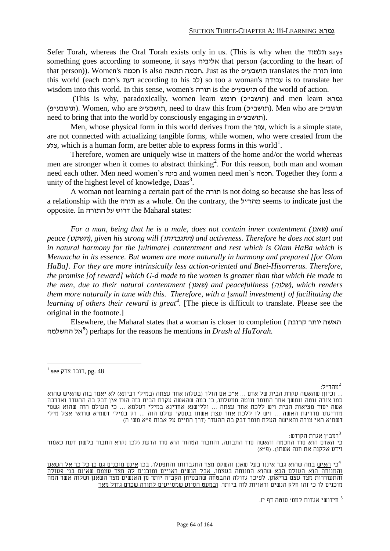Sefer Torah, whereas the Oral Torah exists only in us. (This is why when the תלמוד says something goes according to someone, it says אליביה that person (according to the heart of that person)). Women's חכמה is also תתאה חכמה. Just as the פ"תושבע translates the תורה into this world (each דעת according to his לב) so too a woman's לעבודה is to translate her wisdom into this world. In this sense, women's תורה is the תושבעיים of the world of action.

(This is why, paradoxically, women learn חומש) and men learn גמרא (תושבעים). Women, who are תושבעים, need to draw this from (תושבעיה). Men who are תושבעיה) need to bring that into the world by consciously engaging in  $n$ תושבעיים).

Men, whose physical form in this world derives from the עפר, which is a simple state, are not connected with actualizing tangible forms, while women, who were created from the צלע, which is a human form, are better able to express forms in this world<sup>1</sup>.

Therefore, women are uniquely wise in matters of the home and/or the world whereas men are stronger when it comes to abstract thinking<sup>2</sup>. For this reason, both man and woman need each other. Men need women's בינה and women need men's חכמה. Together they form a unity of the highest level of knowledge, Daas<sup>3</sup>.

A woman not learning a certain part of the תורה is not doing so because she has less of a relationship with the תורה as a whole. On the contrary, the להר seems to indicate just the opposite. In התורה על דרוש the Maharal states:

*For a man, being that he is a male, does not contain inner contentment (*שאנן *(and peace (השקט)*, given his strong will (התגברותו) and activeness. Therefore he does not start out *in natural harmony for the [ultimate] contentment and rest which is Olam HaBa which is Menuacha in its essence. But women are more naturally in harmony and prepared [for Olam HaBa]. For they are more intrinsically less action-oriented and Bnei-Hisorrerus. Therefore, the promise [of reward] which G-d made to the women is greater than that which He made to the men, due to their natural contentment (*שאנן *(and peacefullness (*שלוה*(, which renders them more naturally in tune with this. Therefore, with a [small investment] of facilitating the learning of others their reward is great<sup>4</sup>.* [The piece is difficult to translate. Please see the original in the footnote.]

Elsewhere, the Maharal states that a woman is closer to completion ( קרובה יותר האשה *<sup>F</sup> <sup>14</sup>* אל ההשלמה 5 ) perhaps for the reasons he mentions in *Drush al HaTorah.*

:מהר"ל $^2$ 

 $\cdot$ רמב"ן אגרת הקודש $\cdot$ 

חידושי אגדות למס' סוטה דף יז. <sup>5</sup>

 $^{1}$  see דובר צדק. pg. 48

<sup>... (</sup>כיון) שהאשה עקרת הבית של אדם ... א"כ אם הולך (בעלה) אחר עצתה (במילי דביתא) לא יאמר בזה שהאיש שהוא כמו צורה נוטה ונמשך אחר החומר ונוטה ממעלתו, כי במה שהאשה עקרת הבית בזה הצד אין דבק בה ההעדר ואדרבה אשה יסוד מציאות הבית ויש ללכת אחר עצתה ... וללישנא אחרינא במילי דעלמא ... כי העולם הזה שהוא גשמי מדריגתו מדריגת האשה ... ויש לו ללכת אחר עצת אשתו בעסקי עולם הזה ... רק במילי דשמיא שודאי אצל מילי דשמיא האי צורה והאישה העלת חומר דבק בה ההעדר (דרך החיים על אבות פ"א מש' ה)

כי האדם הוא סוד החכמה והאשה סוד התבונה, והחבור הטהור הוא סוד הדעת (לכן נקרא החבור בלשון דעת כאמור וידע אלקנה את חנה אשתו). (פ"א)

כי האיש במה שהוא גבר איננו בעל שאנן והשקט מצד התגברותו והתפעלו, בכן <u>אינם מוכנים גם כן כל כך אל השאנן</u> והמנוחה הוא העולם הבא שהוא המנוחה בעצמו. אבל הנשים ראויים ומוכנים לה מצד עצמם שאינם בני פעולה <u>והתעוררות מצד עצם בריאתן,</u> לפיכך גדולה ההבטחה שהבטיחן הקב"ה יותר מן האנשים מצד השאנן ושלוה אשר המה מוכנים לו כי זהו חלק הנשים וראויות לזה ביותר. ובמעט הסיוע שמסייעים לתורה שכרם גדול מאד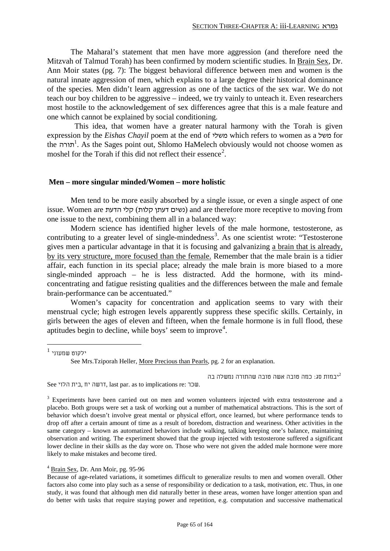The Maharal's statement that men have more aggression (and therefore need the Mitzvah of Talmud Torah) has been confirmed by modern scientific studies. In Brain Sex*,* Dr. Ann Moir states (pg. 7): The biggest behavioral difference between men and women is the natural innate aggression of men, which explains to a large degree their historical dominance of the species. Men didn't learn aggression as one of the tactics of the sex war. We do not teach our boy children to be aggressive – indeed, we try vainly to unteach it. Even researchers most hostile to the acknowledgement of sex differences agree that this is a male feature and one which cannot be explained by social conditioning.

 This idea, that women have a greater natural harmony with the Torah is given expression by the *Eishas Chayil* poem at the end of משלי which refers to women as a משל for the *14. As the Sages point out, Shlomo HaMelech obviously would not choose women as* moshel for the Torah if this did not reflect their essence<sup>2</sup>.

#### **Men – more singular minded/Women – more holistic**

Men tend to be more easily absorbed by a single issue, or even a single aspect of one issue. Women are נשים דעתן קלות) and are therefore more receptive to moving from one issue to the next, combining them all in a balanced way:

Modern science has identified higher levels of the male hormone, testosterone, as contributing to a greater level of single-mindedness<sup>3</sup>. As one scientist wrote: "Testosterone gives men a particular advantage in that it is focusing and galvanizing a brain that is already, by its very structure, more focused than the female. Remember that the male brain is a tidier affair, each function in its special place; already the male brain is more biased to a more single-minded approach – he is less distracted. Add the hormone, with its mindconcentrating and fatigue resisting qualities and the differences between the male and female brain-performance can be accentuated."

Women's capacity for concentration and application seems to vary with their menstrual cycle; high estrogen levels apparently suppress these specific skills. Certainly, in girls between the ages of eleven and fifteen, when the female hormone is in full flood, these aptitudes begin to decline, while boys' seem to improve<sup>4</sup>.

 $\,$ יבמות סג: כמה טובה אשה טובה שהתורה נמשלה בה $^2$ 

See הלוי בית, יח דרשה, last par. as to implications re: שכר.

<sup>4</sup> Brain Sex*,* Dr. Ann Moir, pg. 95-96

Because of age-related variations, it sometimes difficult to generalize results to men and women overall. Other factors also come into play such as a sense of responsibility or dedication to a task, motivation, etc. Thus, in one study, it was found that although men did naturally better in these areas, women have longer attention span and do better with tasks that require staying power and repetition, e.g. computation and successive mathematical

 $^1$  ילקוט שמעווי

See Mrs.Tziporah Heller, More Precious than Pearls, pg. 2 for an explanation.

<sup>&</sup>lt;sup>3</sup> Experiments have been carried out on men and women volunteers injected with extra testosterone and a placebo. Both groups were set a task of working out a number of mathematical abstractions. This is the sort of behavior which doesn't involve great mental or physical effort, once learned, but where performance tends to drop off after a certain amount of time as a result of boredom, distraction and weariness. Other activities in the same category – known as automatized behaviors include walking, talking keeping one's balance, maintaining observation and writing. The experiment showed that the group injected with testosterone suffered a significant lower decline in their skills as the day wore on. Those who were not given the added male hormone were more likely to make mistakes and become tired.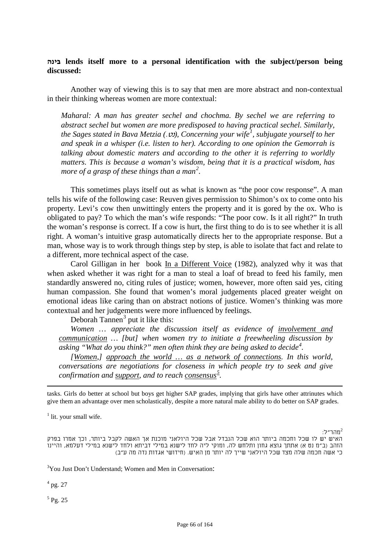# **בינה lends itself more to a personal identification with the subject/person being discussed:**

Another way of viewing this is to say that men are more abstract and non-contextual in their thinking whereas women are more contextual:

*Maharal: A man has greater sechel and chochma. By sechel we are referring to abstract sechel but women are more predisposed to having practical sechel. Similarly, the Sages stated in Bava Metzia (.ט), Concerning your wife<sup>1</sup>, subjugate yourself to her and speak in a whisper (i.e. listen to her). According to one opinion the Gemorrah is talking about domestic maters and according to the other it is referring to worldly matters. This is because a woman's wisdom, being that it is a practical wisdom, has more of a grasp of these things than a man<sup>2</sup>.* 

This sometimes plays itself out as what is known as "the poor cow response". A man tells his wife of the following case: Reuven gives permission to Shimon's ox to come onto his property. Levi's cow then unwittingly enters the property and it is gored by the ox. Who is obligated to pay? To which the man's wife responds: "The poor cow. Is it all right?" In truth the woman's response is correct. If a cow is hurt, the first thing to do is to see whether it is all right. A woman's intuitive grasp automatically directs her to the appropriate response. But a man, whose way is to work through things step by step, is able to isolate that fact and relate to a different, more technical aspect of the case.

Carol Gilligan in her book In a Different Voice (1982), analyzed why it was that when asked whether it was right for a man to steal a loaf of bread to feed his family, men standardly answered no, citing rules of justice; women, however, more often said yes, citing human compassion. She found that women's moral judgements placed greater weight on emotional ideas like caring than on abstract notions of justice. Women's thinking was more contextual and her judgements were more influenced by feelings.

Deborah Tannen<sup>3</sup> put it like this:

*Women … appreciate the discussion itself as evidence of involvement and communication … [but] when women try to initiate a freewheeling discussion by*  asking "What do you think?" men often think they are being asked to decide<sup>4</sup>.

*[Women,] approach the world … as a network of connections. In this world, conversations are negotiations for closeness in which people try to seek and give confirmation and support, and to reach consensus<sup>5</sup>.* 

tasks. Girls do better at school but boys get higher SAP grades, implying that girls have other attrinutes which give them an advantage over men scholastically, despite a more natural male ability to do better on SAP grades.

<span id="page-65-0"></span> $<sup>1</sup>$  lit. your small wife.</sup>

:מהר״ל $^2$ 

האיש יש לו שכל וחכמה ביותר הוא שכל הנבדל אבל שכל היולאני מוכנת אך האשה לקבל ביותר, וכך אמרו בפרק הזהב (ב"מ נט א) אתתך גוצא גחון ותלחש לה, ומוקי ליה לחד לישנא במילי דביתא ולחד לישנא במילי דעלמא, והיינו כי אשה חכמה שלה מצד שכל היולאני שייך לה יותר מן האיש. (חידושי אגדות נדה מה ע"ב)

<sup>3</sup>You Just Don't Understand; Women and Men in Conversation:

 $^{4}$  pg. 27

-

 $<sup>5</sup>$  Pg. 25</sup>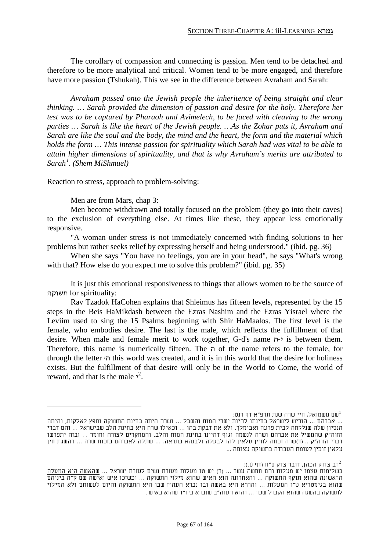The corollary of compassion and connecting is passion. Men tend to be detached and therefore to be more analytical and critical. Women tend to be more engaged, and therefore have more passion (Tshukah). This we see in the difference between Avraham and Sarah:

*Avraham passed onto the Jewish people the inheritence of being straight and clear thinking. … Sarah provided the dimension of passion and desire for the holy. Therefore her test was to be captured by Pharaoh and Avimelech, to be faced with cleaving to the wrong parties … Sarah is like the heart of the Jewish people. …As the Zohar puts it, Avraham and Sarah are like the soul and the body, the mind and the heart, the form and the material which holds the form … This intense passion for spirituality which Sarah had was vital to be able to attain higher dimensions of spirituality, and that is why Avraham's merits are attributed to Sarah[1](#page-65-0) . (Shem MiShmuel)*

Reaction to stress, approach to problem-solving:

Men are from Mars, chap 3:

Men become withdrawn and totally focused on the problem (they go into their caves) to the exclusion of everything else. At times like these, they appear less emotionally responsive.

"A woman under stress is not immediately concerned with finding solutions to her problems but rather seeks relief by expressing herself and being understood." (ibid. pg. 36)

When she says "You have no feelings, you are in your head", he says "What's wrong with that? How else do you expect me to solve this problem?" (ibid. pg. 35)

It is just this emotional responsiveness to things that allows women to be the source of תשוקה for spirituality:

Rav Tzadok HaCohen explains that Shleimus has fifteen levels, represented by the 15 steps in the Beis HaMikdash between the Ezras Nashim and the Ezras Yisrael where the Leviim used to sing the 15 Psalms beginning with Shir HaMaalos. The first level is the female, who embodies desire. The last is the male, which reflects the fulfillment of that desire. When male and female merit to work together, G-d's name ה-י is between them. Therefore, this name is numerically fifteen. The  $\pi$  of the name refers to the female, for through the letter 'ה this world was created, and it is in this world that the desire for holiness exists. But the fulfillment of that desire will only be in the World to Come, the world of reward, and that is the male  $<sup>2</sup>$ .</sup>

שם משמואל, חיי שרה שנת תרפ"א דף רנט:

רב צדוק הכהן, דובר צדק ס"ח (דף ט.): $^2$ 

<sup>...</sup> אברהם ... הוריש לישראל בחינתו להיות ישרי המוח והשכל ... ושרה היתה בחינת התשוקה וחפץ לאלקות, והיתה הנסיון שלה שנלקחה לבית פרעה ואבימלך, ולא את דבקת בהו ... וכאילו שרה היא בחינת הלב שבישראל ... והם דברי הזוה"ק שהמשיל את אברהם ושרה לנשמה וגוף דהיינו בחינת המוח והלב, והמחקרים לצורה וחומר ... ובזה יתפרשו דברי הזוה"ק ...(ד)שרה זכתה לחיין עלאין להו לבעלה ולבנהא בתראה. ... שתלה לאברהם בזכות שרה ... דהשגת חין עלאין זוכין לעומת העבודה בתשוקה עצומה ...

בשלימות עצמו יש מעלות והם חמשה עשר ... (ד) יש טו מעלות מעזרת נשים לעזרת ישראל ... שהאשה היא המעלה הראשונה שהוא תוקף התשוקה ... והאחרונה הוא האיש שהוא מילוי התשוקה ... וכשזכו איש ואישה שם ק"ה ביניהם שהוא בגימטריא ט"ו המעלות ... והה"א היא באשה ובו נברא העה"ז שבו היא התשוקה והיום לעשותם ולא המילוי לתשוקה בהשגה שהוא הקבול שכר ... והוא העוה"ב שנברא ביו"ד שהוא באיש .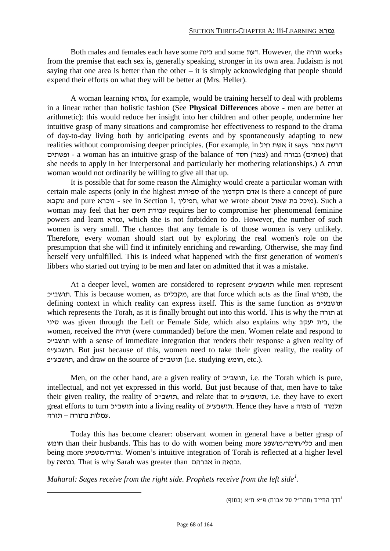Both males and females each have some בינה and some דעת. However, the תורה works from the premise that each sex is, generally speaking, stronger in its own area. Judaism is not saying that one area is better than the other – it is simply acknowledging that people should expend their efforts on what they will be better at (Mrs. Heller).

A woman learning גמרא, for example, would be training herself to deal with problems in a linear rather than holistic fashion (See **Physical Differences** above - men are better at arithmetic): this would reduce her insight into her children and other people, undermine her intuitive grasp of many situations and compromise her effectiveness to respond to the drama of day-to-day living both by anticipating events and by spontaneously adapting to new realities without compromising deeper principles. (For example, in חיל אשת it says צמר דרשה ופשתים) גבורה a woman has an intuitive grasp of the balance of (צמר) and גבורה) that she needs to apply in her interpersonal and particularly her mothering relationships.) A תורה woman would not ordinarily be willing to give all that up.

It is possible that for some reason the Almighty would create a particular woman with certain male aspects (only in the highest ספירות of the הקדמון אדם is there a concept of pure נוקבא and pure זוכרא - see in Section 1, תפילין, what we wrote about שאול). Such a woman may feel that her השם עבודת requires her to compromise her phenomenal feminine powers and learn גמרא, which she is not forbidden to do. However, the number of such women is very small. The chances that any female is of those women is very unlikely. Therefore, every woman should start out by exploring the real women's role on the presumption that she will find it infinitely enriching and rewarding. Otherwise, she may find herself very unfulfilled. This is indeed what happened with the first generation of women's libbers who started out trying to be men and later on admitted that it was a mistake.

At a deeper level, women are considered to represent פ"תושבע while men represent תושבייכ, are that force which acts as the final מפרש. the defining context in which reality can express itself. This is the same function as תושבעייפ which represents the Torah, as it is finally brought out into this world. This is why the תורה at סיני was given through the Left or Female Side, which also explains why יעקב בית, the women, received the תורה) were commanded) before the men. Women relate and respond to כ"תושב with a sense of immediate integration that renders their response a given reality of פ"תושבע. But just because of this, women need to take their given reality, the reality of פ"תושבע, and draw on the source of כ"תושב) i.e. studying חומש, etc.).

Men, on the other hand, are a given reality of תושבייכ, i.e. the Torah which is pure, intellectual, and not yet expressed in this world. But just because of that, men have to take their given reality, the reality of תושבייכ, and relate that to תושבעיים, i.e. they have to exert great efforts to turn תושבעים into a living reality of תושבעיים. Hence they have a מצוה of תלמוד .עמלות בתורה – תורה

Today this has become clearer: observant women in general have a better grasp of חומש than their husbands. This has to do with women being more כלי/חומר/כמושפע and men being more משפיע/צורה. Women's intuitive integration of Torah is reflected at a higher level by נבואה. That is why Sarah was greater than אברהם in נבואה.

*Maharal: Sages receive from the right side. Prophets receive from the left side<sup>1</sup>.* 

(דרך החיים (מהר"ל על אבות) פ"א מ"א (בסוף)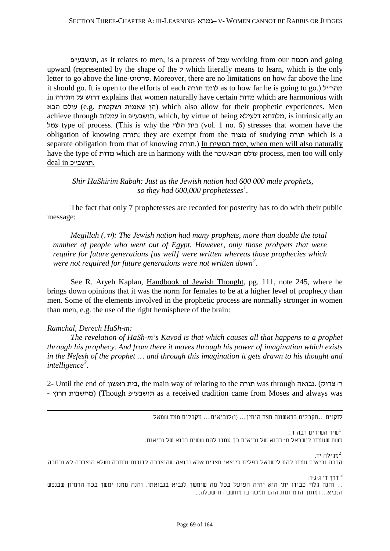פ"תושבע, as it relates to men, is a process of עמל working from our חכמה and going upward (represented by the shape of the  $\zeta$  which literally means to learn, which is the only letter to go above the line-סרטוט. Moreover, there are no limitations on how far above the line it should go. It is open to the efforts of each לומד תורה as to how far he is going to go.) מהר״ל in התורה על דרוש explains that women naturally have certain מדות which are harmonious with עולם הבא) which also allow for their prophetic experiences. Men achieve through עמלות in פ"תושבע, which, by virtue of being דלעילא מלתתא, is intrinsically an עמל type of process. (This is why the הלוי בית) vol. 1 no. 6) stresses that women have the obligation of knowing תורה ;they are exempt from the מצוה of studying תורה which is a separate obligation from that of knowing תורה.) In ימות המשיח המשיח ימות, when men will also naturally have the type of מדות which are in harmony with the שכר/הבא עולם process, men too will only .תושב"כ in deal

*Shir HaShirim Rabah: Just as the Jewish nation had 600 000 male prophets, so they had 600,000 prophetesses<sup>1</sup>.* 

The fact that only 7 prophetesses are recorded for posterity has to do with their public message:

*Megillah (.7): The Jewish nation had many prophets, more than double the total number of people who went out of Egypt. However, only those prohpets that were require for future generations [as well] were written whereas those prophecies which*  were not required for future generations were not written down<sup>2</sup>.

See R. Aryeh Kaplan, Handbook of Jewish Thought, pg. 111, note 245, where he brings down opinions that it was the norm for females to be at a higher level of prophecy than men. Some of the elements involved in the prophetic process are normally stronger in women than men, e.g. the use of the right hemisphere of the brain:

## *Ramchal, Derech HaSh-m:*

*The revelation of HaSh-m's Kavod is that which causes all that happens to a prophet through his prophecy. And from there it moves through his power of imagination which exists in the Nefesh of the prophet … and through this imagination it gets drawn to his thought and intelligence*<sup>3</sup>.

2- Until the end of ראשון בית, the main way of relating to the תורה was through נבואה.) צדוק' ר - מחשבות חרוץ) (Though תושבעייפ as a received tradition came from Moses and always was

לזקנים ...מקבלים בראשונה מצד הימין ... (ו)לנביאים ... מקבלים מצד שמאל

 $\colon$ ז השירים רבה ד $\mathfrak{u}^1$ 

כשם שעמדו לישראל ס' רבוא של נביאים כך עמדו להם ששים רבוא של נביאות.

מגילה יד. <sup>2</sup> הרבה נביאים עמדו להם לישראל כפלים כיוצאי מצרים אלא נבואה שהוצרכה לדורות נכתבה ושלא הוצרכה לא נכתבה

דרך ד' ג-ג-ו: $3$ ... והנה גלוי כבודו ית' הוא יהיה הפועל בכל מה שימשך לנביא בנבואתו. והנה ממנו ימשך בכח הדמיון שבנפש הנביא... ומתוך הדמיונות ההם תמשך בו מחשבה והשכלה...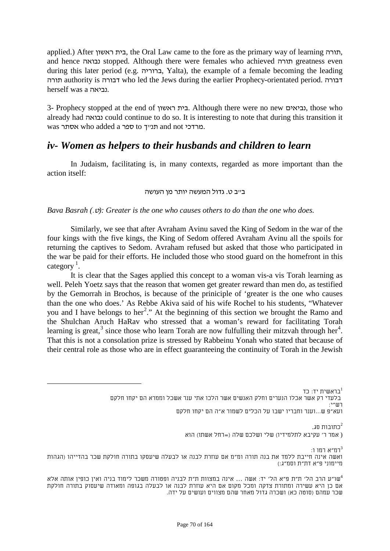applied.) After ראשון בית, the Oral Law came to the fore as the primary way of learning תורה, and hence נבואה stopped. Although there were females who achieved תורה greatness even during this later period (e.g. ברוריה, Yalta), the example of a female becoming the leading תורה authority is דבורה who led the Jews during the earlier Prophecy-orientated period. דבורה herself was a נביאה.

3- Prophecy stopped at the end of ראשון בית. Although there were no new נביאים, those who already had נבואה could continue to do so. It is interesting to note that during this transition it was אסתר who added a תנייד to תכניד and not .

# *iv- Women as helpers to their husbands and children to learn*

In Judaism, facilitating is, in many contexts, regarded as more important than the action itself:

### בייב ט. גדול המעשה יותר מן העושה

### *Bava Basrah* ( $. v$ ): *Greater is the one who causes others to do than the one who does.*

Similarly, we see that after Avraham Avinu saved the King of Sedom in the war of the four kings with the five kings, the King of Sedom offered Avraham Avinu all the spoils for returning the captives to Sedom. Avraham refused but asked that those who participated in the war be paid for their efforts. He included those who stood guard on the homefront in this category<sup>1</sup>.

It is clear that the Sages applied this concept to a woman vis-a vis Torah learning as well. Peleh Yoetz says that the reason that women get greater reward than men do, as testified by the Gemorrah in Brochos, is because of the priniciple of 'greater is the one who causes than the one who does.' As Rebbe Akiva said of his wife Rochel to his students, "Whatever you and I have belongs to her<sup>2</sup>." At the beginning of this section we brought the Ramo and the Shulchan Aruch HaRav who stressed that a woman's reward for facilitating Torah learning is great,<sup>3</sup> since those who learn Torah are now fulfulling their mitzvah through her<sup>4</sup>. That this is not a consolation prize is stressed by Rabbeinu Yonah who stated that because of their central role as those who are in effect guaranteeing the continuity of Torah in the Jewish

בראשית יד: כד 1 בלעדי רק אשר אכלו הנערים וחלק האנשים אשר הלכו אתי ענר אשכל וממרא הם יקחו חלקם  $\cdot$ רווו $\cdot$ י ועא"פ ש...וענר וחבריו ישבו על הכלים לשמור א"ה הם יקחו חלקם כתובות סג. $^2$ 

( אמר ר' עקיבא לתלמידיו) שלי ושלכם שלה (=רחל אשתו) הוא

<span id="page-69-0"></span> $:$ רמ"א רמו ו $^3$ ואשה אינה חייבת ללמד את בנה תורה ומ"מ אם עוזרת לבנה או לבעלה שיעסקו בתורה חולקת שכר בהדייהו (הגהות מיימוני פ"א דת"ת וסמ"ג:)

שו"ע הרב הל' ת"ת פ"א הל' יד: אשה ... אינה במצוות ת"ת לבניה ופטורה משכר לימוד בניה ואין כופין אותה אלא" אם כן היא עשירה ומתורת צדקה ומכל מקום אם היא עוזרת לבנה או לבעלה בגופה ומאודה שיעסוק בתורה חולקת שכר עמהם (סוטה כא) ושכרה גדול מאחר שהם מצווים ועושים על ידה.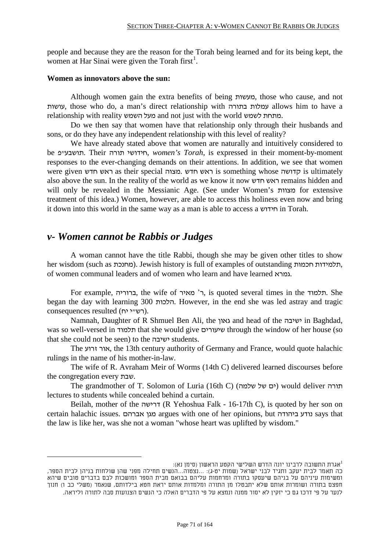people and because they are the reason for the Torah being learned and for its being kept, the women at Har Sinai were given the Torah first<sup>[1](#page-69-0)</sup>.

## **Women as innovators above the sun:**

Although women gain the extra benefits of being מעשות, those who cause, and not עושות, those who do, a man's direct relationship with בתורה עמלות allows him to have a relationship with reality השמש מעל and not just with the world לשמש מתחת.

Do we then say that women have that relationship only through their husbands and sons, or do they have any independent relationship with this level of reality?

We have already stated above that women are naturally and intuitively considered to be פ"תושבע. Their תורה חידושי, *women's Torah*, is expressed in their moment-by-moment responses to the ever-changing demands on their attentions. In addition, we see that women were given חדש ראש as their special מצוה. חדש ראש is something whose קדושה is ultimately also above the sun. In the reality of the world as we know it now חדש ראש remains hidden and will only be revealed in the Messianic Age. (See under Women's מצוות for extensive treatment of this idea.) Women, however, are able to access this holiness even now and bring it down into this world in the same way as a man is able to access a חידוש in Torah.

# *v- Women cannot be Rabbis or Judges*

A woman cannot have the title Rabbi, though she may be given other titles to show her wisdom (such as תלמידות,). Jewish history is full of examples of outstanding תלמידות, of women communal leaders and of women who learn and have learned גמרא.

For example, ברוריה, the wife of מאיר' ר, is quoted several times in the תלמוד. She began the day with learning 300 הלכות. However, in the end she was led astray and tragic consequences resulted (רש"י יח).

Namnah, Daughter of R Shmuel Ben Ali, the גאון and head of the ישיבה in Baghdad, was so well-versed in תלמוד that she would give שיעורים through the window of her house (so that she could not be seen) to the ישיבה students.

The זרוע אור, the 13th century authority of Germany and France, would quote halachic rulings in the name of his mother-in-law.

The wife of R. Avraham Meir of Worms (14th C) delivered learned discourses before the congregation every שבת.

The grandmother of T. Solomon of Luria (16th C) (ים של שלמה) would deliver תורה lectures to students while concealed behind a curtain.

Beilah, mother of the דרישה) R Yehoshua Falk - 16-17th C), is quoted by her son on certain halachic issues. אברהם מגן argues with one of her opinions, but ביהודה נודע says that the law is like her, was she not a woman "whose heart was uplifted by wisdom."

אגרת התשובה לרבינו יונה הדרש השלישי הקטע הראשון (סימן נא): 1 כה תאמר לבית יעקב ותגיד לבני ישראל (שמות יט-ג): ...נצטוה...הנשים תחילה מפני שהן שולחות בניהן לבית הספר, ומשימות עיניהם על בניהם שיעסקו בתורה ומרחמות עליהם בבואם מבית הספר ומושכות לבם בדברים טובים שיהא חפצם בתורה ושומרות אותם שלא יתבטלו מן התורה ומלמדות אותם יראת חטא בילדותם, שנאמר (משלי כב ו) חנוך לנער על פי דרכו גם כי יזקין לא יסור ממנה ונמצא על פי הדברים האלה כי הנשים הצנועות סבה לתורה וליראה.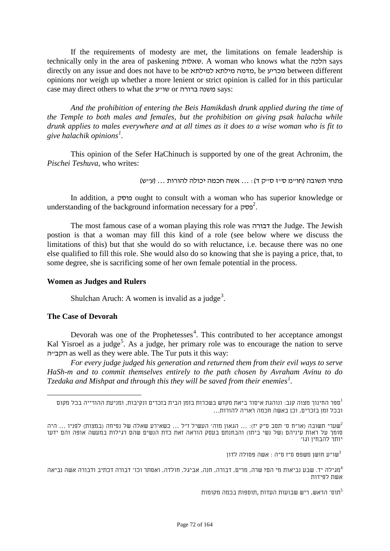If the requirements of modesty are met, the limitations on female leadership is technically only in the area of paskening שאלות. A woman who knows what the הלכה says directly on any issue and does not have to be למילתא מילתא מדמה, be מכריע between different opinions nor weigh up whether a more lenient or strict opinion is called for in this particular case may direct others to what the פוענה ברורה or ברורה says:

*And the prohibition of entering the Beis Hamikdash drunk applied during the time of the Temple to both males and females, but the prohibition on giving psak halacha while drunk applies to males everywhere and at all times as it does to a wise woman who is fit to give halachik opinions<sup>1</sup>.* 

This opinion of the Sefer HaChinuch is supported by one of the great Achronim, the *Pischei Teshuva,* who writes:

פתחי תשובה (חו"מ ס"ז ס"ק ד): ... אשה חכמה יכולה להורות ... (ע"ש)

In addition, a פוסק ought to consult with a woman who has superior knowledge or understanding of the background information necessary for a <sup>2</sup>.

The most famous case of a woman playing this role was דבורה the Judge. The Jewish postion is that a woman may fill this kind of a role (see below where we discuss the limitations of this) but that she would do so with reluctance, i.e. because there was no one else qualified to fill this role. She would also do so knowing that she is paying a price, that, to some degree, she is sacrificing some of her own female potential in the process.

## **Women as Judges and Rulers**

Shulchan Aruch: A women is invalid as a judge<sup>3</sup>.

## **The Case of Devorah**

Devorah was one of the Prophetesses<sup>4</sup>. This contributed to her acceptance amongst Kal Yisroel as a judge<sup>5</sup>. As a judge, her primary role was to encourage the nation to serve הקבייה as well as they were able. The Tur puts it this way:

*For every judge judged his generation and returned them from their evil ways to serve HaSh-m and to commit themselves entirely to the path chosen by Avraham Avinu to do Tzedaka and Mishpat and through this they will be saved from their enemies*<sup>1</sup>.

שו"ע חושן משפט ס"ז ס"ה : אשה פסולה לדון $^3$ 

מגילה יד. שבע נביאות מי הם? שרה, מרים, דבורה, חנה, אביגל, חולדה, ואסתר וכו' דבורה דכתיב ודבורה אשה נביאה $^4$ אשת לפידות

תוס׳ הראש, ריש שבועות העדות .תוספות בכמה מקומות $^5$ 

ספר החינוך מצוה קנב: ונוהגת איסור ביאת מקדש בשכרות בזמן הבית בזכרים ונקיבות, ומניעת ההורייה בכל מקום 1 ובכל זמן בזכרים, וכן באשה חכמה ראויה להורות...

שערי תשובה (או"ח ס' תסב ס"ק יז): ... הגאון מוה' העשיל ז"ל ... כשאירע שאלה של נפיחה (במצות) לפניו ... היה $^2$ סומך על ראות עיניהם (של נשי ביתו) והבחנתם בעסק הוראה זאת כדת הנשים שהם רגילות במעשה אופה והם ידעו יותר להבחין וגו'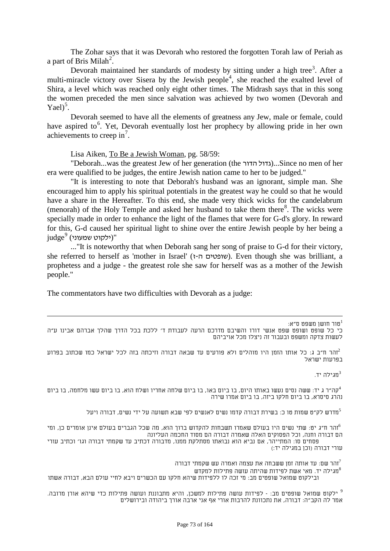The Zohar says that it was Devorah who restored the forgotten Torah law of Periah as a part of Bris Milah<sup>[2](#page-71-0)</sup>.

Devorah maintained her standards of modesty by sitting under a high tree<sup>[3](#page-72-0)</sup>. After a multi-miracle victory over Sisera by the Jewish people<sup>[4](#page-72-1)</sup>, she reached the exalted level of Shira, a level which was reached only eight other times. The Midrash says that in this song the women preceded the men since salvation was achieved by two women (Devorah and Yael $)^5$  $)^5$ .

Devorah seemed to have all the elements of greatness any Jew, male or female, could have aspired to<sup>[6](#page-72-3)</sup>. Yet, Devorah eventually lost her prophecy by allowing pride in her own achievements to creep in<sup>[7](#page-72-4)</sup>.

Lisa Aiken, To Be a Jewish Woman, pg. 58/59:

"Deborah...was the greatest Jew of her generation (the הדור הגדול)...Since no men of her era were qualified to be judges, the entire Jewish nation came to her to be judged."

"It is interesting to note that Deborah's husband was an ignorant, simple man. She encouraged him to apply his spiritual potentials in the greatest way he could so that he would have a share in the Hereafter. To this end, she made very thick wicks for the candelabrum (menorah) of the Holy Temple and asked her husband to take them there<sup>8</sup>. The wicks were specially made in order to enhance the light of the flames that were for G-d's glory. In reward for this, G-d caused her spiritual light to shine over the entire Jewish people by her being a judge*175F* "(ילקוט שמעוני) <sup>9</sup>

..."It is noteworthy that when Deborah sang her song of praise to G-d for their victory, she referred to herself as 'mother in Israel' (שופטים ה-ז). Even though she was brilliant, a prophetess and a judge - the greatest role she saw for herself was as a mother of the Jewish people."

The commentators have two difficulties with Devorah as a judge:

טור חושן משפט ס"א: 1 כי כל שופט ושופט שפט אנשי דורו והשיבם מדרכם הרעה לעבודת ד' ללכת בכל הדרך שהלך אברהם אבינו ע"ה לעשות צדקה ומשפט ובעבור זה ניצלו מכל אויביהם

זהר ח"ב ג: כל אותו הזמן היו מוהלים ולא פורעים עד שבאה דבורה וזיכתה בזה לכל ישראל כמו שכתוב בפרוע $^2$ בפרעות ישראל

. $\tau$ מגילה יד $^3$ 

<span id="page-72-1"></span><span id="page-72-0"></span>קה"ר ג יד: ששה נסים נעשו באותו היום, בו ביום באו, בו ביום שלחה אחריו ושלח הוא, בו ביום עשו מלחמה, בו ביום $^4$ נהרג סיסרא, בו ביום חלקו ביזה, בו ביום אמרו שירה

מדרש לק"ט שמות טו כ: בשירת דבורה קדמו נשים לאנשים לפי שבא תשועה על ידי נשים, דבורה ויעל $^5$ 

<span id="page-72-3"></span><span id="page-72-2"></span>הר ח"ג יט: שתי נשים היו בעולם שאמרו תשבחות להקדוש ברוך הוא, מה שכל הגברים בעולם אינן אומרים כן, ומי $^6$ הם דבורה וחנה, וכל הפסוקים האלה שאמרה דבורה הם מסוד החכמה העליונה פסחים סו: המתייהר, אם נביא הוא נבואתו מסתלקת ממנו, מדבורה דכתיב עד שקמתי דבורה וגו' וכתיב עורי עורי דבורה (וכן במגילה יד:)

זהר שם: עד אותה זמן ששבחה את עצמה ואמרה עש שקמתי דבורה"<br>מגילה יד. מאי אשת לפידות שהיתה עושה פתילות למקדש"

<span id="page-72-4"></span>ובילקוט שמואל שופטים מב: מי זכה לו ללפידות שיהא חלקו עם הכשרים ויבא לחיי עולם הבא, דבורה אשתו

ילקוט שמואל שופטים מב: - לפידות עושה פתילות למשכן, והיא מתבוננת ועושה פתילות כדי שיהא אורן מרובה.  $^9$ אמר לה הקב"ה: דבורה, את נתכוונת להרבות אורי אף אני ארבה אורך ביהודה ובירושלים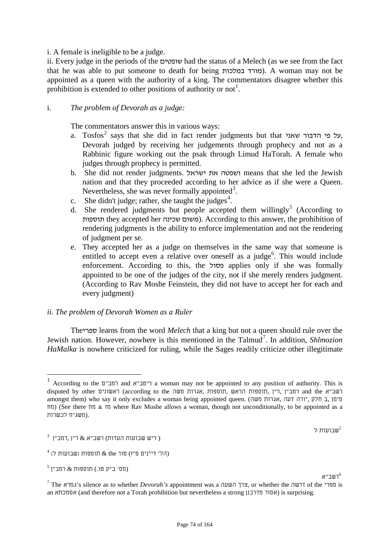#### appointed as a queen with the authority of a king. The commentators disagree whether this prohibition is extended to other positions of authority or not<sup>1</sup>.

i. A female is ineligible to be a judge.

## i. *The problem of Devorah as a judge:*

The commentators answer this in various ways:

a. Tosfos<sup>2</sup> says that she did in fact render judgments but that אעל פי הדבור שאני, Devorah judged by receiving her judgements through prophecy and not as a Rabbinic figure working out the psak through Limud HaTorah. A female who judges through prophecy is permitted.

ii. Every judge in the periods of the שופטים had the status of a Melech (as we see from the fact that he was able to put someone to death for being מורד במלכות). A woman may not be

- b. She did not render judgments. ישראל את ושפטה means that she led the Jewish nation and that they proceeded according to her advice as if she were a Queen. Nevertheless, she was never formally appointed<sup>3</sup>.
- c. She didn't judge; rather, she taught the judges<sup>4</sup>.
- d. She rendered judgments but people accepted them willingly<sup>5</sup> (According to תוספות). According to this answer, the prohibition of rendering judgments is the ability to enforce implementation and not the rendering of judgment per se.
- e. They accepted her as a judge on themselves in the same way that someone is entitled to accept even a relative over oneself as a judge<sup>6</sup>. This would include enforcement. According to this, the פסול applies only if she was formally appointed to be one of the judges of the city, not if she merely renders judgment. (According to Rav Moshe Feinstein, they did not have to accept her for each and every judgment)

#### *ii. The problem of Devorah Women as a Ruler*

Theספרי learns from the word *Melech* that a king but not a queen should rule over the Jewish nation. However, nowhere is this mentioned in the Talmud<sup>7</sup>. In addition, *Shlmozion HaMalka* is nowhere criticized for ruling, while the Sages readily criticize other illegitimate

 $1$  According to the ברוב"א a woman may not be appointed to any position of authority. This is רשב"א and the רמב"ן ,ר"ן ,תוספות הראש ,תוספות האגרות משה (according to the רמב"ן ,ר"ן ,תוספות הראש amongst them) who say it only excludes a woman being appointed queen. (אגרות משה, אגרות משה  $\pi$ ) (See there  $\pi$  as  $\pi$  m where Rav Moshe allows a woman, though not unconditionally, to be appointed as a .(משגיח לכשרות

שבועות ל $\frac{3}{2}$  שבועות ל $\frac{2}{3}$  , רמב"ן  $\frac{3}{2}$ 

 $^4$  (הל' דיינים פ"ז) טור the שבועות ל)  $\ell$  the הל'

 $^5$ ךשב"א הוספות) .סוספות) .סווספות) .<br>The גמרא's silence as to whether *Devorah's* appointment was a דרשה or whether the דרשה of the זרשה is an אסמכתא) and therefore not a Torah prohibition but nevertheless a strong מדרבנן אסור (is surprising.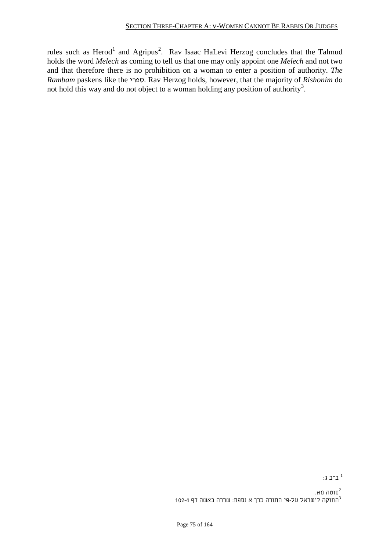rules such as Herod<sup>1</sup> and Agripus<sup>2</sup>. Rav Isaac HaLevi Herzog concludes that the Talmud holds the word *Melech* as coming to tell us that one may only appoint one *Melech* and not two and that therefore there is no prohibition on a woman to enter a position of authority. *The Rambam* paskens like the ספרי. Rav Herzog holds, however, that the majority of *Rishonim* do not hold this way and do not object to a woman holding any position of authority<sup>3</sup>.

 $\overline{\phantom{a}}$ ב"ב ג:  $^1$  ב"ב ג:  $^1$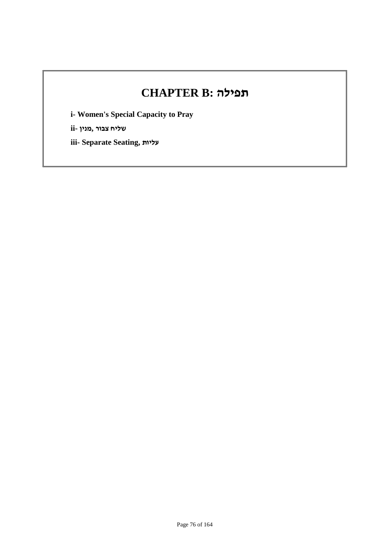# **CHAPTER B: תפילה**

**i- Women's Special Capacity to Pray**

**שליח צבור ,מנין -ii**

**iii- Separate Seating, עליות**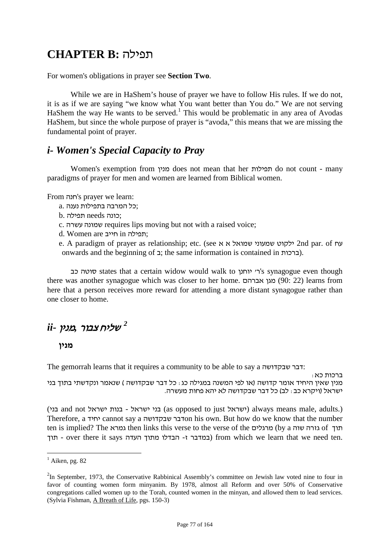## **CHAPTER B:** תפילה

For women's obligations in prayer see **Section Two**.

While we are in HaShem's house of prayer we have to follow His rules. If we do not, it is as if we are saying "we know what You want better than You do." We are not serving HaShem the way He wants to be served.<sup>1</sup> This would be problematic in any area of Avodas HaShem, but since the whole purpose of prayer is "avoda," this means that we are missing the fundamental point of prayer.

### *i- Women's Special Capacity to Pray*

Women's exemption from מנין does not mean that her תפילות do not count - many paradigms of prayer for men and women are learned from Biblical women.

From חנה's prayer we learn:

- ;כל המרבה בתפילות נענה .a
- ;כונה needs תפילה .b
- c. עשרה שמונה requires lips moving but not with a raised voice;
- d. Women are חייב in תפילה;
- e. A paradigm of prayer as relationship; etc. (see א א שמואל שמעוני ילקוט 2nd par. of עח onwards and the beginning of ברכות).  $\pm$  the same information is contained in  $\pm$ .

כב סוטה states that a certain widow would walk to יוחנן' ר's synagogue even though there was another synagogue which was closer to her home. אברהם מגן) 90: 22 (learns from here that a person receives more reward for attending a more distant synagogue rather than one closer to home.

## *F187* שליח צבור *,*מנין *-ii 2*

#### **מנין**

The gemorrah learns that it requires a community to be able to say a דבר שבקדושה.<br>ברכות כא י

מנין שאין היחיד אומר קדושה (או לפי המשנה במגילה כג : כל דבר שבקדושה ) שנאמר ונקדשתי בתוך בני<br>ישראל (ויקרא כב : לב) כל דבר שבקדושה לא יהא פחות מעשרה.

(בני and not ישראל בנות - ישראל בני) as opposed to just ישראל (always means male, adults.) Therefore, a יחיד cannot say a סדבר שבקדושה is own. But how do we know that the number ten is implied? The גזרה שוה then links this verse to the verse of the ותוך 6y a הערה שוה תוך - over there it says העדה מתוך העדה - הבדלו - הבדלו - מתוך העדה - over there it says .

 $<sup>1</sup>$  Aiken, pg. 82</sup>

 $2$ In September, 1973, the Conservative Rabbinical Assembly's committee on Jewish law voted nine to four in favor of counting women form minyanim. By 1978, almost all Reform and over 50% of Conservative congregations called women up to the Torah, counted women in the minyan, and allowed them to lead services. (Sylvia Fishman, A Breath of Life, pgs. 150-3)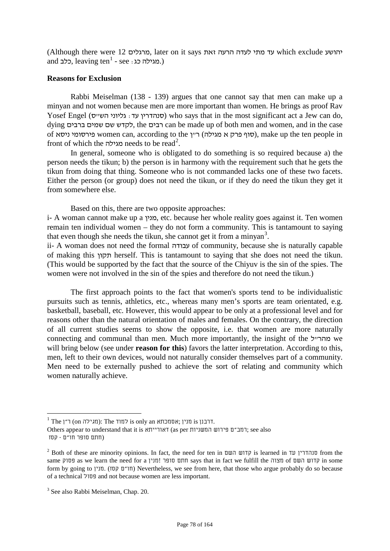(Although there were 12 מרגלים, later on it says זאת הרעה לעדה מתי עד which exclude יהושע and כלב, leaving ten<sup>1</sup> - see : כלב).

#### **Reasons for Exclusion**

Rabbi Meiselman (138 - 139) argues that one cannot say that men can make up a minyan and not women because men are more important than women. He brings as proof Rav Yosef Engel (סנהדרין עד: גליוני הש"ס) who says that in the most significant act a Jew can do, dying ברבים שמים שם לקדש, the רבים can be made up of both men and women, and in the case of ניסא פירסומי women can, according to the ן"ר) מגילה א פרק סוף(, make up the ten people in front of which the מגילה needs to be read*189F* 2 .

In general, someone who is obligated to do something is so required because a) the person needs the tikun; b) the person is in harmony with the requirement such that he gets the tikun from doing that thing. Someone who is not commanded lacks one of these two facets. Either the person (or group) does not need the tikun, or if they do need the tikun they get it from somewhere else.

Based on this, there are two opposite approaches:

i- A woman cannot make up a מנין, etc. because her whole reality goes against it. Ten women remain ten individual women – they do not form a community. This is tantamount to saying that even though she needs the tikun, she cannot get it from a minyan<sup>3</sup>.

ii- A woman does not need the formal עבודה of community, because she is naturally capable of making this תקון herself. This is tantamount to saying that she does not need the tikun. (This would be supported by the fact that the source of the Chiyuv is the sin of the spies. The women were not involved in the sin of the spies and therefore do not need the tikun.)

The first approach points to the fact that women's sports tend to be individualistic pursuits such as tennis, athletics, etc., whereas many men's sports are team orientated, e.g. basketball, baseball, etc. However, this would appear to be only at a professional level and for reasons other than the natural orientation of males and females. On the contrary, the direction of all current studies seems to show the opposite, i.e. that women are more naturally connecting and communal than men. Much more importantly, the insight of the מהר"ל we will bring below (see under **reason for this**) favors the latter interpretation. According to this, men, left to their own devices, would not naturally consider themselves part of a community. Men need to be externally pushed to achieve the sort of relating and community which women naturally achieve.

 $^1$  The 1") (מגילה (מגילה is only an הדבנן is נוין ;אסמכתא  $\,$ is למוד.

Others appear to understand that it is דאורייתא) (as per המשניות); see also (חתם סופר חו"ם - קסז

<span id="page-77-0"></span><sup>&</sup>lt;sup>2</sup> Both of these are minority opinions. In fact, the need for ten in  $\overline{u}$   $\overline{v}$  is learned in  $\overline{u}$   $\overline{u}$  from the same פסוק as we learn the need for a מנין !סופר חתם says that in fact we fulfill the מצוה of השם קדוש in some form by going to חו"ם קסז). מוין Nevertheless, we see from here, that those who argue probably do so because of a technical פסול and not because women are less important.

<sup>&</sup>lt;sup>3</sup> See also Rabbi Meiselman, Chap. 20.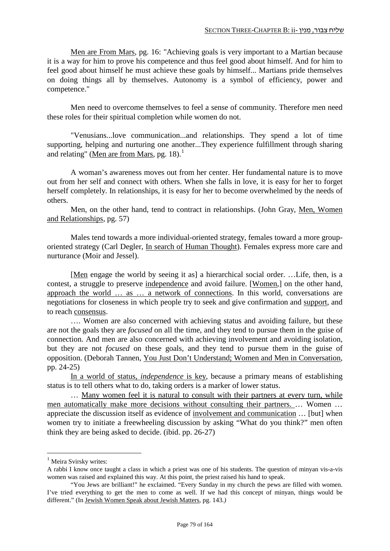Men are From Mars, pg. 16: "Achieving goals is very important to a Martian because it is a way for him to prove his competence and thus feel good about himself. And for him to feel good about himself he must achieve these goals by himself... Martians pride themselves on doing things all by themselves. Autonomy is a symbol of efficiency, power and competence."

Men need to overcome themselves to feel a sense of community. Therefore men need these roles for their spiritual completion while women do not.

"Venusians...love communication...and relationships. They spend a lot of time supporting, helping and nurturing one another...They experience fulfillment through sharing and relating" (Men are from Mars, pg. [1](#page-77-0)8).<sup>1</sup>

A woman's awareness moves out from her center. Her fundamental nature is to move out from her self and connect with others. When she falls in love, it is easy for her to forget herself completely. In relationships, it is easy for her to become overwhelmed by the needs of others.

Men, on the other hand, tend to contract in relationships. (John Gray, Men, Women and Relationships, pg. 57)

Males tend towards a more individual-oriented strategy, females toward a more grouporiented strategy (Carl Degler, In search of Human Thought). Females express more care and nurturance (Moir and Jessel).

[Men engage the world by seeing it as] a hierarchical social order. …Life, then, is a contest, a struggle to preserve independence and avoid failure. [Women,] on the other hand, approach the world … as … a network of connections. In this world, conversations are negotiations for closeness in which people try to seek and give confirmation and support, and to reach consensus.

…. Women are also concerned with achieving status and avoiding failure, but these are not the goals they are *focused* on all the time, and they tend to pursue them in the guise of connection. And men are also concerned with achieving involvement and avoiding isolation, but they are not *focused* on these goals, and they tend to pursue them in the guise of opposition. (Deborah Tannen, You Just Don't Understand; Women and Men in Conversation, pp. 24-25)

In a world of status, *independence* is key, because a primary means of establishing status is to tell others what to do, taking orders is a marker of lower status.

… Many women feel it is natural to consult with their partners at every turn, while men automatically make more decisions without consulting their partners. … Women … appreciate the discussion itself as evidence of involvement and communication … [but] when women try to initiate a freewheeling discussion by asking "What do you think?" men often think they are being asked to decide. (ibid. pp. 26-27)

<sup>&</sup>lt;sup>1</sup> Meira Svirsky writes:

A rabbi I know once taught a class in which a priest was one of his students. The question of minyan vis-a-vis women was raised and explained this way. At this point, the priest raised his hand to speak.

<sup>&</sup>quot;You Jews are brilliant!" he exclaimed. "Every Sunday in my church the pews are filled with women. I've tried everything to get the men to come as well. If we had this concept of minyan, things would be different." (In Jewish Women Speak about Jewish Matters*,* pg. 143*.)*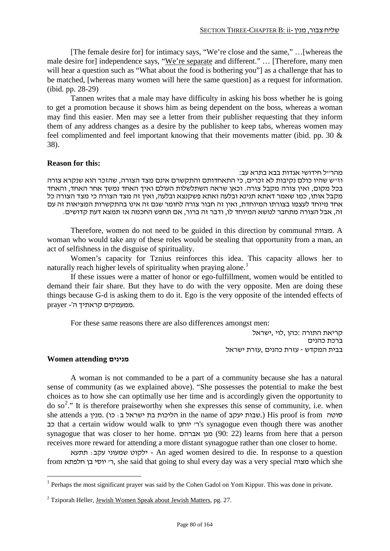[The female desire for] for intimacy says, "We're close and the same," …[whereas the male desire for] independence says, "We're separate and different." … [Therefore, many men will hear a question such as "What about the food is bothering you"] as a challenge that has to be matched, [whereas many women will here the same question] as a request for information. (ibid. pp. 28-29)

Tannen writes that a male may have difficulty in asking his boss whether he is going to get a promotion because it shows him as being dependent on the boss, whereas a woman may find this easier. Men may see a letter from their publisher requesting that they inform them of any address changes as a desire by the publisher to keep tabs, whereas women may feel complimented and feel important knowing that their movements matter (ibid. pp. 30 & 38).

#### **Reason for this:**

#### מהר"ל חידושי אגדות בבא בתרא עב:

וז"ש שהיו כולם נקיבות לא זכרים, כי התאחדותם והתקשרם אינם מצד הצורה, שהזכר הוא שנקרא צורה בכל מקום, ואין צורה מקבל צורה. וכאן שראה השתלשלות העולם ואיך האחד נמשך אחר האחד, והאחד מקבל אותו, כמו שאמר דאתא תנינא ובלעה ואתא פשקנצא ובלעה, ואין זה מצד הצורה כי מצד הצורה כל אחד מיוחד לעצמו בצורתו המיוחדת, ואין זה חבור צורה לחומר שגם זה אינו בהתקשרות המציאות זה עם זה, אבל הצורה מתחבר לנושא המיוחד לו, ודבר זה ברור, אם תחפש החכמה אז תמצא דעת קדושים.

Therefore, women do not need to be guided in this direction by communal מצוות. A woman who would take any of these roles would be stealing that opportunity from a man, an act of selfishness in the disguise of spirituality.

Women's capacity for Tznius reinforces this idea. This capacity allows her to naturally reach higher levels of spirituality when praying alone.<sup>1</sup>

If these issues were a matter of honor or ego-fulfillment, women would be entitled to demand their fair share. But they have to do with the very opposite. Men are doing these things because G-d is asking them to do it. Ego is the very opposite of the intended effects of .ממעמקים קראתיך ה'- prayer

For these same reasons there are also differences amongst men:

קריאת התורה :כהן ,לוי ,ישראל ברכת כהנים בבית המקדש - עזרת כהנים ,עזרת ישראל

#### **Women attending מנינים**

A woman is not commanded to be a part of a community because she has a natural sense of community (as we explained above). "She possesses the potential to make the best choices as to how she can optimally use her time and is accordingly given the opportunity to do so<sup>2</sup>." It is therefore praiseworthy when she expresses this sense of community, i.e. when she attends a סוטה (.שבות יעקב in the name of הליכות בת ישראל ב: כו cis from סוטה כב that a certain widow would walk to יוחנן' ר's synagogue even though there was another synagogue that was closer to her home. אברהם מגן) 90: 22 (learns from here that a person receives more reward for attending a more distant synagogue rather than one closer to home.

ילקוט שמעוני עקב: תתעא - An aged women desired to die. In response to a question from חלפתא בן יוסי' ר, she said that going to shul every day was a very special מצוה which she

 $<sup>1</sup>$  Perhaps the most significant prayer was said by the Cohen Gadol on Yom Kippur. This was done in private.</sup>

<sup>2</sup> Tziporah Heller, Jewish Women Speak about Jewish Matters*,* pg. 27.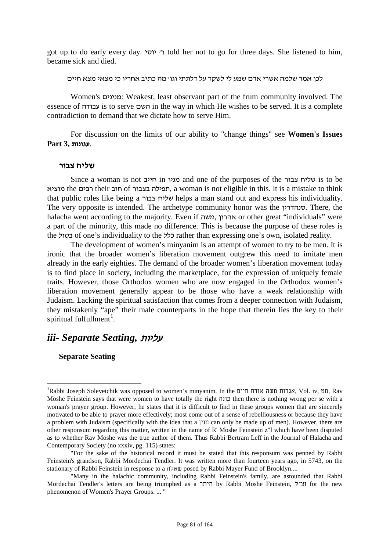got up to do early every day. יוסי' ר told her not to go for three days. She listened to him, became sick and died.

לכן אמר שלמה אשרי אדם שמע לי לשקד על דלתתי וגו' מה כתיב אחריו כי מצאי מצא חיים

Women's מנינים: Weakest, least observant part of the frum community involved. The essence of עבודה is to serve השם in the way in which He wishes to be served. It is a complete contradiction to demand that we dictate how to serve Him.

For discussion on the limits of our ability to "change things" see **Women's Issues** .**עגונות 3, Part**

#### **שליח צבור**

Since a woman is not חייב in מנין and one of the purposes of the צבור שליח is to be מוציא the רבים their חוב of בצבור תפילה, a woman is not eligible in this. It is a mistake to think that public roles like being a צבור שליח helps a man stand out and express his individuality. The very opposite is intended. The archetype community honor was the סנהדרין. There, the halacha went according to the majority. Even if מהרון, משה, אהרון or other great "individuals" were a part of the minority, this made no difference. This is because the purpose of these roles is the בטול of one's individuality to the כלל rather than expressing one's own, isolated reality.

The development of women's minyanim is an attempt of women to try to be men. It is ironic that the broader women's liberation movement outgrew this need to imitate men already in the early eighties. The demand of the broader women's liberation movement today is to find place in society, including the marketplace, for the expression of uniquely female traits. However, those Orthodox women who are now engaged in the Orthodox women's liberation movement generally appear to be those who have a weak relationship with Judaism. Lacking the spiritual satisfaction that comes from a deeper connection with Judaism, they mistakenly "ape" their male counterparts in the hope that therein lies the key to their spiritual fulfullment<sup>1</sup>.

### *iii- Separate Seating,* עליות

**Separate Seating**

 $\frac{1}{1}$ Rabbi Joseph Soleveichik was opposed to women's minyanim. In the חיים אורח משה אגרות, Vol. iv, מט, Rav Moshe Feinstein says that were women to have totally the right כונה then there is nothing wrong per se with a woman's prayer group. However, he states that it is difficult to find in these groups women that are sincerely motivated to be able to prayer more effectively; most come out of a sense of rebelliousness or because they have a problem with Judaism (specifically with the idea that a מנין can only be made up of men). However, there are other responsum regarding this matter, written in the name of R' Moshe Feinstein z"l which have been disputed as to whether Rav Moshe was the true author of them. Thus Rabbi Bertram Leff in the Journal of Halacha and Contemporary Society (no xxxiv, pg. 115) states:

<sup>&</sup>quot;For the sake of the historical record it must be stated that this responsum was penned by Rabbi Feinstein's grandson, Rabbi Mordechai Tendler. It was written more than fourteen years ago, in 5743, on the stationary of Rabbi Feinstein in response to a שאלה posed by Rabbi Mayer Fund of Brooklyn....

 <sup>&</sup>quot;Many in the halachic community, including Rabbi Feinstein's family, are astounded that Rabbi Mordechai Tendler's letters are being triumphed as a היתר by Rabbi Moshe Feinstein, ל"זצ for the new phenomenon of Women's Prayer Groups. ... "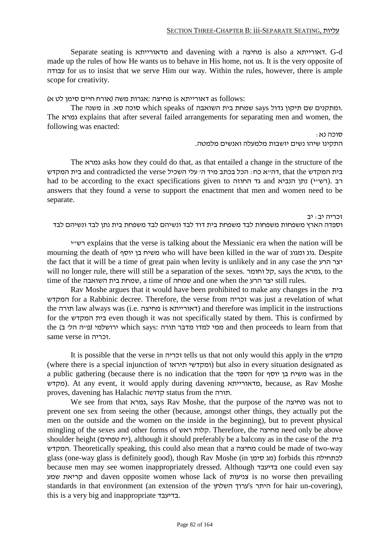Separate seating is מדאורייתא and davening with a מחיצה is also a דאורייתא. G-d made up the rules of how He wants us to behave in His home, not us. It is the very opposite of עבודה for us to insist that we serve Him our way. Within the rules, however, there is ample scope for creativity.

:follows as דאורייתא is מחיצה :אגרות משה (אורח חיים סימן לט א)

The ומתקנים שם תיקון גדול says שמחת בית השואבה. which speaks of סוכה סא. in משנה. The גמרא explains that after several failed arrangements for separating men and women, the following was enacted:

 $:$ נא סוכה נא

התקינו שיהו נשים יושבות מלמעלה ואנשים מלמטה.

The גמרא asks how they could do that, as that entailed a change in the structure of the בית המקדש and contradicted the verse בית המקדש and contradicted the crse בית המקדש had to be according to the exact specifications given to הרב. (רשיי). הכ answers that they found a verse to support the enactment that men and women need to be separate.

זכריה יב: יב וספדה הארץ משפחות משפחות לבד משפחת בית דוד לבד ונשיהם לבד משפחת בית נתן לבד ונשיהם לבד

י"רש explains that the verse is talking about the Messianic era when the nation will be mourning the death of יוסף בן משיח who will have been killed in the war of ומגוג גוג. Despite the fact that it will be a time of great pain when levity is unlikely and in any case the הרע יצר will no longer rule, there will still be a separation of the sexes. וחומר קל, says the גמרא, to the time of the יצר הרע a time of שמחה שמחה and one when the הרע still rules.

Rav Moshe argues that it would have been prohibited to make any changes in the בית המקדש for a Rabbinic decree. Therefore, the verse from זכריה was just a revelation of what the תורה law always was (i.e. מחיצה is דאורייתא (and therefore was implicit in the instructions for the המקדש בית even though it was not specifically stated by them. This is confirmed by the (מיה הלי ב) which says: ממי למדו מדבר תורה and then proceeds to learn from that same verse in זכריה.

It is possible that the verse in זכריה tells us that not only would this apply in the מקדש (where there is a special injunction of תיראו ומקדשי (but also in every situation designated as a public gathering (because there is no indication that the הספד for יוסף בן משיח was in the מקדש). At any event, it would apply during davening מדאורייתא, because, as Rav Moshe proves, davening has Halachic קדושה status from the תורה.

We see from that גמרא, says Rav Moshe, that the purpose of the מחיצה was not to prevent one sex from seeing the other (because, amongst other things, they actually put the men on the outside and the women on the inside in the beginning), but to prevent physical mingling of the sexes and other forms of ראש קלות. Therefore, the מחיצה need only be above shoulder height (יח טפחים), although it should preferably be a balcony as in the case of the בית המקדש. Theoretically speaking, this could also mean that a מחיצה could be made of two-way glass (one-way glass is definitely good), though Rav Moshe (מג סימן forbids this לכתחילה because men may see women inappropriately dressed. Although בדיעבד one could even say שמע קריאת and daven opposite women whose lack of צניעות is no worse then prevailing standards in that environment (an extension of the השלחן ערוך's היתר for hair un-covering), this is a very big and inappropriate בדיעבד.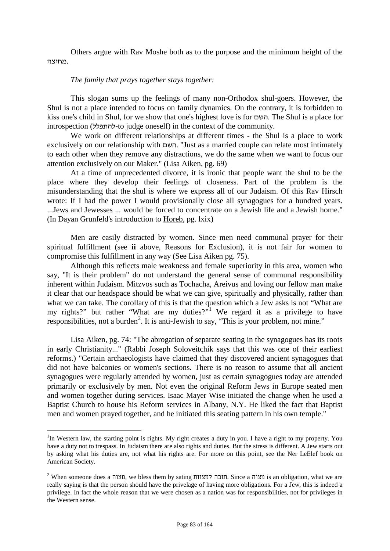Others argue with Rav Moshe both as to the purpose and the minimum height of the .מחיצה

#### *The family that prays together stays together:*

This slogan sums up the feelings of many non-Orthodox shul-goers. However, the Shul is not a place intended to focus on family dynamics. On the contrary, it is forbidden to kiss one's child in Shul, for we show that one's highest love is for השם. The Shul is a place for introspection (להתפלל-to judge oneself) in the context of the community.

We work on different relationships at different times - the Shul is a place to work exclusively on our relationship with השם." Just as a married couple can relate most intimately to each other when they remove any distractions, we do the same when we want to focus our attention exclusively on our Maker." (Lisa Aiken, pg. 69)

At a time of unprecedented divorce, it is ironic that people want the shul to be the place where they develop their feelings of closeness. Part of the problem is the misunderstanding that the shul is where we express all of our Judaism. Of this Rav Hirsch wrote: If I had the power I would provisionally close all synagogues for a hundred years. ...Jews and Jewesses ... would be forced to concentrate on a Jewish life and a Jewish home." (In Dayan Grunfeld's introduction to Horeb, pg. lxix)

Men are easily distracted by women. Since men need communal prayer for their spiritual fulfillment (see **ii** above, Reasons for Exclusion), it is not fair for women to compromise this fulfillment in any way (See Lisa Aiken pg. 75).

Although this reflects male weakness and female superiority in this area, women who say, "It is their problem" do not understand the general sense of communal responsibility inherent within Judaism. Mitzvos such as Tochacha, Areivus and loving our fellow man make it clear that our headspace should be what we can give, spiritually and physically, rather than what we can take. The corollary of this is that the question which a Jew asks is not "What are my rights?" but rather "What are my duties?"<sup>1</sup> We regard it as a privilege to have responsibilities, not a burden<sup>2</sup>. It is anti-Jewish to say, "This is your problem, not mine."

Lisa Aiken, pg. 74: "The abrogation of separate seating in the synagogues has its roots in early Christianity..." (Rabbi Joseph Soloveitchik says that this was one of their earliest reforms.) "Certain archaeologists have claimed that they discovered ancient synagogues that did not have balconies or women's sections. There is no reason to assume that all ancient synagogues were regularly attended by women, just as certain synagogues today are attended primarily or exclusively by men. Not even the original Reform Jews in Europe seated men and women together during services. Isaac Mayer Wise initiated the change when he used a Baptist Church to house his Reform services in Albany, N.Y. He liked the fact that Baptist men and women prayed together, and he initiated this seating pattern in his own temple."

 $\frac{1}{1}$ <sup>1</sup>In Western law, the starting point is rights. My right creates a duty in you. I have a right to my property. You have a duty not to trespass. In Judaism there are also rights and duties. But the stress is different. A Jew starts out by asking what his duties are, not what his rights are. For more on this point, see the Ner LeElef book on American Society.

 $2$  When someone does a תצוה, we bless them by sating תזכה למצוות. Since a תצוה is an obligation, what we are really saying is that the person should have the privelage of having more obligations. For a Jew, this is indeed a privilege. In fact the whole reason that we were chosen as a nation was for responsibilities, not for privileges in the Western sense.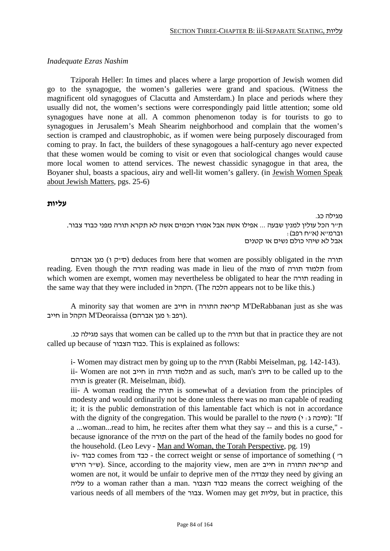#### *Inadequate Ezras Nashim*

Tziporah Heller: In times and places where a large proportion of Jewish women did go to the synagogue, the women's galleries were grand and spacious. (Witness the magnificent old synagogues of Clacutta and Amsterdam.) In place and periods where they usually did not, the women's sections were correspondingly paid little attention; some old synagogues have none at all. A common phenomenon today is for tourists to go to synagogues in Jerusalem's Meah Shearim neighborhood and complain that the women's section is cramped and claustrophobic, as if women were being purposely discouraged from coming to pray. In fact, the builders of these synagogoues a half-century ago never expected that these women would be coming to visit or even that sociological changes would cause more local women to attend services. The newest chassidic synagogue in that area, the Boyaner shul, boasts a spacious, airy and well-lit women's gallery. (in Jewish Women Speak about Jewish Matters, pgs. 25-6)

#### **עליות**

מגילה כג. ת"ר הכל עולין למנין שבעה ... אפילו אשה אבל אמרו חכמים אשה לא תקרא תורה מפני כבוד צבור. וברמ"א (א"ח רפב): אבל לא שיהי כולם נשים או קטנים

אברהם מגן) ו ק"ס (deduces from here that women are possibly obligated in the תורה reading. Even though the תורה reading was made in lieu of the מצוה of תלמוד תורה which women are exempt, women may nevertheless be obligated to hear the תורה reading in the same way that they were included in הקהל. (The הלכה appears not to be like this.)

A minority say that women are חייב in התורה קריאת M'DeRabbanan just as she was רפב:ו מגן אברהם) M'Deoraissa (רפב).

.כג מגילה says that women can be called up to the תורה but that in practice they are not called up because of הצבור כבוד. This is explained as follows:

i- Women may distract men by going up to the תורה) Rabbi Meiselman, pg. 142-143). ii- Women are not חייב in תורה תלמוד and as such, man's חיוב to be called up to the תורה is greater (R. Meiselman, ibid).

iii- A woman reading the תורה is somewhat of a deviation from the principles of modesty and would ordinarily not be done unless there was no man capable of reading it; it is the public demonstration of this lamentable fact which is not in accordance with the dignity of the congregation. This would be parallel to the  $($ סוכה $($ :  $')$  conserved in Supplement ( $\sigma$ a ...woman...read to him, he recites after them what they say -- and this is a curse," because ignorance of the תורה on the part of the head of the family bodes no good for the household. (Leo Levy - Man and Woman, the Torah Perspective, pg. 19)

iv- כבוד comes from כבד - the correct weight or sense of importance of something ( 'ר שייר הירש). Since, according to the majority view, men are קריאת התורה and women are not, it would be unfair to deprive men of the עבודה they need by giving an עליה to a woman rather than a man. הצבור כבוד means the correct weighing of the various needs of all members of the צבור. Women may get עליות, but in practice, this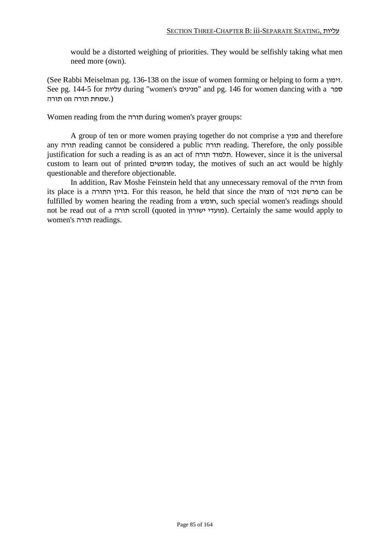would be a distorted weighing of priorities. They would be selfishly taking what men need more (own).

(See Rabbi Meiselman pg. 136-138 on the issue of women forming or helping to form a זימון. See pg. 144-5 for עליות during "women's מנינים "and pg. 146 for women dancing with a ספר (.שמחת תורה on תורה

Women reading from the תורה during women's prayer groups:

A group of ten or more women praying together do not comprise a מנין and therefore any תורה reading cannot be considered a public תורה reading. Therefore, the only possible justification for such a reading is as an act of תורה תלמוד. However, since it is the universal custom to learn out of printed חומשים today, the motives of such an act would be highly questionable and therefore objectionable.

In addition, Rav Moshe Feinstein held that any unnecessary removal of the תורה from its place is a התורה בזיון. For this reason, he held that since the מצוה of זכור פרשת can be fulfilled by women hearing the reading from a חומש, such special women's readings should not be read out of a תורה scroll (quoted in מועדי ישורון). Certainly the same would apply to women's תורה readings.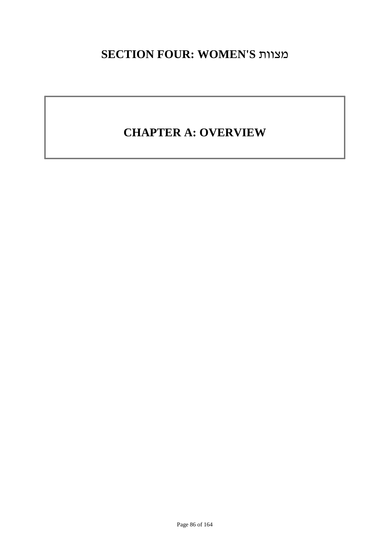## **SECTION FOUR: WOMEN'S** מצוות

# **CHAPTER A: OVERVIEW**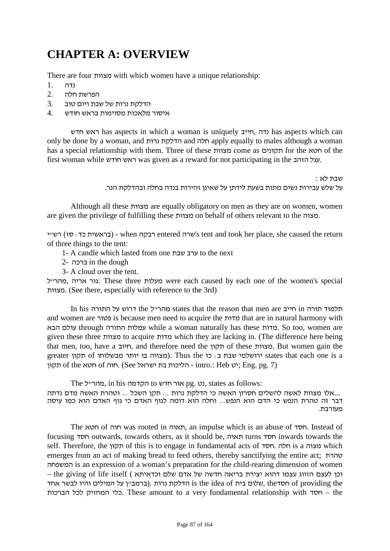# **CHAPTER A: OVERVIEW**

There are four מצוות with which women have a unique relationship:

- נדה 1.
- הפרשת חלה 2.
- הדלקת נרות של שבת ויום טוב 3.
- איסור מלאכות מסוימות בראש חודש 4.

חדש ראש has aspects in which a woman is uniquely חייב, נדה has aspects which can only be done by a woman, and נרות הדלקת and חלה apply equally to males although a woman has a special relationship with them. Three of these מצוות come as תקונים for the חטא of the first woman while חודש ראש was given as a reward for not participating in the הזהב עגל.

> שבת לא : על שלש עבירות נשים מתות בשעת לידתן על שאינן זהירות בנדה בחלה ובהדלקת הנר.

Although all these מצוות are equally obligatory on men as they are on women, women are given the privilege of fulfilling these מצוות on behalf of others relevant to the מצוה.

ישרה entered דבקה entered cok her place, she caused the return (בראשית כד: סז) רשיי of three things to the tent:

- 1- A candle which lasted from one ערב שבת to the next
- 2- ברכה in the dough
- 3- A cloud over the tent.

גור אריה, מהרייל: These three ach caused by each one of the women's special מצוות.) See there, especially with reference to the 3rd)

In his התלמוד תורה the ל"מהר states that the reason that men are חייב in תלמוד תורה and women are פטור is because men need to acquire the מדות that are in natural harmony with הבא עולם through התורה עמלות while a woman naturally has these מדות. So too, women are given these three מצוות to acquire מדות which they are lacking in. (The difference here being that men, too, have a חיוב, and therefore need the תקון of these מצוות. But women gain the greater תקון of מבווה בו יותר מבשלוחו of מבון creater ורושלמי שבת ב: כו states that each one is a תקון of the יט of חוה. (See ישראל - intro.: Heb ייט; Eng. pg. 7)

The מהרייל, in his הקדמה to נט, states as follows:

 ...אלו מצוות לאשה להשלים חסרון האשה כי הדלקת נרות ... תקן השכל ... וטהרת האשה מדם נדתה דבר זה טהרת הנפש כי הדם הוא הנפש... וחלה הוא דומה לגוף האדם כי גוף האדם הוא כמו עיסה מעורבת.

The חטא of חוה was rooted in תאוה, an impulse which is an abuse of חסד. Instead of focusing חסד outwards, towards others, as it should be, תאוה turns חסד inwards towards the self. Therefore, the תקון of this is to engage in fundamental acts of חסד. חלה is a מצוה which emerges from an act of making bread to feed others, thereby sanctifying the entire act; טהרת המשפחה is an expression of a woman's preparation for the child-rearing dimension of women וכן לעצם הזווג עצמו דהוא יצירת בריאה חדשה של אדם שלם וכדאיתא ) he giving of life itself -עלום בית is the idea of הדלקת נרות .(ברמב"ן על המילים והיו לבשר אחד of providing the הברכות לכל המחזיק כלי. These amount to a very fundamental relationship with חסד – the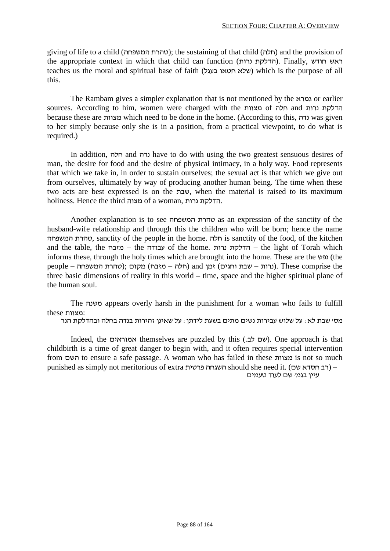giving of life to a child (סהרת המשפחה); the sustaining of that child (חלה) and the provision of the appropriate context in which that child can function (הדלקת נרות). Finally, ראש חודש teaches us the moral and spiritual base of faith (בעגל חטאו שלא (which is the purpose of all this.

The Rambam gives a simpler explanation that is not mentioned by the גמרא or earlier sources. According to him, women were charged with the מצוות of חלה and נרות הדלקת because these are מצוות which need to be done in the home. (According to this, נדה was given to her simply because only she is in a position, from a practical viewpoint, to do what is required.)

In addition, חלה and נדה have to do with using the two greatest sensuous desires of man, the desire for food and the desire of physical intimacy, in a holy way. Food represents that which we take in, in order to sustain ourselves; the sexual act is that which we give out from ourselves, ultimately by way of producing another human being. The time when these two acts are best expressed is on the שבת, when the material is raised to its maximum holiness. Hence the third מצוה of a woman, נרות הדלקת.

Another explanation is to see המשפחה טהרת as an expression of the sanctity of the husband-wife relationship and through this the children who will be born; hence the name המשפחה טהרת, sanctity of the people in the home. חלה is sanctity of the food, of the kitchen and the table, the מזבח – the עבודה of the home. נרות הדלקת – the light of Torah which informs these, through the holy times which are brought into the home. These are the נפש) (the  $t$ נרות – שבת וחגים) זמן and (חלה – מזבח) מקום ;(טהרת המשפחה – people – (נרות המשפחה). These comprise the three basic dimensions of reality in this world – time, space and the higher spiritual plane of the human soul.

The משנה appears overly harsh in the punishment for a woman who fails to fulfill :מצוות these

מס' שבת לא: על שלוש עבירות נשים מתים בשעת לידתן: על שאינן זהירות בנדה בחלה ובהדלקת הנר

Indeed, the אמוראים themselves are puzzled by this (שם לב.). One approach is that childbirth is a time of great danger to begin with, and it often requires special intervention from השם to ensure a safe passage. A woman who has failed in these מצוות is not so much punished as simply not meritorious of extra השגחה פרטית) – (רב חסדא שם)

עיין בגמ' שם לעוד טעמים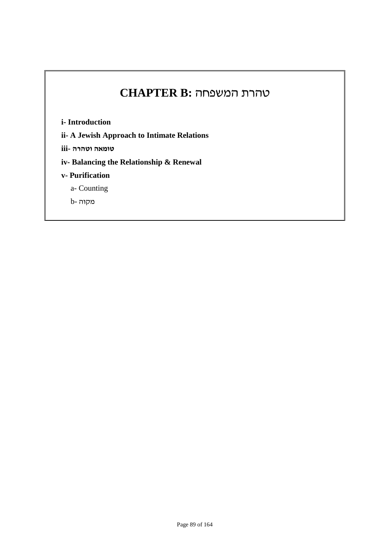## טהרת המשפחה **:B CHAPTER**

**i- Introduction**

**ii- A Jewish Approach to Intimate Relations**

**טומאה וטהרה -iii**

**iv- Balancing the Relationship & Renewal**

- **v- Purification**
	- a- Counting

מקוה -b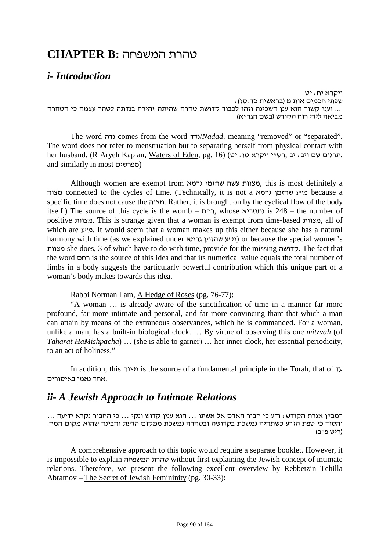## טהרת המשפחה **:B CHAPTER**

## *i- Introduction*

ויקרא יח: יט שפתי חכמים אות מ (בראשית כד:סז): ... וענן קשור הוא ענן השכינה וזהו לכבוד קדושת טהרה שהיתה זהירה בנדתה לטהר עצמה כי הטהרה מביאה לידי רוח הקודש (בשם הגר"א)

The word נדה comes from the word נדד/*Nadad,* meaning "removed" or "separated". The word does not refer to menstruation but to separating herself from physical contact with her husband. (R Aryeh Kaplan, Waters of Eden, pg. 16) (חרגום שם ויב: יב, רש"י ויקרא טו: and similarly in most מפרשים(

Although women are exempt from גרמא שהזמן עשה מצוות, this is most definitely a מצוה connected to the cycles of time. (Technically, it is not a גרמא שהזמן ע"מ because a specific time does not cause the מצוה. Rather, it is brought on by the cyclical flow of the body itself.) The source of this cycle is the womb – רחם, whose גמטריא is 248 – the number of positive מצוות. This is strange given that a woman is exempt from time-based מצוות, all of which are ע"מ. It would seem that a woman makes up this either because she has a natural harmony with time (as we explained under גרמא שהזמן ע"מ (or because the special women's מצוות she does, 3 of which have to do with time, provide for the missing קדושה. The fact that the word רחם is the source of this idea and that its numerical value equals the total number of limbs in a body suggests the particularly powerful contribution which this unique part of a woman's body makes towards this idea.

Rabbi Norman Lam, A Hedge of Roses (pg. 76-77):

"A woman … is already aware of the sanctification of time in a manner far more profound, far more intimate and personal, and far more convincing thant that which a man can attain by means of the extraneous observances, which he is commanded. For a woman, unlike a man, has a built-in biological clock. … By virtue of observing this one *mitzvah* (of *Taharat HaMishpacha*) … (she is able to garner) … her inner clock, her essential periodicity, to an act of holiness."

In addition, this מצוה is the source of a fundamental principle in the Torah, that of עד .אחד נאמן באיסורים

## *ii- A Jewish Approach to Intimate Relations*

רמב"ן אגרת הקודש: ודע כי חבור האדם אל אשתו ... הוא ענין קדוש ונקי ... כי החבור נקרא ידיעה ... והסוד כי טפת הזרע כשתהיה נמשכת בקדושה ובטהרה נמשכת ממקום הדעת והבינה שהוא מקום המח. (ריש פייב)

A comprehensive approach to this topic would require a separate booklet. However, it is impossible to explain המשפחה טהרת without first explaining the Jewish concept of intimate relations. Therefore, we present the following excellent overview by Rebbetzin Tehilla Abramov – The Secret of Jewish Femininity (pg. 30-33):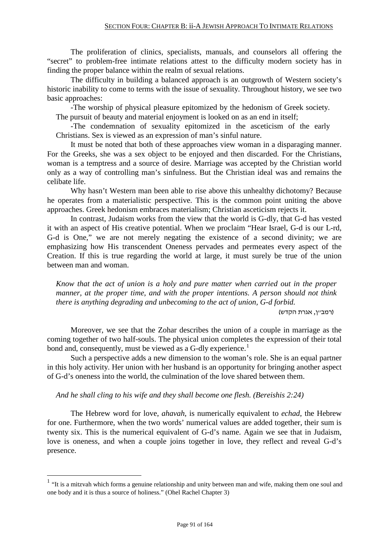The proliferation of clinics, specialists, manuals, and counselors all offering the "secret" to problem-free intimate relations attest to the difficulty modern society has in finding the proper balance within the realm of sexual relations.

The difficulty in building a balanced approach is an outgrowth of Western society's historic inability to come to terms with the issue of sexuality. Throughout history, we see two basic approaches:

-The worship of physical pleasure epitomized by the hedonism of Greek society. The pursuit of beauty and material enjoyment is looked on as an end in itself;

-The condemnation of sexuality epitomized in the asceticism of the early Christians. Sex is viewed as an expression of man's sinful nature.

It must be noted that both of these approaches view woman in a disparaging manner. For the Greeks, she was a sex object to be enjoyed and then discarded. For the Christians, woman is a temptress and a source of desire. Marriage was accepted by the Christian world only as a way of controlling man's sinfulness. But the Christian ideal was and remains the celibate life.

Why hasn't Western man been able to rise above this unhealthy dichotomy? Because he operates from a materialistic perspective. This is the common point uniting the above approaches. Greek hedonism embraces materialism; Christian asceticism rejects it.

In contrast, Judaism works from the view that the world is G-dly, that G-d has vested it with an aspect of His creative potential. When we proclaim "Hear Israel, G-d is our L-rd, G-d is One," we are not merely negating the existence of a second divinity; we are emphasizing how His transcendent Oneness pervades and permeates every aspect of the Creation. If this is true regarding the world at large, it must surely be true of the union between man and woman.

*Know that the act of union is a holy and pure matter when carried out in the proper manner, at the proper time, and with the proper intentions. A person should not think there is anything degrading and unbecoming to the act of union, G-d forbid.*

(רמב"ן, אגרת הקדש)

Moreover, we see that the Zohar describes the union of a couple in marriage as the coming together of two half-souls. The physical union completes the expression of their total bond and, consequently, must be viewed as a G-dly experience.<sup>1</sup>

Such a perspective adds a new dimension to the woman's role. She is an equal partner in this holy activity. Her union with her husband is an opportunity for bringing another aspect of G-d's oneness into the world, the culmination of the love shared between them.

*And he shall cling to his wife and they shall become one flesh. (Bereishis 2:24)*

The Hebrew word for love, *ahavah*, is numerically equivalent to *echad*, the Hebrew for one. Furthermore, when the two words' numerical values are added together, their sum is twenty six. This is the numerical equivalent of G-d's name. Again we see that in Judaism, love is oneness, and when a couple joins together in love, they reflect and reveal G-d's presence.

<sup>&</sup>lt;sup>1</sup> "It is a mitzvah which forms a genuine relationship and unity between man and wife, making them one soul and one body and it is thus a source of holiness." (Ohel Rachel Chapter 3)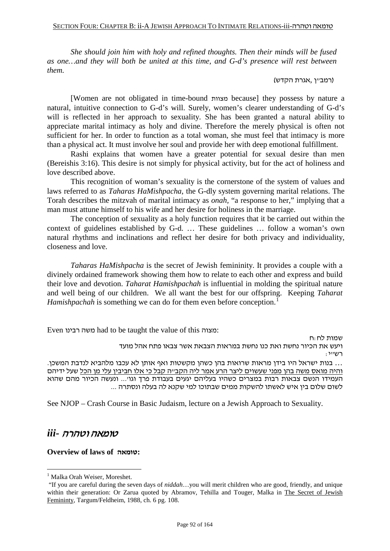*She should join him with holy and refined thoughts. Then their minds will be fused as one…and they will both be united at this time, and G-d's presence will rest between them.*

(רמב״ן ,אגרת הקדש)

[Women are not obligated in time-bound מצוות because] they possess by nature a natural, intuitive connection to G-d's will. Surely, women's clearer understanding of G-d's will is reflected in her approach to sexuality. She has been granted a natural ability to appreciate marital intimacy as holy and divine. Therefore the merely physical is often not sufficient for her. In order to function as a total woman, she must feel that intimacy is more than a physical act. It must involve her soul and provide her with deep emotional fulfillment.

Rashi explains that women have a greater potential for sexual desire than men (Bereishis 3:16). This desire is not simply for physical activity, but for the act of holiness and love described above.

This recognition of woman's sexuality is the cornerstone of the system of values and laws referred to as *Taharas HaMishpacha*, the G-dly system governing marital relations. The Torah describes the mitzvah of marital intimacy as *onah,* "a response to her," implying that a man must attune himself to his wife and her desire for holiness in the marriage.

The conception of sexuality as a holy function requires that it be carried out within the context of guidelines established by G-d. … These guidelines … follow a woman's own natural rhythms and inclinations and reflect her desire for both privacy and individuality, closeness and love.

*Taharas HaMishpacha* is the secret of Jewish femininity. It provides a couple with a divinely ordained framework showing them how to relate to each other and express and build their love and devotion. *Taharat Hamishpachah* is influential in molding the spiritual nature and well being of our children. We all want the best for our offspring. Keeping *Taharat Hamishpachah* is something we can do for them even before conception.<sup>1</sup>

Even רבינו משה had to be taught the value of this מצוה:

שמות לח:ח ויעש את הכיור נחשת ואת כנו נחשת במראות הצבאת אשר צבאו פתח אהל מועד  $:$ ייי $\Gamma$ ... בנות ישראל היו בידן מראות שרואות בהן כשהן מקשטות ואף אותן לא עכבו מלהביא לנדבת המשכן. <u>והיה מואס משה בהן מפני שעשוים ליצר הרע אמר ליה הקב״ה קבל כי אלו חביבין עלי מן הכל</u> שעל ידיהם העמידו הנשם צבאות רבות במצרים כשהיו בעליהם יגעים בעבודת פרך וגו'... ונעשה הכיור מהם שהוא

לשום שלום בין איש לאשתו להשקות ממים שבתוכו למי שקנא לה בעלה ונסתרה ...

See NJOP – Crash Course in Basic Judaism, lecture on a Jewish Approach to Sexuality.

## טומאה וטהרה *-iii*

**Overview of laws of טומאה:**

<sup>&</sup>lt;sup>1</sup> Malka Orah Weiser, Moreshet.

<sup>&</sup>quot;If you are careful during the seven days of *niddah*…you will merit children who are good, friendly, and unique within their generation: Or Zarua quoted by Abramov, Tehilla and Touger, Malka in The Secret of Jewish Femininty, Targum/Feldheim, 1988, ch. 6 pg. 108.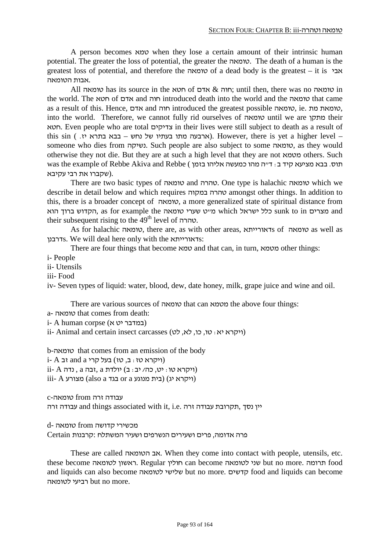A person becomes טמא when they lose a certain amount of their intrinsic human potential. The greater the loss of potential, the greater the טומאה. The death of a human is the greatest loss of potential, and therefore the טומאה of a dead body is the greatest – it is אבי .אבות הטומאה

All טומאה has its source in the סוטא  $\&$  אדם  $\&$  חוה ;until then, there was no טומאה in the world. The חטא of אדם and חוה introduced death into the world and the טומאה that came as a result of this. Hence, אדם and חוה introduced the greatest possible טומאה, ie. מת טומאת, into the world. Therefore, we cannot fully rid ourselves of טומאה until we are מתקן their חטא. Even people who are total צדיקים in their lives were still subject to death as a result of this  $\sin$  ( . ארבעה מתו בעתיו של נחש – בבא בתרא יז However, there is yet a higher level – someone who dies from נשיקה. Such people are also subject to some טומאה, as they would otherwise they not die. But they are at such a high level that they are not מטמא others. Such תוס. בבא מציעא קיד ב: ד״ה מהו כמעשה אליהו בזמן ) was the example of Rebbe Akiva and Rebbe .(שקברו את רבי עקיבא

There are two basic types of טומאה and טהרה. One type is halachic טומאה which we describe in detail below and which requires במקוה טהרה amongst other things. In addition to this, there is a broader concept of טומאה, a more generalized state of spiritual distance from and מצרים in to sunk כלל ישראל which מ"ט שערי טומאה the example for as ,הקדוש ברוך הוא their subsequent rising to the 49<sup>th</sup> level of טהרה.

As for halachic טומאה, there are, as with other areas, דאורייתאs of טומאה as well as דרבנןs. We will deal here only with the דאורייתאs:

There are four things that become טמא and that can, in turn, מטמא other things:

i- People

ii- Utensils

iii- Food

iv- Seven types of liquid: water, blood, dew, date honey, milk, grape juice and wine and oil.

There are various sources of טומאה that can מטמא the above four things:

a- טומאה that comes from death:

i- A human corpse (במדבר $($ א יט א

 $i$ ii- Animal and certain insect carcasses (ויקרא יא: טו, כו, לא, לט)

b-טומאה that comes from an emission of the body

 $i$ - A וויקרא טז: ב, טז) בעל קרי and a זב

 $i$ ii- A יולדת a , זבה a ויקרא טו $(3, 2, 3)$  (ויקרא טו $(4, 4)$ 

וויקרא יג) (בית מנוגע also a בגד (also a מצורע ( $($ ויקרא יג)

עבודה זרה from טומאה-c

יין נסך ,תקרובת עבודה זרה .e.i ,it with associated things and עבודה זרה

מכשירי קדושה from טומאה -d

פרה אדומה, פרים ושעירים הנשרפים ושעיר המשתלח :קרבנות Certain

These are called הטומאה אב. When they come into contact with people, utensils, etc. these become לטומאה ראשון. Regular חולין can become לטומאה שני but no more. תרומה food and liquids can also become לטומאה שלישי but no more. קדשים food and liquids can become לטומאה רביעי but no more.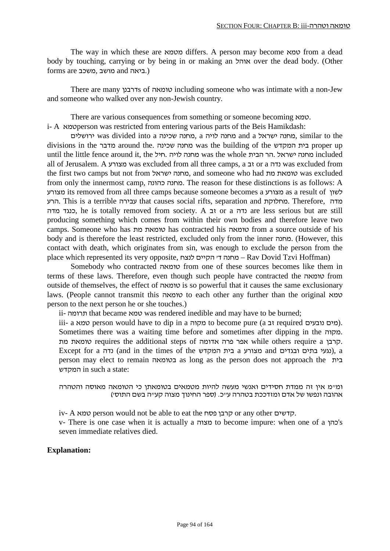The way in which these are מטמא differs. A person may become טמא from a dead body by touching, carrying or by being in or making an אוהל over the dead body. (Other (.ביאה and מושב ,משכב are forms

There are many דרבנןs of טומאה including someone who was intimate with a non-Jew and someone who walked over any non-Jewish country.

There are various consequences from something or someone becoming טמא. i- A טמאא person was restricted from entering various parts of the Beis Hamikdash:

ירושלים was divided into a שכינה מחנה, a לויה מחנה and a ישראל מחנה, similar to the divisions in the מדבר around the. שכינה מחנה was the building of the המקדש בית proper up until the little fence around it, the חיל. לויה מחנה was the whole הבית הר. ישראל מחנה included all of Jerusalem. A מצורע was excluded from all three camps, a גדה or a נדה was excluded from the first two camps but not from מחנה ישראל, and someone who had טומאת מת from only the innermost camp, כהונה מחנה. The reason for these distinctions is as follows: A מצורע its removed from all three camps because someone becomes a מצורע as a result of לשון הרע. This is a terrible עבירה that causes social rifts, separation and מחלוקת. Therefore, מדה מדה כנגד, he is totally removed from society. A זב or a נדה are less serious but are still producing something which comes from within their own bodies and therefore leave two camps. Someone who has מת טומאת has contracted his טומאה from a source outside of his body and is therefore the least restricted, excluded only from the inner מחנה.) However, this contact with death, which originates from sin, was enough to exclude the person from the place which represented its very opposite, לנצח הקיים' ד מחנה – Rav Dovid Tzvi Hoffman)

Somebody who contracted טומאה from one of these sources becomes like them in terms of these laws. Therefore, even though such people have contracted the טומאה from outside of themselves, the effect of טומאה is so powerful that it causes the same exclusionary laws. (People cannot transmit this טומאה to each other any further than the original טמא person to the next person he or she touches.)

ii- תרומה that became טמא was rendered inedible and may have to be burned;

iii- a טמא person would have to dip in a מקוה to become pure (a נובעים נובעים). Sometimes there was a waiting time before and sometimes after dipping in the מקוה. מת טומאת requires the additional steps of אדומה פרה אפר while others require a קרבן. Except for a נדה) (and in the times of the מצורע a מצורע and מצורע), a person may elect to remain בטומאה as long as the person does not approach the בית המקדש in such a state:

ומ"מ אין זה ממדת חסידים ואנשי מעשה להיות מטמאים בטומאתן כי הטומאה מאוסה והטהרה אהובה ונפשו של אדם ומזדככת בטהרה ע"כ. (ספר החינוך מצוה קע"ה בשם התוס')

iv- A טמא person would not be able to eat the פסח קרבן or any other קדשים.

v- There is one case when it is actually a מצוה to become impure: when one of a כהן's seven immediate relatives died.

#### **Explanation:**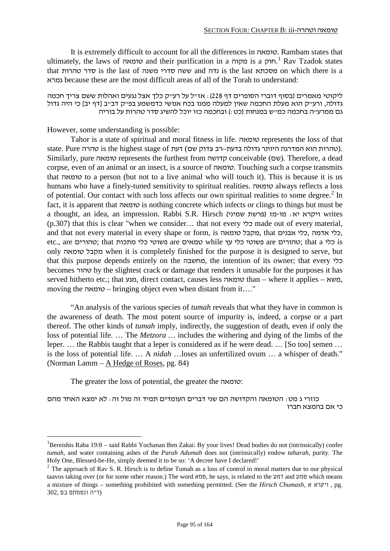It is extremely difficult to account for all the differences in טומאה. Rambam states that ultimately, the laws of **or or or purification** in a מקוה.<sup>1</sup> Rav Tzadok states that טהרות סדר is the last of משנה סדרי ששה and נדה is the last מסכתא on which there is a גמרא because these are the most difficult areas of all of the Torah to understand:

ליקוטי מאמרים (בסוף דוברי הסופרים דף 228): אז"ל על רע"ק כלך אצל נגעים ואהלות ששם צריך חכמה גדולה, ורע"ק הוא מעלת החכמה שאין למעלה ממנו בכח אנושי כדמשמע בפ"ק דב"ב [דף יב] כי היה גדול גם ממרע"ה בחכמה כמ"ש במנחות (כט:) ובחכמה כזו יוכל להשיג סדר טהרות על בוריה

#### However, some understanding is possible:

Tahor is a state of spiritual and moral fitness in life. טומאה represents the loss of that state. Pure והרה היא המדרגה היותר גדולה בדעת–רב צדוק שם) דעת of is the highest stage of טהרות הוא המדרגה היותר Similarly, pure טומאה represents the furthest from קדושה conceivable (שם(. Therefore, a dead corpse, even of an animal or an insect, is a source of טומאה. Touching such a corpse transmits that טומאה to a person (but not to a live animal who will touch it). This is because it is us humans who have a finely-tuned sensitivity to spiritual realities. טומאה always reflects a loss of potential. Our contact with such loss affects our own spiritual realities to some degree.<sup>2</sup> In fact, it is apparent that טומאה is nothing concrete which infects or clings to things but must be a thought, an idea, an impression. Rabbi S.R. Hirsch (פרשת שמיני ear-מו-פרשת (פרשת (מו-מו היקרא יא (p.307) that this is clear "when we consider… that not every כלי made out of every material, and that not every material in every shape or form, is סומאה, that הכלי אבנים, לאדמה, כלי, etc., are כלי that ; טהורים are פשוטי כלי עץ while טמאים are פשוטי כלי גן; that a כלי is only טומאה מקבל when it is completely finished for the purpose it is designed to serve, but that this purpose depends entirely on the מחשבה, the intention of its owner; that every כלי becomes טהור by the slightest crack or damage that renders it unusable for the purposes it has served hitherto etc.; that מגע, direct contact, causes less טומאה than – where it applies – משא, moving the טומאה – bringing object even when distant from it…."

"An analysis of the various species of *tumah* reveals that what they have in common is the awareness of death. The most potent source of impurity is, indeed, a corpse or a part thereof. The other kinds of *tumah* imply, indirectly, the suggestion of death, even if only the loss of potential life. … The *Metzora …* includes the withering and dying of the limbs of the leper. … the Rabbis taught that a leper is considered as if he were dead. … [So too] semen … is the loss of potential life. … A *nidah* …loses an unfertilized ovum … a whisper of death." (Norman Lamm – A Hedge of Roses, pg. 84)

The greater the loss of potential, the greater the טומאה:

כוזרי ג מט: הטומאה והקדושה הם שני דברים העומדים תמיד זה מול זה: לא ימצא האחד מהם כי אם בהמצא חברו

 $\frac{1}{1}$ <sup>1</sup>Bereishis Raba 19:8 – said Rabbi Yochanan Ben Zakai: By your lives! Dead bodies do not (intrinsically) confer *tumah*, and water containing ashes of the *Parah Adumah* does not (intrinsically) endow *taharah,* purity. The Holy One, Blessed-be-He, simply deemed it to be so: 'A decree have I declared!'

 $2$  The approach of Rav S. R. Hirsch is to define Tumah as a loss of control in moral matters due to our physical taavos taking over (or for some other reason.) The word טמא, he says, is related to the דמע and טמע which means a mixture of things – something prohibited with something permitted. (See the *Hirsch Chumash*, א ויקרא , pg. (ד"ה ונטמתם בם 302,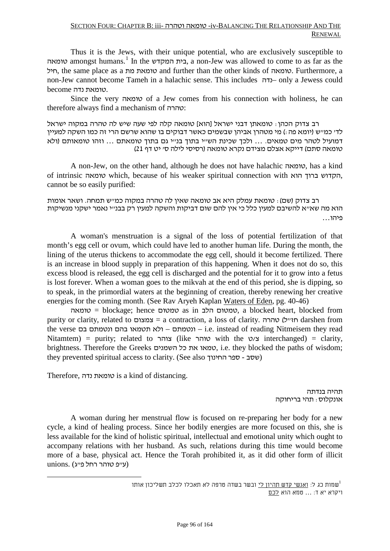#### SECTION FOUR: CHAPTER B: iii- וטהרה טומאה -iv-BALANCING THE RELATIONSHIP AND THE **RENEWAL**

Thus it is the Jews, with their unique potential, who are exclusively susceptible to טומאה amongst humans.<sup>1</sup> In the בית המקדש, a non-Jew was allowed to come to as far as the חיל, the same place as a מת טומאת and further than the other kinds of טומאה. Furthermore, a non-Jew cannot become Tameh in a halachic sense. This includes נדה –only a Jewess could .טומאת נדה become

Since the very טומאה of a Jew comes from his connection with holiness, he can therefore always find a mechanism of טהרה:

רב צדוק הכהן: טומאתן דבני ישראל [הוא] טומאה קלה לפי שעה שיש לה טהרה במקוה ישראל לד' כמ"ש (יומא פה:) מי מטהרן אביהן שבשמים כאשר דבוקים בו שהוא שרשם הרי זה כמו השקה למעיין דמועיל לטהר מים טמאים. ... ולכך שכינת הש"י בתוך בנ"י גם בתוך טומאתם ... וזהו טומאותם (ולא טומאה סתם) דייקא אצלם מצידם נקרא טומאה (רסיסי לילה ס' יט דף 21)

A non-Jew, on the other hand, although he does not have halachic טומאה, has a kind of intrinsic טומאה which, because of his weaker spiritual connection with הוא ברוך הקדוש, cannot be so easily purified:

רב צדוק (שם): טומאת עמלק היא אב טומאה שאין לה טהרה במקוה כמ"ש תמחה. ושאר אומות הוא מה שא"א להשיבם למעין כלל כי אין להם שום דביקות והשקה למעין רק בבנ"י נאמר ישקני מנשיקות פיהו...

A woman's menstruation is a signal of the loss of potential fertilization of that month's egg cell or ovum, which could have led to another human life. During the month, the lining of the uterus thickens to accommodate the egg cell, should it become fertilized. There is an increase in blood supply in preparation of this happening. When it does not do so, this excess blood is released, the egg cell is discharged and the potential for it to grow into a fetus is lost forever. When a woman goes to the mikvah at the end of this period, she is dipping, so to speak, in the primordial waters at the beginning of creation, thereby renewing her creative energies for the coming month. (See Rav Aryeh Kaplan Waters of Eden, pg. 40-46)

טומאה = blockage; hence טמטום as in הלב טמטום, a blocked heart, blocked from purity or clarity, related to צמצום = a contraction, a loss of clarity. טהרה) ל"חז darshen from the verse בם ונטמתם בהם תטמאו ולא – ונטמתם – i.e. instead of reading Nitmeisem they read Nitamtem) = purity; related to צוהר (like טוהר with the צ/ט interchanged) = clarity, brightness. Therefore the Greeks השמנים כל את טמאו, i.e. they blocked the paths of wisdom; they prevented spiritual access to clarity. (See also החינוך)

Therefore, נדה טומאת is a kind of distancing.

תהיה בנדתה אונקלוס: תהי בריחוקה

A woman during her menstrual flow is focused on re-preparing her body for a new cycle, a kind of healing process. Since her bodily energies are more focused on this, she is less available for the kind of holistic spiritual, intellectual and emotional unity which ought to accompany relations with her husband. As such, relations during this time would become more of a base, physical act. Hence the Torah prohibited it, as it did other form of illicit (ע"פ טוהר רחל פ"ג) .unions

> שמות כג ל: ואנשי קדש תהיון לי ובשר בשדה טרפה לא תאכלו לכלב תשליכון אותו $\mathfrak{u}^1$ ויקרא יא ד: ... טמא הוא לכם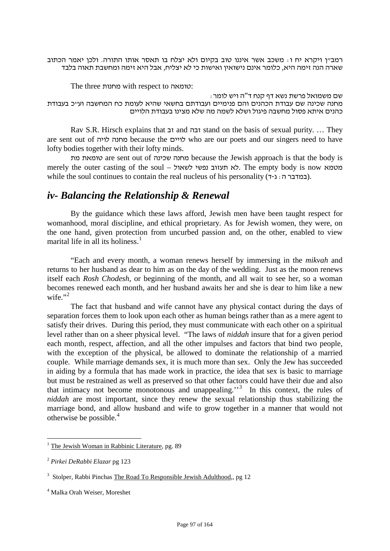רמב"ן ויקרא יח ו: משכב אשר איננו טוב בקיום ולא יצלח בו תאסר אותו התורה. ולכן יאמר הכתוב שארה הנה זימה היא, כלומר אינם נישואין ואישות כי לא יצליח, אבל היא זימה ומחשבת תאוה בלבד

The three מחנות with respect to טומאה:

שם משמואל פרשת נשא דף קנח ד"ה ויש לומר: מחנה שכינה שם עבודת הכהנים והם פנימיים ועבודתם בחשאי שהיא לעומת כח המחשבה וע"כ בעבודת כהנים איתא פסול מחשבה פיגול ושלא לשמה מה שלא מצינו בעבודת הלויים

Rav S.R. Hirsch explains that  $\tau$ i and  $\tau$ i stand on the basis of sexual purity. … They are sent out of לויה מחנה because the לויים who are our poets and our singers need to have lofty bodies together with their lofty minds.

מת טומאת are sent out of שכינה מחנה because the Jewish approach is that the body is merely the outer casting of the soul – לשאול נפשי תעזוב לא. The empty body is now מטמא while the soul continues to contain the real nucleus of his personality ( $\tau$ הגדר $\tau$ ,  $\tau$ ).

## *iv- Balancing the Relationship & Renewal*

By the guidance which these laws afford, Jewish men have been taught respect for womanhood, moral discipline, and ethical proprietary. As for Jewish women, they were, on the one hand, given protection from uncurbed passion and, on the other, enabled to view marital life in all its holiness.<sup>1</sup>

"Each and every month, a woman renews herself by immersing in the *mikvah* and returns to her husband as dear to him as on the day of the wedding. Just as the moon renews itself each *Rosh Chodesh*, or beginning of the month, and all wait to see her, so a woman becomes renewed each month, and her husband awaits her and she is dear to him like a new wife."<sup>2</sup>

The fact that husband and wife cannot have any physical contact during the days of separation forces them to look upon each other as human beings rather than as a mere agent to satisfy their drives. During this period, they must communicate with each other on a spiritual level rather than on a sheer physical level. "The laws of *niddah* insure that for a given period each month, respect, affection, and all the other impulses and factors that bind two people, with the exception of the physical, be allowed to dominate the relationship of a married couple. While marriage demands sex, it is much more than sex. Only the Jew has succeeded in aiding by a formula that has made work in practice, the idea that sex is basic to marriage but must be restrained as well as preserved so that other factors could have their due and also that intimacy not become monotonous and unappealing.<sup>''3</sup> In this context, the rules of *niddah* are most important, since they renew the sexual relationship thus stabilizing the marriage bond, and allow husband and wife to grow together in a manner that would not otherwise be possible.<sup>4</sup>

 $<sup>1</sup>$  The Jewish Woman in Rabbinic Literature, pg. 89</sup>

<sup>2</sup> *Pirkei DeRabbi Elazar* pg 123

<sup>&</sup>lt;sup>3</sup> Stolper, Rabbi Pinchas The Road To Responsible Jewish Adulthood,, pg 12

<span id="page-96-0"></span><sup>4</sup> Malka Orah Weiser, Moreshet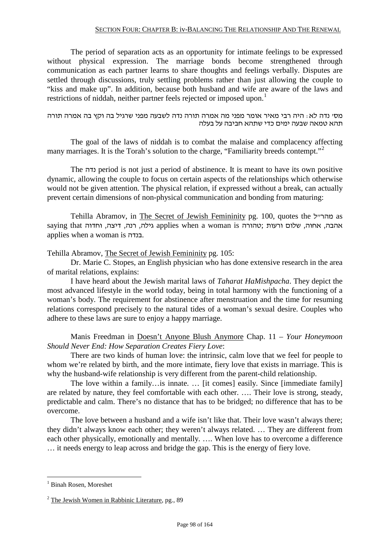#### SECTION FOUR: CHAPTER B: iv-BALANCING THE RELATIONSHIP AND THE RENEWAL

The period of separation acts as an opportunity for intimate feelings to be expressed without physical expression. The marriage bonds become strengthened through communication as each partner learns to share thoughts and feelings verbally. Disputes are settled through discussions, truly settling problems rather than just allowing the couple to "kiss and make up". In addition, because both husband and wife are aware of the laws and restrictions of niddah, neither partner feels rejected or imposed upon.<sup>[1](#page-96-0)</sup>

מס' נדה לא: היה רבי מאיר אומר מפני מה אמרה תורה נדה לשבעה מפני שרגיל בה וקץ בה אמרה תורה תהא טמאה שבעה ימים כדי שתהא חביבה על בעלה

The goal of the laws of niddah is to combat the malaise and complacency affecting many marriages. It is the Torah's solution to the charge, "Familiarity breeds contempt."<sup>2</sup>

The נדה period is not just a period of abstinence. It is meant to have its own positive dynamic, allowing the couple to focus on certain aspects of the relationships which otherwise would not be given attention. The physical relation, if expressed without a break, can actually prevent certain dimensions of non-physical communication and bonding from maturing:

Tehilla Abramov, in The Secret of Jewish Femininity pg. 100, quotes the מהר״ל as אהבה, אחוה, שלום ורעות ;טהורה is woman a when applies גילה, רנה, דיצה, וחדוה that saying applies when a woman is בנדה.

Tehilla Abramov, The Secret of Jewish Femininity pg. 105:

Dr. Marie C. Stopes, an English physician who has done extensive research in the area of marital relations, explains:

I have heard about the Jewish marital laws of *Taharat HaMishpacha*. They depict the most advanced lifestyle in the world today, being in total harmony with the functioning of a woman's body. The requirement for abstinence after menstruation and the time for resuming relations correspond precisely to the natural tides of a woman's sexual desire. Couples who adhere to these laws are sure to enjoy a happy marriage.

Manis Freedman in Doesn't Anyone Blush Anymore Chap. 11 – *Your Honeymoon Should Never End: How Separation Creates Fiery Love*:

There are two kinds of human love: the intrinsic, calm love that we feel for people to whom we're related by birth, and the more intimate, fiery love that exists in marriage. This is why the husband-wife relationship is very different from the parent-child relationship.

The love within a family…is innate. … [it comes] easily. Since [immediate family] are related by nature, they feel comfortable with each other. …. Their love is strong, steady, predictable and calm. There's no distance that has to be bridged; no difference that has to be overcome.

The love between a husband and a wife isn't like that. Their love wasn't always there; they didn't always know each other; they weren't always related. … They are different from each other physically, emotionally and mentally. …. When love has to overcome a difference … it needs energy to leap across and bridge the gap. This is the energy of fiery love.

 <sup>1</sup> Binah Rosen, Moreshet

 $2$  The Jewish Women in Rabbinic Literature, pg., 89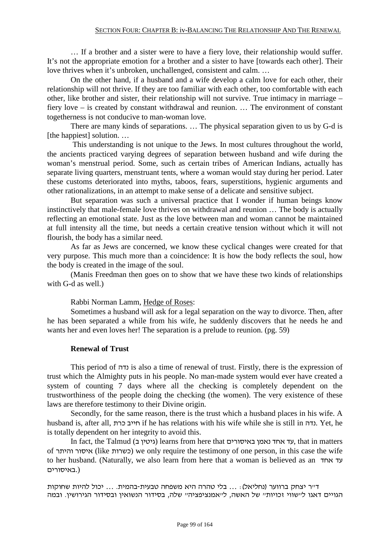… If a brother and a sister were to have a fiery love, their relationship would suffer. It's not the appropriate emotion for a brother and a sister to have [towards each other]. Their love thrives when it's unbroken, unchallenged, consistent and calm. …

On the other hand, if a husband and a wife develop a calm love for each other, their relationship will not thrive. If they are too familiar with each other, too comfortable with each other, like brother and sister, their relationship will not survive. True intimacy in marriage – fiery love – is created by constant withdrawal and reunion. … The environment of constant togetherness is not conducive to man-woman love.

There are many kinds of separations. … The physical separation given to us by G-d is [the happiest] solution. ...

This understanding is not unique to the Jews. In most cultures throughout the world, the ancients practiced varying degrees of separation between husband and wife during the woman's menstrual period. Some, such as certain tribes of American Indians, actually has separate living quarters, menstruant tents, where a woman would stay during her period. Later these customs deteriorated into myths, taboos, fears, superstitions, hygienic arguments and other rationalizations, in an attempt to make sense of a delicate and sensitive subject.

But separation was such a universal practice that I wonder if human beings know instinctively that male-female love thrives on withdrawal and reunion … The body is actually reflecting an emotional state. Just as the love between man and woman cannot be maintained at full intensity all the time, but needs a certain creative tension without which it will not flourish, the body has a similar need.

As far as Jews are concerned, we know these cyclical changes were created for that very purpose. This much more than a coincidence: It is how the body reflects the soul, how the body is created in the image of the soul.

(Manis Freedman then goes on to show that we have these two kinds of relationships with G-d as well.)

Rabbi Norman Lamm, Hedge of Roses:

Sometimes a husband will ask for a legal separation on the way to divorce. Then, after he has been separated a while from his wife, he suddenly discovers that he needs he and wants her and even loves her! The separation is a prelude to reunion. (pg. 59)

#### **Renewal of Trust**

This period of נדה is also a time of renewal of trust. Firstly, there is the expression of trust which the Almighty puts in his people. No man-made system would ever have created a system of counting 7 days where all the checking is completely dependent on the trustworthiness of the people doing the checking (the women). The very existence of these laws are therefore testimony to their Divine origin.

Secondly, for the same reason, there is the trust which a husband places in his wife. A husband is, after all, כרת חייב if he has relations with his wife while she is still in נדה. Yet, he is totally dependent on her integrity to avoid this.

In fact, the Talmud (גיטין ב) learns from here that נאמן באיסורים, that in matters of והיתר איסור) like כשרות (we only require the testimony of one person, in this case the wife to her husband. (Naturally, we also learn from here that a woman is believed as an אחד עד (.באיסורים

ד"ר יצחק ברווער (נחליאל): ... בלי טהרה היא משפחה טבעית-בהמית. ... יכול להיות שחוקות הגויים דאגו ל"שווי זכויות" של האשה, ל"אמנציפציה" שלה, בסידור הנשואין ובסידור הגירושין. ובמה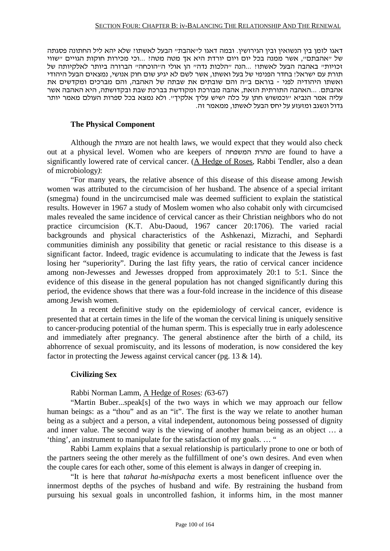דאגו לזמן בין הנשואין ובין הגירושין. ובמה דאגו ל"אהבת" הבעל לאשתו? שלא יהא ליל החתונה פסגתה של "אהבתם", אשר ממנה בכל יום ויום יורדת היא אך מטה מטה? ...וכי מכירות חוקות הגויים "שווי זכויות" באהבה הבעל לאשתו? ...הנה "הלכות נדה" הן אולי ה"הוכחה" הברורה ביותר לאלקיותה של תורת עם ישראל! בחדר הפנימי של בעל ואשתו, אשר לשם לא יגיע שום חוק אנושי, נמצאים הבעל היהודי ואשתו היהודיה לפני - בוראם ב"ה והם שובתים את שבתה של האהבה, והם מברכים ומקדשים את אהבתם. ...האהבה התורתית הזאת, אהבה מבורכת ומקודשת בברכת שבת ובקדושתה, היא האהבה אשר עליה אמר הנביא "וכמשוש חתן על כלה ישיש עליך אלקיך". ולא נמצא בכל ספרות העולם מאמר יותר גדול ונשגב ומזעזע על יחס הבעל לאשתו, ממאמר זה.

#### **The Physical Component**

Although the מצוות are not health laws, we would expect that they would also check out at a physical level. Women who are keepers of המשפחה טהרת are found to have a significantly lowered rate of cervical cancer. (A Hedge of Roses, Rabbi Tendler, also a dean of microbiology*)*:

"For many years, the relative absence of this disease of this disease among Jewish women was attributed to the circumcision of her husband. The absence of a special irritant (smegma) found in the uncircumcised male was deemed sufficient to explain the statistical results. However in 1967 a study of Moslem women who also cohabit only with circumcised males revealed the same incidence of cervical cancer as their Christian neighbors who do not practice circumcision (K.T. Abu-Daoud, 1967 cancer 20:1706). The varied racial backgrounds and physical characteristics of the Ashkenazi, Mizrachi, and Sephardi communities diminish any possibility that genetic or racial resistance to this disease is a significant factor. Indeed, tragic evidence is accumulating to indicate that the Jewess is fast losing her "superiority". During the last fifty years, the ratio of cervical cancer incidence among non-Jewesses and Jewesses dropped from approximately 20:1 to 5:1. Since the evidence of this disease in the general population has not changed significantly during this period, the evidence shows that there was a four-fold increase in the incidence of this disease among Jewish women.

In a recent definitive study on the epidemiology of cervical cancer, evidence is presented that at certain times in the life of the woman the cervical lining is uniquely sensitive to cancer-producing potential of the human sperm. This is especially true in early adolescence and immediately after pregnancy. The general abstinence after the birth of a child, its abhorrence of sexual promiscuity, and its lessons of moderation, is now considered the key factor in protecting the Jewess against cervical cancer (pg. 13 & 14).

#### **Civilizing Sex**

Rabbi Norman Lamm, A Hedge of Roses: *(*63-67)

"Martin Buber...speak[s] of the two ways in which we may approach our fellow human beings: as a "thou" and as an "it". The first is the way we relate to another human being as a subject and a person, a vital independent, autonomous being possessed of dignity and inner value. The second way is the viewing of another human being as an object … a 'thing', an instrument to manipulate for the satisfaction of my goals. … "

Rabbi Lamm explains that a sexual relationship is particularly prone to one or both of the partners seeing the other merely as the fulfillment of one's own desires. And even when the couple cares for each other, some of this element is always in danger of creeping in.

"It is here that *taharat ha-mishpacha* exerts a most beneficent influence over the innermost depths of the psyches of husband and wife. By restraining the husband from pursuing his sexual goals in uncontrolled fashion, it informs him, in the most manner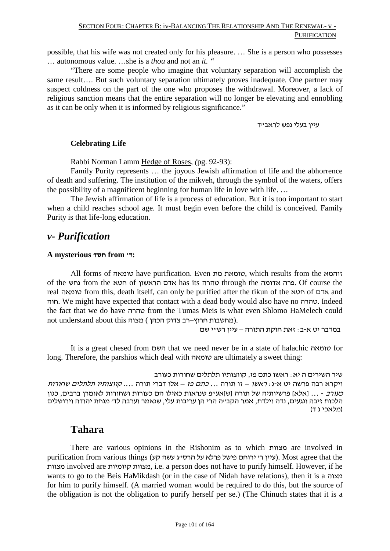possible, that his wife was not created only for his pleasure. … She is a person who possesses … autonomous value. …she is a *thou* and not an *it. "*

"There are some people who imagine that voluntary separation will accomplish the same result…. But such voluntary separation ultimately proves inadequate. One partner may suspect coldness on the part of the one who proposes the withdrawal. Moreover, a lack of religious sanction means that the entire separation will no longer be elevating and ennobling as it can be only when it is informed by religious significance."

עיין בעלי נפש לראבייד

#### **Celebrating Life**

Rabbi Norman Lamm Hedge of Roses, *(*pg. 92-93):

Family Purity represents … the joyous Jewish affirmation of life and the abhorrence of death and suffering. The institution of the mikveh, through the symbol of the waters, offers the possibility of a magnificent beginning for human life in love with life. …

The Jewish affirmation of life is a process of education. But it is too important to start when a child reaches school age. It must begin even before the child is conceived. Family Purity is that life-long education.

### *v- Purification*

#### **A mysterious חסד from 'ד:**

All forms of טומאה have purification. Even מת טומאת, which results from the זוהמא of the נחש from the חטא of הראשון אדם has its טהרה through the אדומה פרה. Of course the real טומאה from this, death itself, can only be purified after the tikun of the חטא of אדם and חוה. We might have expected that contact with a dead body would also have no טהרה. Indeed the fact that we do have טהרה from the Tumas Meis is what even Shlomo HaMelech could not understand about this מחשבות חרוץ–רב צדוק הכהן) מצוה.

במדבר יט א-ב: זאת חוקת התורה – עיין רש"י שם

It is a great chesed from השם that we need never be in a state of halachic טומאה for long. Therefore, the parshios which deal with טומאה are ultimately a sweet thing:

שיר השירים ה יא: ראשו כתם פז, קווצותיו תלתלים שחורות כעורב ויקרא רבה פרשה יט א-ג: ראשו – זו תורה ... כתם פז – אלו דברי תורה .... קווצותיו תלתלים שחורות כעורב - ... [אלא] פרשיותיה של תורה [ש]אע"פ שנראות כאילו הם כעורות ושחורות לאומרן ברבים, כגון הלכות זיבה ונגעים, נדה וילדת, אמר הקב"ה הרי הן עריבות עלי, שנאמר וערבה לד' מנחת יהודה וירושלים (מלאכי ג ד)

### **Tahara**

There are various opinions in the Rishonim as to which מצוות are involved in עיין ר' ירוחם פישל פרלא על הרס"ג עשה קע). Most agree that the עיין ר' ירוחם פישל פרלא על הרס"ג (עיין ר' י מצוות involved are קיומיות מצוות, i.e. a person does not have to purify himself. However, if he wants to go to the Beis HaMikdash (or in the case of Nidah have relations), then it is a מצוה for him to purify himself. (A married woman would be required to do this, but the source of the obligation is not the obligation to purify herself per se.) (The Chinuch states that it is a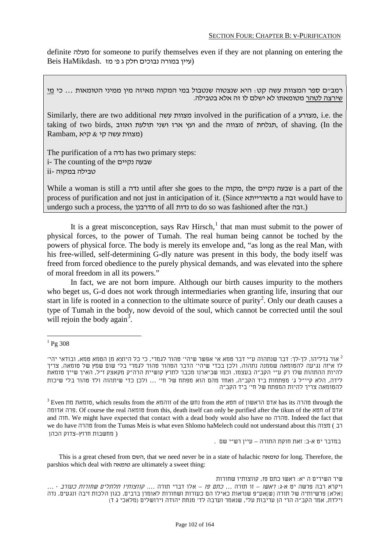definite מעלה for someone to purify themselves even if they are not planning on entering the (עיין במורה נבוכים חלק ג פ' מז .HaMikdash Beis

רמב״ם ספר המצוות עשה קט؛ היא שנצטוה שנטבול במי המקוה מאיזה מין ממיני הטומאות … כי <u>מי</u><br>שירצה לטהר מטומאתו לא ישלם לו זה אלא בטבילה.

Similarly, there are two additional עשה מצוות involved in the purification of a מצורע, i.e. the taking of two birds, ואזוב תולעת ושני ארז ועץ and the מצווה of תגלחת, of shaving. (In the Rambam, מצוות עשה קי  $\&$  קיא)

The purification of a נדה has two primary steps: i- The counting of the נקיים שבעה טבילה במקוה -ii

While a woman is still a נדה until after she goes to the מקוה, the נקיים שבעה is a part of the process of purification and not just in anticipation of it. (Since מדאורייתא a זבה would have to undergo such a process, the מדרבנן of all נדות to do so was fashioned after the זבה.(

It is a great misconception, says Rav Hirsch,<sup>1</sup> that man must submit to the power of physical forces, to the power of Tumah. The real human being cannot be toched by the powers of physical force. The body is merely its envelope and, "as long as the real Man, with his free-willed, self-determining G-dly nature was present in this body, the body itself was freed from forced obedience to the purely physical demands, and was elevated into the sphere of moral freedom in all its powers."

In fact, we are not born impure. Although our birth causes impurity to the mothers who beget us, G-d does not work through intermediaries when granting life, insuring that our start in life is rooted in a connection to the ultimate source of purity<sup>2</sup>. Only our death causes a type of Tumah in the body, now devoid of the soul, which cannot be corrected until the soul will rejoin the body again<sup>3</sup>.

במדבר יט א-ב: זאת חוקת התורה – עיין רש"י שם .

This is a great chesed from השם, that we need never be in a state of halachic טומאה for long. Therefore, the parshios which deal with טומאה are ultimately a sweet thing:

שיר השירים ה יא: ראשו כתם פז, קווצותיו שחורות ויקרא רבה פרשה יט א-ג: ראשו – זו תורה ... כתם פז – אלו דברי תורה .... קווצותיו תלתלים שחורות כעורב - ... [אלא] פרשיותיה של תורה [ש]אע"פ שנראות כאילו הם כעורות ושחורות לאומרן ברבים, כגון הלכות זיבה ונגעים, נדה וילדת, אמר הקב"ה הרי הן עריבות עלי, שנאמר וערבה לד' מנחת יהודה וירושלים (מלאכי ג ד)

 $^{1}$  Pg 308

אור גדליהו, לך-לך: דבר שנתהוה ע"י דבר טמא אי אפשר שיהי' טהור לגמרי, כי כל היוצא מן הטמא טמא, ובודאי יהי' 2 לו איזה נגיעה להטומאה שממנה נתהוה, ולכן בכדי שיהי' הדבר הטהור טהור לגמרי בלי שום שמץ של טומאה, צריך להיות ההתהות שלו רק ע"י הקב"ה בעצמו, וכמו שביארנו מכבר לתרץ קושיית הרה"ק מקאצק ז"ל, האיך שייך טומאת לידה, הלא קיי"ל ג' מפתחות ביד הקב"ה, ואחד מהם הוא מפתח של חי' ... ולכן כדי שיתהוה ולד טהור בלי שיכות להטומאה צריך להיות המפתח של חי' ביד הקב"ה

 $3$  Even טהרה טומאת מת bas its סהרה טהרה אשון of the שהרה אדם הראשון of the והמא of סהרה through the אדומה פרה. Of course the real טומאה from this, death itself can only be purified after the tikun of the חטא of אדם and חוה. We might have expected that contact with a dead body would also have no טהרה. Indeed the fact that we do have טהרה from the Tumas Meis is what even Shlomo haMelech could not understand about this מצוה ) רב ( מחשבות חרוץ–צדוק הכהן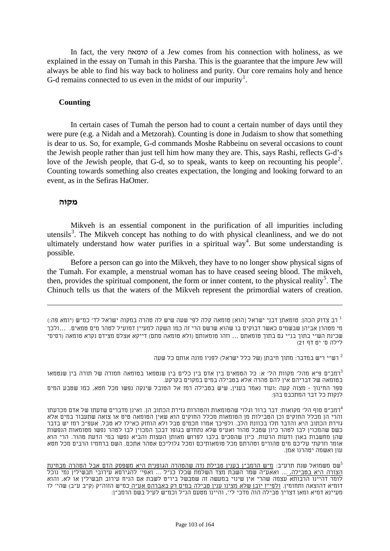In fact, the very טומאה of a Jew comes from his connection with holiness, as we explained in the essay on Tumah in this Parsha. This is the guarantee that the impure Jew will always be able to find his way back to holiness and purity. Our core remains holy and hence G-d remains connected to us even in the midst of our impurity<sup>1</sup>.

#### **Counting**

In certain cases of Tumah the person had to count a certain number of days until they were pure (e.g. a Nidah and a Metzorah). Counting is done in Judaism to show that something is dear to us. So, for example, G-d commands Moshe Rabbeinu on several occasions to count the Jewish people rather than just tell him how many they are. This, says Rashi, reflects G-d's love of the Jewish people, that G-d, so to speak, wants to keep on recounting his people<sup>2</sup>. Counting towards something also creates expectation, the longing and looking forward to an event, as in the Sefiras HaOmer.

#### **מקוה**

-

Mikveh is an essential component in the purification of all impurities including utensils<sup>3</sup>. The Mikveh concept has nothing to do with physical cleanliness, and we do not ultimately understand how water purifies in a spiritual way<sup>4</sup>. But some understanding is possible.

<span id="page-102-0"></span>Before a person can go into the Mikveh, they have to no longer show physical signs of the Tumah. For example, a menstrual woman has to have ceased seeing blood. The mikveh, then, provides the spiritual component, the form or inner content, to the physical reality<sup>5</sup>. The Chinuch tells us that the waters of the Mikveh represent the primordial waters of creation.

רש"י ריש במדבר: מתוך חיבתן (של כלל ישראל) לפניו מונה אותם כל שעה <sup>2</sup>

רמב"ם פ"א מהל' מקוות הל' א: כל הטמאים בין אדם בין כלים בין שנטמאו בטומאה חמורה של תורה בין שנטמאו<sup>.</sup> בטומאה של דבריהם אין להם טהרה אלא בטבילה במים במקוים בקרקע. ספר החינוך - מצוה קעה :ועוד נאמר בענין, שיש בטבילה רמז אל הטובל שינקה נפשו מכל חטא, כמו שטבע המים לנקות כל דבר המתכבס בהן:

 $^1$ רב צדוק הכהן: טומאתן דבני ישראל [הוא] טומאה קלה לפי שעה שיש לה טהרה במקוה ישראל לד' כמ"ש (יומא פה:  $^1$ מי מטהרן אביהן שבשמים כאשר דבוקים בו שהוא שרשם הרי זה כמו השקה למעיין דמועיל לטהר מים טמאים. ...ולכך שכינת הש"י בתוך בנ"י גם בתוך טומאתם ... וזהו טומאותם (ולא טומאה סתם) דייקא אצלם מצידם נקרא טומאה (רסיסי לילה ס' יט דף 21)

רמב"ם סוף הל' מקואות: דבר ברור וגלוי שהטומאות והטהרות גזירת הכתוב הן. ואינן מדברים שדעתו של אדם מכרעתו $^4$ והרי הן מכלל החוקים וכן הטבילות מן הטומאות מכלל החוקים הוא שאין הטומאה טיט או צואה שתעבור במים אלא גזירת הכתוב היא והדבר תלו בכוונת הלב. ולפיכך אמרו חכמים טבל ולא הוחזק כאילו לא טבל. אעפ"כ רמז יש בדבר כשם שהמכוין לבו לטהר כיון שטבל טהור ואע"פ שלא נתחדש בגופו דבכך המכוין לבו לטהר נפשו מטומאות הנפשות שהן מחשבות באון ודעות הרעות. כיון שהסכים בלבו לפרוש מאותן העצות והביא נפשו במי הדעת טהור. הרי הוא אומר וזרקתי עליכם מים טהורים וטהרתם מכל טומאותיכם ומכל גלוליכם אטהר אתכם. השם ברחמיו הרבים מכל חטא עון ואשמה יטהרנו אמן.

שם משמואל שנת תרע"ב: מ"ש הרמב"ן בענין טבילת נדה שהטהרה הגופנית היא משפסק הדם אבל הטהרה מבחינת $^{\mathsf{s}}$ הצורה היא בטבילה, ... ואאע"ה שמר השבת מצד השלמת שכלו כנ"ל ... ואפי' להגירסא עירובי תבשילין נמי נוכל לומר דהיינו הרבותא עצמה שהרי אין שינוי במעשה זה שמבשל ביו"ט לשבת אם הניח עירוב תבשילין או לא, והוא דומיא דהוצאה ותחומין. <u>ולפי"ז יובן שלא מצינו ענין טבילה במים רק באברהם אע"ה </u>כמ"ש הזוה"ק (ק"ב ע"ב) שהי' לו מעיינא דמיא ומאן דצריך טבילה הוה מדכי לי', והיינו מטעם הנ"ל וכמ"ש לעיל בשם הרמב"ן: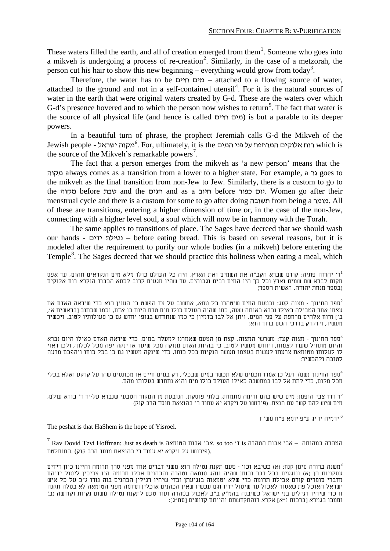These waters filled the earth, and all of creation emerged from them $<sup>1</sup>$  $<sup>1</sup>$  $<sup>1</sup>$ . Someone who goes into</sup> a mikveh is undergoing a process of re-creation<sup>[2](#page-103-0)</sup>. Similarly, in the case of a metzorah, the person cut his hair to show this new beginning – everything would grow from today<sup>[3](#page-103-1)</sup>.

Therefore, the water has to be חיים מים – attached to a flowing source of water, attached to the ground and not in a self-contained utensil<sup>4</sup>. For it is the natural sources of water in the earth that were original waters created by G-d. These are the waters over which G-d's presence hovered and to which the person now wishes to return<sup>5</sup>. The fact that water is the source of all physical life (and hence is called חיים מים (is but a parable to its deeper powers.

In a beautiful turn of phrase, the prophect Jeremiah calls G-d the Mikveh of the Jewish people - ישראל מקוה *<sup>21</sup> <sup>F</sup>* 6 . For, ultimately, it is the המים פני על המרחפת אלוקים רוח which is the source of the Mikveh's remarkable powers<sup>7</sup>.

The fact that a person emerges from the mikveh as 'a new person' means that the מקוה always comes as a transition from a lower to a higher state. For example, a גר goes to the mikveh as the final transition from non-Jew to Jew. Similarly, there is a custom to go to the מקוה before שבת and the חגים and as a חיוב before כפור יום. Women go after their menstrual cycle and there is a custom for some to go after doing תשובה from being a מומר. All of these are transitions, entering a higher dimension of time or, in the case of the non-Jew, connecting with a higher level soul, a soul which will now be in harmony with the Torah.

The same applies to transitions of place. The Sages have decreed that we should wash our hands - ידים נטילת – before eating bread. This is based on several reasons, but it is modeled after the requirement to purify our whole bodies (in a mikveh) before entering the Temple<sup>8</sup>. The Sages decreed that we should practice this holiness when eating a meal, which

<span id="page-103-1"></span>ספר החינוך - מצוה קעד: משרשי המצוה, קצת מן הטעם שאמרנו למעלה במים, כדי שיראה האדם כאילו היום נברא $^3$ והיום מתחיל שערו לצמוח, ויחדש מעשיו לטוב. כי בהיות האדם מנוקה מכל שיער אז ינקה יפה מכל לכלוך, ולכן ראוי לו לעלותו מטומאת צרעתו לעשות בעצמו מעשה הנקיות בכל כוחו, כדי שינקה מעשיו גם כן בכל כוחו ויהפכם מרעה לטובה ולהכשיר:

ספר החינוך (שם): ועל כן אמרו חכמים שלא תכשר במים שבכלי, רק במים חיים או מכונסים שהן על קרקע ואלא בכלי $^4$ מכל מקום, כדי לתת אל לבו במחשבה כאילו העולם כולו מים והוא נתחדש בעלותו מהם.

ר דוד צבי הופמן: מים שיש בהם זרימה מתמדת, בלתי פוסקת, הנובעת מן המקור הטבעי שנברא על-יד ד' בורא עולם, $^5$ מים שיש להם קשר עם הנצח. (פירושו על ויקרא יא עמוד רי בהוצאת מוסד הרב קוק)

ירמיה יז יג ע"פ יומא פ"ח מש' ז $^{\rm 6}$ 

The peshat is that HaShem is the hope of Yisroel.

 $^7$  Rav Dovid Tzvi Hoffman: Just as death is הטהרה במהותה  $-$  אבי אבות הטהרה  $\,$ is הטהרה אבי אבות הטהרה הטהרה א .(פירושו על ויקרא יא עמוד רי בהוצאת מוסד הרב קוק) .המוחלטת

ר' יהודה פתיה: קודם שברא הקב"ה את השמים ואת הארץ, היה כל העולם כולו מלא מים הנקראים תהום, עד אפס 1 מקום לברא שם שמים וארץ וכל כך היו המים רבים וגבוהים, עד שהיו מגעים קרוב לכסא הכבוד הנקרא רוח אלוקים (בספר מנחת יהודה, ראשית הספר)

<span id="page-103-0"></span>ספר החינוך - מצוה קעג: ובטעם המים שיטהרו כל טמא, אחשוב על צד הפשט כי הענין הוא כדי שיראה האדם את $^2$ עצמו אחר הטבילה כאילו נברא באותה שעה, כמו שהיה העולם כולו מים טרם היות בו אדם, וכמו שכתוב [בראשית א', ב'] ורוח אלהים מרחפת על פני המים, ויתן אל לבו בדמיון כי כמו שנתחדש בגופו יחדש גם כן פעולותיו לטוב, ויכשיר מעשיו, וידקדק בדרכי השם ברוך הוא:

משנה ברורה סימן קנח: (א) כשיבא וכו' - טעם תקנת נטילה הוא משני דברים אחד מפני סרך תרומה והיינו כיון דידים" עסקניות הן (א) ונוגעים בכל דבר ובזמן שהיה נוהג טומאה וטהרה והכהנים אכלו תרומה היו צריכין ליטול ידיהם מדברי סופרים קודם אכילת תרומה כדי שלא יטמאוה בנגיעתן וכדי שיהיו רגילין הכהנים בזה גזרו ג"כ על כל איש ישראל האוכל פת שאסור לאכול עד שיטול ידיו וגם עכשיו שאין הכהנים אוכלין תרומה מפני הטומאה לא בטלה תקנה זו כדי שיהיו רגילים בני ישראל כשיבנה בהמ"ק ב"ב לאכול בטהרה ועוד טעם לתקנת נטילה משום נקיות וקדושה (ב) וסמכו בגמרא [ברכות נ"א] אקרא דוהתקדשתם והייתם קדושים [סמ"ג]: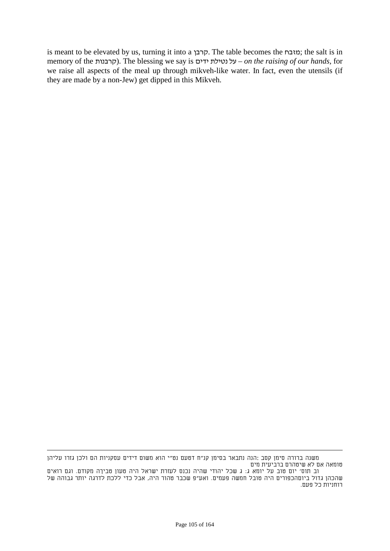is meant to be elevated by us, turning it into a קרבן. The table becomes the מזבח ;the salt is in memory of the קרבנות(. The blessing we say is ידים נטילת על – *on the raising of our hands,* for we raise all aspects of the meal up through mikveh-like water. In fact, even the utensils (if they are made by a non-Jew) get dipped in this Mikveh.

<u>.</u>

משנה ברורה סימן קסב :הנה נתבאר בסימן קנ"ח דטעם נט"י הוא משום דידים עסקניות הם ולכן גזרו עליהן טומאה אם לא שיטהרם ברביעית מים

וב תוס' יום טוב על יומא ג: ג שכל יהודי שהיה נכנס לעזרת ישראל היה טעון טביךה מקודם. וגם רואים שהכהן גדול ביוםהכפורים היה טובל חמשה פעמים. ואע"פ שכבר טהור היה, אבל כדי ללכת לדרגה יותר גבוהה של רוחניות כל פעם.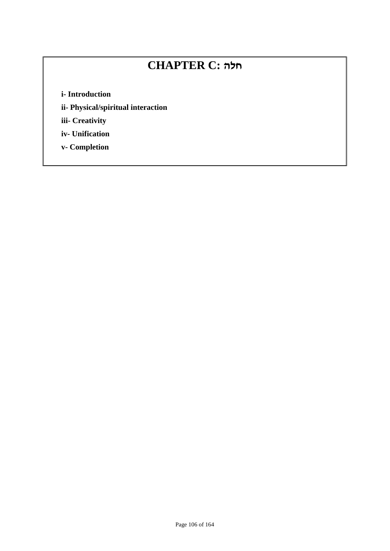# **CHAPTER C: חלה**

**i- Introduction**

**ii- Physical/spiritual interaction**

**iii- Creativity**

**iv- Unification**

**v- Completion**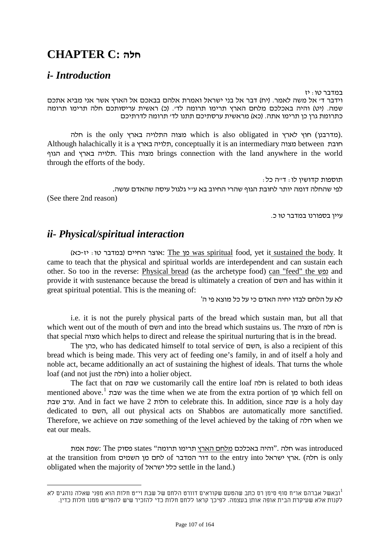## **CHAPTER C: חלה**

## *i- Introduction*

במדבר טו: יז וידבר ד' אל משה לאמר. (יח) דבר אל בני ישראל ואמרת אלהם בבאכם אל הארץ אשר אני מביא אתכם שמה. (יט) והיה באכלכם מלחם הארץ תרימו תרומה לד'. (כ) ראשית עריסותכם חלה תרימו תרומה כתרומת גרן כן תרימו אתה. (כא) מראשית ערסתיכם תתנו לד' תרומה לדרתיכם

חלה is the only בארץ התלויה מצוה which is also obligated in לארץ חוץ) מדרבנן(. Although halachically it is a בארץ תלויה, conceptually it is an intermediary מצוה between חובת הגוף and בארץ תלויה. This מצוה brings connection with the land anywhere in the world through the efforts of the body.

תוספות קדושין לו: ד"ה כל: לפי שהחלה דומה יותר לחובת הגוף שהרי החיוב בא ע"י גלגול עיסה שהאדם עושה. (See there 2nd reason)

עיין בספורנו במדבר טו כ.

### *ii- Physical/spiritual interaction*

(כא: יז-כא: The מן was spiritual food, yet it sustained the body. It came to teach that the physical and spiritual worlds are interdependent and can sustain each other. So too in the reverse: Physical bread (as the archetype food) can "feed" the נפש and provide it with sustenance because the bread is ultimately a creation of השם and has within it great spiritual potential. This is the meaning of:

לא על הלחם לבדו יחיה האדם כי על כל מוצא פי ה'

i.e. it is not the purely physical parts of the bread which sustain man, but all that which went out of the mouth of השם and into the bread which sustains us. The מצוה of חלה is that special מצוה which helps to direct and release the spiritual nurturing that is in the bread.

The כהן, who has dedicated himself to total service of השם, is also a recipient of this bread which is being made. This very act of feeding one's family, in and of itself a holy and noble act, became additionally an act of sustaining the highest of ideals. That turns the whole loaf (and not just the חלה) into a holier object.

The fact that on שבת we customarily call the entire loaf חלה is related to both ideas mentioned above.<sup>1</sup> שבת was the time when we ate from the extra portion of מן which fell on שבת ערב. And in fact we have 2 חלות to celebrate this. In addition, since שבת is a holy day dedicated to השם, all out physical acts on Shabbos are automatically more sanctified. Therefore, we achieve on שבת something of the level achieved by the taking of חלה when we eat our meals.

ישפת אמת was introduced ולה ."והיה באכלכם מלחם הארץ תרימו תרומה" states פסוק at the transition from השמים of השמים to the entry into החלה). הארץ ישראל obligated when the majority of ישראל כלל settle in the land.)

ובאשל אברהם או"ח סוף סימן רס כתב שהטעם שקוראים דוורט הלחם של שבת וי"ט חלות הוא מפני שאלה נוהגים לא 1 לקנות אלא שעיקרת הבית אופה אותן בעצמה. לפיכך קראו ללחם חלות כדי להזכיר שיש להפריש ממנו חלות כדין.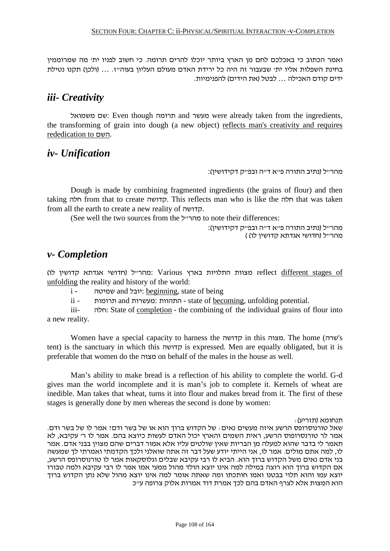ואמר הכתוב כי באכלכם לחם מן הארץ ביותר יוכלו להרים תרומה. כי חשוב לפניו ית' מה שמרוממין בחינת השפלות אליו ית' שבעבור זה היה כל ירידת האדם מעולם העליון בעוה"ז. ... (ולכן) תקנו נטילת ידים קודם האכילה ... לבטל (את הידים) להפנימיות.

## *iii- Creativity*

משמואל שם: Even though תרומה and מעשר were already taken from the ingredients, the transforming of grain into dough (a new object) reflects man's creativity and requires rededication to השם.

## *iv- Unification*

"מהרייל (נתיב התורה פייא דייה ובפייק דקידושין):

Dough is made by combining fragmented ingredients (the grains of flour) and then taking חלה from that to create קדושה. This reflects man who is like the חלה that was taken from all the earth to create a new reality of קדושה.

(See well the two sources from the מהרייל) to note their differences:

מהר״ל (נתיב התורה פ״א ד״ה ובפ״ק דקידושין): מהר"ל (חדושי אגדתא קדושין לו) )

## *v- Completion*

 of stages different reflect מצוות התלויות בארץ Various :מהר"ל (חדושי אגדתא קדושין לו) unfolding the reality and history of the world:

i - שמיטה and יובל: beginning, state of being

ii - תרומות and מעשרות: התהוות - state of becoming, unfolding potential.

iii- חלה: State of completion - the combining of the individual grains of flour into a new reality.

Women have a special capacity to harness the קדושה in this מצוה. The home (שרה's tent) is the sanctuary in which this קדושה is expressed. Men are equally obligated, but it is preferable that women do the מצוה on behalf of the males in the house as well.

Man's ability to make bread is a reflection of his ability to complete the world. G-d gives man the world incomplete and it is man's job to complete it. Kernels of wheat are inedible. Man takes that wheat, turns it into flour and makes bread from it. The first of these stages is generally done by men whereas the second is done by women:

תנחומא (תזריע):

שאל טורנוסרופס הרשע איזה מעשים נאים: של הקדוש ברוך הוא או של בשר ודם? אמר לו של בשר ודם. אמר לר טורנסרופוס הרשע, ראית השמים והארץ יכול האדם לעשות כיוצא בהם. אמר לו ר' עקיבא, לא תאמר לי בדבר שהוא למעלה מן הבריות שאין שולטים עליו אלא אמור דברים שהם מצוין בבני אדם. אמר לו, למה אתם מולים. אמר לו, אני הייתי יודע שעל דבר זה אתה שואלני ולכך הקדמתי ואמרתי לך שמעשה בני אדם נאים משל הקדוש ברוך הוא. הביא לו רבי עקיבא שבלים וגלוסקאות אמר לו טורנוסרופס הרשע, אם הקדוש ברוך הוא רוצה במילה למה אינו יוצא הולד מהול ממעי אמו אמר לו רבי עקיבא ולמה טבורו יוצא עמו והוא תלוי בבטנו ואמו חותכתו ומה שאתה אומר למה אינו יוצא מהול שלא נתן הקדוש ברוך הוא המצות אלא לצרף האדם בהם לכך אמרת דוד אמרות אלוק צרופה ע"כ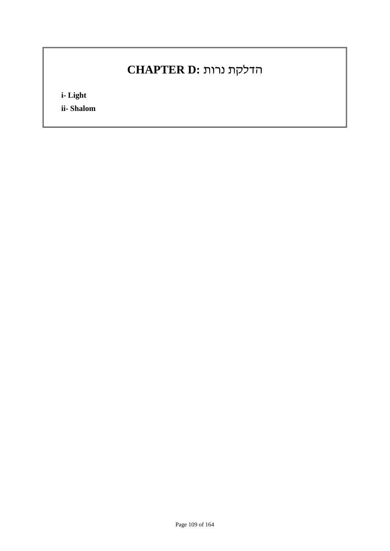# הדלקת נרות **:D CHAPTER**

**i- Light**

**ii- Shalom**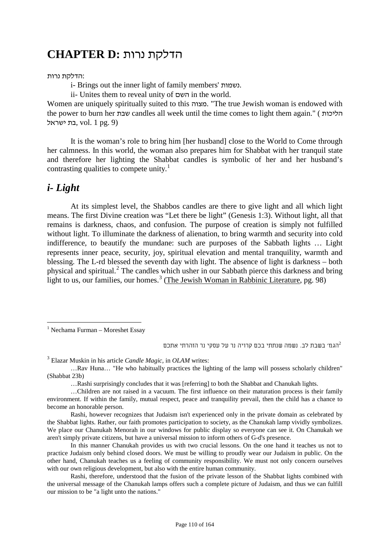## הדלקת נרות **:D CHAPTER**

#### :הדלקת נרות

i- Brings out the inner light of family members' נשמות.

ii- Unites them to reveal unity of השם in the world.

Women are uniquely spiritually suited to this מצוה." The true Jewish woman is endowed with the power to burn her שבת candles all week until the time comes to light them again." ( הליכות בת ישראל, vol. 1 pg. 9)

It is the woman's role to bring him [her husband] close to the World to Come through her calmness. In this world, the woman also prepares him for Shabbat with her tranquil state and therefore her lighting the Shabbat candles is symbolic of her and her husband's contrasting qualities to compete unity.<sup>1</sup>

### *i- Light*

At its simplest level, the Shabbos candles are there to give light and all which light means. The first Divine creation was "Let there be light" (Genesis 1:3). Without light, all that remains is darkness, chaos, and confusion. The purpose of creation is simply not fulfilled without light. To illuminate the darkness of alienation, to bring warmth and security into cold indifference, to beautify the mundane: such are purposes of the Sabbath lights … Light represents inner peace, security, joy, spiritual elevation and mental tranquility, warmth and blessing. The L-rd blessed the seventh day with light. The absence of light is darkness – both physical and spiritual.<sup>2</sup> The candles which usher in our Sabbath pierce this darkness and bring light to us, our families, our homes.<sup>3</sup> (The Jewish Woman in Rabbinic Literature, pg. 98)

הגמ׳ בשבת לב. נשמה שנתתי בכם קרויה נר על עסקי נר הזהרתי אתכם $^2$ 

<sup>3</sup> Elazar Muskin in his article *Candle Magic,* in *OLAM* writes:

…Rashi surprisingly concludes that it was [referring] to both the Shabbat and Chanukah lights.

Rashi, however recognizes that Judaism isn't experienced only in the private domain as celebrated by the Shabbat lights. Rather, our faith promotes participation to society, as the Chanukah lamp vividly symbolizes. We place our Chanukah Menorah in our windows for public display so everyone can see it. On Chanukah we aren't simply private citizens, but have a universal mission to inform others of G-d's presence.

In this manner Chanukah provides us with two crucial lessons. On the one hand it teaches us not to practice Judaism only behind closed doors. We must be willing to proudly wear our Judaism in public. On the other hand, Chanukah teaches us a feeling of community responsibility. We must not only concern ourselves with our own religious development, but also with the entire human community.

Rashi, therefore, understood that the fusion of the private lesson of the Shabbat lights combined with the universal message of the Chanukah lamps offers such a complete picture of Judaism, and thus we can fulfill our mission to be "a light unto the nations."

 $1$  Nechama Furman – Moreshet Essay

<sup>…</sup>Rav Huna… "He who habitually practices the lighting of the lamp will possess scholarly children" (Shabbat 23b)

<sup>…</sup>Children are not raised in a vacuum. The first influence on their maturation process is their family environment. If within the family, mutual respect, peace and tranquility prevail, then the child has a chance to become an honorable person.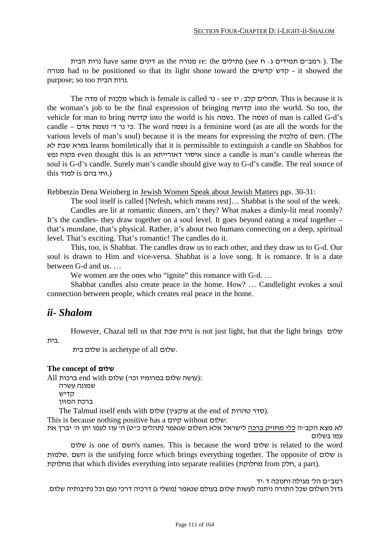רמידים תמידים ג: ח see (פתילים te: the מנורה the same (המידים הבית cse n : רמב"ם הבית have same ורות הבית see  $\alpha$ מנורה had to be positioned so that its light shone toward the קדשים קדש - it showed the purpose; so too הבית נרות.

The מדה of מלכות which is female is called נר - see יז :קלב תהלים. This is because it is the woman's job to be the final expression of bringing קדושה into the world. So too, the vehicle for man to bring קדושה into the world is his נשמה. The נשמה of man is called G-d's candle – כי נר די נשמת אדם. The word נשמה is a feminine word (as are all the words for the various levels of man's soul) because it is the means for expressing the מלכות of השם.) The לא שבת גמרא learns homiletically that it is permissible to extinguish a candle on Shabbos for נפש פקוח even thought this is an דאורייתא איסור since a candle is man's candle whereas the soul is G-d's candle. Surely man's candle should give way to G-d's candle. The real source of (.וחי בהם is למוד this

Rebbetzin Dena Weinberg in Jewish Women Speak about Jewish Matters pgs. 30-31:

The soul itself is called [Nefesh, which means rest]… Shabbat is the soul of the week. Candles are lit at romantic dinners, arn't they? What makes a dimly-lit meal roomly? It's the candles- they draw together on a soul level. It goes beyond eating a meal together – that's mundane, that's physical. Rather, it's about two humans connecting on a deep, spiritual level. That's exciting. That's romantic! The candles do it.

This, too, is Shabbat. The candles draw us to each other, and they draw us to G-d. Our soul is drawn to Him and vice-versa. Shabbat is a love song. It is romance. It is a date between G-d and us. …

We women are the ones who "ignite" this romance with G-d. ...

Shabbat candles also create peace in the home. How? … Candlelight evokes a soul connection between people, which creates real peace in the home.

#### *ii- Shalom*

However, Chazal tell us that שבת נרות is not just light, but that the light brings שלום .בית

בית שלום is archetype of all שלום.

#### **The concept of שלום**

All ברכות: end with שלום במרומיו וכו') שלום ברכות:

שמונה עשרה

קדיש

ברכת המזון

The Talmud itself ends with שלום) עוקצין at the end of טהרות סדר(.

This is because nothing positive has a קיום without שלום:

לא מצא הקב״ה כלי מחזיק ברכה לישראל אלא השלום שנאמר (תהלים כ״ט) ה׳ עוז לעמו יתן ה׳ יברך את עמו בשלום

שלום is one of השם's names. This is because the word שלום is related to the word שלמות. השם is the unifying force which brings everything together. The opposite of שלום is מחלוקת that which divides everything into separate realities (מחלוקת from חלק, a part).

רמב"ם הל' מגילה וחנוכה ד:יד גדול השלום שכל התורה ניתנה לעשות שלום בעולם שנאמר (משלי ג) דרכיה דרכי נעם וכל נתיבותיה שלום.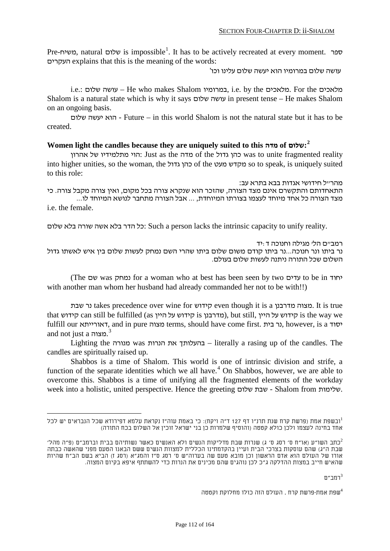Pre-משיח, natural שלום is impossible<sup>1</sup>. It has to be actively recreated at every moment. ספר העקרים explains that this is the meaning of the words:

עושה שלום במרומיו הוא יעשה שלום עלינו וכו'

i.e.: שלום עושה – He who makes Shalom במרומיו, i.e. by the מלאכים. For the מלאכים Shalom is a natural state which is why it says שלום עושה in present tense – He makes Shalom on an ongoing basis.

שלום יעשה הוא - Future – in this world Shalom is not the natural state but it has to be created.

#### **Women light the candles because they are uniquely suited to this מדה of שלום:***29F* **2**

אהרון של מתלמידיו הוי: Just as the מדה of the גדול כהן was to unite fragmented reality into higher unities, so the woman, the כהן גדול of the מקדש מעט so to speak, is uniquely suited to this role:

מהר״ל חידושי אגדות בבא בתרא עב:<br>התאחדותם והתקשרם אינם מצד הצורה, שהזכר הוא שנקרא צורה בכל מקום, ואין צורה מקבל צורה. כי מצד הצורה כל אחד מיוחד לעצמו בצורתו המיוחדת, ... אבל הצורה מתחבר לנושא המיוחד לו... i.e. the female.

כל הדר בלא אשה שורה בלא שלום: Such a person lacks the intrinsic capacity to unify reality.

רמב"ם הל' מגילה וחנוכה ד:יד נר ביתו ונר חנוכה...נר ביתו קודם משום שלום ביתו שהרי השם נמחק לעשות שלום בין איש לאשתו גדול השלום שכל התורה ניתנה לעשות שלום בעולם.

(The שם was נמחק for a woman who at best has been seen by two עדים to be in יחוד with another man whom her husband had already commanded her not to be with!!)

נר שבת takes precedence over wine for קידוש even though it is a מצוה מדרבנן. It is true that קידוש can still be fulfilled (as קידוש על קידוש is the way we fulfill our דאורייתא, and in pure מצוה terms, should have come first. בית נר, however, is a יסוד and not just a מצוה.*230F* 3

Lighting the מנורה was הנרות את בהעלותך – literally a rasing up of the candles. The candles are spiritually raised up.

Shabbos is a time of Shalom. This world is one of intrinsic division and strife, a function of the separate identities which we all have.<sup>4</sup> On Shabbos, however, we are able to overcome this. Shabbos is a time of unifying all the fragmented elements of the workday week into a holistic, united perspective. Hence the greeting שלום שבת - Shalom from שלימות.

רמב״ם $^3$ 

שפת אמת-פרשת קרח . העולם הזה כולו מחלוקת וקטטה $^4$ 

 $^1$ ובשפת אמת (פרשת קרח שנת תרנ"ו דף 127 ד"ה ויקח): כי באמת עוה"ז נקראת עלמא דפירודא שכל הנבראים יש לכל אחד בחינה לעצמו ולכן כולא קטטה (והוסיף שלמרות כן בני ישראל זוכין אל השלום בכח התורה)

כתב השו"ע (או"ח ס' רסג ס' ג) שנרות שבת מדליקות הנשים ולא האנשים כאשר נשותיהם בבית וברמב"ם (פ"ה מהל')-שבת ה"ג) שהם עוסקות בצרכי הבית ועיין בהקדמתינו הכללית למצוות הנשים ששם הבאנו הטעם מפני שהאשה כבתה אורו של העולם הוא אדם הראשון וכן מובא טעם שה בערוה"ש ס' רסג ס"ז והמג"א (רסג ז) הביא בשם הב"ח שהיות שהאיש חייב במצות ההדלקה ג"כ לכן נוהגים שהם מכינים את הנרות כדי להשתתף איפא בקיום המצוה.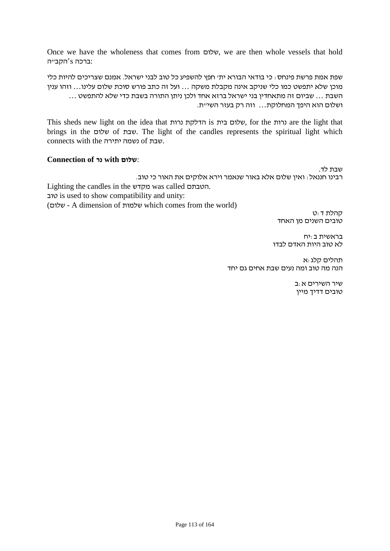Once we have the wholeness that comes from שלום, we are then whole vessels that hold :ברכה s'הקב"ה

שפת אמת פרשת פינחס: כי בודאי הבורא ית' חפץ להשפיע כל טוב לבני ישראל. אמנם שצריכים להיות כלי מוכן שלא יתפשט כמו כלי שניקב אינה מקבלת משקה ... ועל זה כתב פורש סוכת שלום עלינו... וזהו ענין השבת ... שביום זה מתאחדין בני ישראל ברזא אחד ולכן ניתן התורה בשבת כדי שלא להתפשט ... ושלום הוא היפך המחלוקת... וזה רק בעזר השי"ת.

This sheds new light on the idea that נרות הדלקת is בית שלום, for the נרות are the light that brings in the שלום of שבת. The light of the candles represents the spiritual light which connects with the יתירה נשמה of שבת.

#### **Connection of נר with שלום**:

שבת לד. רבינו חננאל: ואין שלום אלא באור שנאמר וירא אלוקים את האור כי טוב. Lighting the candles in the מקדש was called הטבתם. טוב is used to show compatibility and unity:

(שלום - A dimension of שלמות which comes from the world)

קהלת ד:ט טובים השנים מן האחד

בראשית ב:יח לא טוב היות האדם לבדו

תהלים קלג:א הנה מה טוב ומה נעים שבת אחים גם יחד

> שיר השירים א:ב טובים דדיך מיין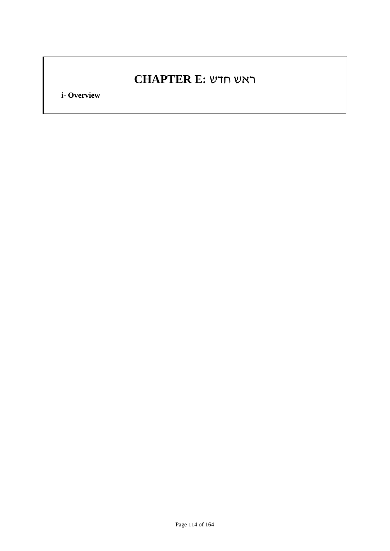## ראש חדש **:E CHAPTER**

**i- Overview**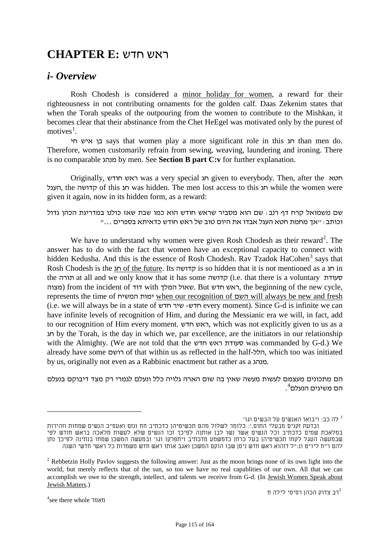## ראש חדש **:E CHAPTER**

#### *i- Overview*

Rosh Chodesh is considered a minor holiday for women, a reward for their righteousness in not contributing ornaments for the golden calf. Daas Zekenim states that when the Torah speaks of the outpouring from the women to contribute to the Mishkan, it becomes clear that their abstinance from the Chet HeEgel was motivated only by the purest of motives<sup>1</sup>.

חי איש בן says that women play a more significant role in this חג than men do. Therefore, women customarily refrain from sewing, weaving, laundering and ironing. There is no comparable מנהג by men. See **Section B part C:v** for further explanation.

Originally, חודש ראש was a very special חג given to everybody. Then, after the חטא העגל, the קדושה of this חג was hidden. The men lost access to this חג while the women were given it again, now in its hidden form, as a reward:

שם משמואל קרח דף רנב: שם הוא מסביר שראש חודש הוא כמו שבת שאז כולנו במדריגת הכהן גדול וכותב: "אך מחמת חטא העגל אבדו את היום טוב של ראש חודש כדאיתא בספרים ..."

We have to understand why women were given Rosh Chodesh as their reward<sup>2</sup>. The answer has to do with the fact that women have an exceptional capacity to connect with hidden Kedusha. And this is the essence of Rosh Chodesh. Rav Tzadok HaCohen<sup>3</sup> says that Rosh Chodesh is the חג of the future. Its קדושה is so hidden that it is not mentioned as a חג in the תורה at all and we only know that it has some קדושה) i.e. that there is a voluntary סעודת מצוה (from the incident of דוד with המלך שאול. But חדש ראש, the beginning of the new cycle, represents the time of המשיח ימות when our recognition of השם will always be new and fresh (i.e. we will always be in a state of חדש שיר -חדש every moment). Since G-d is infinite we can have infinite levels of recognition of Him, and during the Messianic era we will, in fact, add to our recognition of Him every moment. חדש ראש, which was not explicitly given to us as a חג by the Torah, is the day in which we, par excellence, are the initiators in our relationship with the Almighty. (We are not told that the חדש ראש סעודת was commanded by G-d.) We already have some רושם of that within us as reflected in the half-הלל, which too was initiated by us, originally not even as a Rabbinic enactment but rather as a מנהג.

הם מתכונים מעצמם לעשות מעשה שאין בה שום הארה גלויה כלל ונעלם לגמרי רק מצד דיבוקם בנעלם 4 הם משיגים הנעלם *<sup>F</sup>*.*<sup>235</sup>*

לה כב: ויבואו האנשים על הבשים וגו'  $^{\rm 1}$ 

ובדעת זקנים מבעלי התוס,': כלומר לשלול מהם תכשיטיהן כדכתיב חח ונזם ואעפ"כ הנשים שמחות וזהירות במלאכת שמים כדכתיב וכל הנשים אשר נשו לבן אותנה לפיכך זכו הנשים שלא לעשות מלאכה בראש חודש לפי שבמעשה העגל לקחו תכשיטיהן בעל כרחן כדמשמע מדכתיב ויתפרקו וגו' ובמעשה המשכן שמחו בנתינה לפיכך נתן להם ר"ח ליו"ט ונ:"ל דזהוא ראש חדש ניסן שבו הוקם המשכן ואגב אותו ראש חדש משמרות כל ראשי חדשי השנה

<sup>&</sup>lt;sup>2</sup> Rebbetzin Holly Pavlov suggests the following answer: Just as the moon brings none of its own light into the world, but merely reflects that of the sun, so too we have no real capablities of our own. All that we can accomplish we owe to the strength, intellect, and talents we receive from G-d. (In Jewish Women Speak about <u>Jewish Matters</u>.)<br><sup>4</sup> רב צדוק הכהן רסיסי לילה ח $^3$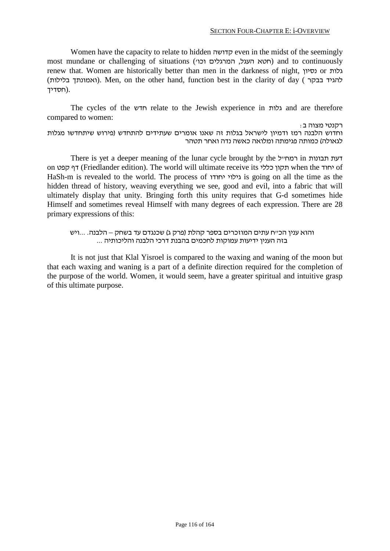Women have the capacity to relate to hidden קדושה even in the midst of the seemingly most mundane or challenging of situations (חטא העגל, המרגלים וכו המרגלים) and to continuously renew that. Women are historically better than men in the darkness of night, נסיון or גלות (ואמונתך בלילות). Men, on the other hand, function best in the clarity of day ( האמונתך בלילות) .(חסדיך

The cycles of the חדש relate to the Jewish experience in גלות and are therefore רקנטי מצוה ב $\colon$  :  $\Box$  to women to women to women to women to women to women to  $\Box$ 

וחדוש הלבנה רמז ודמיון לישראל בגלות זה שאנו אומרים שעתידים להתחדש (פירוש שיתחדשו מגלות לגאולה) כמותה פגימתה ומלואה כאשה נדה ואחר תטהר

There is yet a deeper meaning of the lunar cycle brought by the רמח"ל in תבונות on קפט דף) Friedlander edition). The world will ultimate receive its כללי תקון when the יחוד of HaSh-m is revealed to the world. The process of יחודו גילוי is going on all the time as the hidden thread of history, weaving everything we see, good and evil, into a fabric that will ultimately display that unity. Bringing forth this unity requires that G-d sometimes hide Himself and sometimes reveal Himself with many degrees of each expression. There are 28 primary expressions of this:

# והוא ענין הכ״ח עתים המוזכרים בספר קהלת (פרק ג) שכנגדם עד בשחק – הלבנה. ...ויש<br>בזה הענין ידיעות עמוקות לחכמים בהבנת דרכי הלבנה והליכותיה ...

It is not just that Klal Yisroel is compared to the waxing and waning of the moon but that each waxing and waning is a part of a definite direction required for the completion of the purpose of the world. Women, it would seem, have a greater spiritual and intuitive grasp of this ultimate purpose.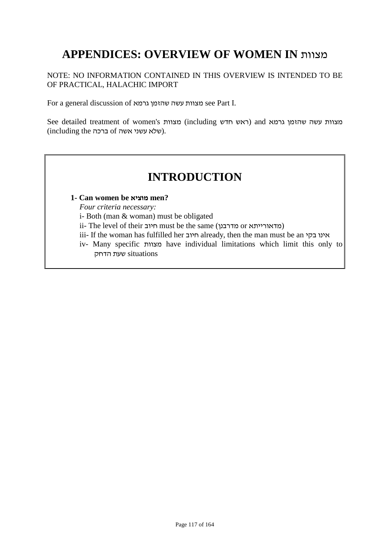## **APPENDICES: OVERVIEW OF WOMEN IN** מצוות

#### NOTE: NO INFORMATION CONTAINED IN THIS OVERVIEW IS INTENDED TO BE OF PRACTICAL, HALACHIC IMPORT

For a general discussion of גרמא שהזמן עשה מצוות see Part I.

See detailed treatment of women's מצוות (including ראש חדש) and גרמא) and המצוות עשה שהזמן גרמא (שלא עשני אשה of ברכה).

## **INTRODUCTION**

#### **1- Can women be מוציא men?**

*Four criteria necessary:*

i- Both (man & woman) must be obligated

- ii- The level of their חיוב must be the same (מדאורייתא)
- iii- If the woman has fulfilled her חיוב already, then the man must be an בקי אינו
- iv- Many specific מצוות have individual limitations which limit this only to situations שעת הדחק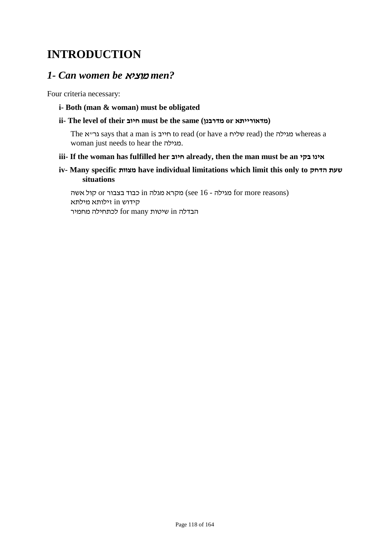## **INTRODUCTION**

### *1- Can women be* מוציא *men?*

Four criteria necessary:

**i- Both (man & woman) must be obligated**

#### **ii- The level of their חיוב must be the same (מדרבנן or מדאורייתא(**

The מגילה says that a man is חייב to read (or have a שליח read) the מגילה whereas a woman just needs to hear the מגילה.

#### **iii- If the woman has fulfilled her חיוב already, then the man must be an בקי אינו**

**iv- Many specific מצוות have individual limitations which limit this only to הדחק שעת situations**

מגילה - 61 see (see 16 מגילה - 16 מקרא מגלה ו $\frac{1}{6}$  כבוד בצבור or קול אשה קידוש in זילותא מילתא הבדלה in שיטות many for לכתחילה מחמיר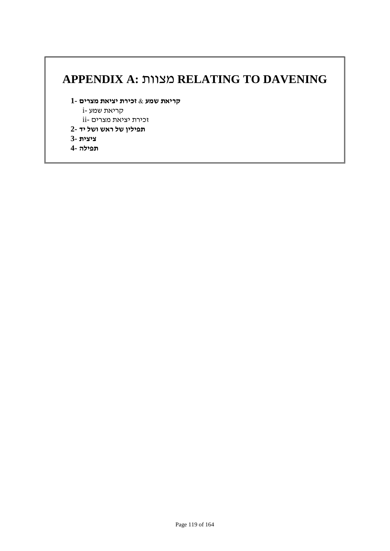## **APPENDIX A:** מצוות **RELATING TO DAVENING**

- **קריאת שמע & זכירת יציאת מצרים 1-**
	- קריאת שמע -i
	- זכירת יציאת מצרים -ii
- **תפילין של ראש ושל יד 2-**
- **ציצית 3-**
- **תפילה 4-**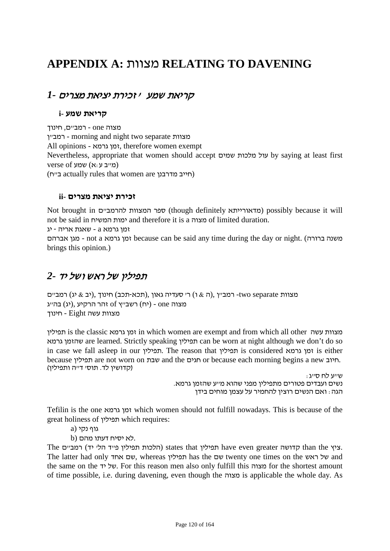## **APPENDIX A:** מצוות **RELATING TO DAVENING**

### קריאת שמע ' זכירת יציאת מצרים *1-*

#### **קריאת שמע -i**

מצוה one - רמב"ם, חינוך ן"רמב - morning and night two separate מצוות All opinions - גרמא זמן, therefore women exempt Nevertheless, appropriate that women should accept שמים מלכות עול by saying at least first  $verse$  (מייב ע:א) שמע) (ח"ב actually rules that women are מדרבנן חייב(

#### **זכירת יציאת מצרים -ii**

Not brought in ספר המצוות להרמב"ם) possibly because it will not be said in המשיח ימות and therefore it is a מצוה of limited duration.

זמן גרמא a - שאגת אריה - יג

אברהם מגן - not a גרמא זמן because can be said any time during the day or night. (ברורה משנה brings this opinion.)

### תפילין של ראש ושל יד *2-*

מצוות two separate - מצוות הואון ,(הכא-תכב) חינוך ,(יב & יג) רמב"ם מצוה one - (יח) רשב"ץ of זהר הרקיע ,(יג) בה"ג מצוות עשה Eight - חינוך

תפילין is the classic גרמא זמן in which women are exempt and from which all other עשה מצוות גרמא שהזמן are learned. Strictly speaking תפילין can be worn at night although we don't do so in case we fall asleep in our תפילין. The reason that תפילין is considered גרמא זמן is either because תפילין are not worn on שבת and the חגים or because each morning begins a new חיוב. (קדושין לד. תוס' ד"ה ותפילין)

> שייע לח סייג :<br>נשים ועבדים פטורים מתפיליו מפני שהוא מ״ע שהזמו גרמא. הגה: ואם הנשים רוצין להחמיר על עצמן מוחים בידן

Tefilin is the one גרמא זמן which women should not fulfill nowadays. This is because of the great holiness of תפילין which requires:

גוף נקי (a

 $b$ ) לא יסיח דעתו מהם.

The קדושה greater המלכות הלכות תפילין states that המלכות תפילין הלי יד) המב"ם than the The latter had only אחד שם, whereas תפילין has the שם twenty one times on the ראש של and the same on the יד של. For this reason men also only fulfill this מצוה for the shortest amount of time possible, i.e. during davening, even though the מצוה is applicable the whole day. As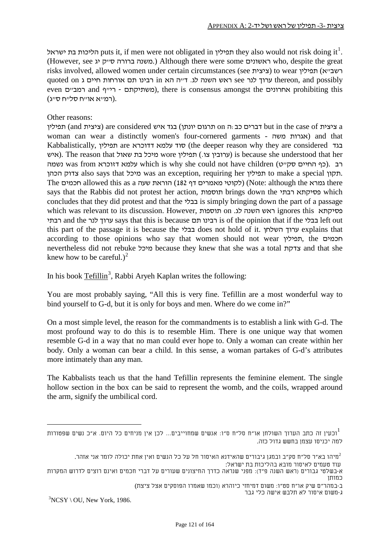תפילין puts it, if men were not obligated in תפילין they also would not risk doing it<sup>1</sup>. (However, see יג ק"ס ברורה משנה. (Although there were some ראשונים who, despite the great risks involved, allowed women under certain circumstances (see ציצית) to wear תושבייא) תפילין quoted on ערוך לנר see ראש השנה לג. ד"ה הא in רבינו תם אורחות חיים ג bereon, and possibly even המביים and ירייף - לייף - משתיקתם (משתיקתם), there is consensus amongst the המביים .(רמ"א או"ח סל"ח ס"ג)

#### Other reasons:

 a ציצית of case the in but דברים כב:ה on תרגום יונתן) בגד איש considered are) ציצית and (תפילין woman can wear a distinctly women's four-cornered garments - משה אגרות (and that Kabbalistically, תפילין are דדוכרא עלמא סוד) the deeper reason why they are considered בגד איש). The reason that שאול wore שאול) is because she understood that her נשמה was from נלמא דזוכרא which is why she could not have children (כף החיים סק"ט). רב הכהן צדוק also says that מיכל was an exception, requiring her תפילין to make a special תקון. The חכמים allowed this as a שעה הוראת) 182 דף מאמרים לקוטי) (Note: although the גמרא there says that the Rabbis did not protest her action, תוספות brings down the רבתי פסיקתא which concludes that they did protest and that the בבלי is simply bringing down the part of a passage which was relevant to its discussion. However, תוספות on .לג השנה ראש ignores this פסיקתא רבתי and the לנר ערוך says that this is because תם רבינו is of the opinion that if the בבלי left out this part of the passage it is because the בבלי does not hold of it. השלחן ערוך explains that according to those opinions who say that women should not wear תפילין, the חכמים nevertheless did not rebuke מיכל because they knew that she was a total צדקת and that she knew how to be careful.)<sup>2</sup>

In his book Tefillin<sup>3</sup>, Rabbi Aryeh Kaplan writes the following:

You are most probably saying, "All this is very fine. Tefillin are a most wonderful way to bind yourself to G-d, but it is only for boys and men. Where do we come in?"

On a most simple level, the reason for the commandments is to establish a link with G-d. The most profound way to do this is to resemble Him. There is one unique way that women resemble G-d in a way that no man could ever hope to. Only a woman can create within her body. Only a woman can bear a child. In this sense, a woman partakes of G-d's attributes more intimately than any man.

The Kabbalists teach us that the hand Tefillin represents the feminine element. The single hollow section in the box can be said to represent the womb, and the coils, wrapped around the arm, signify the umbilical cord.

עוד טעמים לאיסור מובא בהליכות בת ישראל:

3 ג-משום איסור לא תלבש אישה כלי גבר

 $NCSY \setminus OU$ , New York, 1986.

וכעין זה כתב הערוך השולחן או"ח סל"ח ס"ו: אנשים שמחוייבים... לכן אין מניחים כל היום. א"כ נשים שפטורות $^1$ למה יכניסו עצמן בחשש גדול כזה.

תיהו בא"ר סל"ח סק"ב ובמגן גיבורים שהאידנא האיסור חל על כל הנשים ואין אחת יכולה לומר אני אזהר. $^2$ 

א-בשלטי גבורים (ראש השנה פ"ד): מפני שנראה כדרך החיצונים שעורים על דברי חכמים ואינם רוצים לדרוש המקרות כמותן

ב-במהר"ם שיק או"ח סט"ו: משום דמיחזי כיוהרא (וכמו שאמרו הפוסקים אצל ציצת)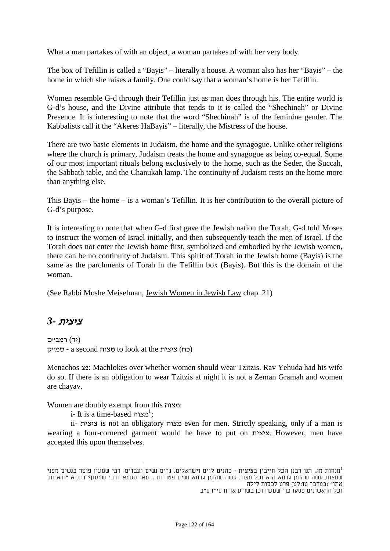What a man partakes of with an object, a woman partakes of with her very body.

The box of Tefillin is called a "Bayis" – literally a house. A woman also has her "Bayis" – the home in which she raises a family. One could say that a woman's home is her Tefillin.

Women resemble G-d through their Tefillin just as man does through his. The entire world is G-d's house, and the Divine attribute that tends to it is called the "Shechinah" or Divine Presence. It is interesting to note that the word "Shechinah" is of the feminine gender. The Kabbalists call it the "Akeres HaBayis" – literally, the Mistress of the house.

There are two basic elements in Judaism, the home and the synagogue. Unlike other religions where the church is primary, Judaism treats the home and synagogue as being co-equal. Some of our most important rituals belong exclusively to the home, such as the Seder, the Succah, the Sabbath table, and the Chanukah lamp. The continuity of Judaism rests on the home more than anything else.

This Bayis – the home – is a woman's Tefillin. It is her contribution to the overall picture of G-d's purpose.

It is interesting to note that when G-d first gave the Jewish nation the Torah, G-d told Moses to instruct the women of Israel initially, and then subsequently teach the men of Israel. If the Torah does not enter the Jewish home first, symbolized and embodied by the Jewish women, there can be no continuity of Judaism. This spirit of Torah in the Jewish home (Bayis) is the same as the parchments of Torah in the Tefillin box (Bayis). But this is the domain of the woman.

(See Rabbi Moshe Meiselman, Jewish Women in Jewish Law chap. 21)

### ציצית *3-*

(יד) רמב"ם כח) ציצית to look at the כמייק to look at the כח

Menachos מג: Machlokes over whether women should wear Tzitzis. Rav Yehuda had his wife do so. If there is an obligation to wear Tzitzis at night it is not a Zeman Gramah and women are chayav.

Women are doubly exempt from this מצוה:

i- It is a time-based <sup>1</sup>;

ii- ציצית is not an obligatory מצוה even for men. Strictly speaking, only if a man is wearing a four-cornered garment would he have to put on ציצית. However, men have accepted this upon themselves.

מנחות מג. תנו רבנן הכל חייבין בציצית - כהנים לוים וישראלים, גרים נשים ועבדים. רבי שמעון פוטר בנשים מפני 1 שמצות עשה שהזמן גרמא הוא וכל מצות עשה שהזמן גרמא נשים פטורות ...מאי טעמא דרבי שמעון? דתניא "וראיתם אתו" (במדבר טו:לט) פרט לכסות לילה וכל הראשונים פסקו כר' שמעון וכן בשו"ע או"ח סי"ז ס"ב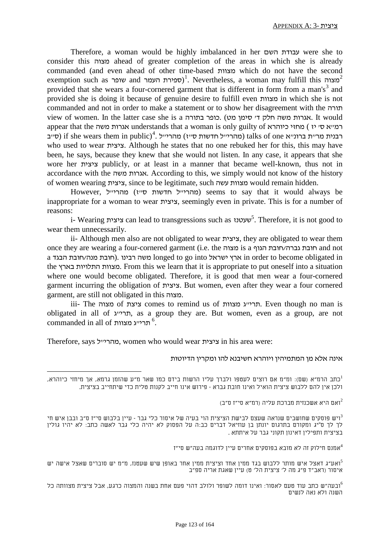Therefore, a woman would be highly imbalanced in her השם עבודת were she to consider this מצוה ahead of greater completion of the areas in which she is already commanded (and even ahead of other time-based מצוות which do not have the second exemption such as שופר and <sup>1</sup>(ספירת העמר )<sup>1</sup>. Nevertheless, a woman may fulfill this  $^2$ provided that she wears a four-cornered garment that is different in form from a man's<sup>3</sup> and provided she is doing it because of genuine desire to fulfill even מצוות in which she is not commanded and not in order to make a statement or to show her disagreement with the תורה view of women. In the latter case she is a בתורה כופר.) מט סימן' ד חלק משה אגרות. It would appear that the מחזי כיוהרא understands that a woman is only guilty of כמיא סי יז) מחזי כיוהרא רבנית מר״ת ברונ״א talks of one (מהרי״ל חדשות ס״ז) מהרי״ל . *†* if she wears them in public) (ס״ב who used to wear ציצית. Although he states that no one rebuked her for this, this may have been, he says, because they knew that she would not listen. In any case, it appears that she wore her ציצית publicly, or at least in a manner that became well-known, thus not in accordance with the משה אגרות. According to this, we simply would not know of the history of women wearing ציצית, since to be legitimate, such עשה מצוות would remain hidden.

However, מהרייש חדשות סייז) seems to say that it would always be inappropriate for a woman to wear ציצית, seemingly even in private. This is for a number of reasons:

i- Wearing ציצית can lead to transgressions such as *24F* <sup>5</sup> שעטנז . Therefore, it is not good to wear them unnecessarily.

ii- Although men also are not obligated to wear ציצית, they are obligated to wear them once they are wearing a four-cornered garment (i.e. the מצוה is a הגוף חובת/גברה חובת and not a משה רבינו .(חובת מנה/חובת הבגד longed to go into וארץ ישראל in order to become obligated in the בארץ התלויות מצוות. From this we learn that it is appropriate to put oneself into a situation where one would become obligated. Therefore, it is good that men wear a four-cornered garment incurring the obligation of ציצית. But women, even after they wear a four cornered garment, are still not obligated in this מצוה.

iii- The מצוה of ציצת comes to remind us of מצוות ג"תרי. Even though no man is obligated in all of ג"תרי, as a group they are. But women, even as a group, are not commanded in all of *245F* . תרי"ג מצוות <sup>6</sup>

Therefore, says מהריייל, women who would wear ציצית in his area were:

#### אינה אלא מן המתמיהין ויוהרא חשיבנא להו ומקרין הדיוטות

כתב הרמ"א (שם): ומ"מ אם רוצים לעטפו ולברך עליו הרשות בידם כמו שאר מ"ע שהזמן גרמא, אך מיחזי כיוהרא, 1 ולכן אין להם ללבוש ציצית הואיל ואינו חובת גברא - פירוש אינו חייב לקנות טלית כדי שיתחייב בציצית.

ואם היא אשכנזית מברכת עליה (רמ"א סי"ז ס"ב)

ייש פוסקים שחושבים שנראה שעצם לבישת הציצית הוי בעיה של איסור כלי גבר - עיין בלבוש סי"ז ס"ב ובבן איש חי $^3$ לך לך ס"יג ומקורם בתרגום יונתן בן עוזיאל דברים כב:ה על הפסוק לא יהיה כלי גבר לאשה כתב: לא יהיו גולין בציצית ותפילין דאינון תקוני גבר על איתתא .

אמנם חילוק זה לא מובא בפוסקים אחרים עיין לדוגמה בעה"ש סי"ז $^4$ 

ואע"ג דאצל איש מותר ללבוש בגד ממין אחד וציצית ממין אחר באופן שיש שעטנז, מ"מ יש סוברים שאצל אישה יש<sup>5</sup> איסור (ראב"ד פ"ג מה ל' ציצית הל' ט) עיין שאגת אריה ספ"ב

ובעה"ש כתב עוד טעם לאסור: ואינו דומה לשופר ולולב דהוי פעם אחת בשנה והמצוה כרגע, אבל ציצית מצוותה כל $^6$ השנה ולא נאה לנשים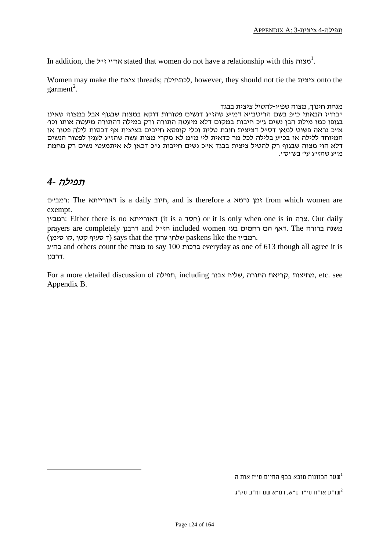In addition, the ארייי זייל stated that women do not have a relationship with this  $1^2$ .

Women may make the ציצת threads; לכתחילה, however, they should not tie the ציצית onto the garment<sup>2</sup>.

#### מנחת חינוך, מצוה שפ"ו-להטיל ציצית בבגד

"בח"ז הבאתי כ"פ בשם הריטב"א דמ"ע שהז"ג דנשים פטורות דוקא במצוה שבגוף אבל במצוה שאינו בגופו כמו מילת הבן נשים ג"כ חיבות במקום דלא מיעטה התורה ורק במילה דהתורה מיעטה אותו וכו' א"כ נראה פשוט למאן דס"ל דציצית חובת טלית וכלי קופסא חייבים בציצית אף דכסות לילה פטור או המיוחד ללילה או בכ"ע בלילה לכל מר כדאית לי' מ"מ לא מקרי מצות עשה שהז"ג לענין לפטור הנשים דלא הוי מצוה שבגוף רק להטיל ציצית בבגד אייכ נשים חייבות גייכ דכאן לא איתמעטי נשים רק מחמת מ"ע שהז"ג עי' בש"ס".

#### תפילה *4-*

ם"רמב: The דאורייתא is a daily חיוב, and is therefore a גרמא זמן from which women are exempt.

רמביץ: Either there is no דאורייתא) or it is only when one is in צרה. Our daily prayers are completely חז״ל and חז"ל included women הואף הם רחמים בעי רמב"ן paskens like the שלחן ערוך says that the רמב"ן).

בהייג and others count the מצוה to say 100 ברכות everyday as one of 613 though all agree it is .דרבנן

For a more detailed discussion of תפילה, including צבור שליח, התורה קריאת, מחיצות, etc. see Appendix B.

שער הכוונות מובא בכף החיים סי"ז אות ה $^1$ 

שו"ע או"ח סי"ד ס"א, רמ"א שם ומ"ב סק"ג $^2$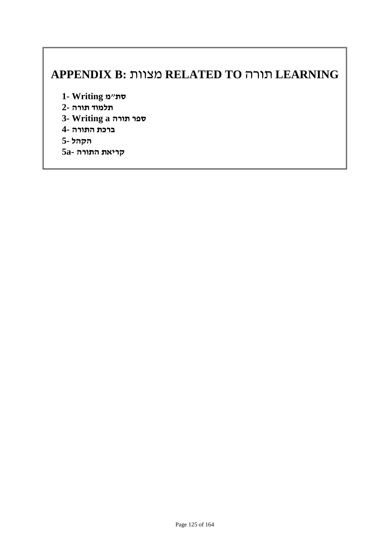## **APPENDIX B:** מצוות **RELATED TO** תורה **LEARNING**

**סת"מ Writing 1-**

- **תלמוד תורה 2-**
- **ספר תורה a Writing 3-**
- **ברכת התורה 4-**
- **הקהל 5-**
- **קריאת התורה -a5**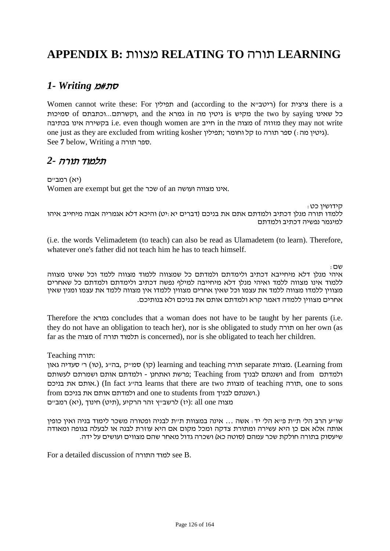## **APPENDIX B:** מצוות **RELATING TO** תורה **LEARNING**

### סת#מ *Writing 1-*

Women cannot write these: For תפילין and (according to the היטב״א) for ציצית כל שאינו saying by two the מקיש is גיטין מה in גמרא the and ,וקשרתם...וכתבתם of סמיכות בכתיבה אינו בקשירה i.e. even though women are חייב in the מצוה of מזוזה they may not write one just as they are excluded from writing kosher תורה ס קל וחומר). See **7** below, Writing a תורה ספר.

### תלמוד תורה *2-*

(יא) רמב"ם Women are exempt but get the שכר of an ועושה מצווה אינו.

קידושין כט:

ללמדו תורה מנלן דכתיב ולמדתם אתם את בניכם (דברים יא:יט) והיכא דלא אגמריה אבוה מיחייב איהו למיגמר נפשיה דכתיב ולמדתם

(i.e. the words Velimadetem (to teach) can also be read as Ulamadetem (to learn). Therefore, whatever one's father did not teach him he has to teach himself.

שם:

איהי מנלן דלא מיחייבא דכתיב ולימדתם ולמדתם כל שמצווה ללמוד מצווה ללמד וכל שאינו מצווה ללמוד אינו מצווה ללמד ואיהי מנלן דלא מיחייבה למילף נפשה דכתיב ולימדתם ולמדתם כל שאחרים מצווין ללמדו מצווה ללמד את עצמו וכל שאין אחרים מצווין ללמדו אין מצווה ללמד את עצמו ומנין שאין אחרים מצווין ללמדה דאמר קרא ולמדתם אותם את בניכם ולא בנותיכם.

Therefore the גמרא concludes that a woman does not have to be taught by her parents (i.e. they do not have an obligation to teach her), nor is she obligated to study תורה on her own (as far as the מצוה of תורה תלמוד is concerned), nor is she obligated to teach her children.

:תורה Teaching

 from Learning (.מצוות separate תורה teaching and learning) קו) סמ"ק ,בה"ג ,(טו) ר' סעדיה גאון ולמדתם from and ושננתם לבניך from Teaching; פרשת ואתחנן - ולמדתם אותם ושמרתם לעשותם בניכם את אותם.) (In fact ג"בה learns that there are two מצוות of teaching תורה, one to sons from ולמדתם אותם את בניכם students from ולמדתם אותם את ה מצוה one all :)יז) לרשב"ץ זהר הרקיע ,(תיט) חינוך ,(יא) רמב"ם

שו"ע הרב הל' ת"ת פ"א הל' יד: אשה ... אינה במצוות ת"ת לבניה ופטורה משכר לימוד בניה ואין כופין אותה אלא אם כן היא עשירה ומתורת צדקה ומכל מקום אם היא עוזרת לבנה או לבעלה בגופה ומאודה שיעסוק בתורה חולקת שכר עמהם (סוטה כא) ושכרה גדול מאחר שהם מצווים ועושים על ידה.

For a detailed discussion of התורה למוד see B.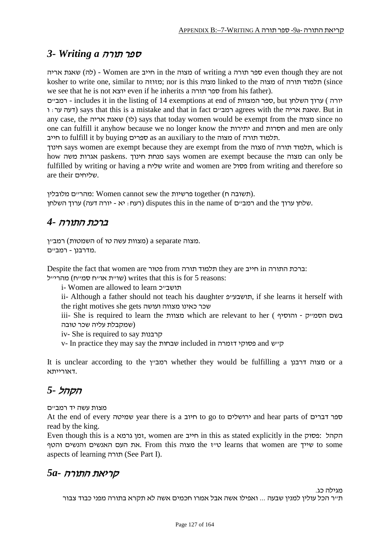### ספר תורה *a Writing 3-*

אריה שאגת) לה (- Women are חייב in the מצוה of writing a תורה ספר even though they are not kosher to write one, similar to מזוזה ;nor is this מצוה linked to the מצוה of תלמוד תורה we see that he is not יוצא even if he inherits a תורה ספר from his father).

יורה) ערוך השלחן but ספר המצוות - includes it in the listing of 14 exemptions at end of המב"ם ודעה ער: ו (f דעה עו says that this is a mistake and that in fact המביים) agrees with the אאגת אריה  $B$ ut in any case, the מצוה) says that today women would be exempt from the מצוה since no one can fulfill it anyhow because we no longer know the יתירות and חסרות and men are only חייב to fulfill it by buying ספרים as an auxiliary to the מצוה of תורה תלמוד.

חינוך says women are exempt because they are exempt from the מצוה of תורה תלמוד, which is how משה אגרות paskens. חינוך מנחת says women are exempt because the מצוה can only be fulfilled by writing or having a שליח write and women are פסול from writing and therefore so are their שליחים.

.(תשובה ח) together פרשיות the sew cannot Women :מהר"ם מלובלין שלחן ערוך and the רמב"ם disputes this in the name of רמב"ם) and the יכוד השלחן.

### ברכת התורה *4-*

מצוה a separate מצוות עשה טו of השמטות) מצוות. .מדרבנן - רמב"ם

Despite the fact that women are תלמוד תורה from בטור from התורה התורה ברכת

שו"ת או"ח סמ"ח) writes that this is for 5 reasons:

i- Women are allowed to learn תושבייכ

ii- Although a father should not teach his daughter תושבעיים, if she learns it herself with the right motives she gets ועושה מצווה כאינו שכר

iii- She is required to learn the מצוות which are relevant to her ( והוסיף - ק"הסמ בשם (שמקבלת עליה שכר טובה

iv- She is required to say קרבנות

v- In practice they may say the שבחות included in דזמרה פסוקי and ש"ק

It is unclear according to the רמביץ whether they would be fulfilling a מצוה דרבנן .דאורייתא

### הקהל *5-*

מצות עשה יד רמב"ם

At the end of every שמיטה year there is a חיוב to go to חיוב and hear parts of דברים read by the king.

Even though this is a גרמא זמן, women are חייב in this as stated explicitly in the פסוק: הקהל some to שייך are women that learns ט"ז the מצוה this From .את העם האנשים והנשים והטף aspects of learning תורה) See Part I).

### קריאת התורה *-a5*

מגילה כג.

ת"ר הכל עולין למנין שבעה ... ואפילו אשה אבל אמרו חכמים אשה לא תקרא בתורה מפני כבוד צבור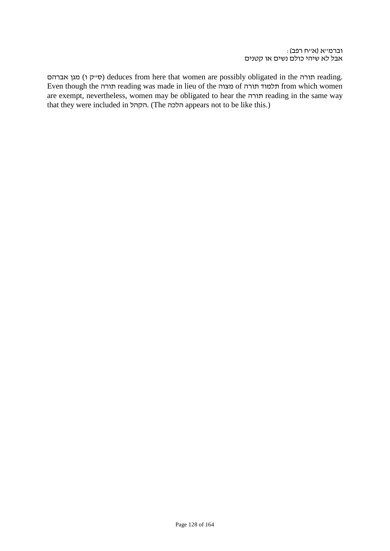סייק ו) מגן אברהם deduces from here that women are possibly obligated in the תורה reading. Even though the תורה reading was made in lieu of the מצוה of תורה תלמוד from which women are exempt, nevertheless, women may be obligated to hear the תורה reading in the same way that they were included in הקהל. (The הלכה appears not to be like this.)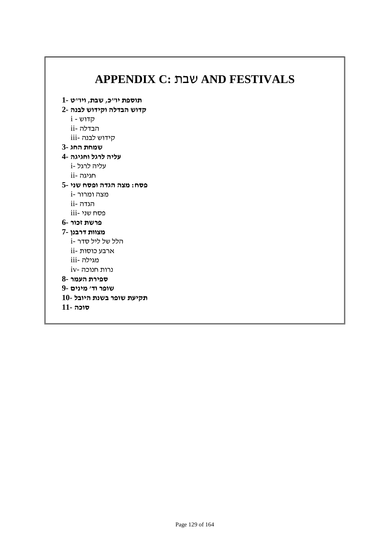| תוספת יו"כ, שבת, ויו"ט -1 |  |
|---------------------------|--|
| קדוש הבדלה וקידוש לבנה -2 |  |
| i - קדוש                  |  |
| ii- הבדלה                 |  |
| קידוש לבנה -iii           |  |
| שמחת החג-3                |  |
| עליה לרגל וחגיגה -4       |  |
| עליה לרגל -i              |  |
| ii- חגיגה                 |  |
| פסח: מצה הגדה ופסח שני -5 |  |
| נוצה ומרור -i             |  |
| ii- הגדה                  |  |
| פסח שני -iii              |  |
| פרשת זכור -6              |  |
| מצוות דרבנן -7            |  |
| i- הלל של ליל סדר         |  |
| ii- ארבע כוסות            |  |
| iii- מגילה                |  |
| $iv$ - נרות חנוכה         |  |
| ספירת העמר -8             |  |
| שופר וד׳ מינים -9         |  |
| תקיעת שופר בשנת היובל -10 |  |
| <b>סוכה -11</b>           |  |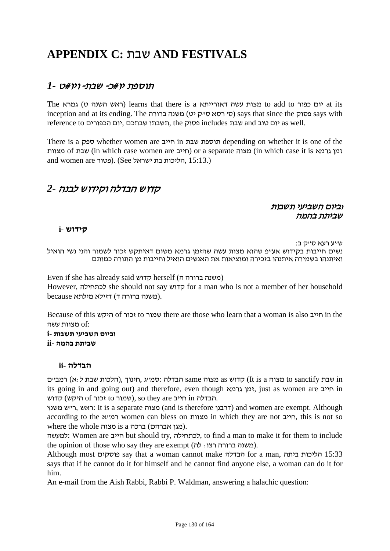## **APPENDIX C:** שבת **AND FESTIVALS**

### תוספת יו#כ- שבת- ויו#ט *1-*

The יום כפור to add to מצות עשה דאורייתא learns that there is a וראש השנה ט) גמרא inception and at its ending. The סי רסא סייק יט) משנה) says that since the פסוק says with .well as יום טוב and שבת includes פסוק the ,תשבתו שבתכם ,יום הכפורים to reference

There is a ספק whether women are חייב in שבת תוספת depending on whether it is one of the מצוות of שבת) in which case women are חייב (or a separate מצוה) in which case it is גרמא זמן and women are כמור). (See הליכות בת ישראל).  $($ See הליכות בת ישראל.

### קדוש הבדלה וקידוש לבנה *2-*

#### וביום השביעי תשבות שביתת בהמה

#### **קידוש -i**

ש״ע רעא ס״ק ב: נשים חייבות בקידוש אע"פ שהוא מצות עשה שהזמן גרמא משום דאיתקש זכור לשמור והני נשי הואיל ואיתנהו בשמירה איתנהו בזכירה ומוציאות את האנשים הואיל וחייבות מן התורה כמותם

Even if she has already said קדוש herself (משנה ברורה ה However, לכתחילה she should not say קדוש for a man who is not a member of her household .(משנה ברורה ד) דזילא מילתא because

Because of this היקש of זכור to שמור there are those who learn that a woman is also חייב in the מצוות עשה  $\mathrm{of:}$ 

**וביום השביעי תשבות -i שביתת בהמה -ii**

#### **הבדלה -ii**

 in שבת sanctify to מצוה a is It (קדוש as מצוה same הבדלה :סמ"ג ,חינוך ,(הלכות שבת ל:א) רמב"ם its going in and going out) and therefore, even though גרמא זמן, just as women are חייב in קדוש (היקש: to הבדלה in חייב so they are שמור of זכור.

ראש, רייש משנץ (and is therefore דרבנן) and women are exempt. Although according to the א"רמ women can bless on מצוות in which they are not חייב, this is not so where the whole מצוה is a ברכה) אברהם מגן(.

למעשה: Women are חייב but should try, לכתחילה, to find a man to make it for them to include the opinion of those who say they are exempt  $(\pi)$ : משנה ברורה רצו

Although most פוסקים say that a woman cannot make הבדלה for a man, ביתה הליכות 15:33 says that if he cannot do it for himself and he cannot find anyone else, a woman can do it for him.

An e-mail from the Aish Rabbi, Rabbi P. Waldman, answering a halachic question: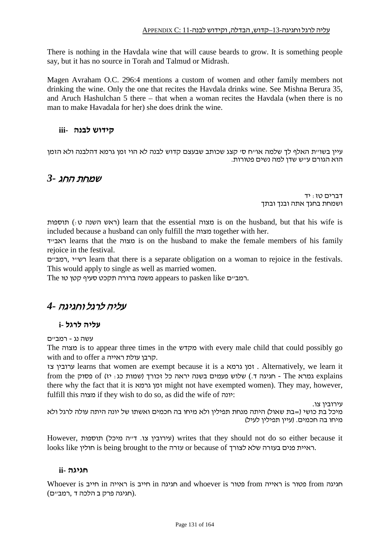There is nothing in the Havdala wine that will cause beards to grow. It is something people say, but it has no source in Torah and Talmud or Midrash.

Magen Avraham O.C. 296:4 mentions a custom of women and other family members not drinking the wine. Only the one that recites the Havdala drinks wine. See Mishna Berura 35, and Aruch Hashulchan 5 there – that when a woman recites the Havdala (when there is no man to make Havadala for her) she does drink the wine.

#### **קידוש לבנה -iii**

עיין בשו״ת האלף לך שלמה או״ח ס׳ קצג שכותב שבעצם קדוש לבנה לא הוי זמן גרמא דהלבנה ולא הזמן הוא הגורם ע"ש שדן למה נשים פטורות.

#### שמחת החג *3-*

דברים טז: יד ושמחת בחגך אתה ובנך ובתך

תוספות) learn that the essential מצוה is on the husband, but that his wife is included because a husband can only fulfill the מצוה together with her.

ד"ראב learns that the מצוה is on the husband to make the female members of his family rejoice in the festival.

ם"רמב, י"רש learn that there is a separate obligation on a woman to rejoice in the festivals. This would apply to single as well as married women.

The רמב"ם appears to pasken like משנה ברורה תקכט סעיף קטן טו.

### עליה לרגל וחגיגה *4-*

#### **עליה לרגל -i**

עשה נג - רמב"ם

The מצוה is to appear three times in the מקדש with every male child that could possibly go with and to offer a ראייה עולת קרבן.

צז ערובין learns that women are exempt because it is a גרמא זמן . Alternatively, we learn it from the גמרא The - חגיגה ד.) שלוש פעמים בשנה יראה כל זכורד (שמות כג: יז) of פסוק there why the fact that it is גרמא זמן might not have exempted women). They may, however, fulfill this מצוה if they wish to do so, as did the wife of יונה:

עירובין צו.

מיכל בת כושי (=בת שאול) היתה מנחת תפילין ולא מיחו בה חכמים ואשתו של יונה היתה עולה לרגל ולא מיחו בה חכמים. (עיין תפילין לעיל)

However, ועירובין צו. דייה מיכל) arites that they should not do so either because it looks like חולין. is being brought to the עזרה or because of הולין סאו

#### **חגיגה -ii**

Whoever is חייב in ראייה is חייב in חגיגה and whoever is פטור from ראייה is פטור from חגיגה .(חגיגה פרק ב הלכה ד ,רמב"ם)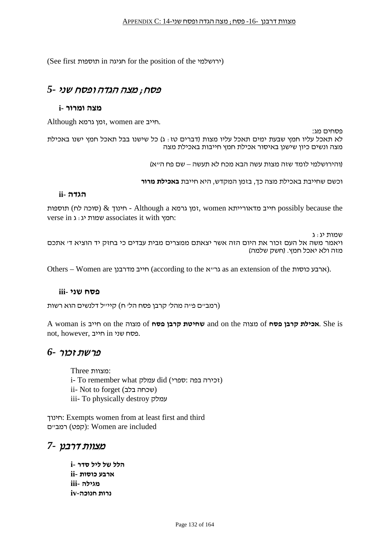(See first תוספות in חגיגה for the position of the ירושלמי(

### פסח; מצה הגדה ופסח שני *5-*

#### **מצה ומרור -i**

.חייב are women ,זמן גרמא Although

פסחים מג: לא תאכל עליו חמץ שבעת ימים תאכל עליו מצות (דברים טז: ג) כל שישנו בבל תאכל חמץ ישנו באכילת מצה ונשים כיון שישנן באיסור אכילת חמץ חייבות באכילת מצה

(והירושלמי לומד שזה מצות עשה הבא מכח לא תעשה – שם פח ה"א)

וכשם שחייבת באכילת מצה כך, בזמן המקדש, היא חייבת **באכילת מרור**

#### **הגדה -ii**

תוספות (סוכה לח) און Although a נמן גרמא women  $\alpha$  a הואורייתא possibly because the verse in יחמץ: associates it with יחמץ:

שמות יג: ג ויאמר משה אל העם זכור את היום הזה אשר יצאתם ממצרים מבית עבדים כי בחזק יד הוציא ד' אתכם מזה ולא יאכל חמץ. (חשק שלמה)

Others – Women are הייב מדרבנן (according to the הארבע כוסות).

#### **פסח שני -iii**

(רמב"ם פ"ה מהל' קרבן פסח הל' ח) קיי"ל דלנשים הוא רשות

A woman is חייב on the מצוה of **פסח קרבן שחיטת** and on the מצוה of **פסח קרבן אכילת**. She is not, however, פסח שני in חייב.

#### פרשת זכור *6-*

:מצוות Three i- To remember what עמלק did (זכירה בפה) ii- Not to forget (שכחה בלב) iii- To physically destroy עמלק

חינוך: Exempts women from at least first and third רמביים): Women are included

### מצוות דרבנן *7-*

**הלל של ליל סדר -i ארבע כוסות -ii מגילה -iii נרות חנוכה-iv**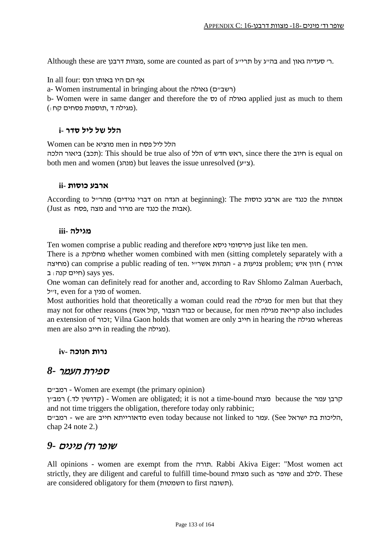Although these are בהייג אט תריייג. some are counted as part of גאון סעדיה גאון  $\alpha$  בהייג טע

In all four: אף הם היו באותו הנס

a- Women instrumental in bringing about the רשביים) גאולה)

b- Women were in same danger and therefore the נס of גאולה applied just as much to them .(מגילה ד ,תוספות פסחים קח:)

#### **הלל של ליל סדר -i**

Women can be מוציא men in פסח ליל הלל

ראש חדש of הלל of הללם, since there the האש חדש): This should be true also of היוב sequal on both men and women (מנהג (but leaves the issue unresolved (ע"צ(.

#### **ארבע כוסות -ii**

According to הגדה on דברי נגידים) אותהות at beginning): The הגדה מהר"ל the הגדה מהר"ל the ארבע .(אבות the כנגד are מרור and מצה ,פסח as Just(

#### **מגילה -iii**

Ten women comprise a public reading and therefore ניסא פירסומי just like ten men.

There is a מחלוקת whether women combined with men (sitting completely separately with a מחיצה (can comprise a public reading of ten. י"אשר הגהות - a צניעות problem; איש חזון ) אורח תיים קנה: ב) says yes.

One woman can definitely read for another and, according to Rav Shlomo Zalman Auerbach, ל"ז, even for a מנין of women.

Most authorities hold that theoretically a woman could read the מגילה for men but that they may not for other reasons (היאת מגילה or because, for men הריאת מגילה, הול an extension of זכור; Vilna Gaon holds that women are only ויכור in hearing the מגילה men are also חייב in reading the .(מגילה).

#### **נרות חנוכה -iv**

#### ספירת העמר *8-*

ם"רמב - Women are exempt (the primary opinion)

רמב"ן (קדושין לד.) - Women are obligated; it is not a time-bound מצוה because the קרבן עמר and not time triggers the obligation, therefore today only rabbinic;

ם - we are חייב even today because not linked to מדאורייתא חייב, we are יחליכות בת ישראל, chap 24 note 2.)

### שופר וד) מינים *9-*

All opinions - women are exempt from the תורה. Rabbi Akiva Eiger: "Most women act strictly, they are diligent and careful to fulfill time-bound מצוות such as שופר and לולב. These are considered obligatory for them (תשובה).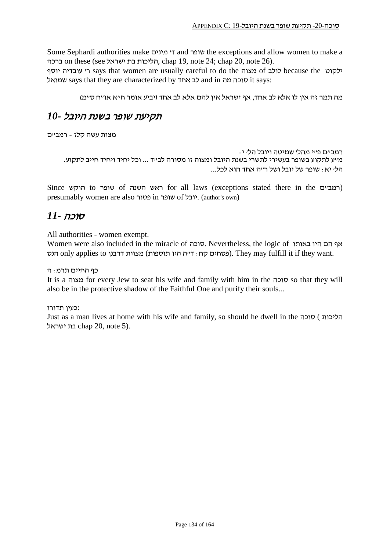Some Sephardi authorities make מינים' ד and שופר the exceptions and allow women to make a ברכה on these (see ישראל chap 19, note 24; chap 20, note 26).

ילקוט because the לולב says that women are usually careful to do the לולב of לולב because the ילקוט שמואל says that they are characterized by אחד לב and in מה סוכה it says:

מה תמר זה אין לו אלא לב אחד, אף ישראל אין להם אלא לב אחד (יביע אומר ח"א או"ח ס"מ)

### תקיעת שופר בשנת היובל *10-*

מצות עשה קלז - רמב"ם

רמב"ם פ"י מהל' שמיטה ויובל הל' י: מ"ע לתקוע בשופר בעשירי לתשרי בשנת היובל ומצוה זו מסורה לב"ד ... וכל יחיד ויחיד חייב לתקוע. הל' יא: שופר של יובל ושל ר"ה אחד הוא לכל...

Since הוקש to שופר of השנה ראש for all laws (exceptions stated there in the ם"רמב ( presumably women are also פטור in שופר of יובל.) author's own)

### סוכה *11-*

All authorities - women exempt.

Women were also included in the miracle of סוכה. Nevertheless, the logic of באותו היו הם אף הנס only applies to הנס מצוות דרבנן סחו $\alpha$  : דייה היו תוספות). They may fulfill it if they want.

#### כף החיים תרמ: ה

It is a מצוה for every Jew to seat his wife and family with him in the סוכה so that they will also be in the protective shadow of the Faithful One and purify their souls...

:כעין תדורו

Just as a man lives at home with his wife and family, so should he dwell in the סוכה ) הליכות בת ישראל chap 20, note 5).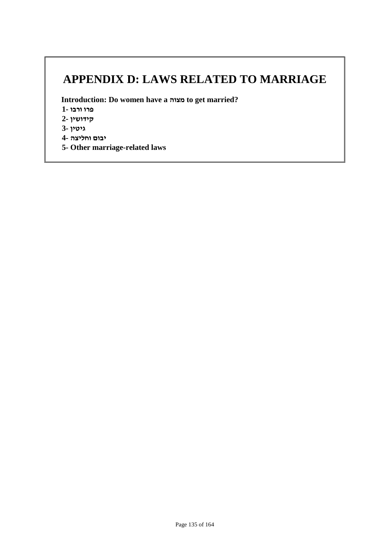## **APPENDIX D: LAWS RELATED TO MARRIAGE**

**Introduction: Do women have a מצוה to get married?**

**פרו ורבו 1-**

**קידושין 2-**

**גיטין 3-**

**יבום וחליצה 4-**

**5- Other marriage-related laws**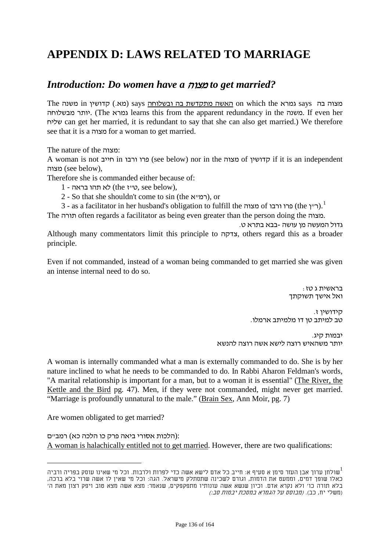## **APPENDIX D: LAWS RELATED TO MARRIAGE**

### *Introduction: Do women have a* מצוה *to get married?*

The מצוה בה says גמרא on which the <u>האשה מתקדשת בה ובשלוחה</u> says (מא.) קדושין in משנה מבשלוחה יותר.) The גמרא learns this from the apparent redundancy in the משנה. If even her שליח can get her married, it is redundant to say that she can also get married.) We therefore see that it is a מצוה for a woman to get married.

The nature of the מצוה:

A woman is not חייב in ורבו פרו) see below) nor in the מצוה of קדושין if it is an independent מצוה) see below),

Therefore she is commanded either because of:

- $1$  ט"ז (the לא תהו בראה 1 $($ the (לא תהו בראה  $\alpha$
- 2 So that she shouldn't come to sin (the רמייא), or
- 3 as a facilitator in her husband's obligation to fulfill the מצוה).<sup>1</sup> (ר״ן).<sup>1</sup>

The תורה often regards a facilitator as being even greater than the person doing the מצוה.

גדול המעשה מן עושה -בבא בתרא ט. Although many commentators limit this principle to צדקה, others regard this as a broader principle.

Even if not commanded, instead of a woman being commanded to get married she was given an intense internal need to do so.

> בראשית ג טז: ואל אישך תשוקתך

קידושין ז.<br>טב למיתב טן דו מלמיתב ארמלו.

יבמות קיג. יותר משהאיש רוצה לישא אשה רוצה להנשא

A woman is internally commanded what a man is externally commanded to do. She is by her nature inclined to what he needs to be commanded to do. In Rabbi Aharon Feldman's words, "A marital relationship is important for a man, but to a woman it is essential" (The River, the Kettle and the Bird pg. 47). Men, if they were not commanded, might never get married. "Marriage is profoundly unnatural to the male." (Brain Sex, Ann Moir, pg. 7)

Are women obligated to get married?

:(הלכות אסורי ביאה פרק כו הלכה כא) רמב"ם A woman is halachically entitled not to get married. However, there are two qualifications:

שולחן ערוך אבן העזר סימן א סעיף א: חייב כל אדם לישא אשה כדי לפרות ולרבות. וכל מי שאינו עוסק בפריה ורביה $\mathbb{I}^1$ כאלו שופך דמים, וממעט את הדמות, וגורם לשכינה שתסתלק מישראל. הגה: וכל מי שאין לו אשה שרוי בלא ברכה, בלא תורה כו' ולא נקרא אדם. וכיון שנשא אשה עונותיו מתפקפקים, שנאמר: מצא אשה מצא טוב ויפק רצון מאת ה' (משלי יח, כב). (מבוסס על הגמרא במסכת יבמות סב:)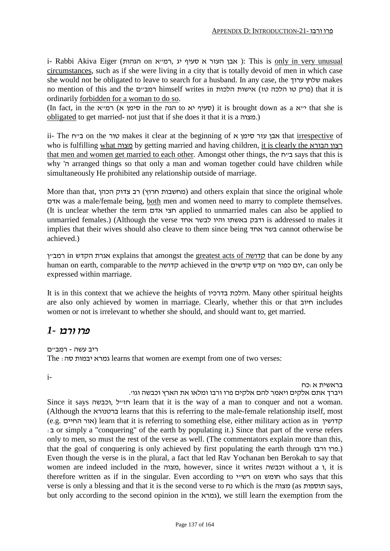i- Rabbi Akiva Eiger (הגהות on הגהות א סעיף אבן העזר א סעיף אבן ): This is only in very unusual circumstances, such as if she were living in a city that is totally devoid of men in which case she would not be obligated to leave to search for a husband. In any case, the ערוך שלחן makes no mention of this and the תמביים) himself writes in הלכה טז) אישות הלכה טז) that it is ordinarily forbidden for a woman to do so.

(In fact, in the א"רמ) א סימן in the הגה to יא סעיף (it is brought down as a א"י that she is obligated to get married- not just that if she does it that it is a מצוה.(

ii- The ח"ב on the טור makes it clear at the beginning of א סימן עזר אבן that irrespective of who is fulfilling what מצוה by getting married and having children, it is clearly the הבורא רצון that men and women get married to each other. Amongst other things, the ח"ב says that this is why 'ה arranged things so that only a man and woman together could have children while simultaneously He prohibited any relationship outside of marriage.

More than that, הכהן (מחשבות חרוץ) הב צדוק הכהן and others explain that since the original whole אדם was a male/female being, both men and women need to marry to complete themselves. (It is unclear whether the term אדם חצי applied to unmarried males can also be applied to unmarried females.) (Although the verse אחד לבשר והיו באשתו ודבק is addressed to males it implies that their wives should also cleave to them since being אחד בשר cannot otherwise be achieved.)

ן"רמב in הקדש אגרת explains that amongst the greatest acts of קדושה that can be done by any human on earth, comparable to the קדושה achieved in the קדש קדשים, can only be expressed within marriage.

It is in this context that we achieve the heights of בדרכיו והלכת. Many other spiritual heights are also only achieved by women in marriage. Clearly, whether this or that חיוב includes women or not is irrelevant to whether she should, and should want to, get married.

### פרו ורבו *1-*

ריב עשה - רמב"ם

The :סה יבמות גמרא learns that women are exempt from one of two verses:

בראשית א:כח -i ויברך אתם אלקים ויאמר להם אלקים פרו ורבו ומלאו את הארץ וכבשה וגו'.

Since it says וכבשה, ל"חז learn that it is the way of a man to conquer and not a woman. (Although the ברטנורא learns that this is referring to the male-female relationship itself, most (e.g. החיים אור (learn that it is referring to something else, either military action as in קדושין :ב or simply a "conquering" of the earth by populating it.) Since that part of the verse refers only to men, so must the rest of the verse as well. (The commentators explain more than this, that the goal of conquering is only achieved by first populating the earth through ו. Even though the verse is in the plural, a fact that led Rav Yochanan ben Berokah to say that women are indeed included in the מצוה, however, since it writes וכבשה without a ו, it is therefore written as if in the singular. Even according to י"רש on חומש who says that this verse is only a blessing and that it is the second verse to נח which is the תוספות) says, but only according to the second opinion in the גמרא $($ גמרא $)$ , we still learn the exemption from the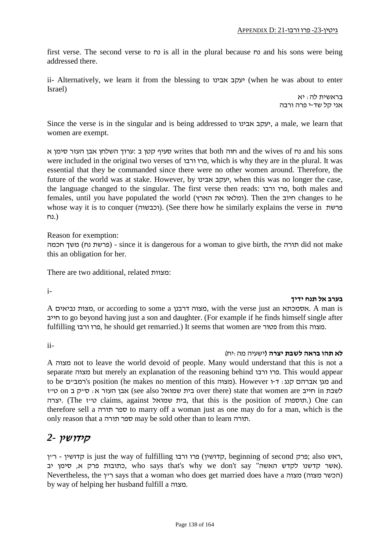first verse. The second verse to נח is all in the plural because נח and his sons were being addressed there.

ii- Alternatively, we learn it from the blessing to אבינו יעקב) when he was about to enter Israel)

> בראשית לה: יא אני קל שד-י פרה ורבה

Since the verse is in the singular and is being addressed to אבינו יעקב, a male, we learn that women are exempt.

גרוך השלחן אבן העזר סימן sons ווה and the wives of מוה both מוה both והעזר סימן א were included in the original two verses of ורבו פרו, which is why they are in the plural. It was essential that they be commanded since there were no other women around. Therefore, the future of the world was at stake. However, by אבינו יעקב, when this was no longer the case, the language changed to the singular. The first verse then reads: ורבו פרו, both males and females, until you have populated the world (הארץ את ומלאו(. Then the חיוב changes to he whose way it is to conquer (וכבשוה). (See there how he similarly explains the verse in פרשת (.נח

Reason for exemption:

חכמה (- since it is dangerous for a woman to give birth, the תורה did not make) - (פרשת נח) משך this an obligation for her.

There are two additional, related מצוות:

**בערב אל תנח ידיך** -i

A נביאים מצות, or according to some a דרבנן מצוה, with the verse just an אסמכתא. A man is חייב to go beyond having just a son and daughter. (For example if he finds himself single after fulfilling ורבו פרו, he should get remarried.) It seems that women are פטור from this מצוה.

# **לא תהו בראה לשבת יצרה (**ישעיה מה:יח) -ii

A מצוה not to leave the world devoid of people. Many would understand that this is not a separate מצוה but merely an explanation of the reasoning behind ורבו פרו. This would appear to be מגן אברהם קנג: ד-ו However (מצוה (he makes no mention of this מגן אברהם קנג: ד-ו לשבת in חייב are that women are כית שמואל see also) אבן העזר א: ס"ק ב on ט"ז לשבת ה יצרה.) The ז"ט claims, against שמואל בית, that this is the position of תוספות. (One can therefore sell a תורה ספר to marry off a woman just as one may do for a man, which is the only reason that a תורה ספר may be sold other than to learn תורה.

### קידושין *2-*

ראש is just the way of fulfilling קדושין) פרו ורבו, beginning of second כרק; also ראש; בתובות פרק א, סימן יב who says that's why we don't say האשה", סימן יב say n'don't say , Nevertheless, the רייך says that a woman who does get married does have a הכשר מצוה) by way of helping her husband fulfill a מצוה.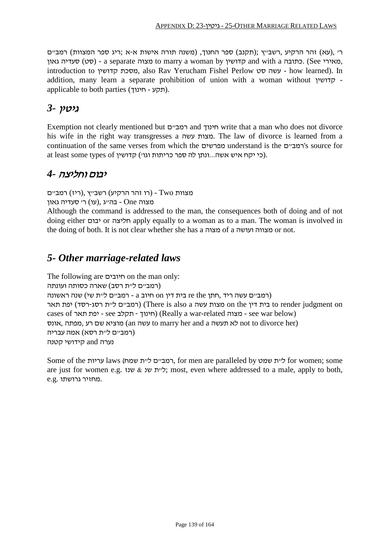ר' ,(עא) זהר הרקיע ,רשב"ץ ;(תקנב) ספר החנוך, (משנה תורה אישות א-א ;ריג ספר המצוות) רמב"ם גאון סט) - a separate מאירי, a woman by מאירי, Gee כתובה coman by התובה.) See כתובה. introduction to קדושין מסכת, also Rav Yerucham Fishel Perlow סט עשה - how learned). In addition, many learn a separate prohibition of union with a woman without קדושין applicable to both parties (חינוך - תקע(.

### גיטין *3-*

Exemption not clearly mentioned but ם"רמב and חינוך write that a man who does not divorce his wife in the right way transgresses a עשה מצות. The law of divorce is learned from a continuation of the same verses from which the מפרשים understand is the ם"רמב's source for at least some types of כי יקח איש אשה...ונתן לה ספר כריתות וגו׳) קדושין.

### יבום וחליצה *4-*

מצוות Two -) רו זהר הרקיע) רשב"ץ ,(ריז) רמב"ם

מצוה One - בה"ג ,(עו) ר' סעדיה גאון

Although the command is addressed to the man, the consequences both of doing and of not doing either יבום or חליצה apply equally to a woman as to a man. The woman is involved in the doing of both. It is not clear whether she has a מצוה of a מצווה ועושה or not.

### *5- Other marriage-related laws*

The following are חיובים on the man only: (רמב"ם ל"ת רסב) שארה כסותה ועונתה (רמב"ם עשה ריד ,חתן re the בית דין on חיוב a - רמב"ם ל"ת שי) שנה ראשונה on judgment render to בית דין the on מצות עשה a also is There) (רמב"ם ל"ת רסג-רסד) יפת תאר cases of תאר יפת - see תקלב - חינוך) (Really a war-related מצוה - see war below) אונס, מוציא שם רע מפתה, האונס (an עשה to marry her and a תעשה) an to divorce her) (רמב"ם ל"ת רסא) אמה עבריה נערה and קידושי קטנה

Some of the עריות laws (שמח ת"ל ם"רמב, for men are paralleled by שמט ת"ל for women; some are just for women e.g. ליית שנ $\&$  y; most, even where addressed to a male, apply to both, .מחזיר גרושתו .g.e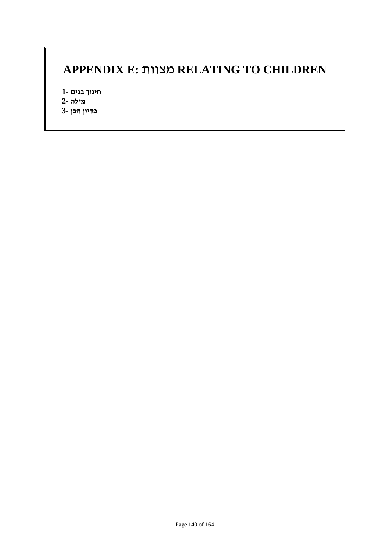## **APPENDIX E:** מצוות **RELATING TO CHILDREN**

**חינוך בנים 1- מילה 2- פדיון הבן 3-**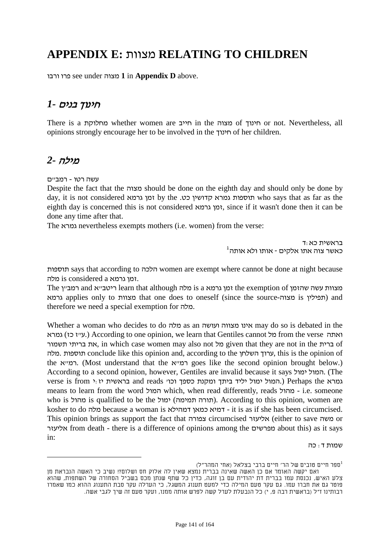## **APPENDIX E:** מצוות **RELATING TO CHILDREN**

ורבו פרו see under מצוה **1** in **Appendix D** above.

### חינוך בנים *1-*

There is a מחלוקת whether women are חייב in the מצוה of חינוך or not. Nevertheless, all opinions strongly encourage her to be involved in the חינוך of her children.

### מילה *2-*

עשה רטו - רמב"ם

Despite the fact that the מצוה should be done on the eighth day and should only be done by day, it is not considered גרמא זמן by the .כט קדושין גמרא תוספות who says that as far as the eighth day is concerned this is not considered גרמא זמן, since if it wasn't done then it can be done any time after that.

The גמרא nevertheless exempts mothers (i.e. women) from the verse:

בראשית כא :ד<br>כאשר צוה אתו אלקים - אותו ולא אותה<sup>f</sup>

תוספות says that according to הלכה women are exempt where cannot be done at night because .זמן גרמא a considered is מלה

The ריטב״א and די learn that although המב"ן the exemption of מאצוות עשה שהזמן and מלח גרמא applies only to מצוות that one does to oneself (since the source-מצויה) and therefore we need a special exemption for מלה.

Whether a woman who decides to do מלה as an ועושה מצווה אינו may do so is debated in the גמרא) (עייז כז) According to one opinion, we learn that Gentiles cannot מל תשמור בריתי את, in which case women may also not מל given that they are not in the ברית of מלה. תוספות conclude like this opinion and, according to the השלחן ערוך, this is the opinion of the רמייא. (Most understand that the רמייא goes like the second opinion brought below.) According to a second opinion, however, Gentiles are invalid because it says יהמול ימול. (The  $s$  is from  $s:$  המול יליד ביתך ומקנת כספך וכו' and reads בראשית יז $s$  rerhaps the גמרא means to learn from the word המול which, when read differently, reads מהול - i.e. someone who is מהול is qualified to be the ימול) תמימה תורה(. According to this opinion, women are kosher to do מלה because a woman is דמהילא כמאן דמיא - it is as if she has been circumcised. This opinion brings as support the fact that צפורה circumcised אליעזר) either to save משה or אליעזר from death - there is a difference of opinions among the מפרשים about this) as it says in:

שמות ד: כה

ספר חיים טובים של הר' חיים ברבי בצלאל (אחי המהר"ל)  $^1$ 

ואם יקשה האומר אם כן האשה שאינה בברית נמצא שאין לה אלוק חס ושלום?! נשיב כי האשה הנבראת מן צלע האיש, נכנסת עמו בברית דת יהודית עם בן זוגה, כדין כל שתף שנתן מכס בשביל הסחורה של השתפות, שהוא פוטר גם את חברו עמו. גם עקר טעם המילה כדי למעט תענוג המשגל, כי הערלה עקר סבת התענוג ההוא כמו שאמרו רבותינו ז"ל (בראשית רבה פ, י) כל הנבעלת לערל קשה לפרש אותה ממנו, ועקר טעם זה שיך לגבי אשה.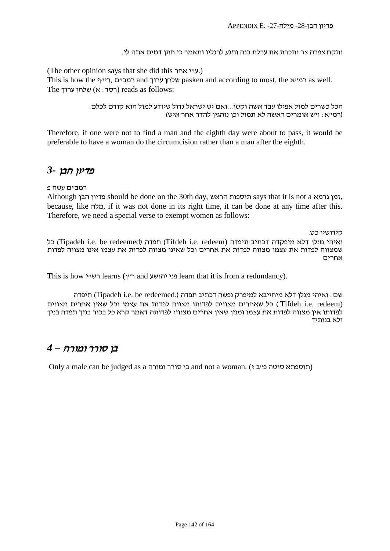#### ותקח צפרה צר ותכרת את ערלת בנה ותגע לרגליו ותאמר כי חתן דמים אתה לי.

(The other opinion says that she did this אחר י"ע.(

This is how the רמייף, הייך and עלחן ערוך pasken and according to most, the הייף as well. The רסד: א) שלחן ערוך) reads as follows:

> הכל כשרים למול אפילו עבד אשה וקטן...ואם יש ישראל גדול שיודע למול הוא קודם לכלם. (רמ"א: ויש אומרים דאשה לא תמול וכן נוהגין להדר אחר איש)

Therefore, if one were not to find a man and the eighth day were about to pass, it would be preferable to have a woman do the circumcision rather than a man after the eighth.

#### פדיון הבן *3-*

רמב"ם עשה פ

Although הבן פדיון should be done on the 30th day, הראש תוספות says that it is not a גרמא זמן, because, like מלה, if it was not done in its right time, it can be done at any time after this. Therefore, we need a special verse to exempt women as follows:

קידושין כט. כל) Tipadeh i.e. be redeemed) תפדה) Tifdeh i.e. redeem) תיפדה דכתיב מיפקדה דלא מנלן ואיהי שמצווה לפדות את עצמו מצווה לפדות את אחרים וכל שאינו מצווה לפדות את עצמו אינו מצווה לפדות אחרים

This is how י"רש learns (ן"ר and יהושע פני learn that it is from a redundancy).

שם: ואיהי מנלן דלא מיחייבא למיפרק נפשה דכתיב תפדה (.redeemed be .e.i Tipadeh (תיפדה (Tifdeh i.e. redeem ) כל שאחרים מצווים לפדותו מצווה לפדות את עצמו וכל שאין אחרים מצווים לפדותו אין מצווה לפדות את עצמו ומנין שאין אחרים מצווין לפדותה דאמר קרא כל בכור בניך תפדה בניך ולא בנותיך

### בן סורר ומורה *– 4*

Only a male can be judged as a בן סורר ומורה and not a woman. (תוספתא סוטה פייב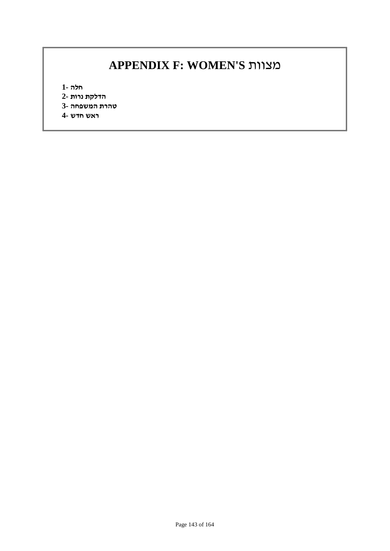## **APPENDIX F: WOMEN'S** מצוות

**חלה 1-**

- **הדלקת נרות 2-**
- **טהרת המשפחה 3-**
- **ראש חדש 4-**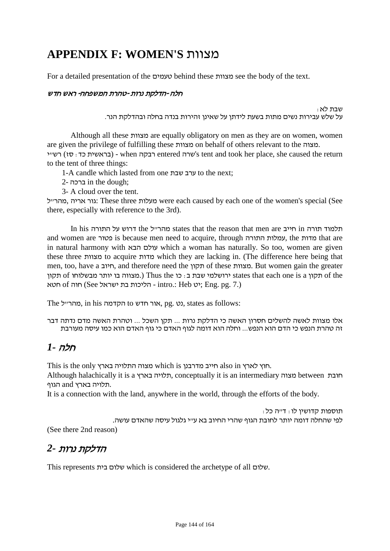## **APPENDIX F: WOMEN'S** מצוות

For a detailed presentation of the טעמים behind these מצוות see the body of the text.

#### חלה -הדלקת נרות -טהרת המשפחה- ראש חדש

שבת לא :<br>על שלש עבירות נשים מתות בשעת לידתן על שאינן זהירות בנדה בחלה ובהדלקת הנר.

Although all these מצוות are equally obligatory on men as they are on women, women are given the privilege of fulfilling these מצוות on behalf of others relevant to the מצוה. רבקה when -כבקה when - כדאשית כד: סז) רשיי stent and took her place, she caused the return to the tent of three things:

1-A candle which lasted from one ערב שבת to the next;

- 2- ברכה in the dough;
- 3- A cloud over the tent.

גור אריה, מהרייל: These three מעלות: were each caused by each one of the women's special (See there, especially with reference to the 3rd).

In his התוריש the התוריל the התורייל the התורייל the התורה תורה תורה וח and women are פטור is because men need to acquire, through התורה עמלות, the מדות that are in natural harmony with הבא עולם which a woman has naturally. So too, women are given these three מצוות to acquire מדות which they are lacking in. (The difference here being that men, too, have a חיוב, and therefore need the תקון of these מצוות. But women gain the greater תקון of מבשלוחו of מכון ויותר מבשלוחו states that each one is a תקון of the . יט (3ee הליכות בת ישראל intro.: Heb יט: Eng. pg. 7.)

The ל"מהר, in his הקדמה to חדש אור, pg. נט, states as follows:

אלו מצוות לאשה להשלים חסרון האשה כי הדלקת נרות ... תקן השכל ... וטהרת האשה מדם נדתה דבר זה טהרת הנפש כי הדם הוא הנפש... וחלה הוא דומה לגוף האדם כי גוף האדם הוא כמו עיסה מעורבת

### חלה *1-*

This is the only בארץ התלויה מצוה which is מדרבנן חייב also in לארץ חוץ.

Although halachically it is a בארץ תלויה, conceptually it is an intermediary מצוה between חובת .תלויה בארץ and הגוף

It is a connection with the land, anywhere in the world, through the efforts of the body.

תוספות קדושין לו: ד"ה כל: לפי שהחלה דומה יותר לחובת הגוף שהרי החיוב בא ע"י גלגול עיסה שהאדם עושה. (See there 2nd reason)

## הדלקת נרות *2-*

This represents בית שלום which is considered the archetype of all שלום.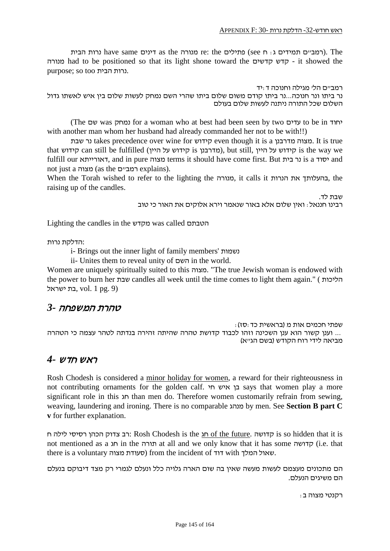רמביים תמידים ג: ח see (כמביים תמידים ג: ח see) מנורה the came (רמביים תמידים ג מנורה had to be positioned so that its light shone toward the קדשים קדש - it showed the purpose; so too הבית נרות.

רמב"ם הל' מגילה וחנוכה ד:יד נר ביתו ונר חנוכה...נר ביתו קודם משום שלום ביתו שהרי השם נמחק לעשות שלום בין איש לאשתו גדול השלום שכל התורה ניתנה לעשות שלום בעולם

(The שם was נמחק for a woman who at best had been seen by two עדים to be in יחוד with another man whom her husband had already commanded her not to be with!!)

שבת נר takes precedence over wine for קידוש even though it is a מדרבנן מצוה. It is true that קידוש can still be fulfilled (מדרבנן is קידוש x ווא s מדוש על קידוש is the way we fulfill our דאורייתא, and in pure מצוה terms it should have come first. But בית נר is a יסוד and not just a מצוה) as the רמביים) explains).

When the Torah wished to refer to the lighting the מנורה, it calls it הנרות את בהעלותך, the raising up of the candles.

שבת לד.

רבינו חננאל: ואין שלום אלא באור שנאמר וירא אלוקים את האור כי טוב

Lighting the candles in the מקדש was called הטבתם

:הדלקת נרות

i- Brings out the inner light of family members' נשמות

ii- Unites them to reveal unity of השם in the world.

Women are uniquely spiritually suited to this מצוה." The true Jewish woman is endowed with the power to burn her שבת candles all week until the time comes to light them again." ( הליכות בת ישראל, vol. 1 pg. 9)

#### טהרת המשפחה *3-*

שפתי חכמים אות מ (בראשית כד:סז): ... וענן קשור הוא ענן השכינה וזהו לכבוד קדושת טהרה שהיתה זהירה בנדתה לטהר עצמה כי הטהרה מביאה לידי רוח הקודש (בשם הג"א)

#### ראש חדש *4-*

Rosh Chodesh is considered a minor holiday for women, a reward for their righteousness in not contributing ornaments for the golden calf. חי איש בן says that women play a more significant role in this חג than men do. Therefore women customarily refrain from sewing, weaving, laundering and ironing. There is no comparable מנהג by men. See **Section B part C v** for further explanation.

רב צדוק הכהן רסיסי לילה ח (Rosh Chodesh is the חג chodesh is the future. הדושה is so hidden that it is not mentioned as a חג in the תורה at all and we only know that it has some קדושה) i.e. that there is a voluntary מצוה סעודת (from the incident of דוד with המלך שאול.

הם מתכונים מעצמם לעשות מעשה שאין בה שום הארה גלויה כלל ונעלם לגמרי רק מצד דיבוקם בנעלם הם משיגים הנעלם.

רקנטי מצוה ב: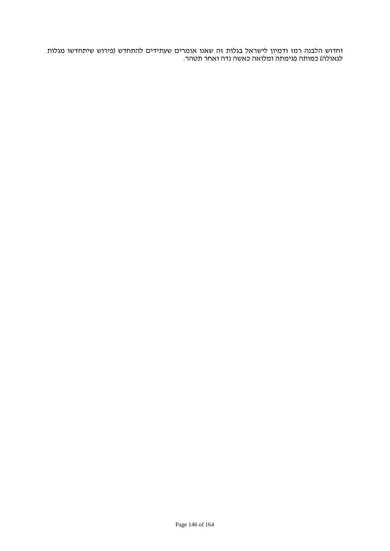וחדוש הלבנה רמז ודמיון לישראל בגלות זה שאנו אומרים שעתידים להתחדש (פירוש שיתחדשו מגלות לגאולה) כמותה פגימתה ומלואה כאשה נדה ואחר תטהר.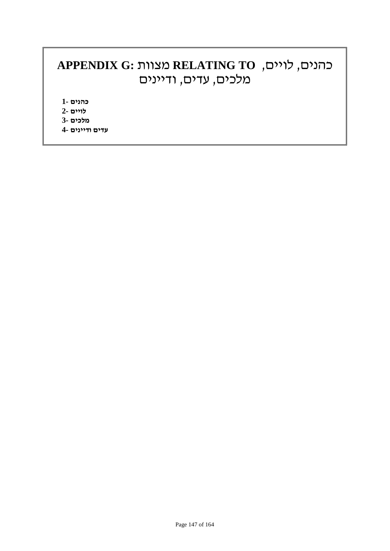# **APPENDIX G:** מצוות **RELATING TO** ,לויים ,כהנים מלכים, עדים, ודיינים

**כהנים 1-**

- **לויים 2-**
- **מלכים 3-**
- **עדים ודיינים 4-**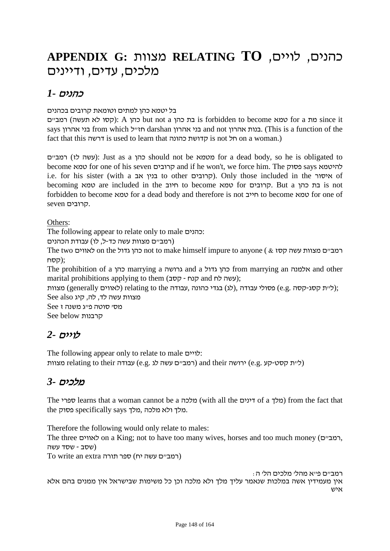# **APPENDIX G:** מצוות **RELATING TO** ,לויים ,כהנים מלכים, עדים, ודיינים

### כהנים *1-*

בל יטמא כהן למתים וטומאת קרובים בכהנים

ם"רמב) תעשה לא קסו(: A כהן but not a כהן בת is forbidden to become טמא for a מת since it says חזייל from which הייל darshan הנות אהרון בנות אהרון בני אהרון בני אהרון בני אהרון בנות.) This is a function of the fact that this דרשה is used to learn that כהונה קדושת is not חל on a woman.)

ם"רמב) לז עשה(: Just as a כהן should not be מטמא for a dead body, so he is obligated to become טמא for one of his seven קרובים and if he won't, we force him. The פסוק says להיטמא i.e. for his sister (with a הגיט to other קרובים). Only those included in the האיסור) of becoming טמא are included in the חיוב to become טמא for קרובים. But a כהן בת is not forbidden to become טמא for a dead body and therefore is not חייב to become טמא for one of .קרובים seven

Others:

The following appear to relate only to male כהנים:

(רמב"ם מצוות עשה כד-ל, לו) עבודת הכהנים

The two לאווים on the גדול כהן not to make himself impure to anyone ( & קסז עשה מצוות ם"רמב ;(קסח

The prohibition of a כהן marrying a גרושה and a גדול כהן from marrying an אלמנה and other marital prohibitions applying to them (קנח - קסב);

;(ל"ת קסג-קסה .g.e (פסולי עבודה ,(לג) בגדי כהונה ,עבודה the to relating) לאווים generally (מצוות מצוות עשה לד, לה, קיג also See

```
מס' סוטה פ"ג משנה ז See
See below קרבנות
```
### לויים *2-*

The following appear only to relate to male לויים:

רושה relating to their (רמב"ם עשה לג .e.g) עבודה ce (ליית קסט-קע) ורושה ce.g.

### מלכים *3-*

The ספרי learns that a woman cannot be a מלכה) from the fact that .מלך ולא מלכה ,מלך says specifically פסוק the

Therefore the following would only relate to males:

The three לאווים, on a King; not to have too many wives, horses and too much money (המביים, (שסב - שסד עשה

 $To$  vrite an extra רמביים עשה יח) ספר תורה

רמב"ם פ"א מהל' מלכים הל' ה: אין מעמידין אשה במלכות שנאמר עליך מלך ולא מלכה וכן כל משימות שבישראל אין ממנים בהם אלא איש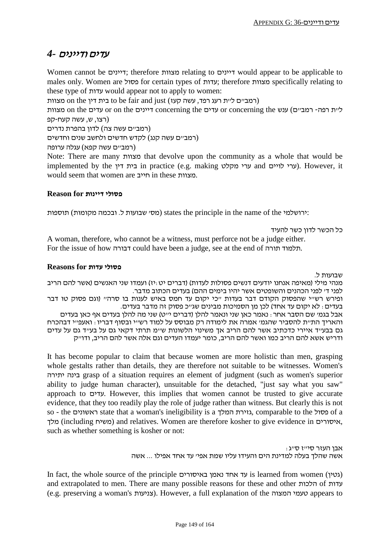#### עדים ודיינים *4-*

Women cannot be דיינים ;therefore מצוות relating to דיינים would appear to be applicable to males only. Women are פסול for certain types of עדות; therefore מצוות specifically relating to these type of עדות would appear not to apply to women:

ה כית דין on the כית דין to be fair and just (רמב"ם ל"ת רעג רפד, עשה קעז)

ליית רפה- רמב"ם) ענש con the עדים concerning the ליית רפה- רמב"ם) ענש (רצו, ש, עשה קעח-קפ

(רמב"ם עשה צה) לדון בהפרת נדרים

(רמב"ם עשה קנג) לקדש חדשים ולחשב שנים וחדשים

(רמב"ם עשה קפא) עגלה ערופה

Note: There are many מצוות that devolve upon the community as a whole that would be implemented by the דין בית in practice (e.g. making מקלט ערי and לויים ערי(. However, it would seem that women are חייב in these מצוות.

#### **פסולי דיינות for Reason**

תוספות) ctates the principle in the name of the  $\cdot$ ירושלמי:

כל הכשר לדון כשר להעיד

A woman, therefore, who cannot be a witness, must perforce not be a judge either. For the issue of how דבורה could have been a judge, see at the end of תורה תלמוד.

#### **פסולי עדות for Reasons**

שבועות ל.

מנהי מילי (מאיפה אנחנו יודעים דנשים פסולות לעדות) (דברים יט:יז) ועמדו שני האנשים (אשר להם הריב לפני ד' לפני הכהנים והשופטים אשר יהיו בימים ההם) בעדים הכתוב מדבר. ופירש רש"י שהפסוק הקודם דבר בעדות "כי יקום עד חמס באיש לענות בו סרה" (וגם פסוק טו דבר בעדים: לא יקום עד אחד) לכן מן הסמיכות מבינים שג"כ פסוק זה מדבר בעדים. אבל בגמ' שם הסבר אחר: נאמר כאן שני ונאמר להלן (דברים י"ט) שני מה להלן בעדים אף כאן בעדים והאריך הת"ת להסביר שהגמ' אמרה את לימודה רק מבוסס על למוד רש"י ובסוף דבריו: ואעפ"י דבהכרח גם בבע"ד איירי כדכתיב אשר להם הריב אך משינוי הלשונות ש"מ תרתי דקאי גם על בע"ד גם על עדים ודריש אשא להם הריב כמו ואשר להם הריב, כומר יעמדו העדים וגם אלה אשר להם הריב, ודו"ק

It has become popular to claim that because women are more holistic than men, grasping whole gestalts rather than details, they are therefore not suitable to be witnesses. Women's יתירה בינה grasp of a situation requires an element of judgment (such as women's superior ability to judge human character), unsuitable for the detached, "just say what you saw" approach to עדים. However, this implies that women cannot be trusted to give accurate evidence, that they too readily play the role of judge rather than witness. But clearly this is not so - the כסול state that a woman's ineligibility is a גזירת המלך ג $\alpha$  comparable to the המלך of a מלך) including משיח (and relatives. Women are therefore kosher to give evidence in איסורים, such as whether something is kosher or not:

> $\mathbf{r}$ אבו העזר סי"ז ס"ג אשה שהלך בעלה למדינת הים והעידו עליו שמת אפי' עד אחד אפילו ... אשה

In fact, the whole source of the principle נאמן באיסורים is learned from women (גטין) and extrapolated to men. There are many possible reasons for these and other הלכות of עדות (e.g. preserving a woman's צניעות(. However, a full explanation of the המצוה טעמי appears to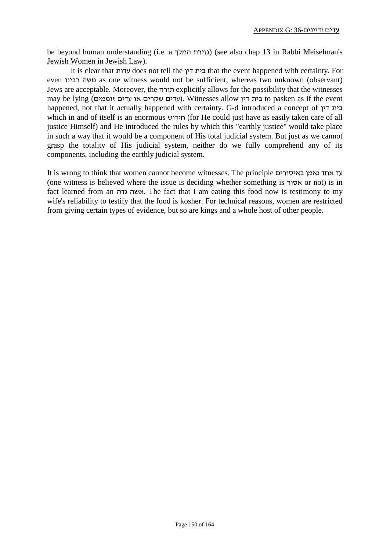be beyond human understanding (i.e. a המלך גזירת) (see also chap 13 in Rabbi Meiselman's Jewish Women in Jewish Law).

It is clear that עדות does not tell the דין בית that the event happened with certainty. For even רבינו משה as one witness would not be sufficient, whereas two unknown (observant) Jews are acceptable. Moreover, the תורה explicitly allows for the possibility that the witnesses may be lying (ועדים או עדים או שקרים). Witnesses allow רית דין to pasken as if the event happened, not that it actually happened with certainty. G-d introduced a concept of דין בית which in and of itself is an enormous חידוש) for He could just have as easily taken care of all justice Himself) and He introduced the rules by which this "earthly justice" would take place in such a way that it would be a component of His total judicial system. But just as we cannot grasp the totality of His judicial system, neither do we fully comprehend any of its components, including the earthly judicial system.

It is wrong to think that women cannot become witnesses. The principle באיסורים נאמן אחד עד (one witness is believed where the issue is deciding whether something is אסור or not) is in fact learned from an נדה אשה. The fact that I am eating this food now is testimony to my wife's reliability to testify that the food is kosher. For technical reasons, women are restricted from giving certain types of evidence, but so are kings and a whole host of other people.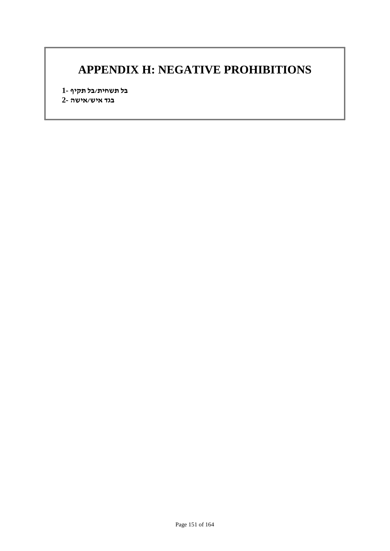## **APPENDIX H: NEGATIVE PROHIBITIONS**

**בל תשחית/בל תקיף 1- בגד איש/אישה 2-**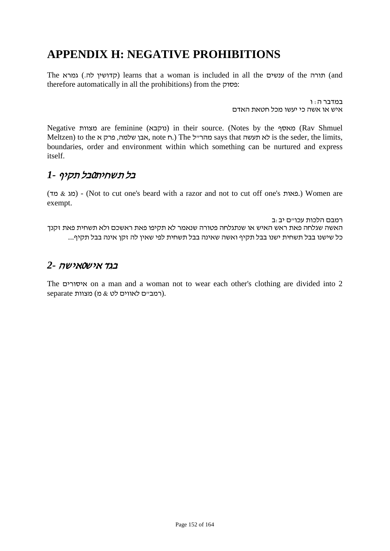# **APPENDIX H: NEGATIVE PROHIBITIONS**

The תורה) learns that a woman is included in all the ענשים of the תורה) (qand therefore automatically in all the prohibitions) from the פסוק:

> במדבר ה: ו איש או אשה כי יעשו מכל חטאת האדם

Negative מצוות are feminine (נוקבא) in their source. (Notes by the מאסף) Clav Shmuel Meltzen) to the אבן שלמה, פרק א , note ח.) The האבן, note מהרייל says that העשה is the seder, the limits, boundaries, order and environment within which something can be nurtured and express itself.

### בל תשחית0בל תקיף *1-*

(מד & מג (-) Not to cut one's beard with a razor and not to cut off one's פאות. (Women are exempt.

רמבם הלכות עכו"ם יב:ב האשה שגלחה פאת ראש האיש או שנתגלחה פטורה שנאמר לא תקיפו פאת ראשכם ולא תשחית פאת זקנך כל שישנו בבל תשחית ישנו בבל תקיף ואשה שאינה בבל תשחית לפי שאין לה זקן אינה בבל תקיף...

### בגד איש0אישה *2-*

The איסורים on a man and a woman not to wear each other's clothing are divided into 2 .(רמב"ם לאווים לט & מ) מצוות separate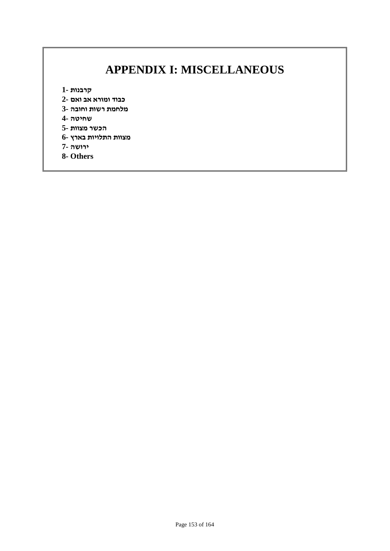# **APPENDIX I: MISCELLANEOUS**

**קרבנות 1-**

- **כבוד ומורא אב ואם 2-**
- **מלחמת רשות וחובה 3-**

**שחיטה 4-**

- **הכשר מצוות 5-**
- **מצוות התלויות בארץ 6-**
- **ירושה 7-**
- **8- Others**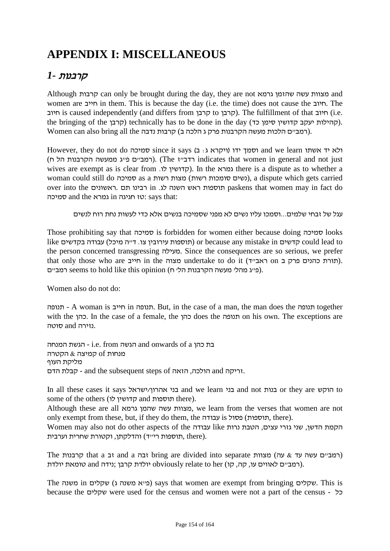# **APPENDIX I: MISCELLANEOUS**

### קרבנות *1-*

Although קרבות can only be brought during the day, they are not גרמא שהזמן עשה מצוות and women are חייב in them. This is because the day (i.e. the time) does not cause the חיוב. The חיוב is caused independently (and differs from קרבן). The fulfillment of that חיוב). is  $i.e.$ the bringing of the קרבן) technically has to be done in the day (סהילות יעקב קדושין סימן כד .(רמב"ם הלכות מעשה הקרבנות פרק ג הלכה ב) קרבות נדבה Women can also bring all the

However, they do not do סמיכה since it says (ג ויקרא ג: ב just not and general in women that indicates רדב"ז The (.)רמב"ם פ"ג ממעשה הקרבנות הל ח) wives are exempt as is clear from .לקדושין לו  $\mu$  there is a dispute as to whether a woman could still do סמיכה as a רשות מצות) רשות סומכות נשים(, a dispute which gets carried over into the ראשונים. תם רבינו in .לג השנה ראש תוספות paskens that women may in fact do סמיכה and the גמרא in חגיגה טז: says that:

עגל של זבחי שלמים...וסמכו עליו נשים לא מפני שסמיכה בנשים אלא כדי לעשות נחת רוח לנשים

Those prohibiting say that סמיכה is forbidden for women either because doing סמיכה looks like הדשים could lead to (תוספות עירובין צו. ד"ה מיכל) תוספות עירובין צו. היה מיכל) עבודה בקדשים the person concerned transgressing מעילה. Since the consequences are so serious, we prefer that only those who are חייב in the מצוה undertake to do it (תורת כהנים פרק ב חס ראב"ד). רמביים). (פייג מהלי מעשה הקרבנות הלי ח). כי הכלי מעשה הקרבנות הלי ח

Women also do not do:

תנופה - A woman is תנופה. But, in the case of a man, the man does the תנופה with the כהן. In the case of a female, the כהן does the תנופה on his own. The exceptions are .נזירה and סוטה

המנחה הגשת - i.e. from הגשה and onwards of a כהן בת מנחות of קמיצה & הקטרה מליקת העוף הדם - and the subsequent steps of הולכה, הזאה and זריקה.

In all these cases it says בני אהרון/ישראל and we learn בני and not בנות or they are הוקש to some of the others (קדושין קדושין and קדושין there).

Although these are all גרמא שהמן עשה מצוות, we learn from the verses that women are not only exempt from these, but, if they do them, the עבודה is פסול) תוספות, there).

Women may also not do other aspects of the עבודה like נרות הטבת ,עצים גזרי שני ,הדשן הקמת תוספות רי"ד) והדלקתן, וקטורת שחרית וערבית, there).

The הבנות that a זבה and a זבה) tring are divided into separate (רמב"ם עשה עד & עה) .(רמב"ם לאווים עו, קה, קו) her to relate obviously יולדת קרבן ;נידה and טומאת יולדת

The שקלים in שקלים) says that women are exempt from bringing שקלים. This is because the שקלים were used for the census and women were not a part of the census - כל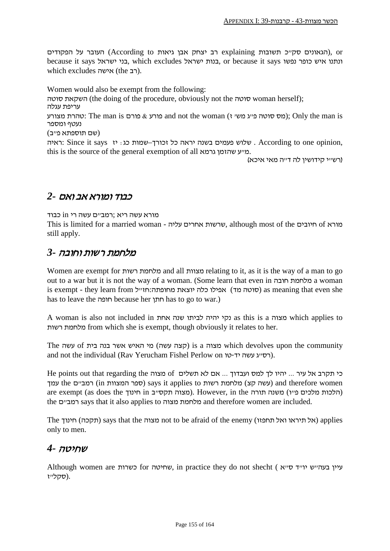הגאונים סק"כ תשובות explaining רב יצחק אבן גיאות (According to העובר על הפקודים), or because it says ישראל בני, which excludes ישראל בנות, or because it says נפשו כופר איש ונתנו which excludes אישה).

Women would also be exempt from the following: סוטה השקאת) the doing of the procedure, obviously not the סוטה woman herself); עריפת עגלה וסהרת מצורע Chly the man is פורע & פורם and not the woman (גמס סוטה פייג משי ז'); Only the man is נעטף ומספר (שם תוספתא פ"ב) ראיה: Since it says . שלוש פעמים בשנה יראה כל זכורך–שמות כג: יז since it says :ראיה: this is the source of the general exemption of all גרמא שהזמן ע"מ. (רש"י קידושין לה ד"ה מאי איכא)

### כבוד ומורא אב ואם *2-*

מורא עשה ריא ;רמב"ם עשה רי in כבוד

This is limited for a married woman - עליה אחרים שרשות, although most of the חיובים of מורא still apply.

### מלחמת רשות וחובה *3-*

Women are exempt for רשות מלחמת and all מצוות relating to it, as it is the way of a man to go out to a war but it is not the way of a woman. (Some learn that even in חובה מלחמת a woman is exempt - they learn from סוטה מד) אפילו כלה יוצאת מחופתה:חזייל (as meaning that even she has to leave the חופה because her חתן has to go to war.)

A woman is also not included in אחת שנה לביתו יהיה נקי as this is a מצוה which applies to רשות מלחמת from which she is exempt, though obviously it relates to her.

The מצוה a is a קצה עשה) is a קצה עשה) קצוה עשה) קצוה עשה) קצוה מי האיש אשר בנה בית  $\delta$  עשה and not the individual (Rav Yerucham Fishel Perlow on רסיג עשה יד-טו).

כי תקרב אל עיר ... יהיו לך למס ועבדוך ... אם לא תשלים of מצוה the points out that regarding the עמך (עשה קצ) מלחמת רשות says it applies to (עשה קצ) and therefore women are exempt (as does the niu הלכות מלכים פ"ו) משנה תורה the in הלכות מלכים פ"ו) משנה תורה the ם"רמב says that it also applies to מצוה מלחמת and therefore women are included.

The חינוך) תקכה (says that the מצוה not to be afraid of the enemy (תחפזו ואל תיראו אל (applies only to men.

### שחיטה *4-*

Although women are כשרות for שחיטה, in practice they do not shecht ( אייד ס״א .(סקל"ז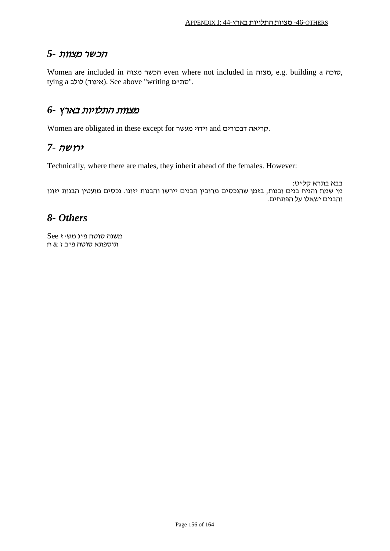#### הכשר מצוות *5-*

Women are included in מצוה הכשר even where not included in מצוה, e.g. building a סוכה, tying לולב (איגוד). See above "writing "סת".

#### מצוות התלויות בארץ *6-*

Women are obligated in these except for מעשר וידוי and דבכורים קריאה.

#### ירושה *7-*

Technically, where there are males, they inherit ahead of the females. However:

בבא בתרא קל"ט: מי שמת והניח בנים ובנות, בזמן שהנכסים מרובין הבנים יירשו והבנות יזונו. נכסים מועטין הבנות יזונו והבנים ישאלו על הפתחים.

### *8- Others*

משנה סוטה פ"ג מש' ז See תוספתא סוטה פ"ב ז  $\&$  ח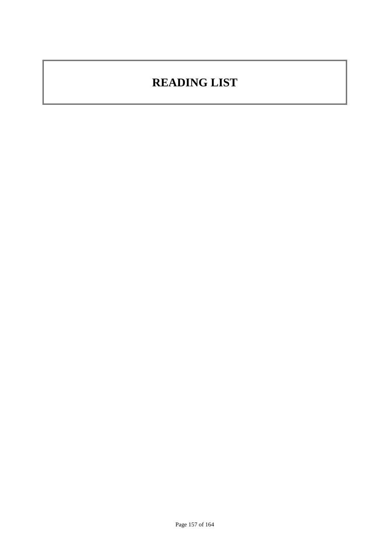# **READING LIST**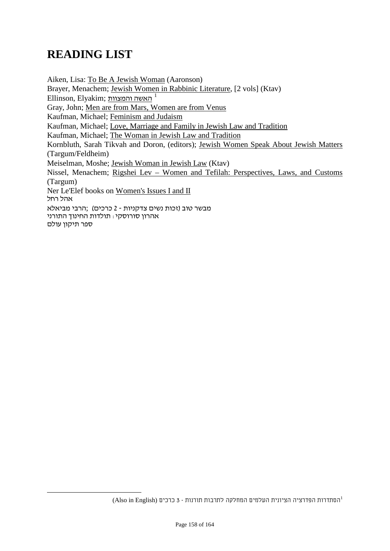# **READING LIST**

Aiken, Lisa: To Be A Jewish Woman (Aaronson) Brayer, Menachem; Jewish Women in Rabbinic Literature, [2 vols] (Ktav) Ellinson, Elyakim; והמצוות האשה *250F* 1 Gray, John; Men are from Mars, Women are from Venus Kaufman, Michael; Feminism and Judaism Kaufman, Michael; Love, Marriage and Family in Jewish Law and Tradition Kaufman, Michael; The Woman in Jewish Law and Tradition Kornbluth, Sarah Tikvah and Doron, (editors); Jewish Women Speak About Jewish Matters (Targum/Feldheim) Meiselman, Moshe; Jewish Woman in Jewish Law (Ktav) Nissel, Menachem; Rigshei Lev – Women and Tefilah: Perspectives, Laws, and Customs (Targum) Ner Le'Elef books on Women's Issues I and II אהל רחל מבשר טוב (זכות נשים צדקניות - 2 כרכים) ;הרבי מביאלא אהרון סורוסקי: תולדות החינוך התורני ספר תיקון עולם

הסתדרות הפדרציה הציונית העלמים המחלקה לתרבות תורנות - <sup>3</sup> כרכים (English in Also (1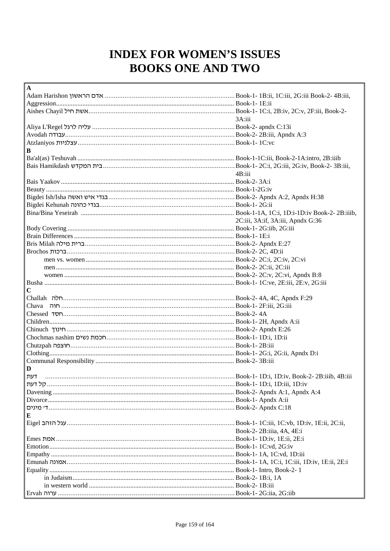# **INDEX FOR WOMEN'S ISSUES BOOKS ONE AND TWO**

| A                                                                                                       |                                   |
|---------------------------------------------------------------------------------------------------------|-----------------------------------|
| Adam Harishon אדם הראשון. Hook-1- 1B:ii, 1C:iii, 2G:iii Book-2- 4B:iii, 1C:iiii, 2G:iii Book-2- 4B:iii, |                                   |
|                                                                                                         |                                   |
|                                                                                                         |                                   |
|                                                                                                         | 3A:iii                            |
|                                                                                                         |                                   |
|                                                                                                         |                                   |
|                                                                                                         |                                   |
| В                                                                                                       |                                   |
|                                                                                                         |                                   |
|                                                                                                         |                                   |
|                                                                                                         | 4B:iii                            |
|                                                                                                         |                                   |
|                                                                                                         |                                   |
|                                                                                                         |                                   |
| Bigdei Ish/Isha ואשה הבגדי איש ואשה Book-2- Apndx A:2, Apndx H:38                                       |                                   |
| Bigdei Kehunah הוונה אוויבגדי כהונה Engdei Kehunah וEstri                                               |                                   |
|                                                                                                         |                                   |
|                                                                                                         | 2C:iii, 3A:if, 3A:iii, Apndx G:36 |
|                                                                                                         |                                   |
|                                                                                                         |                                   |
|                                                                                                         |                                   |
|                                                                                                         |                                   |
|                                                                                                         |                                   |
|                                                                                                         |                                   |
|                                                                                                         |                                   |
|                                                                                                         |                                   |
| $\mathbf C$                                                                                             |                                   |
|                                                                                                         |                                   |
|                                                                                                         |                                   |
| Book-2- 4A اسسیسیسیسیسیسیسیسیسیسیسیسیسیسیسیسیسی <del>سی الماد</del> Book-2- 4A                          |                                   |
|                                                                                                         |                                   |
|                                                                                                         |                                   |
| Chochmas nashim רחכמת נשים, חכמת שים וDook-1- 1D:i, 1D:ii                                               |                                   |
|                                                                                                         |                                   |
|                                                                                                         |                                   |
|                                                                                                         |                                   |
| D                                                                                                       |                                   |
| דעת                                                                                                     |                                   |
|                                                                                                         |                                   |
|                                                                                                         |                                   |
|                                                                                                         |                                   |
|                                                                                                         |                                   |
|                                                                                                         |                                   |
| Е                                                                                                       |                                   |
| Eigel האחב Book-1- 1C:iii, 1C:vb, 1D:iv, 1E:ii, 2C:ii, 2C:iii, 2C:iii, 2C:iii), 2C:iii                  |                                   |
|                                                                                                         | Book-2-2B:iiia, 4A, 4E:i          |
| Emes האמת Book-1- 1D:iv, 1E:ii, 2E:i                                                                    |                                   |
|                                                                                                         |                                   |
|                                                                                                         |                                   |
| Emunah האווארה אמונה Book-1- 1A, 1C:i, 1C:iii, 1D:iv, 1E:ii, 2E:i                                       |                                   |
|                                                                                                         |                                   |
|                                                                                                         |                                   |
|                                                                                                         |                                   |
| Ervah הואו:Book-1- 2G:iia, 2G:iib                                                                       |                                   |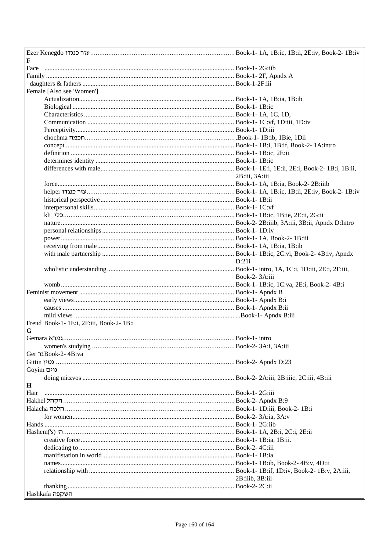| F                                                           |                 |
|-------------------------------------------------------------|-----------------|
|                                                             |                 |
|                                                             |                 |
|                                                             |                 |
| Female [Also see 'Women']                                   |                 |
|                                                             |                 |
|                                                             |                 |
|                                                             |                 |
|                                                             |                 |
|                                                             |                 |
|                                                             |                 |
|                                                             |                 |
|                                                             |                 |
|                                                             |                 |
|                                                             |                 |
|                                                             | 2B:iii, 3A:iii  |
|                                                             |                 |
|                                                             |                 |
|                                                             |                 |
|                                                             |                 |
|                                                             |                 |
|                                                             |                 |
|                                                             |                 |
|                                                             |                 |
|                                                             |                 |
|                                                             |                 |
|                                                             | D:21i           |
|                                                             |                 |
|                                                             | Book-2-3A:iii   |
|                                                             |                 |
|                                                             |                 |
|                                                             |                 |
|                                                             |                 |
|                                                             |                 |
| Freud Book-1- 1E:i, 2F:iii, Book-2- 1B:i                    |                 |
| G                                                           |                 |
|                                                             |                 |
|                                                             |                 |
| Ger ו-Book-2-4B:va                                          |                 |
|                                                             |                 |
| Goyim גוים                                                  |                 |
|                                                             |                 |
| $\mathbf H$                                                 |                 |
| Hair                                                        |                 |
|                                                             |                 |
|                                                             |                 |
|                                                             |                 |
|                                                             |                 |
| Book-1-1A, 2B:i, 2C:i, 2E:ii و Book-1-1A, 2B:i; 2C:i, 2E:ii |                 |
|                                                             |                 |
|                                                             |                 |
|                                                             |                 |
|                                                             |                 |
|                                                             |                 |
|                                                             |                 |
|                                                             | 2B:iiib, 3B:iii |
| Hashkafa השקפה                                              |                 |
|                                                             |                 |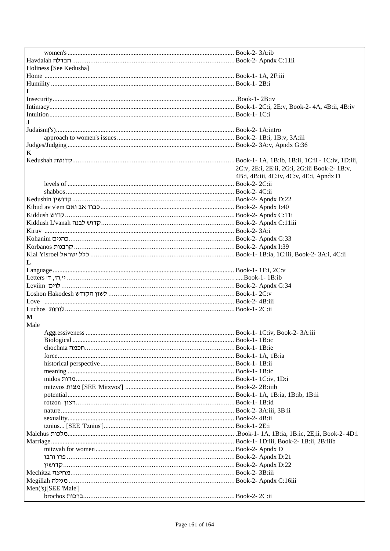| Holiness [See Kedusha]                                                                               |                                               |
|------------------------------------------------------------------------------------------------------|-----------------------------------------------|
|                                                                                                      |                                               |
|                                                                                                      |                                               |
|                                                                                                      |                                               |
|                                                                                                      |                                               |
|                                                                                                      |                                               |
|                                                                                                      |                                               |
|                                                                                                      |                                               |
|                                                                                                      |                                               |
|                                                                                                      |                                               |
|                                                                                                      |                                               |
|                                                                                                      |                                               |
|                                                                                                      |                                               |
| K                                                                                                    |                                               |
| .Kedushah רir - IC:iv, 1D:iii, 1C:ii - 1C:iv, 1D:iii, 1C:ii - 1C:iv, 1D:iii, 1C:iii - 1C:iv, 1D:iiii |                                               |
|                                                                                                      | 2C:v, 2E:i, 2E:ii, 2G:i, 2G:iii Book-2- 1B:v, |
|                                                                                                      | 4B:i, 4B:iii, 4C:iv, 4C:v, 4E:i, Apndx D      |
|                                                                                                      |                                               |
|                                                                                                      |                                               |
|                                                                                                      |                                               |
|                                                                                                      |                                               |
|                                                                                                      |                                               |
|                                                                                                      |                                               |
|                                                                                                      |                                               |
|                                                                                                      |                                               |
|                                                                                                      |                                               |
|                                                                                                      |                                               |
|                                                                                                      |                                               |
| Klal Yisroel האראל שראל (הוא ה-Book-1- 1B:ia, 1C:iii, Book-2- 3A:i, 4C:ii                            |                                               |
|                                                                                                      |                                               |
| L                                                                                                    |                                               |
|                                                                                                      |                                               |
|                                                                                                      |                                               |
|                                                                                                      |                                               |
|                                                                                                      |                                               |
|                                                                                                      |                                               |
|                                                                                                      |                                               |
|                                                                                                      |                                               |
| М                                                                                                    |                                               |
| Male                                                                                                 |                                               |
|                                                                                                      |                                               |
|                                                                                                      |                                               |
|                                                                                                      |                                               |
|                                                                                                      |                                               |
|                                                                                                      |                                               |
|                                                                                                      |                                               |
|                                                                                                      |                                               |
|                                                                                                      |                                               |
|                                                                                                      |                                               |
|                                                                                                      |                                               |
|                                                                                                      |                                               |
|                                                                                                      |                                               |
|                                                                                                      |                                               |
|                                                                                                      |                                               |
|                                                                                                      |                                               |
|                                                                                                      |                                               |
|                                                                                                      |                                               |
|                                                                                                      |                                               |
|                                                                                                      |                                               |
|                                                                                                      |                                               |
|                                                                                                      |                                               |
|                                                                                                      |                                               |
| Book-2- Apndx C:16iii והאוויה והאוויה והאוויה Book-2- Apndx C:16iii                                  |                                               |
| Men('s)[SEE 'Male']                                                                                  |                                               |
|                                                                                                      |                                               |
|                                                                                                      |                                               |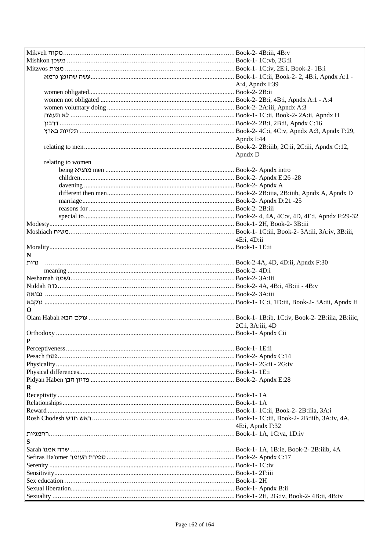| - Book-1- IC:ii, Book-2- 2, 4B:i, Apndx A:1 ו-Book-1- IC:ii, Book-2- 2, 4B:i, Apndx A:1.             |                  |
|------------------------------------------------------------------------------------------------------|------------------|
|                                                                                                      | A:4, Apndx I:39  |
|                                                                                                      |                  |
|                                                                                                      |                  |
|                                                                                                      |                  |
|                                                                                                      |                  |
|                                                                                                      |                  |
|                                                                                                      |                  |
|                                                                                                      |                  |
|                                                                                                      | Apndx I:44       |
|                                                                                                      |                  |
|                                                                                                      | Apndx D          |
| relating to women                                                                                    |                  |
|                                                                                                      |                  |
|                                                                                                      |                  |
|                                                                                                      |                  |
|                                                                                                      |                  |
|                                                                                                      |                  |
|                                                                                                      |                  |
|                                                                                                      |                  |
|                                                                                                      |                  |
| .Book-1- 1C:iii, Book-2- 3A:iii, 3A:iv, 3B:iii, النا: Book-1- 1C:iii, Book-2- 3A:iii, 3A:iv, 3B:iii, |                  |
|                                                                                                      | 4E:i, 4D:ii      |
|                                                                                                      |                  |
| N                                                                                                    |                  |
| נרות                                                                                                 |                  |
|                                                                                                      |                  |
|                                                                                                      |                  |
|                                                                                                      |                  |
|                                                                                                      |                  |
|                                                                                                      |                  |
|                                                                                                      |                  |
| 0                                                                                                    |                  |
| Olam Habah עולם הבא Willic, Book-1- 1B:ib, 1C:iv, Book-2- 2B:iiia, 2B:iiic,                          |                  |
|                                                                                                      | 2C:i, 3A:iii, 4D |
|                                                                                                      |                  |
|                                                                                                      |                  |
|                                                                                                      |                  |
|                                                                                                      |                  |
|                                                                                                      |                  |
|                                                                                                      |                  |
|                                                                                                      |                  |
| R                                                                                                    |                  |
|                                                                                                      |                  |
|                                                                                                      |                  |
|                                                                                                      |                  |
|                                                                                                      |                  |
|                                                                                                      | 4E:i, Apndx F:32 |
|                                                                                                      |                  |
| S                                                                                                    |                  |
|                                                                                                      |                  |
|                                                                                                      |                  |
|                                                                                                      |                  |
|                                                                                                      |                  |
|                                                                                                      |                  |
|                                                                                                      |                  |
|                                                                                                      |                  |
|                                                                                                      |                  |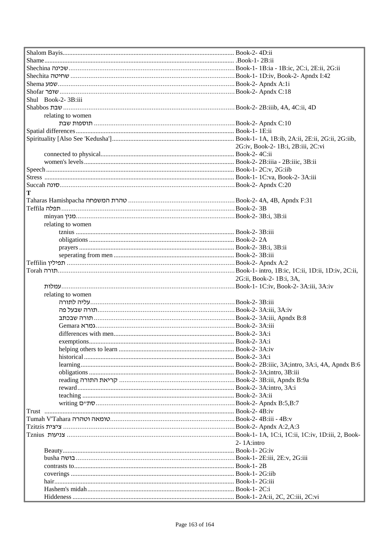| Shechina שכינה שפינה Dook-1- 1B:ia - 1B:ic, 2C:i, 2E:ii, 2G:ii        |                                    |
|-----------------------------------------------------------------------|------------------------------------|
| Book-1- 1D:iv, Book-2- Apndx I:42 ו-Book-1- 1D:iv, Book-2- Apndx I:42 |                                    |
|                                                                       |                                    |
|                                                                       |                                    |
| Shul Book-2-3B:iii                                                    |                                    |
|                                                                       |                                    |
| relating to women                                                     |                                    |
|                                                                       |                                    |
|                                                                       |                                    |
|                                                                       |                                    |
|                                                                       | 2G:iv, Book-2- 1B:i, 2B:iii, 2C:vi |
|                                                                       |                                    |
|                                                                       |                                    |
|                                                                       |                                    |
|                                                                       |                                    |
|                                                                       |                                    |
| Т                                                                     |                                    |
|                                                                       |                                    |
|                                                                       |                                    |
|                                                                       |                                    |
| relating to women                                                     |                                    |
|                                                                       |                                    |
|                                                                       |                                    |
|                                                                       |                                    |
|                                                                       |                                    |
|                                                                       |                                    |
|                                                                       |                                    |
|                                                                       | 2G:ii, Book-2- 1B:i, 3A,           |
|                                                                       |                                    |
| relating to women                                                     |                                    |
|                                                                       |                                    |
|                                                                       |                                    |
|                                                                       |                                    |
|                                                                       |                                    |
|                                                                       |                                    |
|                                                                       |                                    |
|                                                                       |                                    |
|                                                                       |                                    |
|                                                                       |                                    |
|                                                                       |                                    |
|                                                                       |                                    |
|                                                                       |                                    |
|                                                                       |                                    |
| /Book-2- Apndx B:5,B:7. סתיים Book-2- Apndx B                         |                                    |
|                                                                       |                                    |
|                                                                       |                                    |
|                                                                       |                                    |
|                                                                       |                                    |
|                                                                       | $2 - 1$ A:intro                    |
|                                                                       |                                    |
|                                                                       |                                    |
|                                                                       |                                    |
|                                                                       |                                    |
|                                                                       |                                    |
|                                                                       |                                    |
|                                                                       |                                    |